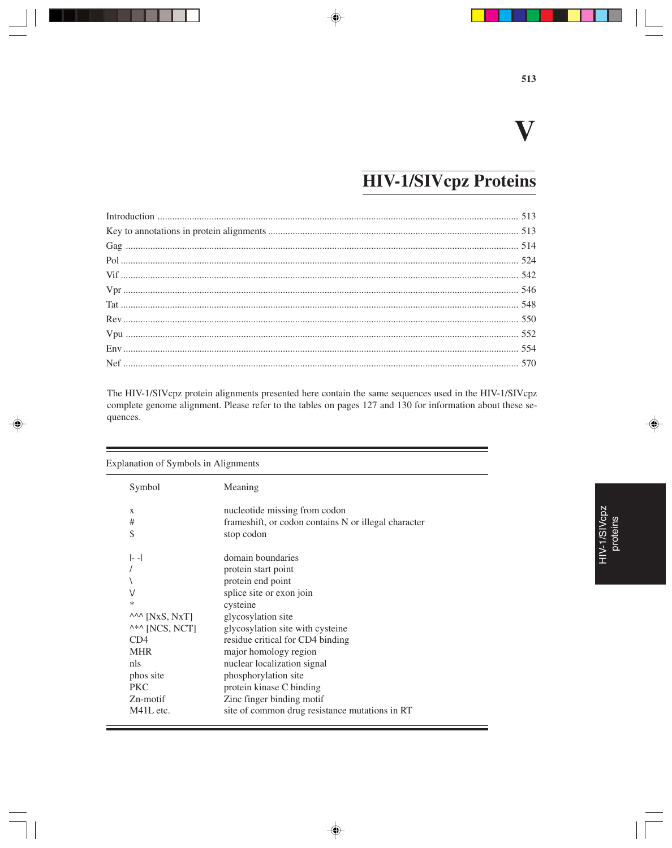# **V**

# **HIV-1/SIVcpz Proteins**

⊕

The HIV-1/SIVcpz protein alignments presented here contain the same sequences used in the HIV-1/SIVcpz complete genome alignment. Please refer to the tables on pages 127 and 130 for information about these sequences.

| <b>Explanation of Symbols in Alignments</b> |                                                      |
|---------------------------------------------|------------------------------------------------------|
| Symbol                                      | Meaning                                              |
| X                                           | nucleotide missing from codon                        |
| #                                           | frameshift, or codon contains N or illegal character |
| \$                                          | stop codon                                           |
| $ -$                                        | domain boundaries                                    |
|                                             | protein start point                                  |
|                                             | protein end point                                    |
| $\vee$                                      | splice site or exon join                             |
| $\ast$                                      | cysteine                                             |
| $\lambda A \sim$ [NxS, NxT]                 | glycosylation site                                   |
| ^*^ [NCS, NCT]                              | glycosylation site with cysteine                     |
| CD4                                         | residue critical for CD4 binding                     |
| <b>MHR</b>                                  | major homology region                                |
| nls                                         | nuclear localization signal                          |
| phos site                                   | phosphorylation site                                 |
| <b>PKC</b>                                  | protein kinase C binding                             |
| $Zn$ -motif                                 | Zinc finger binding motif                            |
| M41L etc.                                   | site of common drug resistance mutations in RT       |
|                                             |                                                      |

 $\overline{\blacklozenge}$ 

HIV-1/SIVcpz HIV-1/SIVcpz<br>proteins ⊕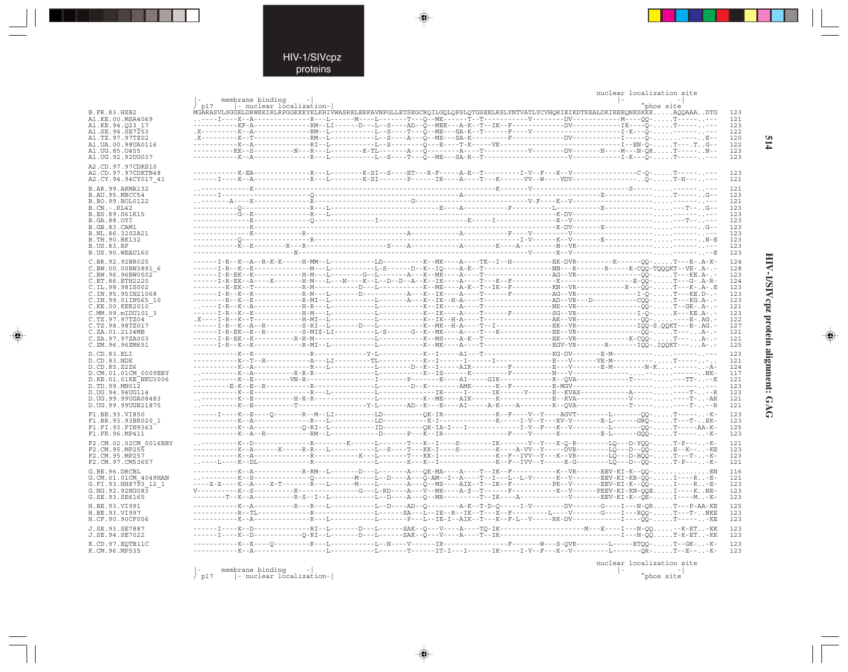|                                           |                         |                         |                                                                                                                                                                                                                                                                                            | nuclear localization site |            |            |
|-------------------------------------------|-------------------------|-------------------------|--------------------------------------------------------------------------------------------------------------------------------------------------------------------------------------------------------------------------------------------------------------------------------------------|---------------------------|------------|------------|
|                                           | membrane binding<br>p17 | - nuclear localization- |                                                                                                                                                                                                                                                                                            |                           | "phos site |            |
| <b>B.FR.83.HXB2</b>                       |                         |                         | MGARASVLSGGELDRWEKIRLRPGGKKKYKLKHIVWASRELERFAVNPGLLETSEGCROILGOLOPSLOTGSEELRSLYNTVATLYCVHORIEIKDTKEALDKIEEEONKSKKKAOOAAADTG                                                                                                                                                                |                           |            | 123        |
| A1.KE.00.MSA4069                          |                         |                         |                                                                                                                                                                                                                                                                                            |                           |            | 121        |
| A1.KE.94.023 17                           |                         |                         | -----------KF-A--------------RM--LI------D---L--S----AD--Q--MEK---A-K--T--IK--F-----------DV------------IK----Q-T------+--                                                                                                                                                                 |                           |            | 123        |
| A1.SE.94.SE7253                           |                         |                         |                                                                                                                                                                                                                                                                                            |                           |            | 122        |
| A1.TZ.97.97TZ02                           |                         |                         |                                                                                                                                                                                                                                                                                            |                           |            | 120        |
| A1.UA.00.98UA0116<br>A1. UG. 85. U455     |                         |                         |                                                                                                                                                                                                                                                                                            |                           |            | 122<br>123 |
| A1.UG.92.92UG037                          |                         |                         |                                                                                                                                                                                                                                                                                            |                           |            | 123        |
| A2.CD.97.97CDKS10                         |                         |                         |                                                                                                                                                                                                                                                                                            |                           |            |            |
| A2.CD.97.97CDKTB48                        |                         |                         | ----------K-EA-------------R---L-------K-SI--S----ET---R-F-----A-E--T--------I-V--F---K--V---------------C-O-T--------                                                                                                                                                                     |                           |            | 123        |
| A2.CY.94.94CY017 41                       |                         |                         |                                                                                                                                                                                                                                                                                            |                           |            | 121        |
| B.AR.99.ARMA132                           |                         |                         |                                                                                                                                                                                                                                                                                            |                           |            | 121        |
| B.AU.95.MBCC54                            |                         |                         |                                                                                                                                                                                                                                                                                            |                           |            | 123        |
| B.BO.99.BOL0122                           |                         |                         |                                                                                                                                                                                                                                                                                            |                           |            | 121        |
| $B.CN.-.RL42$                             |                         |                         |                                                                                                                                                                                                                                                                                            |                           |            | 123        |
| B.ES.89.S61K15                            |                         |                         |                                                                                                                                                                                                                                                                                            |                           |            | 123        |
| B.GA.88.OYI                               |                         |                         |                                                                                                                                                                                                                                                                                            |                           |            | 123<br>123 |
| B.GB.83.CAM1<br>B.NL.86.3202A21           |                         |                         |                                                                                                                                                                                                                                                                                            |                           |            | 123        |
| B.TH.90.BK132                             |                         |                         |                                                                                                                                                                                                                                                                                            |                           |            | 123        |
| <b>B.US.83.RF</b>                         |                         |                         |                                                                                                                                                                                                                                                                                            |                           |            | 123        |
| B.US.90.WEAU160                           |                         |                         |                                                                                                                                                                                                                                                                                            |                           |            | 123        |
| C.BR.92.92BR025                           |                         |                         | ------I-R--K--A--R-K-K-----H-MM--L-----------LD----------K--MK----A----TK--I--H----------------------K--------QQ- T---B-. A-K-                                                                                                                                                             |                           |            | 124        |
| C.BW.00.00BW3891 6                        |                         |                         |                                                                                                                                                                                                                                                                                            |                           |            | 128        |
| C.BW.96.96BW0502                          |                         |                         |                                                                                                                                                                                                                                                                                            |                           |            | 123        |
| C.ET.86.ETH2220                           |                         |                         | --------K-BK--T-----------R-M----------D---L---------K--ME----A-K--T--IK--F-------------KN--VR--------------R--------K-.A-.E                                                                                                                                                               |                           |            | 124        |
| C.IL.98.98IS002<br>C. IN. 95. 95 IN 21068 |                         |                         |                                                                                                                                                                                                                                                                                            |                           |            | 123<br>123 |
| C.IN.99.01IN565 10                        |                         |                         | --------R--K-------------R-MI--L-----------L-------A---K--IK--H-A----T---------------------------OOO-T---KG.A-.-                                                                                                                                                                           |                           |            | 123        |
| C.KE.00.KER2010                           |                         |                         |                                                                                                                                                                                                                                                                                            |                           |            | 121        |
| C.MM.99.mIDU101 3                         |                         |                         |                                                                                                                                                                                                                                                                                            |                           |            | 123        |
| C.TZ.97.97TZ04                            |                         |                         |                                                                                                                                                                                                                                                                                            |                           |            | 122        |
| C.TZ.98.98TZ017<br>C.ZA.01.2134MB         |                         |                         |                                                                                                                                                                                                                                                                                            |                           |            | 127<br>121 |
| C.ZA.97.97ZA003                           |                         |                         |                                                                                                                                                                                                                                                                                            |                           |            | 121        |
| C.ZM.96.96ZM651                           |                         |                         |                                                                                                                                                                                                                                                                                            |                           |            | 125        |
| D.CD.83.ELI                               |                         |                         |                                                                                                                                                                                                                                                                                            |                           |            | 123        |
| D.CD.83.NDK                               |                         |                         |                                                                                                                                                                                                                                                                                            |                           |            | 121        |
| D.CD.85.Z2Z6                              |                         |                         |                                                                                                                                                                                                                                                                                            |                           |            | 124        |
| D.CM.01.01CM 0009BBY                      |                         |                         |                                                                                                                                                                                                                                                                                            |                           |            | 117        |
| D.KE.01.01KE NKU3006                      |                         |                         |                                                                                                                                                                                                                                                                                            |                           |            | 121        |
| D.TD.99.MN012                             |                         |                         |                                                                                                                                                                                                                                                                                            |                           |            | 123<br>123 |
| D.UG.94.94UG114<br>D.UG.99.99UGA08483     |                         |                         |                                                                                                                                                                                                                                                                                            |                           |            | 121        |
| D.UG.99.99UGB21875                        |                         |                         |                                                                                                                                                                                                                                                                                            |                           |            | 121        |
| F1.BE.93.VI850                            |                         |                         | ------I----K--E----Q-------R--M--LI----------LD----------QK-IR-------------K--F----V--Y---AGVT--------L-------QQ-T------K-                                                                                                                                                                 |                           |            | 123        |
| F1.BR.93.93BR020 1                        |                         |                         |                                                                                                                                                                                                                                                                                            |                           |            | 123        |
| F1.FI.93.FIN9363                          |                         |                         |                                                                                                                                                                                                                                                                                            |                           |            | 125        |
| F1.FR.96.MP411                            |                         |                         | -----------K--A--R-------------RM--L-----------D------P---K--IR---------------F----V------K----------B-L------GOO-T------K-                                                                                                                                                                |                           |            | 123        |
| F2.CM.02.02CM 0016BBY                     |                         |                         |                                                                                                                                                                                                                                                                                            |                           |            | 121        |
| F2.CM.95.MP255                            |                         |                         | -----------K--A------K-----R---L---------L--S----T---KK-I----S-----------K----A-VV--Y-----DVR--------LQ---D--QQ-E--K---KE                                                                                                                                                                  |                           |            | 123        |
| F2.CM.95.MP257                            |                         |                         |                                                                                                                                                                                                                                                                                            |                           |            | 123        |
| F2.CM.97.CM53657                          |                         |                         |                                                                                                                                                                                                                                                                                            |                           |            | 121        |
| G.BE.96.DRCBL                             |                         |                         | ---K--A-----------R-RM--L------D---L-------A---QK-MA----A---T--IK--F-----------K--VR------EEV-KI-K--QQ-EN                                                                                                                                                                                  |                           |            | 116        |
| G.CM.01.01CM 4049HAN                      |                         |                         |                                                                                                                                                                                                                                                                                            |                           |            | 121        |
| G.FI.93.HH8793 12 1                       |                         |                         | ----X-X----K--A----X-T--------R---L------M----L-------A---O--MS----AIX--T--IK--F---------PK--V--------BEV-KI-K--OO-I----R-B-                                                                                                                                                               |                           |            | 123        |
| G.NG.92.92NG083<br>G.SE.93.SE6165         |                         |                         | $\verb V-----K--S-----R-----R-----R-----G---L-ERD---A---\verb V--MK---A-S--T-----F-----F-----K--V-----K--V-----PEEV-KI-KN-QQE. \dots 1---K . NE--R-----K-.$<br>--------T--K--A----------R-S--I--L----------L--D----A---O--MR---------T--IK----A-------------V-------EEV-KI-K--OE-I----M-K- |                           |            | 123<br>123 |
|                                           |                         |                         |                                                                                                                                                                                                                                                                                            |                           |            |            |
| H.BE.93.VI991                             |                         |                         |                                                                                                                                                                                                                                                                                            |                           |            | 125<br>123 |
| H.BE.93.VI997<br>H.CF.90.90CF056          |                         |                         | ----------K--A--------------R---L---------L-------P---L--IB-I--AIK--T---K--F-L--V-----RK-DV------------I----OO-T------KE                                                                                                                                                                   |                           |            | 123        |
|                                           |                         |                         |                                                                                                                                                                                                                                                                                            |                           |            |            |
| J.SE.93.SE7887<br>J.SE.94.SE7022          |                         |                         | ------I----K--D-------------RI--L-------D---L------SAK--Q---V----A----TQ-IK-----------------------------N--QQ--K-ET-KK                                                                                                                                                                     |                           |            | 123<br>123 |
|                                           |                         |                         |                                                                                                                                                                                                                                                                                            |                           |            |            |
| K.CD.97.EOTB11C                           |                         |                         |                                                                                                                                                                                                                                                                                            |                           |            | 123        |
| K.CM.96.MP535                             |                         |                         |                                                                                                                                                                                                                                                                                            |                           |            | 123        |
|                                           |                         |                         |                                                                                                                                                                                                                                                                                            |                           |            |            |

 $\color{red} \blacklozenge$ 

 $\color{red}\blacklozenge$ 

nuclear localization site<br>|-<br>| ^phos site

 $\begin{tabular}{ll} $membrane binding & -|\\[-1.5mm] - nuclear localization-|\\[-1.5mm] \end{tabular}$  $\big\backslash \begin{array}{c} - \\ \text{p17} \end{array}$ 

⊕

HIV-1/SIVcpz protein alignment: GAG

 $\Rightarrow$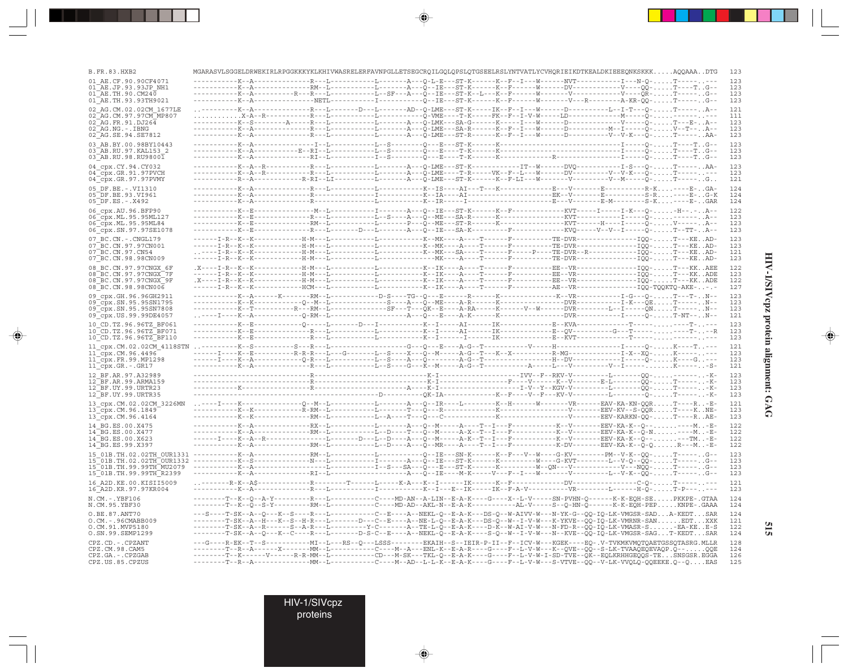| B.FR.83.HXB2                                      |  |  |  | MGARASVLSGGELDRWEKIRLRPGGKKKYKLKHIVWASRELERFAVNPGLLETSEGCRQILGQLQPSLQTGSEELRSLYNTVATLYCVHQRIEIKDTKEALDKIEEEQNKSKKKAQQAAADTG                                                                                                                                       | 123        |
|---------------------------------------------------|--|--|--|-------------------------------------------------------------------------------------------------------------------------------------------------------------------------------------------------------------------------------------------------------------------|------------|
| 01 AE.CF.90.90CF4071                              |  |  |  | --L------------L--------A---Q-L-E---ST-K------K--F--I---W--------NVT------------I---N-Q-T-                                                                                                                                                                        | 123        |
| 01 AE.JP.93.93JP NH1<br>$01$ AE. TH. 90. CM240    |  |  |  |                                                                                                                                                                                                                                                                   | 123<br>123 |
| 01 AE. TH. 93. 93 TH 9021                         |  |  |  |                                                                                                                                                                                                                                                                   | 123        |
| 02 AG.CM.02.02CM 1677LE                           |  |  |  | --------K--A-------------R---L-------D---L-------AD--Q-LME---ST-K-----IK--F--I---W------D---------L--I-T---Q-T------A--                                                                                                                                           | 121        |
| 02 AG.CM.97.97CM MP807                            |  |  |  |                                                                                                                                                                                                                                                                   | 111        |
| 02 AG.FR.91.DJ264<br>02 AG.NG.-.IBNG              |  |  |  |                                                                                                                                                                                                                                                                   | 123<br>123 |
| 02 AG.SE.94.SE7812                                |  |  |  |                                                                                                                                                                                                                                                                   | 123        |
| 03 AB.BY.00.98BY10443                             |  |  |  |                                                                                                                                                                                                                                                                   | 123        |
| 03 AB.RU.97.KAL153 2                              |  |  |  |                                                                                                                                                                                                                                                                   | 123        |
| 03 AB.RU.98.RU98001                               |  |  |  |                                                                                                                                                                                                                                                                   | 123        |
| 04 cpx.CY.94.CY032<br>04 cpx.GR.91.97PVCH         |  |  |  |                                                                                                                                                                                                                                                                   | 123<br>123 |
| 04_cpx.GR.97.97PVMY                               |  |  |  |                                                                                                                                                                                                                                                                   | 121        |
| 05 DF.BE. - . VI1310                              |  |  |  |                                                                                                                                                                                                                                                                   | 124        |
| 05 DF.BE.93.VI961                                 |  |  |  |                                                                                                                                                                                                                                                                   | 124        |
| 05 DF.ES. - . X492                                |  |  |  |                                                                                                                                                                                                                                                                   | 124<br>122 |
| 06 cpx.AU.96.BFP90<br>06 cpx.ML.95.95ML127        |  |  |  |                                                                                                                                                                                                                                                                   | 123        |
| 06 cpx.ML.95.95ML84                               |  |  |  |                                                                                                                                                                                                                                                                   | 123        |
| 06 cpx.SN.97.97SE1078                             |  |  |  | -----------K--E--------------R---L-------D---L--------A---Q--IE---SA-K---------F------------KVQ-----V--V--I-----Q-T--TT-A--                                                                                                                                       | 123        |
| 07 BC.CN. - . CNGL179<br>07 BC.CN.97.97CN001      |  |  |  |                                                                                                                                                                                                                                                                   | 123<br>123 |
| $07^-$ BC.CN.97.CN54                              |  |  |  |                                                                                                                                                                                                                                                                   | 121        |
| 07 BC.CN.98.98CN009                               |  |  |  |                                                                                                                                                                                                                                                                   | 123        |
| 08 BC.CN.97.97CNGX 6F                             |  |  |  |                                                                                                                                                                                                                                                                   | 122        |
| 08 BC.CN.97.97CNGX 7F<br>08 BC.CN.97.97CNGX 9F    |  |  |  | ------I-R--K---K----------H-M---L----------L---------K--IK---A---T-----F---------EE--VR----------------IQQ-T---KKADE                                                                                                                                              | 123<br>122 |
| 08 BC.CN.98.98CN006                               |  |  |  |                                                                                                                                                                                                                                                                   | 127        |
| 09 cpx.GH.96.96GH2911                             |  |  |  |                                                                                                                                                                                                                                                                   | 123        |
| 09 cpx.SN.95.95SN1795                             |  |  |  |                                                                                                                                                                                                                                                                   | 123        |
| 09 cpx.SN.95.95SN7808<br>09 cpx. US. 99. 99DE4057 |  |  |  |                                                                                                                                                                                                                                                                   | 123<br>121 |
| 10 CD.TZ.96.96TZ BF061                            |  |  |  |                                                                                                                                                                                                                                                                   | 123        |
| 10 CD.TZ.96.96TZ BF071                            |  |  |  |                                                                                                                                                                                                                                                                   | 123        |
| 10 CD.TZ.96.96TZ BF110                            |  |  |  |                                                                                                                                                                                                                                                                   | 123        |
|                                                   |  |  |  |                                                                                                                                                                                                                                                                   | 121        |
|                                                   |  |  |  |                                                                                                                                                                                                                                                                   | 123<br>123 |
| $11$ $Cpx.GR.-.GR17$                              |  |  |  |                                                                                                                                                                                                                                                                   | 121        |
| 12 BF.AR.97.A32989                                |  |  |  |                                                                                                                                                                                                                                                                   | 123        |
| 12 BF.AR.99.ARMA159                               |  |  |  |                                                                                                                                                                                                                                                                   | 123<br>123 |
| 12 BF.UY.99.URTR23<br>12 BF.UY.99.URTR35          |  |  |  |                                                                                                                                                                                                                                                                   | 123        |
| 13_cpx.CM.02.02CM_3226MN                          |  |  |  |                                                                                                                                                                                                                                                                   | 121        |
| 13_cpx.CM.96.1849                                 |  |  |  |                                                                                                                                                                                                                                                                   | 123        |
| 13_cpx.CM.96.4164                                 |  |  |  |                                                                                                                                                                                                                                                                   | 123        |
| 14 BG.ES.00.X475<br>14 BG.ES.00.X477              |  |  |  | -----------K--A-------------RX--L-----------L--------A---Q--M----A----T--I---F-----------K--V--------EEV-KA-K--Q-------M-E-<br>-----------K--A-------------RM--L-----------L--D----T---Q--M-----A-X--T--I---F----------K--V--------EEV-KA-K--Q-N-----M-E-         | 122<br>122 |
| 14 BG.ES.00.X623                                  |  |  |  | ------I----K--A--R---------------L-------D---L--D----A---Q--M----A-K--T--I---F-----------K--V-------EEV-KA-K--Q-----TM-E-                                                                                                                                         | 122        |
| 14 BG.ES.99.X397                                  |  |  |  | -----------K--A----------------RM--L-----------L--D----A---Q--MR----A----T--I---F------------------EEV-KA-K--Q-QR---M-E-                                                                                                                                          | 122        |
|                                                   |  |  |  |                                                                                                                                                                                                                                                                   | 123        |
|                                                   |  |  |  |                                                                                                                                                                                                                                                                   | 123<br>123 |
| 15 01B.TH.99.99TH R2399                           |  |  |  |                                                                                                                                                                                                                                                                   | 123        |
| 16 A2D. KE. 00. KISII5009                         |  |  |  |                                                                                                                                                                                                                                                                   | 121        |
| 16 A2D.KR.97.97KR004                              |  |  |  |                                                                                                                                                                                                                                                                   | 123        |
| N.CM.-.YBF106<br>N.CM.95.YBF30                    |  |  |  | --------T--K--Q--A-Y---------R---L-----------C----MD-AN--A-LIN--E-A-K----G----X--L-V-----SN-PVHN-Q------K-K-EQH-SEPKKPE-.GTAA<br>--------T--K--Q--S-Y---------RM--L----------C----MD-AD--AKL-N--E-A-K----------AL-V-----S--Q-HN-Q------K-K-EQH-PEPKNPE-.GAAA      | 124<br>124 |
| O.BE.87.ANT70                                     |  |  |  |                                                                                                                                                                                                                                                                   | 124        |
| $0.CM. - .96CMABB009$                             |  |  |  | ---S----T-SK--A--Q---K--S----R---L----------C--E----A--NEKL-Q--E-A-K---DS-Q--W-AIVV-W---N-YK-G--QQ-IQ-LK-VMGSR-SADA-KEDTSAR<br>--------T-SK--A--H---K--S--H-R---L-------D---C--E----A--NE-L-Q--E-A-K---DS-Q--W--I-V-W---K-YKVE--QQ-IQ-LK-VMRNR-SANEDTXXK          | 121        |
| O.CM.91.MVP5180                                   |  |  |  | --------T-SK--A--R------S--A-R---L---------Y-C-------A--TE-L-Q--E-A-K----D-K--W-AI-V-W---N-FD-R--QQ-IQ-LK-VMASR-S-EA-KEE-S                                                                                                                                        | 122        |
| O.SN.99.SEMP1299                                  |  |  |  | --------T-SK--A--Q---K--C----R---L-------D-S-C--E----A--NEKL-Q--E-A-K----S-Q--W--I-V-W---N--KVE--QQ-IQ-LK-VMGSR-SAGT-KEDTSAR                                                                                                                                      | 124        |
| CPZ.CD. - . CPZANT<br>CPZ.CM.98.CAM5              |  |  |  | ---G----R-EK--T--S-----------MI--L---RS--Q---LSSS--------EKAIH--S--IEIR-P-II--F--ICV-W---KGEK----EQ-.V-TVKMKVMQTQAETGSSQTASRG.MLLR<br>--------T--R--A------X------MM--L----------C----M--A---ENL-K--E-A-R----G----F--L-V-W---K--QVE--QQ--S-LK-TVAAQEQEVAQP.Q--QQE | 128<br>124 |
| CPZ.GA. - . CPZGAB                                |  |  |  | --------T--K------V------R-R-MM--L----------CD---M-SK---TKL-Q--E-A-K----G----F--L-V-W-I-SD-TVE--QK--EQLKRHHGEQQS-TESNSGSR.EGGA                                                                                                                                    | 126        |
| CPZ.US.85.CPZUS                                   |  |  |  |                                                                                                                                                                                                                                                                   | 125        |

 $\blacklozenge$ 

 $\begin{picture}(20,5) \put(0,0){\vector(0,1){10}} \put(15,0){\vector(0,1){10}} \put(15,0){\vector(0,1){10}} \put(15,0){\vector(0,1){10}} \put(15,0){\vector(0,1){10}} \put(15,0){\vector(0,1){10}} \put(15,0){\vector(0,1){10}} \put(15,0){\vector(0,1){10}} \put(15,0){\vector(0,1){10}} \put(15,0){\vector(0,1){10}} \put(15,0){\vector(0,1){10}} \put(15,0){\vector(0,$ 

. . . .

 $\overrightarrow{\phantom{a}}$ 

HIV-1/SIVcpz protein alignment: GAG **HIV-1/SIVcpz protein alignment: GAG**

 $\begin{picture}(20,5) \put(0,0){\line(1,0){10}} \put(15,0){\line(1,0){10}} \put(15,0){\line(1,0){10}} \put(15,0){\line(1,0){10}} \put(15,0){\line(1,0){10}} \put(15,0){\line(1,0){10}} \put(15,0){\line(1,0){10}} \put(15,0){\line(1,0){10}} \put(15,0){\line(1,0){10}} \put(15,0){\line(1,0){10}} \put(15,0){\line(1,0){10}} \put(15,0){\line(1,$ 

 $\equiv$ 

П

**515**

HIV-1/SIVcpz

proteins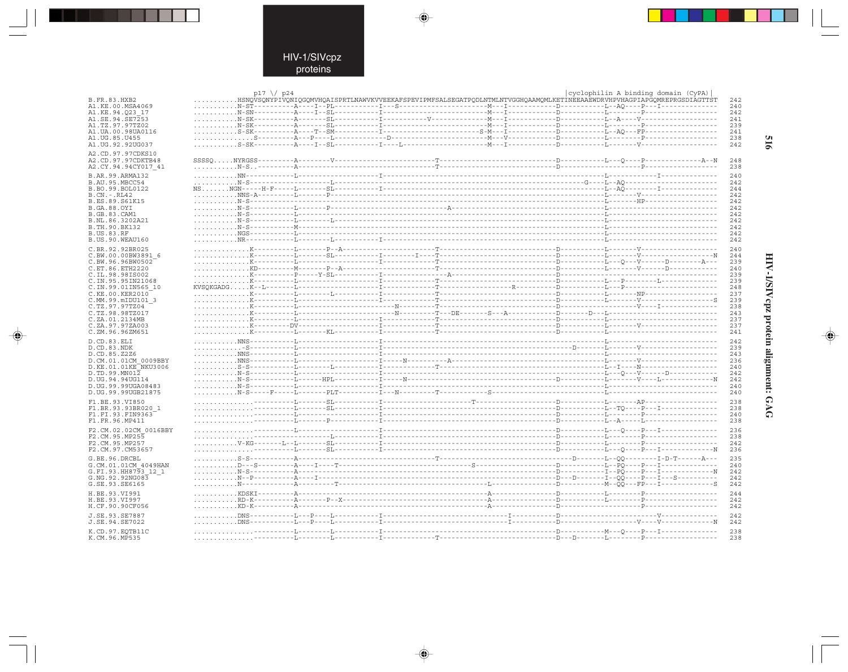$\begin{picture}(20,5) \put(0,0){\line(1,0){10}} \put(15,0){\line(1,0){10}} \put(15,0){\line(1,0){10}} \put(15,0){\line(1,0){10}} \put(15,0){\line(1,0){10}} \put(15,0){\line(1,0){10}} \put(15,0){\line(1,0){10}} \put(15,0){\line(1,0){10}} \put(15,0){\line(1,0){10}} \put(15,0){\line(1,0){10}} \put(15,0){\line(1,0){10}} \put(15,0){\line(1,$ 

 $\mathbb{R}^3$ 

|                                           | $p17 \ \frac{}{}$ p24 |  |                                                                                                                         | cyclophilin A binding domain (CyPA) |             |
|-------------------------------------------|-----------------------|--|-------------------------------------------------------------------------------------------------------------------------|-------------------------------------|-------------|
| B.FR.83.HXB2<br>A1.KE.00.MSA4069          |                       |  | BSNQVSQNYPIVQNIQGQMVHQAISPRTLNAWVKVVEEKAFSPEVIPMFSALSEGATPQDLNTMLNTVGGHQAAMQMLKETİNEEAAĒWDRVHPVHAGPIAPĞQMREPRGSDIAGTTST |                                     | 242<br>240  |
| A1.KE.94.023 17                           |                       |  |                                                                                                                         |                                     | 242         |
| A1.SE.94.SE7253                           |                       |  |                                                                                                                         |                                     | 241         |
| A1.TZ.97.97TZ02                           |                       |  |                                                                                                                         |                                     | 239         |
| A1. UA. 00. 98 UA0116<br>A1. UG. 85. U455 |                       |  |                                                                                                                         |                                     | 241<br>238  |
| A1.UG.92.92UG037                          |                       |  |                                                                                                                         |                                     | 242         |
| A2.CD.97.97CDKS10                         |                       |  |                                                                                                                         |                                     |             |
| A2.CD.97.97CDKTB48                        |                       |  |                                                                                                                         |                                     | 248         |
| A2.CY.94.94CY017 41                       |                       |  |                                                                                                                         |                                     | 238         |
| B.AR.99.ARMA132                           |                       |  |                                                                                                                         |                                     | 240         |
| B.AU.95.MBCC54                            |                       |  |                                                                                                                         |                                     | 242         |
| B.BO.99.BOL0122<br>$B.CN. - . RI.42$      |                       |  |                                                                                                                         |                                     | 244<br>2.42 |
| B.ES.89.S61K15                            |                       |  |                                                                                                                         |                                     | 242         |
| B.GA.88.OYI                               |                       |  |                                                                                                                         |                                     | 242         |
| <b>B.GB.83.CAM1</b>                       |                       |  |                                                                                                                         |                                     | 242         |
| B.NL.86.3202A21<br>B.TH.90.BK132          |                       |  |                                                                                                                         |                                     | 242<br>242  |
| <b>B.US.83.RF</b>                         |                       |  |                                                                                                                         |                                     | 242         |
| B.US.90.WEAU160                           |                       |  |                                                                                                                         |                                     | 242         |
| C.BR.92.92BR025                           |                       |  |                                                                                                                         |                                     | 240         |
| C.BW.00.00BW3891 6                        |                       |  |                                                                                                                         |                                     | 244         |
| C.BW.96.96BW0502                          |                       |  |                                                                                                                         |                                     | 239         |
| C.ET.86.ETH2220                           |                       |  |                                                                                                                         |                                     | 240<br>239  |
| C.IL.98.98IS002<br>C.IN.95.95IN21068      |                       |  |                                                                                                                         |                                     | 239         |
| C.IN.99.01IN565 10                        |                       |  |                                                                                                                         |                                     | 248         |
| C.KE.00.KER2010                           |                       |  |                                                                                                                         |                                     | 237         |
| C.MM.99.mIDU101 3                         |                       |  |                                                                                                                         |                                     | 239         |
| C.TZ.97.97TZ04<br>C.TZ.98.98TZ017         |                       |  |                                                                                                                         |                                     | 238<br>243  |
| C.ZA.01.2134MB                            |                       |  |                                                                                                                         |                                     | 237         |
| C.ZA.97.97ZA003                           |                       |  |                                                                                                                         |                                     | 237         |
| C.ZM.96.96ZM651                           |                       |  |                                                                                                                         |                                     | 241         |
| D.CD.83.ELI                               |                       |  |                                                                                                                         |                                     | 242         |
| D.CD.83.NDK                               |                       |  |                                                                                                                         |                                     | 239         |
| D.CD.85.Z2Z6<br>D.CM.01.01CM 0009BBY      |                       |  |                                                                                                                         |                                     | 243<br>236  |
| D.KE.01.01KE NKU3006                      |                       |  |                                                                                                                         |                                     | 240         |
| D.TD.99.MN012                             |                       |  |                                                                                                                         |                                     | 242         |
| D.UG.94.94UG114                           |                       |  |                                                                                                                         |                                     | 242         |
| D.UG.99.99UGA08483                        |                       |  |                                                                                                                         |                                     | 240         |
| D.UG.99.99UGB21875                        |                       |  |                                                                                                                         |                                     | 240         |
| F1.BE.93.VI850<br>F1.BR.93.93BR020 1      |                       |  |                                                                                                                         |                                     | 238<br>238  |
| F1.FI.93.FIN9363                          |                       |  |                                                                                                                         |                                     | 240         |
| F1.FR.96.MP411                            |                       |  |                                                                                                                         |                                     | 238         |
| F2.CM.02.02CM 0016BBY                     |                       |  |                                                                                                                         |                                     | 236         |
| F2.CM.95.MP255                            |                       |  |                                                                                                                         |                                     | 238         |
| F2.CM.95.MP257                            |                       |  |                                                                                                                         |                                     | 242         |
| F2.CM.97.CM53657                          |                       |  |                                                                                                                         |                                     | 236         |
| G.BE.96.DRCBL                             |                       |  |                                                                                                                         |                                     | 235         |
| G.CM.01.01CM 4049HAN                      |                       |  |                                                                                                                         |                                     | 240         |
| G.FI.93.HH8793 12 1<br>G.NG.92.92NG083    |                       |  |                                                                                                                         |                                     | 242<br>242  |
| G.SE.93.SE6165                            |                       |  |                                                                                                                         |                                     | 242         |
| H.BE.93.VI991                             |                       |  |                                                                                                                         |                                     | 244         |
| H.BE.93.VI997                             |                       |  |                                                                                                                         |                                     | 242         |
| H.CF.90.90CF056                           |                       |  |                                                                                                                         |                                     | 242         |
| J.SE.93.SE7887                            |                       |  |                                                                                                                         |                                     | 242         |
| J.SE.94.SE7022                            |                       |  |                                                                                                                         |                                     | 242         |
| K.CD.97.EOTB11C                           |                       |  |                                                                                                                         |                                     | 238         |
| K.CM.96.MP535                             |                       |  |                                                                                                                         |                                     | 238         |

 $\blacklozenge$ 

 $\Rightarrow$ 

919

# HIV-1/SIVepz protein alignment: GAG

 $\begin{picture}(20,5) \put(0,0){\line(1,0){10}} \put(15,0){\line(1,0){10}} \put(15,0){\line(1,0){10}} \put(15,0){\line(1,0){10}} \put(15,0){\line(1,0){10}} \put(15,0){\line(1,0){10}} \put(15,0){\line(1,0){10}} \put(15,0){\line(1,0){10}} \put(15,0){\line(1,0){10}} \put(15,0){\line(1,0){10}} \put(15,0){\line(1,0){10}} \put(15,0){\line(1,$ 

 $\overline{\phantom{0}}$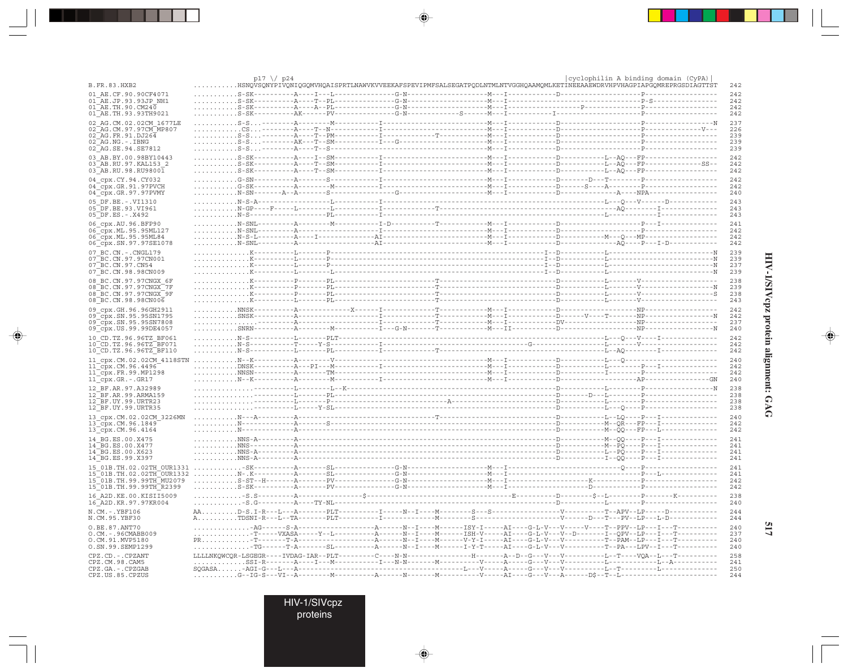| B.FR.83.HXB2                                   | p17 $\sqrt{}$ p24                                                                                                    |  | HSNQVSQNYPIVQNIQGQMVHQAISPRTLNAWVKVVEEKAFSPEVIPMFSALSEGATPQDLNTMLNTVGGHQAAMQMLKETİNEEAAEWDRVHPVHAGPIAPGQMREPRGSDIAGTTST | cyclophilin A binding domain (CyPA) | 242         |
|------------------------------------------------|----------------------------------------------------------------------------------------------------------------------|--|-------------------------------------------------------------------------------------------------------------------------|-------------------------------------|-------------|
| 01 AE.CF.90.90CF4071                           |                                                                                                                      |  |                                                                                                                         |                                     | 242         |
| 01 AE.JP.93.93JP NH1                           |                                                                                                                      |  |                                                                                                                         |                                     | 242         |
| $01\overline{AE}$ . TH. 90. CM240              |                                                                                                                      |  |                                                                                                                         |                                     | 242         |
| 01 AE. TH. 93. 93 TH 9021                      |                                                                                                                      |  |                                                                                                                         |                                     | 242         |
| 02 AG.CM.02.02CM 1677LE                        |                                                                                                                      |  |                                                                                                                         |                                     | 237         |
| 02 AG. CM. 97. 97 CM MP807                     |                                                                                                                      |  |                                                                                                                         |                                     | 226         |
| $02$ AG. FR. 91. DJ264<br>02 AG.NG. -. IBNG    |                                                                                                                      |  |                                                                                                                         |                                     | 239<br>239  |
| 02 AG. SE. 94. SE7812                          |                                                                                                                      |  |                                                                                                                         |                                     | 239         |
|                                                |                                                                                                                      |  |                                                                                                                         |                                     | 242         |
| 03 AB.BY.00.98BY10443<br>03 AB.RU.97.KAL153 2  |                                                                                                                      |  |                                                                                                                         |                                     | 242         |
| 03 AB.RU.98.RU98001                            |                                                                                                                      |  |                                                                                                                         |                                     | 242         |
|                                                |                                                                                                                      |  |                                                                                                                         |                                     | 242         |
| 04_cpx.CY.94.CY032<br>04 cpx.GR.91.97PVCH      |                                                                                                                      |  |                                                                                                                         |                                     | 242         |
| 04 Cpx.GR.97.97PVMY                            |                                                                                                                      |  |                                                                                                                         |                                     | 240         |
| 05 DF.BE. - . VI1310                           |                                                                                                                      |  |                                                                                                                         |                                     | 243         |
| 05 DF.BE.93.VI961                              |                                                                                                                      |  |                                                                                                                         |                                     | 243         |
| $05\overline{DF.ES. - X492}$                   |                                                                                                                      |  |                                                                                                                         |                                     | 243         |
| 06 cpx.AU.96.BFP90                             |                                                                                                                      |  |                                                                                                                         |                                     | 241         |
| 06 cpx. ML. 95.95ML127                         |                                                                                                                      |  |                                                                                                                         |                                     | 242         |
| 06_cpx.ML.95.95ML84                            |                                                                                                                      |  |                                                                                                                         |                                     | 242         |
| 06 cpx.SN.97.97SE1078                          |                                                                                                                      |  |                                                                                                                         |                                     | 242         |
| 07 BC.CN. - . CNGL179                          |                                                                                                                      |  |                                                                                                                         |                                     | 239         |
| 07 BC. CN. 97. 97 CN001                        |                                                                                                                      |  |                                                                                                                         |                                     | 239         |
| 07 BC.CN.97.CN54                               |                                                                                                                      |  |                                                                                                                         |                                     | 237         |
| 07 BC.CN.98.98CN009                            |                                                                                                                      |  |                                                                                                                         |                                     | 239         |
| 08 BC.CN.97.97CNGX 6F                          |                                                                                                                      |  |                                                                                                                         |                                     | 238         |
| 08 BC.CN.97.97CNGX 7F                          |                                                                                                                      |  |                                                                                                                         |                                     | 239<br>238  |
| 08 BC.CN.97.97CNGX 9F<br>08 BC.CN.98.98CN006   |                                                                                                                      |  |                                                                                                                         |                                     | 243         |
|                                                |                                                                                                                      |  |                                                                                                                         |                                     |             |
| 09_cpx.GH.96.96GH2911<br>09 cpx.SN.95.95SN1795 |                                                                                                                      |  |                                                                                                                         |                                     | 242<br>242  |
| 09 cpx.SN.95.95SN7808                          |                                                                                                                      |  |                                                                                                                         |                                     | 237         |
| 09 cpx. US. 99. 99DE4057                       |                                                                                                                      |  |                                                                                                                         |                                     | 240         |
| 10 CD.TZ.96.96TZ BF061                         |                                                                                                                      |  |                                                                                                                         |                                     | 242         |
| 10 CD.TZ.96.96TZ BF071                         |                                                                                                                      |  |                                                                                                                         |                                     | 242         |
| 10_CD.TZ.96.96TZ_BF110                         |                                                                                                                      |  |                                                                                                                         |                                     | 242         |
| 11 cpx.CM.02.02CM 4118STN                      |                                                                                                                      |  |                                                                                                                         |                                     | 240         |
| $11$ cpx. CM. 96.4496                          |                                                                                                                      |  |                                                                                                                         |                                     | 242         |
| 11 cpx.FR.99.MP1298                            |                                                                                                                      |  |                                                                                                                         |                                     | 242         |
| 11 cpx.GR.-.GR17                               |                                                                                                                      |  |                                                                                                                         |                                     | 240         |
| 12 BF.AR.97.A32989                             |                                                                                                                      |  |                                                                                                                         |                                     | 238         |
| 12 BF.AR.99.ARMA159                            |                                                                                                                      |  |                                                                                                                         |                                     | 238         |
| 12 BF.UY.99.URTR23                             |                                                                                                                      |  |                                                                                                                         |                                     | 238         |
| 12 BF.UY.99.URTR35                             |                                                                                                                      |  |                                                                                                                         |                                     | 238         |
| 13 cpx.CM.02.02CM 3226MN                       |                                                                                                                      |  |                                                                                                                         |                                     | 240         |
| 13 cpx.CM.96.1849                              |                                                                                                                      |  |                                                                                                                         |                                     | 242         |
| $13$ cpx. CM. 96.4164                          |                                                                                                                      |  |                                                                                                                         |                                     | 242         |
| 14 BG.ES.00.X475                               |                                                                                                                      |  |                                                                                                                         |                                     | 241         |
| 14 BG.ES.00.X477                               |                                                                                                                      |  |                                                                                                                         |                                     | 241         |
| 14 BG.ES.00.X623<br>14 BG.ES.99.X397           |                                                                                                                      |  |                                                                                                                         |                                     | 2.41<br>241 |
|                                                |                                                                                                                      |  |                                                                                                                         |                                     |             |
|                                                |                                                                                                                      |  |                                                                                                                         |                                     | 241<br>241  |
|                                                |                                                                                                                      |  |                                                                                                                         |                                     | 242         |
| 15 01B.TH.99.99TH R2399                        |                                                                                                                      |  |                                                                                                                         |                                     | 242         |
| 16 A2D. KE. 00. KISII5009                      | $$ - S . S - - - - - - - - - A -                                                                                     |  |                                                                                                                         |                                     | 238         |
| 16 A2D. KR. 97. 97KR004                        |                                                                                                                      |  |                                                                                                                         |                                     | 240         |
|                                                |                                                                                                                      |  |                                                                                                                         |                                     | 244         |
| N.CM.-.YBF106<br>N.CM.95.YBF30                 |                                                                                                                      |  |                                                                                                                         |                                     | 244         |
|                                                |                                                                                                                      |  |                                                                                                                         |                                     |             |
| O.BE.87.ANT70<br>O.CM. - . 96CMABB009          |                                                                                                                      |  |                                                                                                                         |                                     | 240<br>237  |
| O.CM.91.MVP5180                                |                                                                                                                      |  |                                                                                                                         |                                     | 240         |
| O.SN.99.SEMP1299                               | TG------T-A-------SL---------A------N--I-----M------I-Y-T-----AI----G-L-V---V----------T--PA---LPV--I---T----------- |  |                                                                                                                         |                                     | 240         |
| CPZ.CD. - . CPZANT                             |                                                                                                                      |  |                                                                                                                         |                                     | 258         |
| CPZ.CM.98.CAM5                                 |                                                                                                                      |  |                                                                                                                         |                                     | 241         |
| CPZ.GA. - . CPZGAB                             |                                                                                                                      |  |                                                                                                                         |                                     | 250         |
| CPZ.US.85.CPZUS                                |                                                                                                                      |  |                                                                                                                         |                                     | 244         |

 $\Rightarrow$ 

 $\Rightarrow$ 

. . .

 $\Rightarrow$ 

# HIV-1/SIVepz protein alignment: GAG

 $\Rightarrow$ 

517

HIV-1/SIVcpz<br>proteins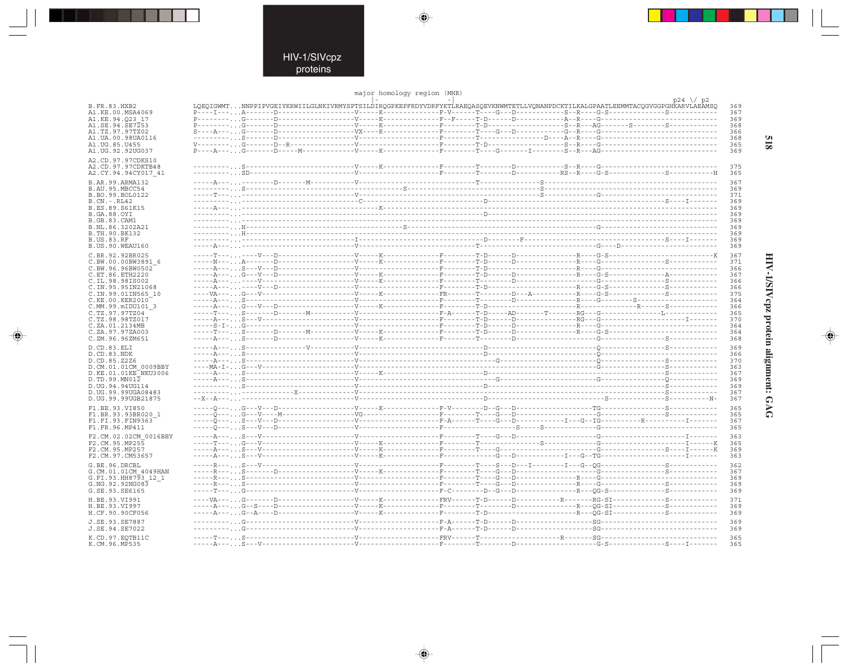$\begin{picture}(20,5) \put(0,0){\line(1,0){10}} \put(15,0){\line(1,0){10}} \put(15,0){\line(1,0){10}} \put(15,0){\line(1,0){10}} \put(15,0){\line(1,0){10}} \put(15,0){\line(1,0){10}} \put(15,0){\line(1,0){10}} \put(15,0){\line(1,0){10}} \put(15,0){\line(1,0){10}} \put(15,0){\line(1,0){10}} \put(15,0){\line(1,0){10}} \put(15,0){\line(1,$ 

|                              |  | major homology region (MHR) |  | $p24 \sqrt{p2}$                                                                                                                 |  |
|------------------------------|--|-----------------------------|--|---------------------------------------------------------------------------------------------------------------------------------|--|
| B.FR.83.HXB2                 |  |                             |  | LOEOIGWMTNNPPIPVGEIYKRWIILGLNKIVRMYSPTSILDIROGPKEPFRDYVDRFYKTLRAEOASOEVKNWMTETLLVONANPDCKTILKALGPAATLEEMMTACOGVGGPGHKARVLAEAMSO |  |
| A1.KE.00.MSA4069             |  |                             |  |                                                                                                                                 |  |
| A1.KE.94.O23 17              |  |                             |  |                                                                                                                                 |  |
| A1.SE.94.SE7253              |  |                             |  |                                                                                                                                 |  |
| A1.TZ.97.97TZ02              |  |                             |  |                                                                                                                                 |  |
| A1.UA.00.98UA0116            |  |                             |  |                                                                                                                                 |  |
| A1.UG.85.U455                |  |                             |  |                                                                                                                                 |  |
| A1.UG.92.92UG037             |  |                             |  |                                                                                                                                 |  |
| A2.CD.97.97CDKS10            |  |                             |  |                                                                                                                                 |  |
| A2.CD.97.97CDKTB48           |  |                             |  |                                                                                                                                 |  |
| A2.CY.94.94CY017 41          |  |                             |  |                                                                                                                                 |  |
|                              |  |                             |  |                                                                                                                                 |  |
| B.AR.99.ARMA132              |  |                             |  |                                                                                                                                 |  |
| B.AU.95.MBCC54               |  |                             |  |                                                                                                                                 |  |
| B.BO.99.BOL0122              |  |                             |  |                                                                                                                                 |  |
| B.CN.-.RL42                  |  |                             |  |                                                                                                                                 |  |
| B.ES.89.S61K15               |  |                             |  |                                                                                                                                 |  |
| B.GA.88.OYI                  |  |                             |  |                                                                                                                                 |  |
| B.GB.83.CAM1                 |  |                             |  |                                                                                                                                 |  |
| B.NL.86.3202A21              |  |                             |  |                                                                                                                                 |  |
| B.TH.90.BK132                |  |                             |  |                                                                                                                                 |  |
| B.US.83.RF                   |  |                             |  |                                                                                                                                 |  |
| B.US.90.WEAU160              |  |                             |  |                                                                                                                                 |  |
|                              |  |                             |  |                                                                                                                                 |  |
| C.BR.92.92BR025              |  |                             |  |                                                                                                                                 |  |
| C.BW.00.00BW3891 6           |  |                             |  |                                                                                                                                 |  |
| C.BW.96.96BW0502             |  |                             |  |                                                                                                                                 |  |
| C.ET.86.ETH2220              |  |                             |  |                                                                                                                                 |  |
| C.IL.98.98IS002              |  |                             |  |                                                                                                                                 |  |
| C.IN.95.95IN21068            |  |                             |  |                                                                                                                                 |  |
| C.IN.99.01IN565 10           |  |                             |  |                                                                                                                                 |  |
| C.KE.00.KER2010 <sup>-</sup> |  |                             |  |                                                                                                                                 |  |
| C.MM.99.mIDU101 3            |  |                             |  |                                                                                                                                 |  |
| C.TZ.97.97TZ04               |  |                             |  |                                                                                                                                 |  |
| C.TZ.98.98TZ017              |  |                             |  |                                                                                                                                 |  |
| C.ZA.01.2134MB               |  |                             |  |                                                                                                                                 |  |
| C.ZA.97.97ZA003              |  |                             |  |                                                                                                                                 |  |
| C.ZM.96.96ZM651              |  |                             |  |                                                                                                                                 |  |
| D.CD.83.ELI                  |  |                             |  |                                                                                                                                 |  |
| D.CD.83.NDK                  |  |                             |  |                                                                                                                                 |  |
| D.CD.85.Z2Z6                 |  |                             |  |                                                                                                                                 |  |
| D.CM.01.01CM 0009BBY         |  |                             |  |                                                                                                                                 |  |
|                              |  |                             |  |                                                                                                                                 |  |
| D.KE.01.01KE NKU3006         |  |                             |  |                                                                                                                                 |  |
| D.TD.99.MN012                |  |                             |  |                                                                                                                                 |  |
| D.UG.94.94UG114              |  |                             |  |                                                                                                                                 |  |
| D.UG.99.99UGA08483           |  |                             |  |                                                                                                                                 |  |
| D.UG.99.99UGB21875           |  |                             |  |                                                                                                                                 |  |
| F1.BE.93.VI850               |  |                             |  |                                                                                                                                 |  |
| F1.BR.93.93BR020 1           |  |                             |  |                                                                                                                                 |  |
| F1.FI.93.FIN9363             |  |                             |  |                                                                                                                                 |  |
| F1.FR.96.MP411               |  |                             |  |                                                                                                                                 |  |
|                              |  |                             |  |                                                                                                                                 |  |
| F2.CM.02.02CM 0016BBY        |  |                             |  |                                                                                                                                 |  |
| F2.CM.95.MP255               |  |                             |  |                                                                                                                                 |  |
| F2.CM.95.MP257               |  |                             |  |                                                                                                                                 |  |
| F2.CM.97.CM53657             |  |                             |  |                                                                                                                                 |  |
| G.BE.96.DRCBL                |  |                             |  |                                                                                                                                 |  |
| G.CM.01.01CM 4049HAN         |  |                             |  |                                                                                                                                 |  |
| G.FI.93.HH8793 12 1          |  |                             |  |                                                                                                                                 |  |
| G.NG.92.92NG083              |  |                             |  |                                                                                                                                 |  |
| G.SE.93.SE6165               |  |                             |  |                                                                                                                                 |  |
|                              |  |                             |  |                                                                                                                                 |  |
| H.BE.93.VI991                |  |                             |  |                                                                                                                                 |  |
| H.BE.93.VI997                |  |                             |  |                                                                                                                                 |  |
| H.CF.90.90CF056              |  |                             |  |                                                                                                                                 |  |
|                              |  |                             |  |                                                                                                                                 |  |
| J.SE.93.SE7887               |  |                             |  |                                                                                                                                 |  |
| J.SE.94.SE7022               |  |                             |  |                                                                                                                                 |  |
| K.CD.97.EQTB11C              |  |                             |  |                                                                                                                                 |  |
| K.CM.96.MP535                |  |                             |  |                                                                                                                                 |  |
|                              |  |                             |  |                                                                                                                                 |  |

 $\blacklozenge$ 

 $\Rightarrow$ 

HIV-1/SIVepz protein alignment: GAG

 $\begin{picture}(20,5) \put(0,0){\line(1,0){10}} \put(15,0){\line(1,0){10}} \put(15,0){\line(1,0){10}} \put(15,0){\line(1,0){10}} \put(15,0){\line(1,0){10}} \put(15,0){\line(1,0){10}} \put(15,0){\line(1,0){10}} \put(15,0){\line(1,0){10}} \put(15,0){\line(1,0){10}} \put(15,0){\line(1,0){10}} \put(15,0){\line(1,0){10}} \put(15,0){\line(1,$ 

 $\overline{\phantom{0}}$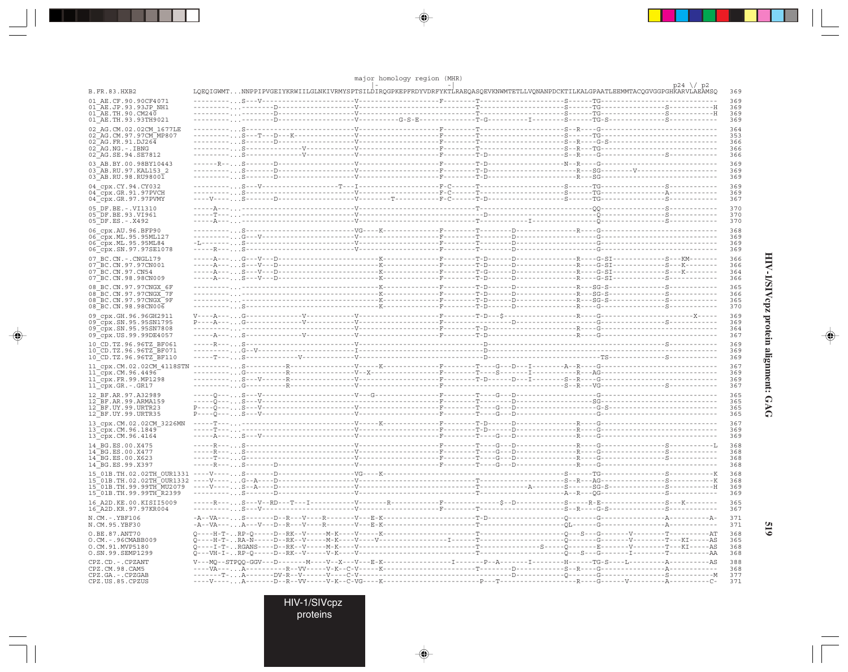|                                                    |                                                                                                                                 | major homology region (MHR) |  |  |                        |
|----------------------------------------------------|---------------------------------------------------------------------------------------------------------------------------------|-----------------------------|--|--|------------------------|
| <b>B.FR.83.HXB2</b>                                | LQEQIGWMTNNPPIPVGEIYKRWIILGLNKIVRMYSPTSILDIRQGPKEPFRDYVDRFYKTLRAEQASQEVKNWMTETLLVQNANPDCKTILKALGPAATLEEMMTACQGVGGPGHKARVLAEAMSQ |                             |  |  | $p24 \sqrt{p2}$<br>369 |
| 01 AE.CF.90.90CF4071                               |                                                                                                                                 |                             |  |  | 369                    |
| 01 AE.JP.93.93JP NH1                               |                                                                                                                                 |                             |  |  | 369                    |
| 01 AE. TH. 90. CM240<br>01 AE.TH.93.93TH9021       |                                                                                                                                 |                             |  |  | 369<br>369             |
| 02 AG.CM.02.02CM 1677LE                            |                                                                                                                                 |                             |  |  | 364                    |
| 02 AG. CM. 97. 97 CM MP807                         |                                                                                                                                 |                             |  |  | 353                    |
| 02 AG.FR.91.DJ264                                  |                                                                                                                                 |                             |  |  | 366                    |
| $02$ AG.NG. $-$ . IBNG                             |                                                                                                                                 |                             |  |  | 366<br>366             |
| 02 AG.SE.94.SE7812                                 |                                                                                                                                 |                             |  |  |                        |
| 03 AB.BY.00.98BY10443<br>03 AB.RU.97.KAL153 2      |                                                                                                                                 |                             |  |  | 369<br>369             |
| 03 AB.RU.98.RU98001                                |                                                                                                                                 |                             |  |  | 369                    |
| 04 cpx.CY.94.CY032                                 |                                                                                                                                 |                             |  |  | 369                    |
| 04_cpx.GR.91.97PVCH                                |                                                                                                                                 |                             |  |  | 369                    |
| 04 cpx.GR.97.97PVMY                                |                                                                                                                                 |                             |  |  | 367                    |
| 05 DF.BE. -. VI1310                                |                                                                                                                                 |                             |  |  | 370                    |
| 05 DF.BE.93.VI961<br>$05$ DF.ES. - . X492          |                                                                                                                                 |                             |  |  | 370<br>370             |
| 06 cpx.AU.96.BFP90                                 |                                                                                                                                 |                             |  |  | 368                    |
| 06_cpx.ML.95.95ML127                               |                                                                                                                                 |                             |  |  | 369                    |
| 06 cpx.ML.95.95ML84                                |                                                                                                                                 |                             |  |  | 369                    |
| 06 cpx.SN.97.97SE1078                              |                                                                                                                                 |                             |  |  | 369                    |
| 07 BC.CN. - . CNGL179<br>07 BC. CN. 97. 97 CN001   |                                                                                                                                 |                             |  |  | 366<br>366             |
| 07 BC.CN.97.CN54                                   |                                                                                                                                 |                             |  |  | 364                    |
| 07 BC.CN.98.98CN009                                |                                                                                                                                 |                             |  |  | 366                    |
| 08 BC.CN.97.97CNGX 6F                              |                                                                                                                                 |                             |  |  | 365                    |
| 08 BC.CN.97.97CNGX 7F                              |                                                                                                                                 |                             |  |  | 366                    |
| 08 BC.CN.97.97CNGX 9F<br>08 BC.CN.98.98CN006       |                                                                                                                                 |                             |  |  | 365<br>370             |
|                                                    |                                                                                                                                 |                             |  |  | 369                    |
| 09 cpx.GH.96.96GH2911<br>09 cpx. SN. 95. 95 SN1795 |                                                                                                                                 |                             |  |  | 369                    |
| 09 cpx.SN.95.95SN7808                              |                                                                                                                                 |                             |  |  | 364                    |
| 09 cpx.US.99.99DE4057                              |                                                                                                                                 |                             |  |  | 367                    |
| 10 CD.TZ.96.96TZ BF061<br>10 CD.TZ.96.96TZ BF071   |                                                                                                                                 |                             |  |  | 369<br>369             |
| 10 CD.TZ.96.96TZ BF110                             |                                                                                                                                 |                             |  |  | 369                    |
| 11 cpx.CM.02.02CM 4118STN                          |                                                                                                                                 |                             |  |  | 367                    |
| 11 cpx.CM.96.4496                                  |                                                                                                                                 |                             |  |  | 369                    |
| 11 cpx.FR.99.MP1298                                |                                                                                                                                 |                             |  |  | 369<br>367             |
| 11_cpx.GR.-.GR17                                   |                                                                                                                                 |                             |  |  |                        |
| 12 BF.AR.97.A32989<br>12 BF.AR.99.ARMA159          |                                                                                                                                 |                             |  |  | 365<br>365             |
| 12 BF.UY.99.URTR23                                 |                                                                                                                                 |                             |  |  | 365                    |
| 12 BF.UY.99.URTR35                                 |                                                                                                                                 |                             |  |  | 365                    |
| 13 cpx.CM.02.02CM 3226MN                           |                                                                                                                                 |                             |  |  | 367                    |
| 13_cpx.CM.96.1849<br>13 cpx.CM.96.4164             |                                                                                                                                 |                             |  |  | 369<br>369             |
| 14 BG.ES.00.X475                                   |                                                                                                                                 |                             |  |  | 368                    |
| 14 BG.ES.00.X477                                   |                                                                                                                                 |                             |  |  | 368                    |
| 14 BG.ES.00.X623                                   |                                                                                                                                 |                             |  |  | 368                    |
| 14 BG.ES.99.X397                                   |                                                                                                                                 |                             |  |  | 368                    |
| 15 01B.TH.02.02TH OUR1331 ----V----                |                                                                                                                                 |                             |  |  | 368<br>368             |
|                                                    |                                                                                                                                 |                             |  |  | 369                    |
| 15_01B.TH.99.99TH R2399                            |                                                                                                                                 |                             |  |  | 369                    |
| 16 A2D. KE. 00. KISII5009                          |                                                                                                                                 |                             |  |  | 365                    |
| 16 A2D. KR. 97. 97KR004                            |                                                                                                                                 |                             |  |  | 367                    |
| $N.CM. - .YBF106$<br>N.CM.95.YBF30                 |                                                                                                                                 |                             |  |  | 371<br>371             |
| O.BE.87.ANT70                                      |                                                                                                                                 |                             |  |  | 368                    |
| $0.CM. - .96CMABB009$<br>O.CM.91.MVP5180           |                                                                                                                                 |                             |  |  | 365<br>368             |
| 0.SN.99.SEMP1299                                   |                                                                                                                                 |                             |  |  | 368                    |
| CPZ.CD. - . CPZANT                                 |                                                                                                                                 |                             |  |  | 388                    |
| CPZ.CM.98.CAM5                                     |                                                                                                                                 |                             |  |  | 368                    |
| CPZ.GA. - . CPZGAB<br>CPZ.US.85.CPZUS              |                                                                                                                                 |                             |  |  | 377<br>371             |
|                                                    |                                                                                                                                 |                             |  |  |                        |

 $\color{red}\blacklozenge$ 

 $\Rightarrow$ 

ı.

 $\overline{\bullet}$ 

HIV-1/SIVcpz protein alignment: GAG

 $\overline{\blacklozenge}$ 

 $615$ 

HIV-1/SIVcpz<br>proteins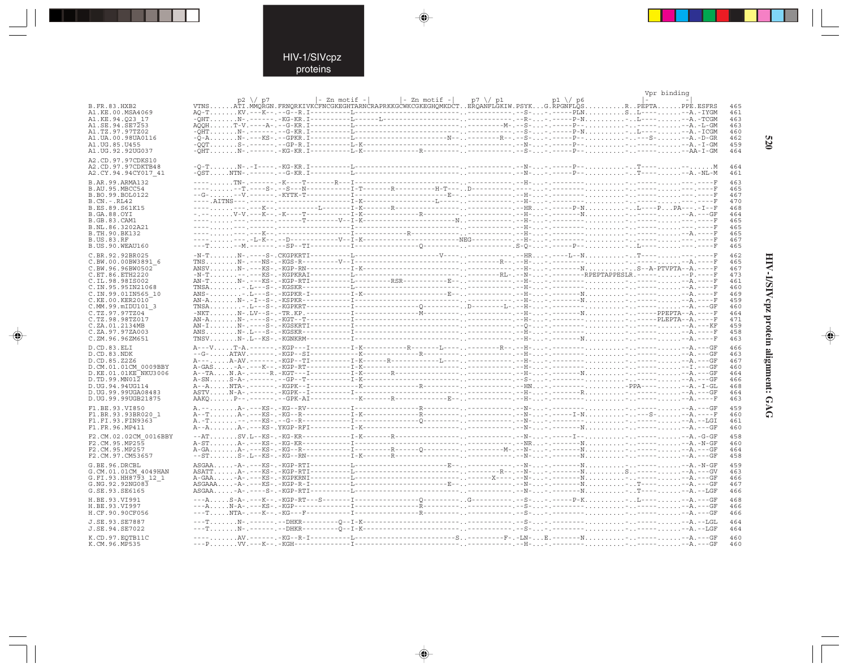. . .

 $\overline{\blacklozenge}$ 

 $\sim$   $\pm$ 

|                                        |                                                                                                                                                                                                                                  |  |  |  | Vpr binding |            |
|----------------------------------------|----------------------------------------------------------------------------------------------------------------------------------------------------------------------------------------------------------------------------------|--|--|--|-------------|------------|
|                                        | p2 \/ p7  - Zn motif -   - Zn motif -  p7 \/ p1  - p1 \/ p6  -<br>VTNSATI.MMQRGN.FRNQRKIVKCFNCGKEGHTARNCRAPRKKGCWKCGKEGHQMKDCTERQANFLGKIW.PSYKG.RPGNFLQSR.PEPTAPPE.ESFRS                                                         |  |  |  |             |            |
| <b>B.FR.83.HXB2</b>                    |                                                                                                                                                                                                                                  |  |  |  |             | 465        |
| A1.KE.00.MSA4069                       |                                                                                                                                                                                                                                  |  |  |  |             | 461        |
| A1.KE.94.023 17                        |                                                                                                                                                                                                                                  |  |  |  |             | 463        |
| A1.SE.94.SE7253                        |                                                                                                                                                                                                                                  |  |  |  |             | 463        |
| A1.TZ.97.97TZ02                        |                                                                                                                                                                                                                                  |  |  |  |             | 460        |
| A1.UA.00.98UA0116                      |                                                                                                                                                                                                                                  |  |  |  |             | 462        |
| A1.UG.85.U455                          |                                                                                                                                                                                                                                  |  |  |  |             | 459        |
| A1.UG.92.92UG037                       |                                                                                                                                                                                                                                  |  |  |  |             | 464        |
| A2.CD.97.97CDKS10                      |                                                                                                                                                                                                                                  |  |  |  |             |            |
| A2.CD.97.97CDKTB48                     |                                                                                                                                                                                                                                  |  |  |  |             | 464        |
| A2.CY.94.94CY017 41                    |                                                                                                                                                                                                                                  |  |  |  |             | 461        |
| B.AR.99.ARMA132                        |                                                                                                                                                                                                                                  |  |  |  |             | 463        |
| B.AU.95.MBCC54                         |                                                                                                                                                                                                                                  |  |  |  |             | 465        |
| B.BO.99.BOL0122                        |                                                                                                                                                                                                                                  |  |  |  |             | 467        |
| $B.CN.-.RL42$                          |                                                                                                                                                                                                                                  |  |  |  |             | 470        |
| B.ES.89.S61K15                         |                                                                                                                                                                                                                                  |  |  |  |             | 468        |
| <b>B.GA.88.OYI</b>                     |                                                                                                                                                                                                                                  |  |  |  |             | 464        |
| <b>B.GB.83.CAM1</b>                    |                                                                                                                                                                                                                                  |  |  |  |             | 465        |
| B.NL.86.3202A21                        |                                                                                                                                                                                                                                  |  |  |  |             | 465        |
| B. TH. 90. BK132                       |                                                                                                                                                                                                                                  |  |  |  |             | 465        |
| <b>B.US.83.RF</b>                      |                                                                                                                                                                                                                                  |  |  |  |             | 467        |
| B.US.90.WEAU160                        |                                                                                                                                                                                                                                  |  |  |  |             | 465        |
| C.BR.92.92BR025                        |                                                                                                                                                                                                                                  |  |  |  |             | 462        |
| C.BW.00.00BW3891 6                     |                                                                                                                                                                                                                                  |  |  |  |             | 465        |
| C.BW.96.96BW0502                       |                                                                                                                                                                                                                                  |  |  |  |             | 467        |
| C.ET.86.ETH2220                        |                                                                                                                                                                                                                                  |  |  |  |             | 473        |
| C.IL.98.98IS002                        |                                                                                                                                                                                                                                  |  |  |  |             | 461        |
| C. IN. 95.95 IN21068                   |                                                                                                                                                                                                                                  |  |  |  |             | 460        |
| C.IN.99.01IN565 10                     |                                                                                                                                                                                                                                  |  |  |  |             | 469        |
| C.KE.00.KER2010                        |                                                                                                                                                                                                                                  |  |  |  |             | 459        |
| C.MM.99.mIDU101 3                      |                                                                                                                                                                                                                                  |  |  |  |             | 460        |
| C.TZ.97.97TZ04                         | лиса — последника — последника — последника — последника — последника — последника — последника — последника —<br>Дудительно — последника — последника — последника — последника — последника — последника — последника — послед |  |  |  |             | 464        |
| C.TZ.98.98TZ017<br>C.ZA.01.2134MB      |                                                                                                                                                                                                                                  |  |  |  |             | 471<br>459 |
| C.ZA.97.97ZA003                        |                                                                                                                                                                                                                                  |  |  |  |             | 458        |
| C.ZM.96.96ZM651                        |                                                                                                                                                                                                                                  |  |  |  |             | 463        |
|                                        |                                                                                                                                                                                                                                  |  |  |  |             |            |
| D.CD.83.ELI                            |                                                                                                                                                                                                                                  |  |  |  |             | 466        |
| D.CD.83.NDK                            |                                                                                                                                                                                                                                  |  |  |  |             | 463        |
| D.CD.85.Z2Z6<br>D.CM.01.01CM 0009BBY   |                                                                                                                                                                                                                                  |  |  |  |             | 467<br>460 |
| D.KE.01.01KE NKU3006                   |                                                                                                                                                                                                                                  |  |  |  |             | 464        |
| D.TD.99.MN012                          |                                                                                                                                                                                                                                  |  |  |  |             | 466        |
| D.UG.94.94UG114                        |                                                                                                                                                                                                                                  |  |  |  |             | 468        |
| D. UG. 99. 99UGA08483                  |                                                                                                                                                                                                                                  |  |  |  |             | 464        |
| D.UG.99.99UGB21875                     |                                                                                                                                                                                                                                  |  |  |  |             | 463        |
|                                        |                                                                                                                                                                                                                                  |  |  |  |             |            |
| F1.BE.93.VI850                         |                                                                                                                                                                                                                                  |  |  |  |             | 459        |
| F1.BR.93.93BR020 1<br>F1.FI.93.FIN9363 |                                                                                                                                                                                                                                  |  |  |  |             | 460<br>461 |
| F1.FR.96.MP411                         |                                                                                                                                                                                                                                  |  |  |  |             | 460        |
|                                        |                                                                                                                                                                                                                                  |  |  |  |             |            |
| F2.CM.02.02CM 0016BBY                  |                                                                                                                                                                                                                                  |  |  |  |             | 458        |
| F2.CM.95.MP255                         |                                                                                                                                                                                                                                  |  |  |  |             | 460        |
| F2.CM.95.MP257                         |                                                                                                                                                                                                                                  |  |  |  |             | 464        |
| F2.CM.97.CM53657                       |                                                                                                                                                                                                                                  |  |  |  |             | 458        |
| G.BE.96.DRCBL                          |                                                                                                                                                                                                                                  |  |  |  |             | 459        |
| G.CM.01.01CM 4049HAN                   |                                                                                                                                                                                                                                  |  |  |  |             | 463        |
| G.FI.93.HH8793 12 1                    |                                                                                                                                                                                                                                  |  |  |  |             | 466        |
| G.NG.92.92NG083                        |                                                                                                                                                                                                                                  |  |  |  |             | 467        |
| G.SE.93.SE6165                         |                                                                                                                                                                                                                                  |  |  |  |             | 466        |
| H.BE.93.VI991                          |                                                                                                                                                                                                                                  |  |  |  |             | 468        |
| H.BE.93.VI997                          |                                                                                                                                                                                                                                  |  |  |  |             | 466        |
| H.CF.90.90CF056                        |                                                                                                                                                                                                                                  |  |  |  |             | 466        |
|                                        |                                                                                                                                                                                                                                  |  |  |  |             |            |
| J.SE.93.SE7887<br>J.SE.94.SE7022       |                                                                                                                                                                                                                                  |  |  |  |             | 464<br>464 |
|                                        |                                                                                                                                                                                                                                  |  |  |  |             |            |
| K.CD.97.EOTB11C                        |                                                                                                                                                                                                                                  |  |  |  |             | 460        |
| K.CM.96.MP535                          |                                                                                                                                                                                                                                  |  |  |  |             | 460        |

 $\overline{\blacklozenge}$ 

 $\Rightarrow$ 

520

Ι

HIV-1/SIVepz protein alignment: GAG

 $\begin{picture}(20,5) \put(0,0){\line(1,0){10}} \put(15,0){\line(1,0){10}} \put(15,0){\line(1,0){10}} \put(15,0){\line(1,0){10}} \put(15,0){\line(1,0){10}} \put(15,0){\line(1,0){10}} \put(15,0){\line(1,0){10}} \put(15,0){\line(1,0){10}} \put(15,0){\line(1,0){10}} \put(15,0){\line(1,0){10}} \put(15,0){\line(1,0){10}} \put(15,0){\line(1,$ 

 $\overline{\phantom{0}}$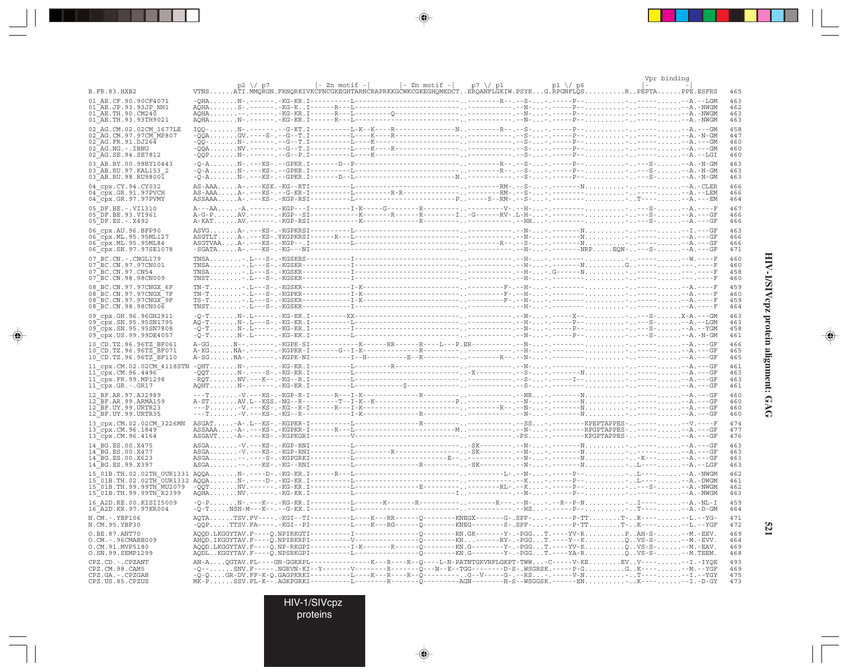|                                                                                                                  |  |  |  |  |                                                                                                                                                                                                                                                                                                                                                                                                                                                                                                        | Vpr binding |                   |
|------------------------------------------------------------------------------------------------------------------|--|--|--|--|--------------------------------------------------------------------------------------------------------------------------------------------------------------------------------------------------------------------------------------------------------------------------------------------------------------------------------------------------------------------------------------------------------------------------------------------------------------------------------------------------------|-------------|-------------------|
| B.FR.83.HXB2                                                                                                     |  |  |  |  | p2 \/ p7  - Zn motif -   - Zn motif -  p7 \/ p1 p1 \/ p6  -<br>VTNSATI.MMQRGN.FRNQRKIVKCFNCGKEGHTARNCRAPRKKGCWKCGKEGHQMKDCTERQANFLGKIW.PSYKG.RPGNFLQSR.PEPTAPPE.ESFRS                                                                                                                                                                                                                                                                                                                                  |             | 465               |
| 01 AE.CF.90.90CF4071<br>01 AE.JP.93.93JP NH1                                                                     |  |  |  |  |                                                                                                                                                                                                                                                                                                                                                                                                                                                                                                        |             | 463<br>462        |
| $01\overline{AE}$ . TH. 90. CM240<br>01 AE.TH.93.93TH9021                                                        |  |  |  |  |                                                                                                                                                                                                                                                                                                                                                                                                                                                                                                        |             | 463<br>463        |
| 02 AG.CM.02.02CM 1677LE                                                                                          |  |  |  |  |                                                                                                                                                                                                                                                                                                                                                                                                                                                                                                        |             | 458<br>447        |
| 02 AG. CM. 97. 97 CM MP807<br>02 AG.FR.91.DJ264                                                                  |  |  |  |  |                                                                                                                                                                                                                                                                                                                                                                                                                                                                                                        |             | 460<br>460        |
| $02^-AG$ . NG. $-$ . IBNG<br>02 AG. SE. 94. SE7812                                                               |  |  |  |  |                                                                                                                                                                                                                                                                                                                                                                                                                                                                                                        |             | 460               |
| 03 AB.BY.00.98BY10443<br>03 AB.RU.97.KAL153 2                                                                    |  |  |  |  |                                                                                                                                                                                                                                                                                                                                                                                                                                                                                                        |             | 463<br>463        |
| $03$ <sup><math>-</math></sup> AB.RU.98.RU9800 $\overline{1}$<br>04 cpx.CY.94.CY032                              |  |  |  |  |                                                                                                                                                                                                                                                                                                                                                                                                                                                                                                        |             | 463<br>466        |
| $04$ $cpx.GR.91.97$ PVCH<br>04_cpx.GR.97.97PVMY                                                                  |  |  |  |  |                                                                                                                                                                                                                                                                                                                                                                                                                                                                                                        |             | 466<br>464        |
| 05 DF.BE.-.VI1310<br>05 DF.BE.93.VI961                                                                           |  |  |  |  |                                                                                                                                                                                                                                                                                                                                                                                                                                                                                                        |             | 467<br>466        |
| $05$ DF.ES. - . X492                                                                                             |  |  |  |  |                                                                                                                                                                                                                                                                                                                                                                                                                                                                                                        |             | 466               |
| 06 cpx.AU.96.BFP90<br>06 cpx. ML. 95.95ML127                                                                     |  |  |  |  |                                                                                                                                                                                                                                                                                                                                                                                                                                                                                                        |             | 463<br>466        |
| 06 cpx. ML. 95.95ML84<br>06_cpx.SN.97.97SE1078                                                                   |  |  |  |  |                                                                                                                                                                                                                                                                                                                                                                                                                                                                                                        |             | 466<br>471        |
| 07 BC.CN. - . CNGL179<br>07 BC. CN. 97. 97 CN001                                                                 |  |  |  |  |                                                                                                                                                                                                                                                                                                                                                                                                                                                                                                        |             | 460<br>460        |
| 07 BC.CN.97.CN54<br>07 BC.CN.98.98CN009                                                                          |  |  |  |  |                                                                                                                                                                                                                                                                                                                                                                                                                                                                                                        |             | 458<br>460        |
| 08 BC.CN.97.97CNGX 6F<br>08 BC.CN.97.97CNGX 7F                                                                   |  |  |  |  |                                                                                                                                                                                                                                                                                                                                                                                                                                                                                                        |             | 459<br>460        |
| 08 BC.CN.97.97CNGX 9F<br>08 BC.CN.98.98CN006                                                                     |  |  |  |  |                                                                                                                                                                                                                                                                                                                                                                                                                                                                                                        |             | 459<br>464        |
| 09 cpx.GH.96.96GH2911<br>09 cpx.SN.95.95SN1795                                                                   |  |  |  |  | $\begin{array}{l} -Q-T_1,\ldots,N-1,\text{L}\text{----},\text{-KG-KR},\text{I}\text{----}-\text{XX}\text{----},\text{XX}\text{----},\text{I}\text{----},\text{I}\text{----},\text{I}\text{----},\text{I}\text{----},\text{I}\text{----},\text{I}\text{----},\text{I}\text{----},\text{I}\text{----},\text{I}\text{----},\text{I}\text{----},\text{I}\text{----},\text{I}\text{----},\text{I}\text{----},\text{I}\text{----},\text{I}\text{----},\text{I}\text{----},\text{I}\text{----},\text{I}\text$ |             | 463<br>463        |
| 09 cpx.SN.95.95SN7808<br>09 cpx. US. 99. 99DE4057                                                                |  |  |  |  |                                                                                                                                                                                                                                                                                                                                                                                                                                                                                                        |             | 458<br>461        |
| 10 CD.TZ.96.96TZ BF061<br>10_CD.TZ.96.96TZ BF071                                                                 |  |  |  |  |                                                                                                                                                                                                                                                                                                                                                                                                                                                                                                        |             | 466<br>465        |
| 10 CD.TZ.96.96TZ BF110                                                                                           |  |  |  |  |                                                                                                                                                                                                                                                                                                                                                                                                                                                                                                        |             | 465               |
| 11 cpx.CM.02.02CM 4118STN<br>$11$ <sup><math>\degree</math></sup> cpx.CM.96.4496 <sup><math>\degree</math></sup> |  |  |  |  |                                                                                                                                                                                                                                                                                                                                                                                                                                                                                                        |             | 461<br>463<br>463 |
| 11 cpx.FR.99.MP1298<br>11_cpx.GR.-.GR17                                                                          |  |  |  |  |                                                                                                                                                                                                                                                                                                                                                                                                                                                                                                        |             | 461               |
| 12 BF.AR.97.A32989<br>12 BF.AR.99.ARMA159                                                                        |  |  |  |  |                                                                                                                                                                                                                                                                                                                                                                                                                                                                                                        |             | 460<br>460        |
| 12 BF.UY.99.URTR23<br>12 BF.UY.99.URTR35                                                                         |  |  |  |  |                                                                                                                                                                                                                                                                                                                                                                                                                                                                                                        |             | 460<br>460        |
| 13 cpx.CM.02.02CM 3226MN<br>13_cpx.CM.96.1849                                                                    |  |  |  |  |                                                                                                                                                                                                                                                                                                                                                                                                                                                                                                        |             | 474<br>477        |
| 13 cpx.CM.96.4164<br>14 BG.ES.00.X475                                                                            |  |  |  |  |                                                                                                                                                                                                                                                                                                                                                                                                                                                                                                        |             | 476<br>463        |
| 14 BG.ES.00.X477<br>14 BG.ES.00.X623                                                                             |  |  |  |  |                                                                                                                                                                                                                                                                                                                                                                                                                                                                                                        |             | 463<br>463        |
| 14 BG.ES.99.X397                                                                                                 |  |  |  |  |                                                                                                                                                                                                                                                                                                                                                                                                                                                                                                        |             | 463<br>462        |
|                                                                                                                  |  |  |  |  |                                                                                                                                                                                                                                                                                                                                                                                                                                                                                                        |             | 461<br>462        |
|                                                                                                                  |  |  |  |  |                                                                                                                                                                                                                                                                                                                                                                                                                                                                                                        |             | 463               |
| 16 A2D. KE. 00. KISII5009<br>16 A2D.KR.97.97KR004                                                                |  |  |  |  |                                                                                                                                                                                                                                                                                                                                                                                                                                                                                                        |             | 459<br>464        |
| N.CM. -. YBF106<br>N.CM.95.YBF30                                                                                 |  |  |  |  |                                                                                                                                                                                                                                                                                                                                                                                                                                                                                                        |             | 471<br>472        |
| O.BE.87.ANT70<br>O.CM. - . 96CMABB009                                                                            |  |  |  |  | AQQD.LKGGYTAV.F---Q.NPIRKGTI----------I--------------Q-------RN.GK------Y-.-PGGT.----YV-RPAH-S---M.-EEV.                                                                                                                                                                                                                                                                                                                                                                                               |             | 469<br>464        |
| O.CM.91.MVP5180<br>O.SN.99.SEMP1299                                                                              |  |  |  |  |                                                                                                                                                                                                                                                                                                                                                                                                                                                                                                        |             | 469<br>468        |
| CPZ.CD. - . CPZANT<br>CPZ.CM.98.CAM5                                                                             |  |  |  |  |                                                                                                                                                                                                                                                                                                                                                                                                                                                                                                        |             | 493<br>469        |
| CPZ.GA. - . CPZGAB<br>CPZ.US.85.CPZUS                                                                            |  |  |  |  | у согланно со собора просто со собора с собора с собора с собора с собора с собора с собора с собора с собора с<br>Собора с собора с собора с собора с собора с собора с собора с собора с собора с собора с собора с собора с с                                                                                                                                                                                                                                                                       |             | 475<br>473        |

 $\blacklozenge$ 

 $\begin{picture}(20,5) \put(0,0){\vector(0,1){10}} \put(15,0){\vector(0,1){10}} \put(15,0){\vector(0,1){10}} \put(15,0){\vector(0,1){10}} \put(15,0){\vector(0,1){10}} \put(15,0){\vector(0,1){10}} \put(15,0){\vector(0,1){10}} \put(15,0){\vector(0,1){10}} \put(15,0){\vector(0,1){10}} \put(15,0){\vector(0,1){10}} \put(15,0){\vector(0,1){10}} \put(15,0){\vector(0,$ 

. . . .

 $\overrightarrow{\phantom{a}}$ 

HIV-1/SIVcpz protein alignment: GAG

 $\begin{picture}(20,5) \put(0,0){\line(1,0){10}} \put(15,0){\line(1,0){10}} \put(15,0){\line(1,0){10}} \put(15,0){\line(1,0){10}} \put(15,0){\line(1,0){10}} \put(15,0){\line(1,0){10}} \put(15,0){\line(1,0){10}} \put(15,0){\line(1,0){10}} \put(15,0){\line(1,0){10}} \put(15,0){\line(1,0){10}} \put(15,0){\line(1,0){10}} \put(15,0){\line(1,$ 

 $\overline{\phantom{0}}$ 

 $\Box$ 

521

HIV-1/SIVcpz<br>proteins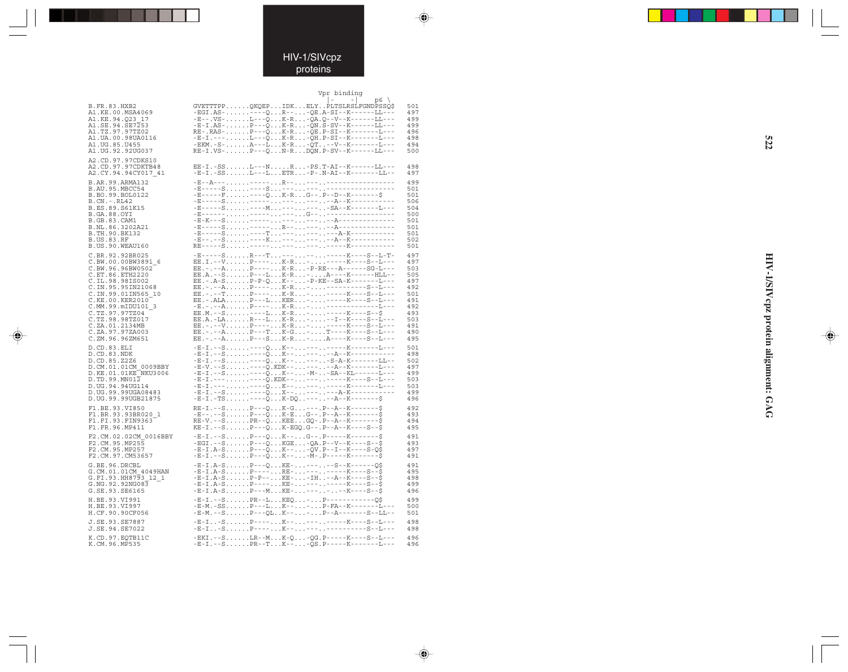

### Vpr binding

 $\spadesuit$ 

 $\Rightarrow$ 

|                       |                                                                                                                                                                                                                                                    | p6  |
|-----------------------|----------------------------------------------------------------------------------------------------------------------------------------------------------------------------------------------------------------------------------------------------|-----|
| <b>B.FR.83.HXB2</b>   | GVETTTPPQKQEPIDKELYPLTSLRSLFGNDPSSQ\$                                                                                                                                                                                                              | 501 |
| A1.KE.00.MSA4069      | $-EGI.AS-.$ ---- $0.$ $R--$ - $0E.A-SI--K---LL---$                                                                                                                                                                                                 | 497 |
| A1.KE.94.023 17       | $-E--.VS-L---QK-R-QA.Q--V--K---LL---$                                                                                                                                                                                                              | 499 |
|                       |                                                                                                                                                                                                                                                    | 499 |
| A1.SE.94.SE7253       | $-E-I.AS-.$ P - - - QK - R - QN.S - SV - - K - - - - - - LL - - -                                                                                                                                                                                  |     |
| A1.TZ.97.97TZ02       | RE-.RAS-P---QK-R-QE.P-SI--K-------L---                                                                                                                                                                                                             | 496 |
| A1.UA.00.98UA0116     | $-E-I. ---  L--QK-R-QH.P-SI--K---L---$                                                                                                                                                                                                             | 498 |
| A1.UG.85.U455         | $-EKM. - S - \ldots A--L K-R -QT -V--K---L---L$                                                                                                                                                                                                    | 494 |
| A1.UG.92.92UG037      | RE-I.VS-P---QN-RDQN.P-SV--K------LL---                                                                                                                                                                                                             | 500 |
|                       |                                                                                                                                                                                                                                                    |     |
| A2.CD.97.97CDKS10     |                                                                                                                                                                                                                                                    |     |
| A2.CD.97.97CDKTB48    | EE-I.-SSL---NR-PS.T-AI--K------LL---                                                                                                                                                                                                               | 498 |
| A2.CY.94.94CY017 41   | $-E-I.-SSL--LETR-P-.N-AI--K---L-L--$                                                                                                                                                                                                               | 497 |
| B.AR.99.ARMA132       |                                                                                                                                                                                                                                                    | 499 |
| B.AU.95.MBCC54        |                                                                                                                                                                                                                                                    | 501 |
|                       |                                                                                                                                                                                                                                                    |     |
| B.BO.99.BOL0122       | $-E---F$ ---QK-RG--.P--D--K-------\$                                                                                                                                                                                                               | 501 |
| B.CN. - . RL42        |                                                                                                                                                                                                                                                    | 506 |
| B.ES.89.S61K15        |                                                                                                                                                                                                                                                    | 504 |
| B.GA.88.OYI           |                                                                                                                                                                                                                                                    | 500 |
| B.GB.83.CAM1          |                                                                                                                                                                                                                                                    | 501 |
| B.NL.86.3202A21       |                                                                                                                                                                                                                                                    | 501 |
| B.TH.90.BK132         |                                                                                                                                                                                                                                                    | 501 |
| <b>B.US.83.RF</b>     |                                                                                                                                                                                                                                                    | 502 |
| B.US.90.WEAU160       |                                                                                                                                                                                                                                                    | 501 |
|                       |                                                                                                                                                                                                                                                    |     |
| C.BR.92.92BR025       | $-{\bf E}\hbox{-}\cdots\hbox{-} {\bf S}\hbox{-}\ldots\ldots\hbox{-}{\bf R}\hbox{-}\cdots\hbox{-}{\bf T}\hbox{-}\ldots\hbox{-}\cdots\hbox{-}\ldots\hbox{-}\cdots\hbox{-}{\bf K}\hbox{-}\cdots\hbox{-}{\bf S}\hbox{-}{\bf L}\hbox{-}{\bf T}\hbox{-}$ | 497 |
| C.BW.00.00BW3891 6    | EE.I.--VP----K-R------K----S--L---<br>EE.-.--AP----K-R-P-RE--A------SG-L---                                                                                                                                                                        | 497 |
| C.BW.96.96BW0502      |                                                                                                                                                                                                                                                    | 503 |
|                       | EE.A. --S. P---L. K-R. - A----K-------HLL--                                                                                                                                                                                                        | 505 |
| C.ET.86.ETH2220       |                                                                                                                                                                                                                                                    |     |
| C.IL.98.98IS002       | EE. - . A-S. P-P-Q. K--. - P-KE--SA-K-------L---                                                                                                                                                                                                   | 497 |
| C.IN.95.95IN21068     |                                                                                                                                                                                                                                                    | 492 |
| C.IN.99.01IN565 10    | EE. - . - - T. P---- K-R. - - ----- K---- S-- L---                                                                                                                                                                                                 | 501 |
| C.KE.00.KER2010       |                                                                                                                                                                                                                                                    | 491 |
| C.MM.99.mIDU101 3     |                                                                                                                                                                                                                                                    | 492 |
| C.TZ.97.97TZ04        |                                                                                                                                                                                                                                                    | 493 |
| C.TZ.98.98TZ017       |                                                                                                                                                                                                                                                    | 503 |
| C.ZA.01.2134MB        |                                                                                                                                                                                                                                                    | 491 |
|                       |                                                                                                                                                                                                                                                    |     |
| C.ZA.97.97ZA003       |                                                                                                                                                                                                                                                    | 490 |
| C.ZM.96.96ZM651       | EE.-.--AP---SK-R-A----K----S--L---                                                                                                                                                                                                                 | 495 |
| D.CD.83.ELI           | $-E-I. -S. --Q. K--. --. -K---K---L---$                                                                                                                                                                                                            | 501 |
| D.CD.83.NDK           | $-E-I. -S. - --Q. K--. - -A - K--------$                                                                                                                                                                                                           | 498 |
|                       |                                                                                                                                                                                                                                                    | 502 |
| D.CD.85.Z2Z6          | $- E - I - - S - \ldots - - - Q - .$                                                                                                                                                                                                               |     |
| D.CM.01.01CM 0009BBY  |                                                                                                                                                                                                                                                    | 497 |
| D.KE.01.01KE NKU3006  |                                                                                                                                                                                                                                                    | 499 |
| D.TD.99.MN012         |                                                                                                                                                                                                                                                    | 503 |
| D.UG.94.94UG114       |                                                                                                                                                                                                                                                    | 503 |
| D. UG. 99.99UGA08483  |                                                                                                                                                                                                                                                    | 499 |
| D. UG. 99.99UGB21875  | $-E-I. -TS. - - -Q. K-DQ. . - - - - A - K - - - - - S$                                                                                                                                                                                             | 496 |
|                       |                                                                                                                                                                                                                                                    |     |
| F1.BE.93.VI850        | $RE-I. -- S. P---0. K-G. -- . P---A---K---S$                                                                                                                                                                                                       | 492 |
| F1.BR.93.93BR020 1    | $-E----SP---QK-EG---P---A--K-----S$                                                                                                                                                                                                                | 493 |
| F1.FI.93.FIN9363      | RE-V.--SPR--QKEEGQ-.P--A--K-------\$                                                                                                                                                                                                               | 494 |
| F1.FR.96.MP411        | $KE-I. -- S. P---Q. K-EGQ. G---. P---A---K---S--$$                                                                                                                                                                                                 | 495 |
|                       |                                                                                                                                                                                                                                                    |     |
| F2.CM.02.02CM 0016BBY | $-E-I. -S. \ldots . P---Q. K---. G---. P---K---K---S$                                                                                                                                                                                              | 491 |
| F2.CM.95.MP255        | - EGI. --S. P---Q. KGE. -QA. P--V--K----S--\$                                                                                                                                                                                                      | 493 |
| F2.CM.95.MP257        | $-E-I.A-S$ $P---\tilde{Q}$ $K---\tilde{Q}V.P---I---K---S-Q\tilde{S}$                                                                                                                                                                               | 497 |
| F2.CM.97.CM53657      | $-E-I. -S. \ldots . P---Q. K---. -M-. P---K---K----S$                                                                                                                                                                                              | 491 |
|                       |                                                                                                                                                                                                                                                    | 491 |
| G.BE.96.DRCBL         | -E-I.A-SP---QKE------S--K------Q\$<br>-E-I.A-SP----RE--------K---S--\$                                                                                                                                                                             |     |
| G.CM.01.01CM 4049HAN  |                                                                                                                                                                                                                                                    | 495 |
| G.FI.93.HH8793 12 1   | $-E-I.A-S$ P-P--KE--IH--A--K----S--\$                                                                                                                                                                                                              | 498 |
| G.NG.92.92NG083       | $-E$ -I.A-SP----KE---------K----S--\$                                                                                                                                                                                                              | 499 |
| G.SE.93.SE6165        | $-E-I.A-S$ P---MKE-------K----S--\$                                                                                                                                                                                                                | 496 |
|                       |                                                                                                                                                                                                                                                    |     |
| H.BE.93.VI991         | $-E-I. - -S. PR-. -L. KEQ. - P--- -----Q$$                                                                                                                                                                                                         | 499 |
| H.BE.93.VI997         |                                                                                                                                                                                                                                                    | 500 |
| H.CF.90.90CF056       |                                                                                                                                                                                                                                                    | 501 |
|                       | -E-I-SP----K----------K----S--L---                                                                                                                                                                                                                 | 498 |
| J.SE.93.SE7887        |                                                                                                                                                                                                                                                    |     |
| J.SE.94.SE7022        | -E-I-SP----K---------------S--L---                                                                                                                                                                                                                 | 498 |
| K.CD.97.EQTB11C       | $-$ EKI. - -SLR - -MK -Q - QG. P - - - - - K - - - - S - -L - - -                                                                                                                                                                                  | 496 |
| K.CM.96.MP535         | $-E-I. -- S. PR--T. K--. -QS. P---K---L---L---$                                                                                                                                                                                                    | 496 |
|                       |                                                                                                                                                                                                                                                    |     |

. . .

 $\Rightarrow$ 

 $\Rightarrow$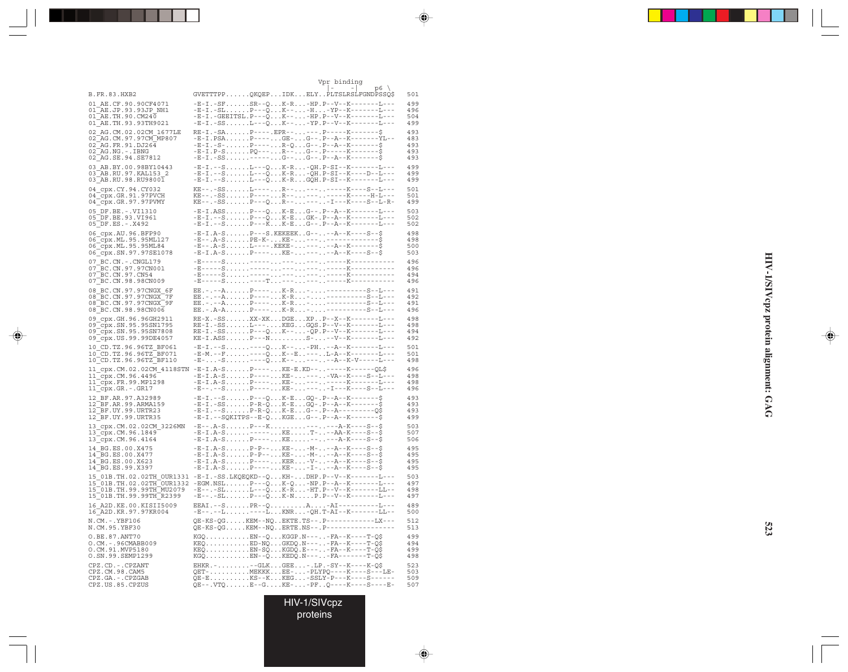|                                                  | Vor binding                                                                       |     |
|--------------------------------------------------|-----------------------------------------------------------------------------------|-----|
| <b>B.FR.83.HXB2</b>                              | $p6 \sqrt{ }$<br>$\overline{\phantom{0}}$<br>GVETTTPPOKOEPIDKELYPLTSLRSLFGNDPSSOS | 501 |
| 01 AE.CF.90.90CF4071                             | $-E-I.-SFSR--0K-R-HP.P--V-K---I--I---$                                            | 499 |
| $01$ <sup><math>-</math></sup> AE.JP.93.93JP NH1 | -E-I.-SLP---OK---H-YP--K-------L---                                               | 496 |
| $01\overline{AE}$ . TH. 90. CM240                | -E-I.-GEEITSL.P---OK---HP.P--V--K-------L---                                      | 504 |
| 01 AE. TH. 93.93TH9021                           | $-E-I.-SSL--0K---YP.P--V--K-----L---$                                             | 499 |
| 02 AG.CM.02.02CM 1677LE                          | $RE-I.-SA$ $P---EPR-- P---K---S$                                                  | 493 |
| $02-AG$ . CM. 97.97CM MP807                      | $-E-I.PSA$ $P-- GE G-$ - $P--A-K----YL-$                                          | 483 |
| $02$ AG. FR. 91. DJ264                           | $-E-I. -S- P----. -R-Q G---P---A--K-----S$                                        | 493 |
| $02$ $AG$ . NG. $-$ . IBNG                       | $-E-I.P-S$ PO---R--G--.P-----K-------\$                                           | 493 |
| 02 AG. SE. 94. SE7812                            | $-E-I. - SS.$ ----- $G--. -G--. -P-+K----S$                                       | 493 |
| 03 AB.BY.00.98BY10443                            | -E-I.--SL---OK-R-OH.P-SI--K-------L---                                            | 499 |
| $0.3$ AB. RU. 97. KAL153 2                       | -E-I.--SL---OK-R-OH.P-SI--K----D--L---                                            | 499 |
| 03 AB.RU.98.RU98001                              | -E-I.--SL---OK-RGOH.P-SI--K-------L---                                            | 499 |
| 04 cpx.CY.94.CY032                               | KE--.-SSL----R----------K----S--T---                                              | 501 |
| $04$ $\sqrt{Cpx}$ . GR. 91.97PVCH                | KE--.-SSP----R----------K-----H-L---                                              | 501 |
| $04$ $\sqrt{Cpx}$ . GR. 97.97 PVMY               | $KE--.-SSP---0R------I---K---S--L-R-$                                             | 499 |
| 05 DF.BE. -. VI1310                              | $-E-I.ASS$ $P---O$ $K-E$ $G---P---K---L---L$                                      | 503 |
| 05 DF.BE.93.VI961                                | -E-I.--SP---OK-EGK-.P--A--K-------L---                                            | 502 |
| $05$ DF.ES. - . X492                             | $-E-I. -- S. P---K. K-E. G--- P---A---K---I---I$                                  | 502 |
| 06 cpx.AU.96.BFP90                               | $-E-I.A-SP--S.KEKEK. G--.--A-K---S--S--S$                                         | 498 |
| 06 CDX. ML. 95.95ML127                           | -E--.A-SPE-K-KE-----------------                                                  | 498 |
| 06 CDX.ML.95.95ML84                              | -E--.A-SL----.KEKE------A--K--------\$                                            | 500 |
| 06 cpx.SN.97.97SE1078                            | $-E-I.A-SP---KE----.--A--K---S--S$                                                | 503 |
| 07 BC.CN. - . CNGL179                            |                                                                                   | 496 |
| 07 BC.CN.97.97CN001                              |                                                                                   | 496 |
| 07 BC.CN.97.CN54                                 |                                                                                   | 494 |
| 07 BC.CN.98.98CN009                              |                                                                                   | 496 |
| 08 BC.CN.97.97CNGX 6F                            |                                                                                   | 491 |
| 08 BC.CN.97.97CNGX 7F                            |                                                                                   | 492 |
| $08$ $R$ C.CN.97.97CNGX $^{-}$ 9F                |                                                                                   | 491 |
| 08 BC.CN.98.98CN006                              | $EE. - A - A. $                                                                   | 496 |
| 09 cpx.GH.96.96GH2911                            | $RE-X.-SSXX-XKDGEXP-.P--X--K-------L---$                                          | 498 |
| 09 cpx. SN. 95. 95 SN1795                        | RE-I.-SSL---KEGGOS.P--V--K-------L---                                             | 498 |

◈

| AE.CF.90.90CF4071<br>01<br>$\mathsf{TAE}.\mathsf{JP}.$ 93.93JP_NH1<br>01<br>$01^{\text{--}}$ AE.TH.90.CM240<br>01 AE. TH. 93. 93 TH 9021                                 | -E-I.-SFSR--QK-R-HP.P--V--K---<br>-E-I.-SLP---QK---H-YP--K-------L---<br>-E-I.-GEEITSL.P---QK---HP.P--V--K-------L---<br>-E-I.-SSL---QK---YP.P--V--K-------L---                                                                                                                                                                                                          | 499<br>496<br>504<br>499        |
|--------------------------------------------------------------------------------------------------------------------------------------------------------------------------|--------------------------------------------------------------------------------------------------------------------------------------------------------------------------------------------------------------------------------------------------------------------------------------------------------------------------------------------------------------------------|---------------------------------|
| 02 AG.CM.02.02CM 1677LE<br>02 AG. CM. 97. 97 CM MP807<br>02 AG.FR.91.DJ264<br>02 AG.NG.-.IBNG<br>02 AG.SE.94.SE7812                                                      | RE-I.-SAP----.EPR-----.P-----K--<br>$-E-I.PSA.$ P ----GE-G--.P -- A -- K -------YL --<br>$-E-I. -S- P--- R-Q G---P---A---K---S$<br>-E-I.P-SPQ---R--G--.P------K--------\$<br>-E-I.-SS-----G--G--.P--A--K--------\$                                                                                                                                                       | 493<br>483<br>493<br>493<br>493 |
| 03 AB.BY.00.98BY10443<br>03 AB.RU.97.KAL153 2<br>03 AB.RU.98.RU98001                                                                                                     | $-E-I. -- S. L---Q. K-R. -QH.P-SI--K------L---$<br>$-E-I. -- S. L---Q. K-R. -QH.P-SI--K---D--L---$<br>-E-I.--SL---QK-RGQH.P-SI--K-------L---                                                                                                                                                                                                                             | 499<br>499<br>499               |
| 04_cpx.CY.94.CY032<br>04 cpx.GR.91.97PVCH<br>04_cpx.GR.97.97PVMY                                                                                                         | KE--.-SSL----R----------K----S--L---                                                                                                                                                                                                                                                                                                                                     | 501<br>501<br>499               |
| $05$ DF.BE. - VI1310<br>05 DF.BE.93.VI9<br>05 DF.ES. - . X492<br>DF.BE.93.VI961                                                                                          | $-E-I. - S. \ldots . P -- -K. K-E. G -- . P -- A -- K--- - -1 --$                                                                                                                                                                                                                                                                                                        | 503<br>502<br>502               |
| 06 cpx.AU.96.BFP90<br>06_cpx.ML.95.95ML127<br>06_cpx.ML.95.95ML84<br>06 cpx.SN.97.97SE1078                                                                               | - E-I.A-S P---- KE- --- --A--K----S--\$                                                                                                                                                                                                                                                                                                                                  | 498<br>498<br>500<br>503        |
| 07 BC.CN. - . CNGL179<br>07 BC.CN.97.97CN001<br>07 BC.CN.97.CN54<br>07 BC.CN.98.98CN009                                                                                  |                                                                                                                                                                                                                                                                                                                                                                          | 496<br>496<br>494<br>496        |
| 08 BC.CN.97.97CNGX_6F<br>08 BC.CN.97.97CNGX 7F<br>08 BC.CN.97.97CNGX 9F<br>08 BC.CN.98.98CN006                                                                           | EE.-.--AP----K-R----------S--L---<br>EE.-.--AP----K-R----------S--L---<br>EE.-.--AP----K-R-----------S--L---                                                                                                                                                                                                                                                             | 491<br>492<br>491<br>496        |
| 09 cpx.GH.96.96GH2911<br>09_cpx.SN.95.95SN1795<br>09_cpx.SN.95.95SN7808<br>09_cpx.US.99.99DE4057                                                                         | RE-X.-SSXX-XKDGEXPP--X--K-------L---<br>RE-I.-SSL---REGGQS.P--V--K-------L---<br>RE-I.-SSP---QK---QP.P--V--K-------L---<br>KE-I.ASSP---NS---V--K-------L---                                                                                                                                                                                                              | 498<br>498<br>494<br>492        |
| 10 CD.TZ.96.96TZ BF061<br>10 CD.TZ.96.96TZ BF071<br>10 CD.TZ.96.96TZ BF110                                                                                               | $\begin{array}{lll} -E-I. \; -S \; . \; . \; . \; . \; . \; . \; -S \; . \; . \; . \; . \; . \; -Q \; . \; . \; . \; K \; - \; . \; . \; . \; -PH \; . \; . \; -A \; -K \; - \; - \; - \; -L \; -S \; . \; . \; -E \; . \; . \; . \; -E \; . \; . \; . \; . \; -K \; -X \; - \; - \; -\; -L \; -S \; . \; . \; . \; -S \; . \; . \; . \; . \; -S \; . \; . \; . \; . \;$ | 501<br>501<br>498               |
| 11 cpx.CM.02.02CM 4118STN<br>$11$ <sup><math>Cpx</math></sup> . CM. 96.4496<br>11_cpx.FR.99.MP1298<br>$11$ <sup><math>-cpx.GR.-.GR17</math></sup>                        | $-E-I.A-S P--- KE-E.KD------K---X---QL$$                                                                                                                                                                                                                                                                                                                                 | 496<br>498<br>498<br>496        |
| 12 BF.AR.97.A32989<br>12 BF.AR.99.ARMA159<br>12 BF.UY.99.URTR23<br>12 BF.UY.99.URTR35                                                                                    | $-E-I. -- S. P---Q. K-E. GQ-. P--A--K-----S$<br>$-E-I.-SSP-R-QK-EGQ-.P-A--K---S$<br>$-E-I. -- S. P-R-Q. K-E. G--. P--A-------Q$$<br>$-E-I. - SQKITPS - E-Q. KGE.G - . P - A - K - - - - - S$                                                                                                                                                                             | 493<br>493<br>493<br>499        |
| 13_cpx.CM.02.02CM_3226MN<br>13 cpx.CM.96.1849<br>13 cpx.CM.96.4164                                                                                                       | $-E--. A-S. P---K. - --. . -A-K---S--S-\xi$<br>-E-I.A-S-----KET---AA-K----S--\$<br>-E-I.A-SP----KE-----A-K----S--\$                                                                                                                                                                                                                                                      | 503<br>507<br>506               |
| 14 BG.ES.00.X475<br>14_BG.ES.00.X477<br>14 BG.ES.00.X623<br>14 BG.ES.99.X397                                                                                             | $-E-I.A-S P-P--. KE-. -M-. -A-. -K---S--S$<br>-E-I.A-SP-P--KE--M---A--K----S--\$<br>-E-I.A-SP----KER-V---A--K----S--\$<br>$-E-I.A-S P---X-E-. K-E- -I-. -A--K---S--S$                                                                                                                                                                                                    | 495<br>495<br>495<br>495        |
| 15 01B.TH.02.02TH OUR1331<br>15 01B. TH. 02.02TH OUR1332<br>$\overline{\phantom{a}}$ 01B.TH.99.99TH $\overline{\phantom{a}}$ MU2079<br>15<br>15 01B. TH. 99. 99 TH R2399 | -E-I.-SS.LKQEQKD--QKH-DHP.P--V--K-------L---<br>$-EGM. NSL.$ $P--Q.$ K-Q $NP. P--A--K---L---$<br>$-E--.-SLL--QK-R-HT.P--V--K-----LL--$<br>$-E--.-SLP---QK-NP.P--V--K------L---$                                                                                                                                                                                          | 503<br>497<br>498<br>497        |
| 16 A2D. KE. 00. KISII5009<br>16 A2D.KR.97.97KR004                                                                                                                        | EEAI.--SPR--QA-AI----------L---<br>-E--.--L---LKNR-QH.T-AI--K-------LL--                                                                                                                                                                                                                                                                                                 | 489<br>500                      |
| N.CM.-.YBF106<br>N.CM.95.YBF30                                                                                                                                           | QE-KS-QGKEM--NQEKTE.TS--.P-----------LX---<br>QE-KS-QGKEM--NQERTE.NS--.P-----------------                                                                                                                                                                                                                                                                                | 512<br>513                      |
| O.BE.87.ANT70<br>O.CM. - . 96CMABB009<br>O.CM.91.MVP5180<br>O.SN.99.SEMP1299                                                                                             | KGQEN--QKGGP.N----FA--K----T-Q\$<br>$KEQ$ $ED-NQ$ $GKDQ.N-- FA--K---T-Q$$<br>$KEQ$ EN-SQKGDQ.E----FA--K----T-Q\$<br>KGQEN--QKEDQ.N----FA-------T-Q\$                                                                                                                                                                                                                     | 499<br>494<br>499<br>498        |
| CPZ.CD. - . CPZANT<br>CPZ.CM.98.CAM5<br>CPZ.GA.-.CPZGAB<br>CPZ.US.85.CPZUS                                                                                               | EHKR.--GLKGEE-.LP.-SY--K----K-Q\$<br>$QET$ -MEKKKEE--PLYPQ----K----S---LE-<br>QE-EKS--KKEG-SSLY-P---K----S------<br>QE--.VTQE--GKE--PFQ----K----S----E-                                                                                                                                                                                                                  | 523<br>503<br>509<br>507        |

. . . .

HIV-1/SIVcpz proteins

◈

HIV-1/SIVepz protein alignment: GAG **HIV-1/SIVcpz protein alignment: GAG**

◈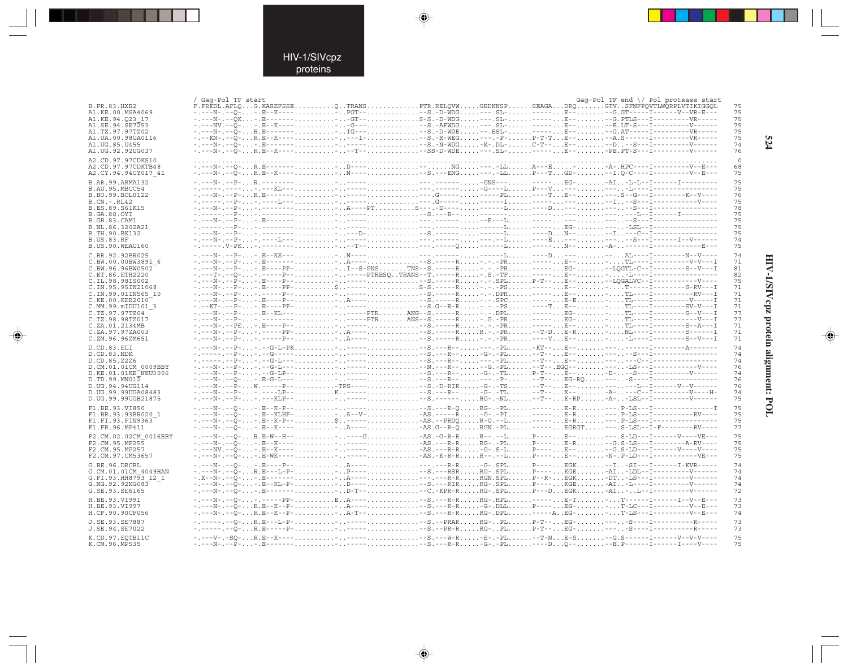٠

 $\Rightarrow$ 

| B.FR.83.HXB2                                 | / Gag-Pol TF start<br>F.FREDL.AFLQG.KAREFSSEQTRANSPTR.RELQVWGRDNNSPSEAGADRQGTVSFNFPQVTLWQRPLVTIKIGGQL                                                                                                                                                                                                                                                                                                                                   |  |  | Gag-Pol TF end \/ Pol protease start<br>75 |
|----------------------------------------------|-----------------------------------------------------------------------------------------------------------------------------------------------------------------------------------------------------------------------------------------------------------------------------------------------------------------------------------------------------------------------------------------------------------------------------------------|--|--|--------------------------------------------|
| A1.KE.00.MSA4069<br>A1.KE.94.023 17          | -.---N-.--O--.E--K----PGT---S.-D-WDG---.SL------E---G.GT-----I-------V--VR-E---                                                                                                                                                                                                                                                                                                                                                         |  |  | 75<br>75                                   |
| A1.SE.94.SE7253<br>A1.TZ.97.97TZ02           |                                                                                                                                                                                                                                                                                                                                                                                                                                         |  |  | 75<br>75                                   |
| A1.UA.00.98UA0116                            |                                                                                                                                                                                                                                                                                                                                                                                                                                         |  |  | 75                                         |
| A1.UG.85.U455                                |                                                                                                                                                                                                                                                                                                                                                                                                                                         |  |  | 74<br>76                                   |
| A1.UG.92.92UG037<br>A2.CD.97.97CDKS10        |                                                                                                                                                                                                                                                                                                                                                                                                                                         |  |  |                                            |
| A2.CD.97.97CDKTB48                           |                                                                                                                                                                                                                                                                                                                                                                                                                                         |  |  | 68                                         |
| A2.CY.94.94CY017 41                          | -----N-.--O-R.E--K----N-----S.---ENG---.-LLP---TGD---I.O-C----I----------V--E---                                                                                                                                                                                                                                                                                                                                                        |  |  | 75                                         |
| B.AR.99.ARMA132<br>B.AU.95.MBCC54            |                                                                                                                                                                                                                                                                                                                                                                                                                                         |  |  | 75<br>75                                   |
| B.BO.99.BOL0122                              |                                                                                                                                                                                                                                                                                                                                                                                                                                         |  |  | 76                                         |
| $B.CN.-.RL42$<br>B.ES.89.S61K15              |                                                                                                                                                                                                                                                                                                                                                                                                                                         |  |  | 75<br>78                                   |
| <b>B.GA.88.OYI</b>                           |                                                                                                                                                                                                                                                                                                                                                                                                                                         |  |  | 75                                         |
| <b>B.GB.83.CAM1</b><br>B.NL.86.3202A21       |                                                                                                                                                                                                                                                                                                                                                                                                                                         |  |  | 75<br>75                                   |
| B.TH.90.BK132                                |                                                                                                                                                                                                                                                                                                                                                                                                                                         |  |  | 75                                         |
| <b>B.US.83.RF</b><br>B.US.90.WEAU160         |                                                                                                                                                                                                                                                                                                                                                                                                                                         |  |  | 74<br>75                                   |
| C.BR.92.92BR025                              |                                                                                                                                                                                                                                                                                                                                                                                                                                         |  |  | 74                                         |
| C.BW.00.00BW3891 6                           | -.---N-.--P--.E----PP-T--S-PNSTNS--S.-----R-.--PR-----EG--LOGTL-C--I--------S--V---I                                                                                                                                                                                                                                                                                                                                                    |  |  | 71                                         |
| C.BW.96.96BW0502<br>C.ET.86.ETH2220          |                                                                                                                                                                                                                                                                                                                                                                                                                                         |  |  | 81<br>82                                   |
| C.IL.98.98IS002                              |                                                                                                                                                                                                                                                                                                                                                                                                                                         |  |  | 75                                         |
| C. IN. 95. 95 IN 21068<br>C.IN.99.01IN565 10 | -.---N-.--P--.-----P-- <sup>1</sup> -----S.----R-.DPH-----E--TL----I----------RV---I                                                                                                                                                                                                                                                                                                                                                    |  |  | 71<br>71                                   |
| C.KE.00.KER2010                              |                                                                                                                                                                                                                                                                                                                                                                                                                                         |  |  | 71                                         |
| C.MM.99.mIDU101 3<br>C.TZ.97.97TZ04          |                                                                                                                                                                                                                                                                                                                                                                                                                                         |  |  | 71<br>77                                   |
| C.TZ.98.98TZ017<br>C.ZA.01.2134MB            | -.---N-.--P--.-------------PTRANS--S.-----R-.G.-PR-----EG-TL----I----------------------                                                                                                                                                                                                                                                                                                                                                 |  |  | 77<br>71                                   |
| C.ZA.97.97ZA003                              |                                                                                                                                                                                                                                                                                                                                                                                                                                         |  |  | 71                                         |
| C.ZM.96.96ZM651                              |                                                                                                                                                                                                                                                                                                                                                                                                                                         |  |  | 71                                         |
| D.CD.83.ELI<br>D.CD.83.NDK                   |                                                                                                                                                                                                                                                                                                                                                                                                                                         |  |  | 74<br>74                                   |
| D.CD.85.Z2Z6                                 |                                                                                                                                                                                                                                                                                                                                                                                                                                         |  |  | 74                                         |
| D.CM.01.01CM 0009BBY<br>D.KE.01.01KE NKU3006 | -.---N-.--P--.--G-LP----.-------S.---R--G-.-TLP-T--E---D---S---I------------V------                                                                                                                                                                                                                                                                                                                                                     |  |  | 76<br>74                                   |
| $D.TD.99.MN01\overline{2}$                   |                                                                                                                                                                                                                                                                                                                                                                                                                                         |  |  | 76                                         |
| D.UG.94.94UG114<br>D.UG.99.99UGA08483        | -.---N-.--P--.----LP--K------S.---R--G-.-TL--T--X---A----C--I-----------V----H-                                                                                                                                                                                                                                                                                                                                                         |  |  | 76<br>74                                   |
| D.UG.99.99UGB21875                           |                                                                                                                                                                                                                                                                                                                                                                                                                                         |  |  | 75                                         |
| F1.BE.93.VI850                               |                                                                                                                                                                                                                                                                                                                                                                                                                                         |  |  | 75                                         |
| F1.BR.93.93BR020 1<br>F1.FI.93.FIN9363       | -.---N-.--O--.E--KLHP-A--V-AS.-----R-G-.-PI------E-R---.P-LS---I------------RV----<br>-.---N-.--Q--.E--K-P--\$-----AS.--PRDQR-G.--L-----E-R----.P-LS---I------------------                                                                                                                                                                                                                                                              |  |  | 75<br>75                                   |
| F1.FR.96.MP411                               |                                                                                                                                                                                                                                                                                                                                                                                                                                         |  |  | 77                                         |
| F2.CM.02.02CM 0016BBY<br>F2.CM.95.MP255      |                                                                                                                                                                                                                                                                                                                                                                                                                                         |  |  | 75<br>75                                   |
| F2.CM.95.MP257                               |                                                                                                                                                                                                                                                                                                                                                                                                                                         |  |  | 75                                         |
| F2.CM.97.CM53657                             |                                                                                                                                                                                                                                                                                                                                                                                                                                         |  |  | 75                                         |
| G.BE.96.DRCBL<br>G.CM.01.01CM 4049HAN        |                                                                                                                                                                                                                                                                                                                                                                                                                                         |  |  | 74<br>74                                   |
| G.FI.93.HH8793 12 1                          |                                                                                                                                                                                                                                                                                                                                                                                                                                         |  |  | 74                                         |
| G. NG. 92. 92NG083<br>G.SE.93.SE6165         |                                                                                                                                                                                                                                                                                                                                                                                                                                         |  |  | 74<br>72                                   |
| H.BE.93.VI991                                | $\hbox{\tt -}\ldots\hbox{\tt -} N\hbox{\tt -}\ldots\hbox{\tt -}\ldots\hbox{\tt -}\ldots\hbox{\tt -}\ldots\hbox{\tt -} N\hbox{\tt -} B\hbox{\tt -}\ldots\hbox{\tt }\hbox{\tt }\hbox{\tt }\hbox{\tt }\hbox{\tt }\hbox{\tt -}\ldots\hbox{\tt -} S\hbox{\tt -}\ldots\hbox{\tt -} R\hbox{\tt -} R\ldots\hbox{\tt }\hbox{\tt .}\hbox{\tt .}\hbox{\tt }\hbox{\tt }\hbox{\tt ---}\hbox{\tt -}\ldots\hbox{\tt -}\ldots\hbox{\tt -}\ldots\hbox{\$ |  |  | 73                                         |
| H.BE.93.VI997                                | -.---N-.--Ö-R.E--K--P-A-----S.---R-R-G-.DLLP----EG--T-LC---I----------V--E---                                                                                                                                                                                                                                                                                                                                                           |  |  | 73                                         |
| H.CF.90.90CF056                              | -.---N-.--Q-R.E--K--P-A-T---S.---R-RRG-.DPL-----AEG-T-LS---I------------V--E---                                                                                                                                                                                                                                                                                                                                                         |  |  | 74                                         |
| J.SE.93.SE7887<br>J.SE.94.SE7022             | -.--0-R.B---L-P---------S.--PRARRG-PLP-T--BG-----S----I----------R-----                                                                                                                                                                                                                                                                                                                                                                 |  |  | 73<br>73                                   |
| K.CD.97.EOTB11C                              |                                                                                                                                                                                                                                                                                                                                                                                                                                         |  |  | 75                                         |
| K.CM.96.MP535                                |                                                                                                                                                                                                                                                                                                                                                                                                                                         |  |  | 75                                         |

 $\begin{picture}(20,5) \put(0,0){\vector(0,1){10}} \put(15,0){\vector(0,1){10}} \put(15,0){\vector(0,1){10}} \put(15,0){\vector(0,1){10}} \put(15,0){\vector(0,1){10}} \put(15,0){\vector(0,1){10}} \put(15,0){\vector(0,1){10}} \put(15,0){\vector(0,1){10}} \put(15,0){\vector(0,1){10}} \put(15,0){\vector(0,1){10}} \put(15,0){\vector(0,1){10}} \put(15,0){\vector(0,$ 

 $\Rightarrow$ 

524

# HIV-1/SIVepz protein alignment: POL

 $\begin{picture}(20,5) \put(0,0){\line(1,0){10}} \put(15,0){\line(1,0){10}} \put(15,0){\line(1,0){10}} \put(15,0){\line(1,0){10}} \put(15,0){\line(1,0){10}} \put(15,0){\line(1,0){10}} \put(15,0){\line(1,0){10}} \put(15,0){\line(1,0){10}} \put(15,0){\line(1,0){10}} \put(15,0){\line(1,0){10}} \put(15,0){\line(1,0){10}} \put(15,0){\line(1,$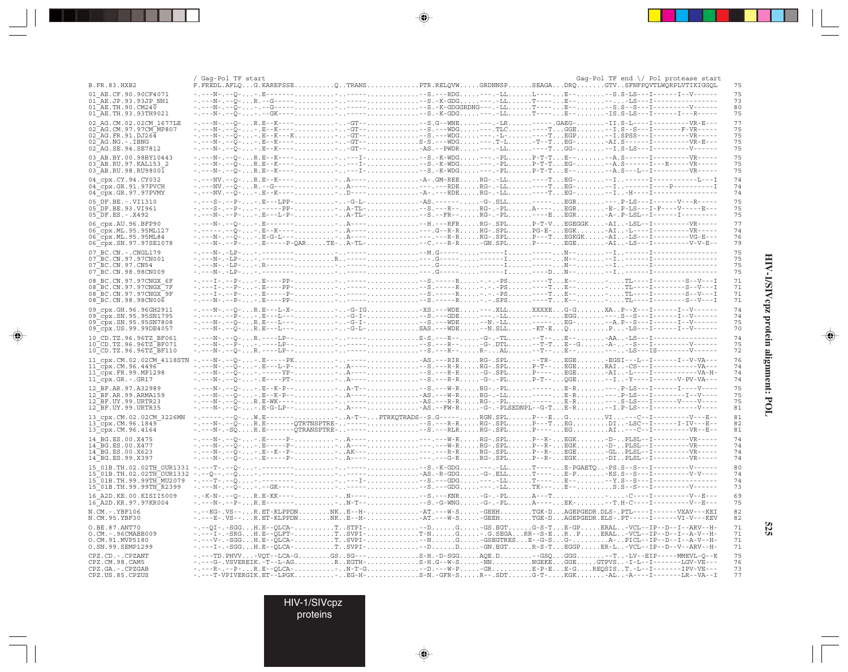|                                                                       | Gag-Pol TF start |  | Gaq-Pol TF end \/ Pol protease start                                                                                                                                                                                                                                                                                                                                                                                                                                              |                                         |
|-----------------------------------------------------------------------|------------------|--|-----------------------------------------------------------------------------------------------------------------------------------------------------------------------------------------------------------------------------------------------------------------------------------------------------------------------------------------------------------------------------------------------------------------------------------------------------------------------------------|-----------------------------------------|
| B.FR.83.HXB2<br>01 AE.CF.90.90CF4071                                  |                  |  | F.FREDL.AFLQG.KAREFSSEQTRANSPTR.RELQVWGRDNNSPSEAGADRQGTVSFNFPQVTLWQRPLVTIKIGGQL                                                                                                                                                                                                                                                                                                                                                                                                   | 75<br>75                                |
| 01 AE.JP.93.93JP NH1<br>$01^{\text{-}}$ AE.TH.90.CM240                |                  |  |                                                                                                                                                                                                                                                                                                                                                                                                                                                                                   | 73<br>80                                |
| 01 AE. TH. 93. 93 TH 9021                                             |                  |  |                                                                                                                                                                                                                                                                                                                                                                                                                                                                                   | 75                                      |
| 02 AG.CM.02.02CM 1677LE<br>02 AG. CM. 97. 97 CM MP807                 |                  |  |                                                                                                                                                                                                                                                                                                                                                                                                                                                                                   | 77<br>75                                |
| $02$ AG. FR. 91. DJ264<br>02 AG.NG.-.IBNG                             |                  |  |                                                                                                                                                                                                                                                                                                                                                                                                                                                                                   | 75<br>75                                |
| 02 AG. SE. 94. SE7812                                                 |                  |  |                                                                                                                                                                                                                                                                                                                                                                                                                                                                                   | 75                                      |
| 03 AB.BY.00.98BY10443<br>03 AB.RU.97.KAL153 2                         |                  |  |                                                                                                                                                                                                                                                                                                                                                                                                                                                                                   | 75<br>75                                |
| 03 AB.RU.98.RU98001                                                   |                  |  |                                                                                                                                                                                                                                                                                                                                                                                                                                                                                   | 75                                      |
| 04 cpx.CY.94.CY032<br>04 cpx.GR.91.97PVCH<br>$04$ $cpx.GR.97.97$ PVMY |                  |  | $\hbox{\tt -}\ldots\hbox{\tt -}\mathrm{W}\ldots\hbox{\tt -} \mathrm{Q}\ldots\hbox{\tt R}\ldots\hbox{\tt R}\ldots\hbox{\tt -}\mathrm{K}\ldots\ldots\ldots\ldots\ldots\hbox{\tt -}\ldots\hbox{\tt A}\ldots\hbox{\tt -}\mathrm{R}\ldots\ldots\hbox{\tt -}\mathrm{R}\ldots\ldots\hbox{\tt R}\mathrm{Q}\ldots\ldots\mathrm{R}\mathrm{Q}\ldots\ldots\mathrm{R}\mathrm{Q}\ldots\ldots\ldots\ldots\ldots\hbox{\tt -}\mathrm{I}\ldots\hbox{\tt -}\mathrm{I}\ldots\ldots\ldots\ldots\ldots$ | 74<br>74<br>74                          |
| 05 DF.BE. -. VI1310                                                   |                  |  |                                                                                                                                                                                                                                                                                                                                                                                                                                                                                   | 75                                      |
| 05 DF.BE.93.VI961<br>$05^-DF.E.S. - .X492$                            |                  |  |                                                                                                                                                                                                                                                                                                                                                                                                                                                                                   | 75<br>75                                |
| 06 cpx.AU.96.BFP90                                                    |                  |  |                                                                                                                                                                                                                                                                                                                                                                                                                                                                                   | 77                                      |
| 06 cpx.ML.95.95ML127<br>06 cpx. ML. 95.95ML84                         |                  |  |                                                                                                                                                                                                                                                                                                                                                                                                                                                                                   | 74<br>76                                |
| 06 cpx.SN.97.97SE1078                                                 |                  |  |                                                                                                                                                                                                                                                                                                                                                                                                                                                                                   | 79                                      |
| 07 BC.CN. - . CNGL179<br>07 BC.CN.97.97CN001                          |                  |  |                                                                                                                                                                                                                                                                                                                                                                                                                                                                                   | 75<br>75                                |
| 07 BC.CN.97.CN54<br>07 BC.CN.98.98CN009                               |                  |  |                                                                                                                                                                                                                                                                                                                                                                                                                                                                                   | 75<br>75                                |
| 08 BC.CN.97.97CNGX 6F                                                 |                  |  |                                                                                                                                                                                                                                                                                                                                                                                                                                                                                   | 71                                      |
| 08 BC.CN.97.97CNGX 7F<br>08 BC.CN.97.97CNGX 9F                        |                  |  |                                                                                                                                                                                                                                                                                                                                                                                                                                                                                   | 71<br>71                                |
| 08 BC.CN.98.98CN006                                                   |                  |  |                                                                                                                                                                                                                                                                                                                                                                                                                                                                                   | 71                                      |
| 09 cpx.GH.96.96GH2911<br>09 cpx.SN.95.95SN1795                        |                  |  | -.---N-.--Q-R.E---L-X----G-IG-XS.---WDE---.XLLXXXXEG-GXAP--X---I------I--V-----                                                                                                                                                                                                                                                                                                                                                                                                   | 74<br>74                                |
| 09 cpx.SN.95.95SN7808<br>09 cpx. US. 99. 99DE4057                     |                  |  | -.---N-.-Q-R.E---L---G-L-SAS.---WDE--N.SLL-KT-EQP-LS---I-------I--V-----                                                                                                                                                                                                                                                                                                                                                                                                          | 75<br>70                                |
| 10 CD.TZ.96.96TZ BF061                                                |                  |  |                                                                                                                                                                                                                                                                                                                                                                                                                                                                                   | 74                                      |
| 10 CD. TZ. 96. 96TZ BF071<br>10 CD. TZ. 96. 96TZ BF110                |                  |  |                                                                                                                                                                                                                                                                                                                                                                                                                                                                                   | 75<br>72                                |
| 11 cpx.CM.02.02CM 4118STN                                             |                  |  |                                                                                                                                                                                                                                                                                                                                                                                                                                                                                   | 76                                      |
| $11$ cpx. CM. 96.4496<br>$11$ cpx. FR. 99. MP1298                     |                  |  |                                                                                                                                                                                                                                                                                                                                                                                                                                                                                   | 74<br>74                                |
| $11$ $Cpx.GR.-.GR17$                                                  |                  |  | -.---N-.--Õ--.E----PT-A-----S.---R-R-G-.-PLP-T--OGE-I-Y---I------V-PV-VA---                                                                                                                                                                                                                                                                                                                                                                                                       | 74<br>75                                |
| 12 BF.AR.97.A32989<br>12 BF.AR.99.ARMA159                             |                  |  |                                                                                                                                                                                                                                                                                                                                                                                                                                                                                   | 75                                      |
| 12 BF.UY.99.URTR23<br>12 BF.UY.99.URTR35                              |                  |  |                                                                                                                                                                                                                                                                                                                                                                                                                                                                                   | 75<br>81                                |
| 13 cpx.CM.02.02CM 3226MN                                              |                  |  | -.--Q-W.E--------A-T--PTRKQTRADS--S.G-----RGN.SPLP---EGVI---C--I----------V---B--<br>-.---N-.--Q-R.E-------QTRTNSPTRE--------S.---R-RRG-.SPLP---TEGDI-LSC--I------I-IV---B--                                                                                                                                                                                                                                                                                                      | 81<br>82                                |
| 13 cpx.CM.96.1849<br>13 cpx.CM.96.4164                                |                  |  | -.---N-.-SQR.E-------QTRANSPTRE-------S.---RLRRG-.SPLP----EGAI--C--I----------VR--E--                                                                                                                                                                                                                                                                                                                                                                                             | 81                                      |
| 14 BG.ES.00.X475<br>14 BG.ES.00.X477                                  |                  |  |                                                                                                                                                                                                                                                                                                                                                                                                                                                                                   | 74<br>74                                |
| 14 BG.ES.00.X623<br>14_BG.ES.99.X397                                  |                  |  | $\begin{array}{l} -, - - - N^-, - - Q^-, \ldots, E^{-----P-}, \ldots, \ldots, \ldots, \ldots, A^{----}-, \ldots, \ldots, \ldots, \ldots, F- R^-, \ldots, E G^-, \ldots, E G^-, \ldots, E G^-, \ldots, E G^-, \ldots, E G^-, \ldots, E G^-, \ldots, E G^-, \ldots, E G^-, \ldots, E G^-, \ldots, E G^-, \ldots, E G^-, \ldots, E G^-, \ldots, E G^-, \ldots, E G^-, \ldots, E G^-, \ldots, E G^-, \ldots, E G^-, \ldots, E G^-, \ldots$                                            | 74<br>74                                |
| 15 01B.TH.02.02TH OUR1331                                             |                  |  |                                                                                                                                                                                                                                                                                                                                                                                                                                                                                   | 80                                      |
| 15 01B. TH. 99. 99TH MU2079                                           |                  |  |                                                                                                                                                                                                                                                                                                                                                                                                                                                                                   | 74<br>74                                |
| 15 01B.TH.99.99TH R2399                                               |                  |  |                                                                                                                                                                                                                                                                                                                                                                                                                                                                                   | 73                                      |
| 16 A2D. KE. 00. KISII5009<br>16 A2D. KR. 97. 97KR004                  |                  |  |                                                                                                                                                                                                                                                                                                                                                                                                                                                                                   | 69<br>75                                |
| N.CM. -. YBF106<br>N.CM.95.YBF30                                      |                  |  | $\hbox{\tt ---KG-.VS--R.ET-KLPPDNNK. E--H---AT.---W-S--GEEHTGK-DAGEPGEDR.DLS-.PTL---I-----VXAV---KEI-$<br>-.---E-.VS--R.ET-KLPPDNNKE--H-AT.---W-S-GEEHTGE-DAGEPGEDR.ELS-.PT-----I------VI-V---KEV                                                                                                                                                                                                                                                                                 | 82<br>82                                |
| O.BE.87.ANT70<br>O.CM. - . 96CMABB009                                 |                  |  |                                                                                                                                                                                                                                                                                                                                                                                                                                                                                   | 71                                      |
| O.CM.91.MVP5180                                                       |                  |  |                                                                                                                                                                                                                                                                                                                                                                                                                                                                                   | $\begin{array}{c} 71 \\ 71 \end{array}$ |
| O.SN.99.SEMP1299<br>CPZ.CD. - . CPZANT                                |                  |  | -.---TD.PHVV-VQT--LCA-GGSSG---S-H.-D-SGGAQE.D-GSQGGG-T-LV--EIP-----MMEVL-Q--K                                                                                                                                                                                                                                                                                                                                                                                                     | 71<br>75                                |
| CPZ.CM.98.CAM5                                                        |                  |  | ----G-VSVEREIK.-T--L-AGREGTH-S-H.G--W-S-NNNGEKEGGEGTPVS-I-L--I------LGV-VE---<br>-----R----P-R.E--QLCA-N-T-G--D.---W-P-GRE-P-EE-GREQSIST.-L--I-------IPV-VE---                                                                                                                                                                                                                                                                                                                    | 76                                      |
| CPZ.GA. - . CPZGAB<br>CPZ.US.85.CPZUS                                 |                  |  | -.---T-VPIVERGIK.ET--LPGKBG-H-S-N.-GFR-SR--.SDTG-T-KGK-AL-A----I-------LR--VA--I                                                                                                                                                                                                                                                                                                                                                                                                  | 73<br>77                                |

 $\Rightarrow$ 

 $\overline{\blacklozenge}$ 

. . .

 $\Rightarrow$ 

 $\frac{1}{\sqrt{2}}$ 

HIV-1/SIVcpz protein alignment: POL

 $\Rightarrow$ 

 $525$ 

HIV-1/SIVcpz<br>proteins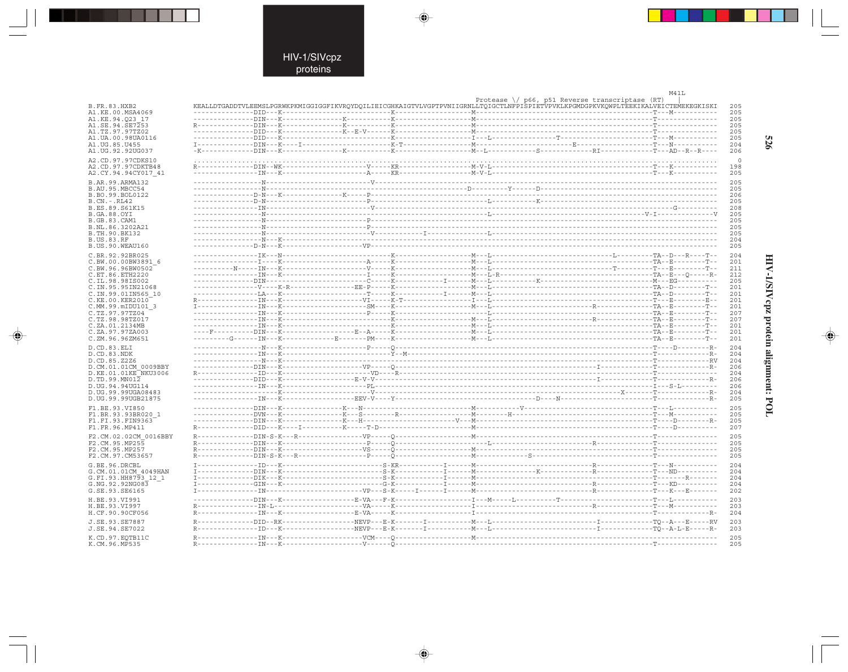$\blacklozenge$ 

 $\mathcal{A}$ 

|                                         |  |                                                                                                                                    | M41L        |
|-----------------------------------------|--|------------------------------------------------------------------------------------------------------------------------------------|-------------|
|                                         |  | Protease $\setminus$ p66, p51 Reverse transcriptase (RT)                                                                           |             |
| B.FR.83.HXB2<br>A1.KE.00.MSA4069        |  | KEALLDTGADDTVLEEMSLPGRWKPKMIGGIGGFIKVRQYDQILIEICGHKAIGTVLVGPTPVNIIGRNLLTQIGCTLNFPISPIETVPVKLKPGMDGPKVKQWPLTEEKIKALVEICTEMEKEGKISKI | 205<br>205  |
| A1.KE.94.023 17                         |  |                                                                                                                                    | 205         |
| A1.SE.94.SE7253                         |  |                                                                                                                                    | 205         |
| A1.TZ.97.97TZ02                         |  |                                                                                                                                    | 205         |
| A1.UA.00.98UA0116                       |  |                                                                                                                                    | 205         |
| A1.UG.85.U455                           |  |                                                                                                                                    | 204         |
| A1.UG.92.92UG037                        |  |                                                                                                                                    | 206         |
| A2.CD.97.97CDKS10                       |  |                                                                                                                                    |             |
| A2.CD.97.97CDKTB48                      |  |                                                                                                                                    | 198         |
| A2.CY.94.94CY017 41                     |  |                                                                                                                                    | 205         |
| B.AR.99.ARMA132                         |  |                                                                                                                                    | 205         |
| B.AU.95.MBCC54                          |  |                                                                                                                                    | 205<br>206  |
| B.BO.99.BOL0122<br>$B.CN.-.RL42$        |  |                                                                                                                                    | 205         |
| B.ES.89.S61K15                          |  |                                                                                                                                    | 208         |
| <b>B.GA.88.OYI</b>                      |  |                                                                                                                                    | 205         |
| B.GB.83.CAM1                            |  |                                                                                                                                    | 205         |
| B.NL.86.3202A21                         |  |                                                                                                                                    | 205         |
| B.TH.90.BK132<br><b>B.US.83.RF</b>      |  |                                                                                                                                    | 205<br>204  |
| B.US.90.WEAU160                         |  |                                                                                                                                    | 205         |
| C.BR.92.92BR025                         |  |                                                                                                                                    | 204         |
| C.BW.00.00BW3891 6                      |  |                                                                                                                                    | 201         |
| C.BW.96.96BW0502                        |  |                                                                                                                                    | 211         |
| C.ET.86.ETH2220                         |  |                                                                                                                                    | 212         |
| C.IL.98.98IS002                         |  |                                                                                                                                    | 205         |
| C.IN.95.95IN21068                       |  |                                                                                                                                    | 201         |
| C.IN.99.01IN565 10                      |  |                                                                                                                                    | 201<br>2.01 |
| C.KE.00.KER2010<br>C.MM.99.mIDU101 3    |  |                                                                                                                                    | 201         |
| C.TZ.97.97TZ04                          |  |                                                                                                                                    | 207         |
| C.TZ.98.98TZ017                         |  |                                                                                                                                    | 207         |
| C.ZA.01.2134MB                          |  |                                                                                                                                    | 201         |
| C.ZA.97.97ZA003                         |  |                                                                                                                                    | 201         |
| C.ZM.96.96ZM651                         |  |                                                                                                                                    | 201         |
| D.CD.83.ELI                             |  |                                                                                                                                    | 204         |
| D.CD.83.NDK                             |  |                                                                                                                                    | 204         |
| D.CD.85.Z2Z6<br>D.CM.01.01CM 0009BBY    |  |                                                                                                                                    | 204<br>206  |
| D.KE.01.01KE NKU3006                    |  |                                                                                                                                    | 204         |
| D.TD.99.MN012                           |  |                                                                                                                                    | 206         |
| D.UG.94.94UG114                         |  |                                                                                                                                    | 206         |
| D. UG. 99.99UGA08483                    |  |                                                                                                                                    | 204         |
| D.UG.99.99UGB21875                      |  |                                                                                                                                    | 205         |
| F1.BE.93.VI850                          |  |                                                                                                                                    | 205         |
| F1.BR.93.93BR020 1                      |  |                                                                                                                                    | 205         |
| F1.FI.93.FIN9363<br>F1.FR.96.MP411      |  |                                                                                                                                    | 205<br>207  |
|                                         |  |                                                                                                                                    |             |
| F2.CM.02.02CM 0016BBY<br>F2.CM.95.MP255 |  |                                                                                                                                    | 205<br>205  |
| F2.CM.95.MP257                          |  |                                                                                                                                    | 205         |
| F2.CM.97.CM53657                        |  |                                                                                                                                    | 205         |
| G.BE.96.DRCBL                           |  |                                                                                                                                    | 204         |
| G.CM.01.01CM 4049HAN                    |  |                                                                                                                                    | 204         |
| G.FI.93.HH8793 12 1                     |  |                                                                                                                                    | 204         |
| G.NG.92.92NG083                         |  |                                                                                                                                    | 204         |
| G.SE.93.SE6165                          |  |                                                                                                                                    | 202         |
| H.BE.93.VI991                           |  |                                                                                                                                    | 203         |
| H.BE.93.VI997                           |  |                                                                                                                                    | 203         |
| H.CF.90.90CF056                         |  |                                                                                                                                    | 204         |
| J.SE.93.SE7887                          |  |                                                                                                                                    | 203         |
| J.SE.94.SE7022                          |  |                                                                                                                                    | 203         |
| K.CD.97.EOTB11C                         |  |                                                                                                                                    | 205         |
| K.CM.96.MP535                           |  |                                                                                                                                    | 205         |

 $\blacklozenge$ 

 $\Rightarrow$ 

526

Ι

# HIV-1/SIVcpz protein alignment: POL

 $\begin{picture}(20,5) \put(0,0){\line(1,0){10}} \put(15,0){\line(1,0){10}} \put(15,0){\line(1,0){10}} \put(15,0){\line(1,0){10}} \put(15,0){\line(1,0){10}} \put(15,0){\line(1,0){10}} \put(15,0){\line(1,0){10}} \put(15,0){\line(1,0){10}} \put(15,0){\line(1,0){10}} \put(15,0){\line(1,0){10}} \put(15,0){\line(1,0){10}} \put(15,0){\line(1,$ 

 $\overline{\phantom{0}}$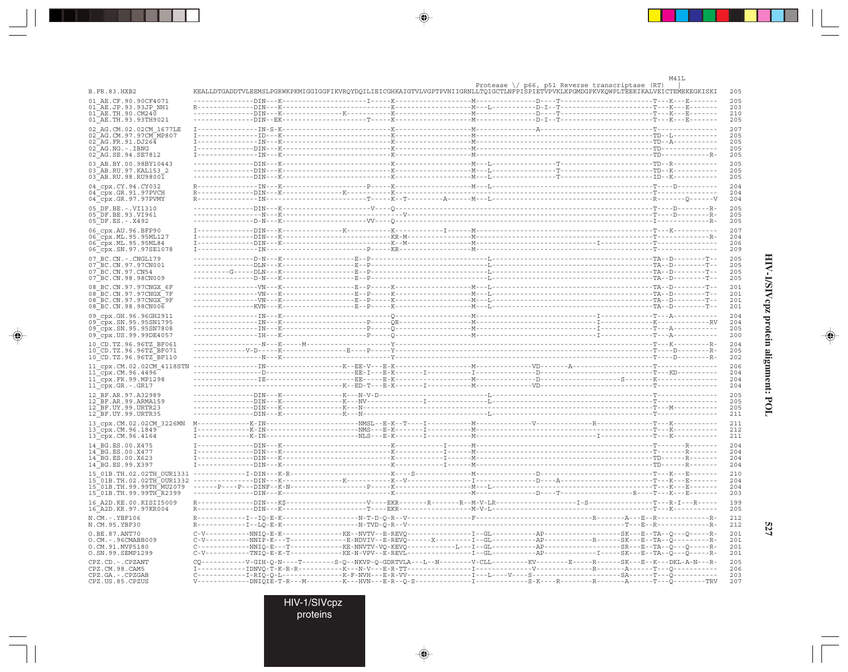527

◈

 $\blacksquare$ 

|                                                                                |                      |                                                                                                                                                                                                                                                                                                                                                                                                                                                                                              | M41L |
|--------------------------------------------------------------------------------|----------------------|----------------------------------------------------------------------------------------------------------------------------------------------------------------------------------------------------------------------------------------------------------------------------------------------------------------------------------------------------------------------------------------------------------------------------------------------------------------------------------------------|------|
| B.FR.83.HXB2                                                                   |                      | Protease $\setminus$ p66, p51 Reverse transcriptase (RT)<br>KEALLDTGADDTVLEEMSLPGRWKPKMIGGIGGFIKVRQYDQILIEICGHKAIGTVLVGPTPVNIIGRNLLTQIGCTLNFPISPIETVPVKLKPGMDGPKVKQWPLTEEKIKALVEICTEMEKEGKISKI                                                                                                                                                                                                                                                                                               |      |
| 01 AE.CF.90.90CF4071                                                           |                      |                                                                                                                                                                                                                                                                                                                                                                                                                                                                                              |      |
| 01 AE.JP.93.93JP NH1                                                           |                      |                                                                                                                                                                                                                                                                                                                                                                                                                                                                                              |      |
| $01\overline{AE}$ . TH. 90. CM240                                              |                      |                                                                                                                                                                                                                                                                                                                                                                                                                                                                                              |      |
| 01 AE.TH.93.93TH9021                                                           |                      |                                                                                                                                                                                                                                                                                                                                                                                                                                                                                              |      |
| 02 AG.CM.02.02CM 1677LE                                                        |                      |                                                                                                                                                                                                                                                                                                                                                                                                                                                                                              |      |
| 02 AG. CM. 97. 97 CM MP807                                                     |                      |                                                                                                                                                                                                                                                                                                                                                                                                                                                                                              |      |
| 02 AG.FR.91.DJ264                                                              |                      |                                                                                                                                                                                                                                                                                                                                                                                                                                                                                              |      |
| $02$ $AG.NG. - . IBNG$                                                         |                      |                                                                                                                                                                                                                                                                                                                                                                                                                                                                                              |      |
| 02 AG. SE. 94. SE7812                                                          |                      |                                                                                                                                                                                                                                                                                                                                                                                                                                                                                              |      |
| 03 AB.BY.00.98BY10443                                                          |                      |                                                                                                                                                                                                                                                                                                                                                                                                                                                                                              |      |
| 03 AB.RU.97. KAL153 2                                                          |                      |                                                                                                                                                                                                                                                                                                                                                                                                                                                                                              |      |
| 03_AB.RU.98.RU98001                                                            |                      |                                                                                                                                                                                                                                                                                                                                                                                                                                                                                              |      |
|                                                                                |                      |                                                                                                                                                                                                                                                                                                                                                                                                                                                                                              |      |
| 04_cpx.CY.94.CY032<br>04_cpx.GR.91.97PVCH                                      |                      |                                                                                                                                                                                                                                                                                                                                                                                                                                                                                              |      |
| 04_cpx.GR.97.97PVMY                                                            |                      |                                                                                                                                                                                                                                                                                                                                                                                                                                                                                              |      |
|                                                                                |                      |                                                                                                                                                                                                                                                                                                                                                                                                                                                                                              |      |
| 05 DF.BE. -. VI1310                                                            |                      |                                                                                                                                                                                                                                                                                                                                                                                                                                                                                              |      |
| 05 DF.BE.93.VI961                                                              |                      |                                                                                                                                                                                                                                                                                                                                                                                                                                                                                              |      |
| $05^{\circ}$ DF.ES. - . X492                                                   |                      |                                                                                                                                                                                                                                                                                                                                                                                                                                                                                              |      |
| 06 cpx.AU.96.BFP90                                                             |                      |                                                                                                                                                                                                                                                                                                                                                                                                                                                                                              |      |
| 06 cpx.ML.95.95ML127                                                           |                      |                                                                                                                                                                                                                                                                                                                                                                                                                                                                                              |      |
| 06 cpx.ML.95.95ML84                                                            |                      |                                                                                                                                                                                                                                                                                                                                                                                                                                                                                              |      |
| 06_cpx.SN.97.97SE1078                                                          |                      |                                                                                                                                                                                                                                                                                                                                                                                                                                                                                              |      |
| 07 BC.CN. - . CNGL179                                                          |                      |                                                                                                                                                                                                                                                                                                                                                                                                                                                                                              |      |
| 07 BC. CN. 97. 97 CN001                                                        |                      |                                                                                                                                                                                                                                                                                                                                                                                                                                                                                              |      |
| 07 BC.CN.97.CN54                                                               |                      |                                                                                                                                                                                                                                                                                                                                                                                                                                                                                              |      |
| 07 BC.CN.98.98CN009                                                            |                      |                                                                                                                                                                                                                                                                                                                                                                                                                                                                                              |      |
| 08 BC.CN.97.97CNGX 6F                                                          |                      |                                                                                                                                                                                                                                                                                                                                                                                                                                                                                              |      |
| 08 BC.CN.97.97CNGX 7F                                                          |                      |                                                                                                                                                                                                                                                                                                                                                                                                                                                                                              |      |
| 08 BC.CN.97.97CNGX 9F                                                          |                      |                                                                                                                                                                                                                                                                                                                                                                                                                                                                                              |      |
| 08 BC.CN.98.98CN006                                                            |                      |                                                                                                                                                                                                                                                                                                                                                                                                                                                                                              |      |
|                                                                                |                      |                                                                                                                                                                                                                                                                                                                                                                                                                                                                                              |      |
| 09_cpx.GH.96.96GH2911                                                          |                      |                                                                                                                                                                                                                                                                                                                                                                                                                                                                                              |      |
| 09 cpx.SN.95.95SN1795                                                          |                      |                                                                                                                                                                                                                                                                                                                                                                                                                                                                                              |      |
| 09 cpx.SN.95.95SN7808                                                          |                      |                                                                                                                                                                                                                                                                                                                                                                                                                                                                                              |      |
| 09_cpx.US.99.99DE4057                                                          |                      |                                                                                                                                                                                                                                                                                                                                                                                                                                                                                              |      |
| 10 CD.TZ.96.96TZ BF061                                                         |                      |                                                                                                                                                                                                                                                                                                                                                                                                                                                                                              |      |
| 10 CD. TZ. 96. 96TZ BF071                                                      |                      |                                                                                                                                                                                                                                                                                                                                                                                                                                                                                              |      |
| 10 CD.TZ.96.96TZ BF110                                                         |                      |                                                                                                                                                                                                                                                                                                                                                                                                                                                                                              |      |
| 11 cpx.CM.02.02CM 4118STN                                                      |                      |                                                                                                                                                                                                                                                                                                                                                                                                                                                                                              |      |
| $11$ <sup><math>Cpx</math></sup> . CM. 96.4496                                 |                      |                                                                                                                                                                                                                                                                                                                                                                                                                                                                                              |      |
| 11 cpx.FR.99.MP1298                                                            |                      |                                                                                                                                                                                                                                                                                                                                                                                                                                                                                              |      |
| $11$ $Cpx.GR.-.GR17$                                                           |                      |                                                                                                                                                                                                                                                                                                                                                                                                                                                                                              |      |
| 12 BF.AR.97.A32989                                                             |                      |                                                                                                                                                                                                                                                                                                                                                                                                                                                                                              |      |
| 12 BF.AR.99.ARMA159                                                            |                      |                                                                                                                                                                                                                                                                                                                                                                                                                                                                                              |      |
| 12 BF.UY.99.URTR23                                                             |                      |                                                                                                                                                                                                                                                                                                                                                                                                                                                                                              |      |
| 12 BF.UY.99.URTR35                                                             |                      |                                                                                                                                                                                                                                                                                                                                                                                                                                                                                              |      |
|                                                                                |                      |                                                                                                                                                                                                                                                                                                                                                                                                                                                                                              |      |
| 13 cpx.CM.02.02CM 3226MN                                                       |                      |                                                                                                                                                                                                                                                                                                                                                                                                                                                                                              |      |
| 13 cpx.CM.96.1849                                                              |                      |                                                                                                                                                                                                                                                                                                                                                                                                                                                                                              |      |
| 13 cpx.CM.96.4164                                                              |                      |                                                                                                                                                                                                                                                                                                                                                                                                                                                                                              |      |
| 14 BG.ES.00.X475                                                               |                      |                                                                                                                                                                                                                                                                                                                                                                                                                                                                                              |      |
| 14 BG.ES.00.X477                                                               |                      |                                                                                                                                                                                                                                                                                                                                                                                                                                                                                              |      |
| 14 BG.ES.00.X623                                                               |                      |                                                                                                                                                                                                                                                                                                                                                                                                                                                                                              |      |
| 14 BG.ES.99.X397                                                               |                      |                                                                                                                                                                                                                                                                                                                                                                                                                                                                                              |      |
|                                                                                |                      |                                                                                                                                                                                                                                                                                                                                                                                                                                                                                              |      |
|                                                                                |                      |                                                                                                                                                                                                                                                                                                                                                                                                                                                                                              |      |
|                                                                                |                      |                                                                                                                                                                                                                                                                                                                                                                                                                                                                                              |      |
| 15 01B. TH. 99. 99TH R2399                                                     |                      |                                                                                                                                                                                                                                                                                                                                                                                                                                                                                              |      |
| 16 A2D. KE. 00. KISII5009                                                      |                      | $-V---EKR---P---R---P--N--M--U--LR------------------I-S-$                                                                                                                                                                                                                                                                                                                                                                                                                                    |      |
| 16 A2D. KR. 97. 97KR004                                                        |                      |                                                                                                                                                                                                                                                                                                                                                                                                                                                                                              |      |
|                                                                                |                      |                                                                                                                                                                                                                                                                                                                                                                                                                                                                                              |      |
| $N.CM. - .YBF106$                                                              |                      |                                                                                                                                                                                                                                                                                                                                                                                                                                                                                              |      |
| N.CM.95.YBF30                                                                  |                      |                                                                                                                                                                                                                                                                                                                                                                                                                                                                                              |      |
| O.BE.87.ANT70                                                                  |                      |                                                                                                                                                                                                                                                                                                                                                                                                                                                                                              |      |
| O.CM. - . 96CMABB009                                                           |                      | $\texttt{C-V}--\texttt{---}-\texttt{NNIQ-E-K}--\texttt{---}-\texttt{---}-\texttt{KE}-\texttt{NVTV}--E-\texttt{REVQ}---\texttt{---}-\texttt{---}-\texttt{--GL}--\texttt{---}-\texttt{AP}-\texttt{---}-\texttt{---}-\texttt{--GL}-\texttt{---}-\texttt{--Q}-\texttt{---}-\texttt{--G-L}-\texttt{--G-L}-\texttt{--G-L}-\texttt{--G-L}-\texttt{--G-L}-\texttt{--G-L}-\texttt{--G-L}-\texttt{--G-L}-\texttt{--G-L}-\texttt{--G-L}-\texttt{--G-L}-\$                                               |      |
|                                                                                |                      | C-------------NNIQ-E---T-----------KE-NNVTV-VQ-KEVQ------------L---I--GL------------AP-----------------SR---E--TA--Q----Q------R-                                                                                                                                                                                                                                                                                                                                                            |      |
| O.CM.91.MVP5180                                                                | ----------TNTO-E-K-T |                                                                                                                                                                                                                                                                                                                                                                                                                                                                                              |      |
|                                                                                |                      |                                                                                                                                                                                                                                                                                                                                                                                                                                                                                              |      |
|                                                                                |                      |                                                                                                                                                                                                                                                                                                                                                                                                                                                                                              |      |
|                                                                                |                      | $\verb CQ-----------V-GIH-Q-N---------S-Q--NNVP-Q-GDRTVLA---N-----N-------V-CLL------KV-----E---R---R---R---SK---S-K---B-K---DKL-A-N---R-$                                                                                                                                                                                                                                                                                                                                                   |      |
| O.SN.99.SEMP1299<br>CPZ.CD. - . CPZANT<br>CPZ.CM.98.CAM5<br>CPZ.GA. - . CPZGAB |                      | $\texttt{I}\texttt{-----} = \texttt{IDNVQ-} \texttt{T-K-R-R} \texttt{---} \texttt{---} \texttt{---} \texttt{---} \texttt{---} \texttt{---} \texttt{---} \texttt{---} \texttt{---} \texttt{---} \texttt{---} \texttt{---} \texttt{---} \texttt{---} \texttt{---} \texttt{---} \texttt{---} \texttt{---} \texttt{---} \texttt{---} \texttt{---} \texttt{---} \texttt{---} \texttt{---} \texttt{---} \texttt{---} \texttt{---} \texttt{---} \texttt{---} \texttt{---} \texttt{---} \texttt{---$ |      |

◈

 $\overline{\blacklozenge}$ 

HIV-1/SIVcpz<br>proteins

 $\bigoplus$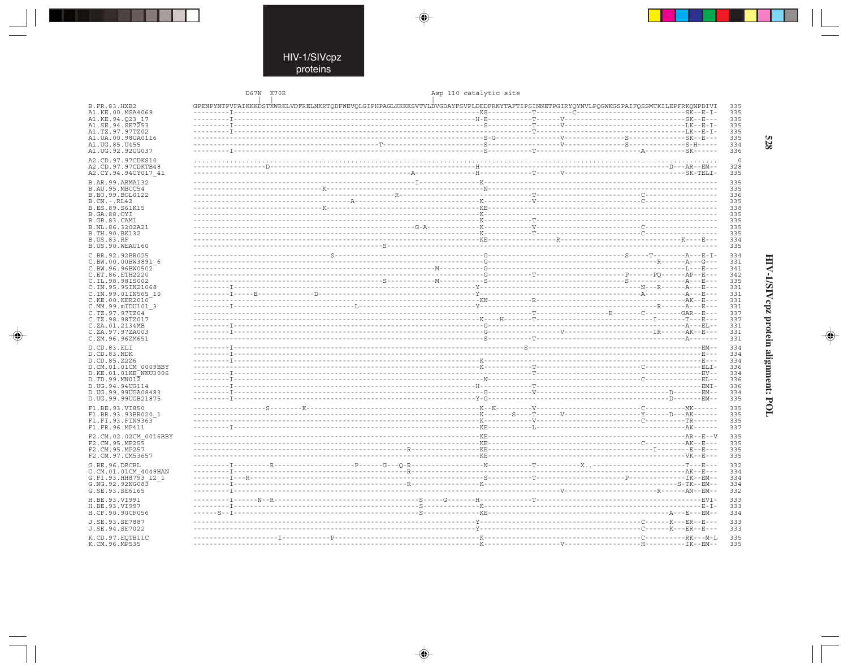$\overline{\blacklozenge}$ 

 $\mathbb{R}^2$ 

|                                         | D67N K70R                                                                                                                          |                            | Asp 110 catalytic site |  |            |
|-----------------------------------------|------------------------------------------------------------------------------------------------------------------------------------|----------------------------|------------------------|--|------------|
| B. FR. 83. HXB2                         | GPENPYNTPVFAIKKKDSTKWRKLVDFRELNKRTQDFWEVQLGIPHPAGLKKKKSVTVLDVGDAYFSVPLDEDFRKYTAFTIPSINNETPGIRYQYNVLPQGWKGSPAIFQSSMTKILEPFRKQNPDIVI |                            |                        |  | 335        |
| A1.KE.00.MSA4069                        |                                                                                                                                    |                            |                        |  | 335        |
| A1.KE.94.023 17                         |                                                                                                                                    |                            |                        |  | 335        |
| A1.SE.94.SE7253                         |                                                                                                                                    |                            |                        |  | 335        |
| A1.TZ.97.97TZ02<br>A1.UA.00.98UA0116    |                                                                                                                                    |                            |                        |  | 335<br>335 |
| A1.UG.85.U455                           |                                                                                                                                    |                            |                        |  | 334        |
| A1.UG.92.92UG037                        |                                                                                                                                    |                            |                        |  | 336        |
| A2.CD.97.97CDKS10                       |                                                                                                                                    |                            |                        |  |            |
| A2.CD.97.97CDKTB48                      |                                                                                                                                    |                            |                        |  | 328        |
| A2.CY.94.94CY017 41                     |                                                                                                                                    |                            |                        |  | 335        |
| B.AR.99.ARMA132                         |                                                                                                                                    |                            |                        |  | 335        |
| B.AU.95.MBCC54                          |                                                                                                                                    |                            |                        |  | 335        |
| B.BO.99.BOL0122                         |                                                                                                                                    |                            |                        |  | 336        |
| $B.CN.-.RL42$<br>B.ES.89.S61K15         |                                                                                                                                    |                            |                        |  | 335<br>338 |
| <b>B.GA.88.OYI</b>                      |                                                                                                                                    |                            |                        |  | 335        |
| <b>B.GB.83.CAM1</b>                     |                                                                                                                                    |                            |                        |  | 335        |
| B.NL.86.3202A21                         |                                                                                                                                    |                            |                        |  | 335        |
| B.TH.90.BK132<br><b>B.US.83.RF</b>      |                                                                                                                                    |                            |                        |  | 335<br>334 |
| B.US.90.WEAU160                         |                                                                                                                                    |                            |                        |  | 335        |
|                                         |                                                                                                                                    |                            |                        |  |            |
| C.BR.92.92BR025<br>C.BW.00.00BW3891 6   |                                                                                                                                    |                            |                        |  | 334<br>331 |
| C.BW.96.96BW0502                        |                                                                                                                                    |                            |                        |  | 341        |
| C.ET.86.ETH2220                         |                                                                                                                                    |                            |                        |  | 342        |
| C.IL.98.98IS002                         |                                                                                                                                    |                            |                        |  | 335        |
| C.IN.95.95IN21068<br>C.IN.99.01IN565 10 |                                                                                                                                    |                            |                        |  | 331<br>331 |
| C.KE.00.KER2010                         |                                                                                                                                    |                            |                        |  | 331        |
| C.MM.99.mIDU101 3                       |                                                                                                                                    |                            |                        |  | 331        |
| C.TZ.97.97TZ04                          |                                                                                                                                    |                            |                        |  | 337        |
| C.TZ.98.98TZ017                         |                                                                                                                                    |                            |                        |  | 337        |
| C.ZA.01.2134MB<br>C.ZA.97.97ZA003       |                                                                                                                                    |                            |                        |  | 331<br>331 |
| C.ZM.96.96ZM651                         |                                                                                                                                    |                            |                        |  | 331        |
| D.CD.83.ELI                             |                                                                                                                                    |                            |                        |  | 334        |
| D.CD.83.NDK                             |                                                                                                                                    |                            |                        |  | 334        |
| D.CD.85.Z2Z6                            |                                                                                                                                    |                            |                        |  | 334        |
| D.CM.01.01CM 0009BBY                    |                                                                                                                                    |                            |                        |  | 336        |
| D.KE.01.01KE NKU3006<br>D.TD.99.MN012   |                                                                                                                                    |                            |                        |  | 334<br>336 |
| D.UG.94.94UG114                         |                                                                                                                                    |                            |                        |  | 336        |
| D. UG. 99.99UGA08483                    |                                                                                                                                    |                            |                        |  | 334        |
| D.UG.99.99UGB21875                      |                                                                                                                                    |                            |                        |  | 335        |
| F1.BE.93.VI850                          |                                                                                                                                    |                            |                        |  | 335        |
| F1.BR.93.93BR020 1                      |                                                                                                                                    |                            |                        |  | 335        |
| F1.FI.93.FIN9363                        |                                                                                                                                    |                            |                        |  | 335<br>337 |
| F1.FR.96.MP411                          |                                                                                                                                    |                            |                        |  |            |
| F2.CM.02.02CM 0016BBY<br>F2.CM.95.MP255 |                                                                                                                                    |                            |                        |  | 335<br>335 |
| F2.CM.95.MP257                          |                                                                                                                                    |                            |                        |  | 335        |
| F2.CM.97.CM53657                        |                                                                                                                                    | -----------------------KR- |                        |  | 335        |
| G.BE.96.DRCBL                           |                                                                                                                                    |                            |                        |  | 332        |
| G.CM.01.01CM 4049HAN                    |                                                                                                                                    |                            |                        |  | 334        |
| G.FI.93.HH8793 12 1                     |                                                                                                                                    |                            |                        |  | 334        |
| G.NG.92.92NG083                         |                                                                                                                                    |                            |                        |  | 334        |
| G.SE.93.SE6165                          |                                                                                                                                    |                            |                        |  | 332        |
| H.BE.93.VI991                           |                                                                                                                                    |                            |                        |  | 333        |
| H.BE.93.VI997<br>H.CF.90.90CF056        |                                                                                                                                    |                            |                        |  | 333<br>334 |
|                                         |                                                                                                                                    |                            |                        |  |            |
| J.SE.93.SE7887<br>J.SE.94.SE7022        |                                                                                                                                    |                            |                        |  | 333<br>333 |
|                                         |                                                                                                                                    |                            |                        |  |            |
| K.CD.97.EOTB11C<br>K.CM.96.MP535        |                                                                                                                                    |                            |                        |  | 335<br>335 |

 $\blacklozenge$ 

 $\Rightarrow$ 

HIV-1/SIVcpz protein alignment: POL

 $\begin{picture}(20,5) \put(0,0){\line(1,0){10}} \put(15,0){\line(1,0){10}} \put(15,0){\line(1,0){10}} \put(15,0){\line(1,0){10}} \put(15,0){\line(1,0){10}} \put(15,0){\line(1,0){10}} \put(15,0){\line(1,0){10}} \put(15,0){\line(1,0){10}} \put(15,0){\line(1,0){10}} \put(15,0){\line(1,0){10}} \put(15,0){\line(1,0){10}} \put(15,0){\line(1,$ 

 $\overline{\phantom{0}}$ 

Ι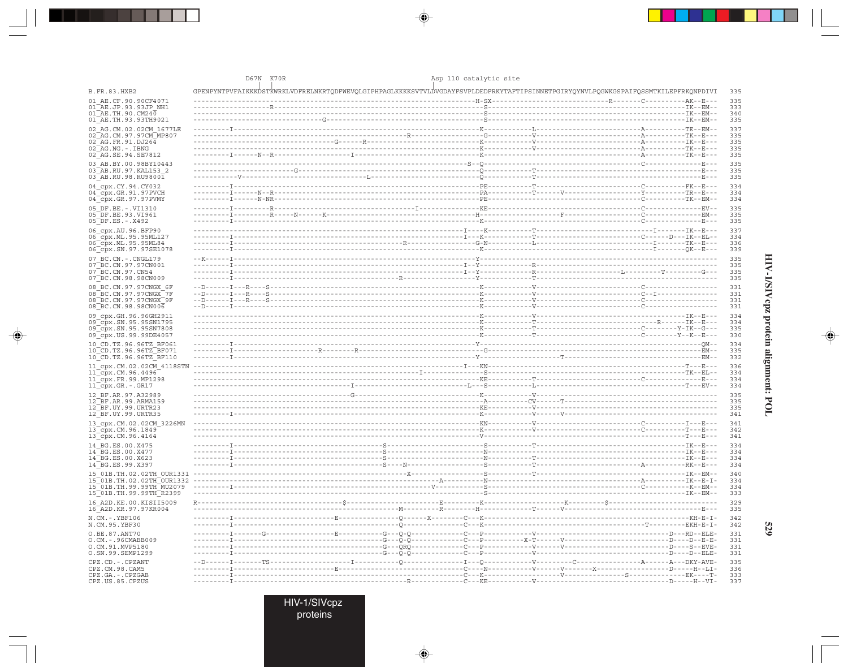|                                                                                                   | D67N K70R                                                                                                                          | Asp 110 catalytic site |                          |
|---------------------------------------------------------------------------------------------------|------------------------------------------------------------------------------------------------------------------------------------|------------------------|--------------------------|
| <b>B.FR.83.HXB2</b>                                                                               | GPENPYNTPVFAIKKKDSTKWRKLVDFRELNKRTQDFWEVQLGIPHPAGLKKKKSVTVLDVGDAYFSVPLDEDFRKYTAFTIPSINNETPGIRYQYNVLPQGWKGSPAIFQSSMTKILEPFRKQNPDIVI |                        | 335                      |
| 01 AE.CF.90.90CF4071<br>01 AE.JP.93.93JP NH1<br>$01^{\text{--}}$ AE.TH.90.CM240                   |                                                                                                                                    |                        | 335<br>333<br>340        |
| 01 AE.TH.93.93TH9021<br>02 AG.CM.02.02CM 1677LE                                                   |                                                                                                                                    |                        | 335<br>337<br>335        |
| 02 AG. CM. 97. 97 CM MP807<br>02 AG.FR.91.DJ264<br>$02$ $AG$ . NG. - . IBNG<br>02 AG.SE.94.SE7812 |                                                                                                                                    |                        | 335<br>335<br>335        |
| 03 AB.BY.00.98BY10443<br>03 AB.RU.97.KAL153 2                                                     |                                                                                                                                    |                        | 335<br>335               |
| 03 AB.RU.98.RU98001<br>04 cpx.CY.94.CY032<br>$04$ $cpx.GR.91.97$ PVCH                             |                                                                                                                                    |                        | 335<br>334<br>334        |
| 04 Cpx.GR.97.97PVMY<br>05 DF.BE. -. VI1310<br>05 DF.BE.93.VI961                                   |                                                                                                                                    |                        | 334<br>335<br>335        |
| $05\overline{DF.ES}$ . - . X492<br>06 cpx.AU.96.BFP90                                             |                                                                                                                                    |                        | 335<br>337               |
| 06 cpx.ML.95.95ML127<br>06 Cpx.ML.95.95ML84<br>06_cpx.SN.97.97SE1078                              |                                                                                                                                    |                        | 334<br>336<br>339        |
| 07 BC.CN. - . CNGL179<br>07 BC. CN. 97. 97 CN001<br>07 BC.CN.97.CN54                              |                                                                                                                                    |                        | 335<br>335<br>335        |
| 07 BC.CN.98.98CN009<br>08 BC.CN.97.97CNGX 6F<br>08 BC.CN.97.97CNGX 7F<br>08 BC.CN.97.97CNGX 9F    |                                                                                                                                    |                        | 335<br>331<br>331<br>331 |
| 08 BC.CN.98.98CN006<br>09 cpx.GH.96.96GH2911                                                      |                                                                                                                                    |                        | 331<br>334               |
| 09 cpx.SN.95.95SN1795<br>09 cpx.SN.95.95SN7808<br>09 cpx. US. 99. 99DE4057                        |                                                                                                                                    |                        | 334<br>335<br>330        |
| 10 CD.TZ.96.96TZ BF061<br>10 CD.TZ.96.96TZ BF071<br>10 CD.TZ.96.96TZ BF110                        |                                                                                                                                    |                        | 334<br>335<br>332        |
| 11_cpx.CM.02.02CM_4118STN<br>11_cpx.CM.96.4496<br>11 cpx.FR.99.MP1298<br>11_cpx.GR.-.GR17         |                                                                                                                                    |                        | 336<br>334<br>334<br>334 |
| 12 BF.AR.97.A32989<br>12 BF.AR.99.ARMA159<br>12_BF.UY.99.URTR23                                   |                                                                                                                                    |                        | 335<br>335<br>335        |
| 12 BF.UY.99.URTR35<br>13 cpx.CM.02.02CM 3226MN                                                    |                                                                                                                                    |                        | 341<br>341               |
| 13 cpx.CM.96.1849<br>13 Cpx.CM.96.4164<br>14 BG.ES.00.X475                                        |                                                                                                                                    |                        | 342<br>341<br>334        |
| 14 BG.ES.00.X477<br>14 BG.ES.00.X623<br>14 BG.ES.99.X397                                          |                                                                                                                                    |                        | 334<br>334<br>334        |
| 15 01B.TH.02.02TH OUR1331<br>15 01B.TH.99.99TH MU2079<br>15 01B. TH. 99. 99TH R2399               |                                                                                                                                    |                        | 340<br>334<br>334<br>333 |
| 16 A2D. KE. 00. KISII5009<br>16 A2D.KR.97.97KR004                                                 |                                                                                                                                    |                        | 329<br>335               |
| N.CM. - . YBF106<br>N.CM.95.YBF30                                                                 |                                                                                                                                    |                        | 342<br>342               |
| O.BE.87.ANT70<br>O.CM. - . 96CMABB009<br>O.CM.91.MVP5180                                          |                                                                                                                                    |                        | 331<br>331<br>331        |
| O.SN.99.SEMP1299<br>CPZ.CD. - . CPZANT<br>CPZ.CM.98.CAM5<br>CPZ.GA.-.CPZGAB                       |                                                                                                                                    |                        | 331<br>335<br>336<br>333 |
| CPZ.US.85.CPZUS                                                                                   |                                                                                                                                    |                        | 337                      |

 $\blacklozenge$ 

 $\begin{picture}(20,5) \put(0,0){\vector(0,1){10}} \put(15,0){\vector(0,1){10}} \put(15,0){\vector(0,1){10}} \put(15,0){\vector(0,1){10}} \put(15,0){\vector(0,1){10}} \put(15,0){\vector(0,1){10}} \put(15,0){\vector(0,1){10}} \put(15,0){\vector(0,1){10}} \put(15,0){\vector(0,1){10}} \put(15,0){\vector(0,1){10}} \put(15,0){\vector(0,1){10}} \put(15,0){\vector(0,$ 

. . . .

 $\overrightarrow{\phantom{a}}$ 

HIV-1/SIVcpz protein alignment: POL

 $\begin{picture}(20,5) \put(0,0){\line(1,0){10}} \put(15,0){\line(1,0){10}} \put(15,0){\line(1,0){10}} \put(15,0){\line(1,0){10}} \put(15,0){\line(1,0){10}} \put(15,0){\line(1,0){10}} \put(15,0){\line(1,0){10}} \put(15,0){\line(1,0){10}} \put(15,0){\line(1,0){10}} \put(15,0){\line(1,0){10}} \put(15,0){\line(1,0){10}} \put(15,0){\line(1,$ 

 $\overline{\phantom{0}}$ 

H

529

HIV-1/SIVcpz<br>proteins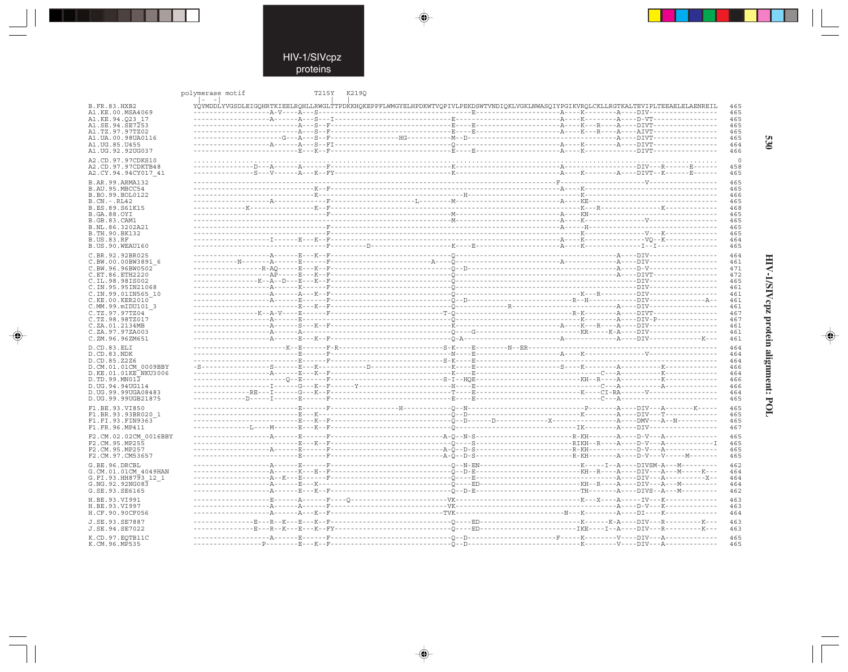$\Rightarrow$ 

|                                         | polymerase motif                                                                                                                   | T215Y<br>K2190 |  |  |            |
|-----------------------------------------|------------------------------------------------------------------------------------------------------------------------------------|----------------|--|--|------------|
| <b>B.FR.83.HXB2</b><br>A1.KE.00.MSA4069 | YÓYMDDLYVGSDLEIGOHRTKIEELROHLLRWGLTTPDKKHOKEPPFLWMGYELHPDKWTVOPIVLPEKDSWTVNDIOKLVGKLNWASOIYPGIKVROLCKLLRGTKALTEVIPLTEEAELELAENREIL |                |  |  | 465<br>465 |
| A1.KE.94.O23 17                         |                                                                                                                                    |                |  |  | 465        |
|                                         |                                                                                                                                    |                |  |  |            |
| A1.SE.94.SE7253                         |                                                                                                                                    |                |  |  | 465        |
| A1.TZ.97.97TZ02                         |                                                                                                                                    |                |  |  | 465        |
| A1.UA.00.98UA0116                       |                                                                                                                                    |                |  |  | 465        |
| A1. UG. 85. U455                        |                                                                                                                                    |                |  |  | 464        |
| A1.UG.92.92UG037                        |                                                                                                                                    |                |  |  | 466        |
| A2.CD.97.97CDKS10                       |                                                                                                                                    |                |  |  | $\circ$    |
|                                         |                                                                                                                                    |                |  |  |            |
| A2.CD.97.97CDKTB48                      |                                                                                                                                    |                |  |  | 458        |
| A2.CY.94.94CY017 41                     |                                                                                                                                    |                |  |  | 465        |
| B.AR.99.ARMA132                         |                                                                                                                                    |                |  |  | 465        |
| B.AU.95.MBCC54                          |                                                                                                                                    |                |  |  | 465        |
| B.BO.99.BOL0122                         |                                                                                                                                    |                |  |  | 466        |
| $B.CN.-.RL42$                           |                                                                                                                                    |                |  |  | 465        |
| B.ES.89.S61K15                          |                                                                                                                                    |                |  |  | 468        |
| <b>B.GA.88.OYT</b>                      |                                                                                                                                    |                |  |  | 465        |
| <b>B.GB.83.CAM1</b>                     |                                                                                                                                    |                |  |  | 465        |
|                                         |                                                                                                                                    |                |  |  | 465        |
| B.NL.86.3202A21                         |                                                                                                                                    |                |  |  |            |
| B.TH.90.BK132                           |                                                                                                                                    |                |  |  | 465        |
| <b>B.US.83.RF</b>                       |                                                                                                                                    |                |  |  | 464        |
| B.US.90.WEAU160                         |                                                                                                                                    |                |  |  | 465        |
| C.BR.92.92BR025                         |                                                                                                                                    |                |  |  | 464        |
| C.BW.00.00BW3891 6                      |                                                                                                                                    |                |  |  | 461        |
| C.BW.96.96BW0502                        |                                                                                                                                    |                |  |  | 471        |
|                                         |                                                                                                                                    |                |  |  | 472        |
| C.ET.86.ETH2220                         |                                                                                                                                    |                |  |  |            |
| C.IL.98.98IS002                         |                                                                                                                                    |                |  |  | 465        |
| C.IN.95.95IN21068                       |                                                                                                                                    |                |  |  | 461        |
| C.IN.99.01IN565 10                      |                                                                                                                                    |                |  |  | 461        |
| C.KE.00.KER2010                         |                                                                                                                                    |                |  |  | 461        |
| C.MM.99.mIDU101 3                       |                                                                                                                                    |                |  |  | 461        |
| C.TZ.97.97TZ04                          |                                                                                                                                    |                |  |  | 467        |
| C.TZ.98.98TZ017                         |                                                                                                                                    |                |  |  | 467        |
| C.ZA.01.2134MB                          |                                                                                                                                    |                |  |  | 461        |
| C.ZA.97.97ZA003                         |                                                                                                                                    |                |  |  | 461        |
| C.ZM.96.96ZM651                         |                                                                                                                                    |                |  |  | 461        |
| D.CD.83.ELI                             |                                                                                                                                    |                |  |  | 464        |
|                                         |                                                                                                                                    |                |  |  |            |
| D.CD.83.NDK                             |                                                                                                                                    |                |  |  | 464        |
| D.CD.85.Z2Z6                            |                                                                                                                                    |                |  |  | 464        |
| D.CM.01.01CM 0009BBY                    |                                                                                                                                    |                |  |  | 466        |
| D.KE.01.01KE NKU3006                    |                                                                                                                                    |                |  |  | 464        |
| D.TD.99.MNO12                           |                                                                                                                                    |                |  |  | 466        |
| D.UG.94.94UG114                         |                                                                                                                                    |                |  |  | 466        |
| D.UG.99.99UGA08483                      |                                                                                                                                    |                |  |  | 464        |
| D.UG.99.99UGB21875                      |                                                                                                                                    |                |  |  | 465        |
| F1.BE.93.VI850                          |                                                                                                                                    |                |  |  | 465        |
|                                         |                                                                                                                                    |                |  |  | 465        |
| F1.BR.93.93BR020 1                      |                                                                                                                                    |                |  |  |            |
| F1.FI.93.FIN9363                        |                                                                                                                                    |                |  |  | 465        |
| F1.FR.96.MP411                          |                                                                                                                                    |                |  |  | 467        |
| F2.CM.02.02CM 0016BBY                   |                                                                                                                                    |                |  |  | 465        |
| F2.CM.95.MP255                          |                                                                                                                                    |                |  |  | 465        |
| F2.CM.95.MP257                          |                                                                                                                                    |                |  |  | 465        |
| F2.CM.97.CM53657                        |                                                                                                                                    |                |  |  | 465        |
|                                         |                                                                                                                                    |                |  |  |            |
| G.BE.96.DRCBL                           |                                                                                                                                    |                |  |  | 462        |
| G.CM.01.01CM 4049HAN                    |                                                                                                                                    |                |  |  | 464        |
| G.FI.93.HH8793 12 1                     |                                                                                                                                    |                |  |  | 464        |
| G.NG.92.92NG083                         |                                                                                                                                    |                |  |  | 464        |
| G.SE.93.SE6165                          |                                                                                                                                    |                |  |  | 462        |
|                                         |                                                                                                                                    |                |  |  |            |
| H.BE.93.VI991                           |                                                                                                                                    |                |  |  | 463        |
| H.BE.93.VI997                           |                                                                                                                                    |                |  |  | 463        |
| H.CF.90.90CF056                         |                                                                                                                                    |                |  |  | 464        |
| J.SE.93.SE7887                          |                                                                                                                                    |                |  |  | 463        |
| J.SE.94.SE7022                          |                                                                                                                                    |                |  |  | 463        |
|                                         |                                                                                                                                    |                |  |  |            |
| K.CD.97.EQTB11C                         |                                                                                                                                    |                |  |  | 465        |
| K.CM.96.MP535                           |                                                                                                                                    |                |  |  | 465        |

 $\begin{picture}(20,5) \put(0,0){\line(1,0){10}} \put(15,0){\line(1,0){10}} \put(15,0){\line(1,0){10}} \put(15,0){\line(1,0){10}} \put(15,0){\line(1,0){10}} \put(15,0){\line(1,0){10}} \put(15,0){\line(1,0){10}} \put(15,0){\line(1,0){10}} \put(15,0){\line(1,0){10}} \put(15,0){\line(1,0){10}} \put(15,0){\line(1,0){10}} \put(15,0){\line(1,$ 

 $\Rightarrow$ 

530

 $\Rightarrow$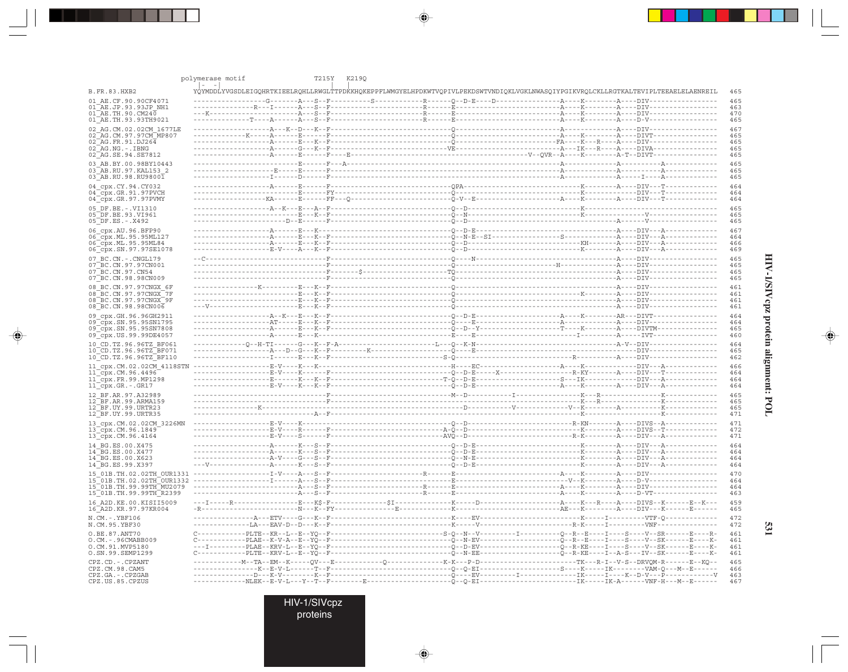|                                                | polymerase motif        | T215Y K2190                                                                                                                        |  |  |
|------------------------------------------------|-------------------------|------------------------------------------------------------------------------------------------------------------------------------|--|--|
| <b>B.FR.83.HXB2</b>                            | $\vert - \vert - \vert$ | YQYMDDLYVGSDLEIGQHRTKIEELRQHLLRWGLTTPDKKHQKEPPFLWMGYELHPDKWTVQPIVLPEKDSWTVNDIQKLVGKLNWASQIYPGIKVRQLCKLLRGTKALTEVIPLTEEAELELAENREIL |  |  |
| 01 AE.CF.90.90CF4071                           |                         |                                                                                                                                    |  |  |
| 01 AE.JP.93.93JP NH1                           |                         |                                                                                                                                    |  |  |
| 01 AE.TH.90.CM240<br>01 AE.TH.93.93TH9021      |                         |                                                                                                                                    |  |  |
| 02 AG.CM.02.02CM 1677LE                        |                         |                                                                                                                                    |  |  |
| 02 AG. CM. 97. 97 CM MP807                     |                         |                                                                                                                                    |  |  |
| 02 AG.FR.91.DJ264                              |                         |                                                                                                                                    |  |  |
| 02 AG.NG.-.IBNG                                |                         |                                                                                                                                    |  |  |
| 02 AG.SE.94.SE7812                             |                         |                                                                                                                                    |  |  |
| 03 AB.BY.00.98BY10443<br>03 AB.RU.97.KAL153 2  |                         |                                                                                                                                    |  |  |
| 03 AB.RU.98.RU98001                            |                         |                                                                                                                                    |  |  |
| 04 cpx.CY.94.CY032                             |                         |                                                                                                                                    |  |  |
| $04$ cpx.GR.91.97PVCH                          |                         |                                                                                                                                    |  |  |
| 04_cpx.GR.97.97PVMY                            |                         |                                                                                                                                    |  |  |
| 05 DF.BE. -. VI1310                            |                         |                                                                                                                                    |  |  |
| 05 DF.BE.93.VI961                              |                         |                                                                                                                                    |  |  |
| 05 DF.ES. - . X492                             |                         |                                                                                                                                    |  |  |
| 06 cpx.AU.96.BFP90                             |                         |                                                                                                                                    |  |  |
| 06 cpx.ML.95.95ML127<br>06 cpx.ML.95.95ML84    |                         |                                                                                                                                    |  |  |
| 06 cpx.SN.97.97SE1078                          |                         |                                                                                                                                    |  |  |
| 07 BC.CN. - . CNGL179                          |                         |                                                                                                                                    |  |  |
| 07 BC.CN.97.97CN001                            |                         |                                                                                                                                    |  |  |
| 07 BC.CN.97.CN54                               |                         |                                                                                                                                    |  |  |
| 07 BC.CN.98.98CN009                            |                         |                                                                                                                                    |  |  |
| 08 BC.CN.97.97CNGX 6F                          |                         |                                                                                                                                    |  |  |
| 08 BC.CN.97.97CNGX 7F                          |                         |                                                                                                                                    |  |  |
| 08 BC.CN.97.97CNGX 9F<br>08 BC.CN.98.98CN006   |                         |                                                                                                                                    |  |  |
|                                                |                         |                                                                                                                                    |  |  |
| 09 cpx.GH.96.96GH2911<br>09 cpx.SN.95.95SN1795 |                         |                                                                                                                                    |  |  |
| 09 cpx.SN.95.95SN7808                          |                         |                                                                                                                                    |  |  |
| 09 cpx.US.99.99DE4057                          |                         |                                                                                                                                    |  |  |
| 10 CD.TZ.96.96TZ BF061                         |                         |                                                                                                                                    |  |  |
| 10 CD.TZ.96.96TZ BF071                         |                         |                                                                                                                                    |  |  |
| 10 CD.TZ.96.96TZ BF110                         |                         |                                                                                                                                    |  |  |
| 11 cpx.CM.02.02CM 4118STN                      |                         |                                                                                                                                    |  |  |
| $11$ cpx. CM. 96.4496                          |                         |                                                                                                                                    |  |  |
| 11 cpx.FR.99.MP1298<br>11 cpx.GR.-.GR17        |                         |                                                                                                                                    |  |  |
| 12 BF.AR.97.A32989                             |                         |                                                                                                                                    |  |  |
| 12 BF.AR.99.ARMA159                            |                         |                                                                                                                                    |  |  |
| 12 BF.UY.99.URTR23                             |                         |                                                                                                                                    |  |  |
| 12 BF.UY.99.URTR35                             |                         |                                                                                                                                    |  |  |
| 13 cpx.CM.02.02CM 3226MN                       |                         |                                                                                                                                    |  |  |
| 13 cpx.CM.96.1849                              |                         |                                                                                                                                    |  |  |
| 13 cpx.CM.96.4164                              |                         |                                                                                                                                    |  |  |
| 14 BG.ES.00.X475<br>14 BG.ES.00.X477           |                         |                                                                                                                                    |  |  |
| 14 BG.ES.00.X623                               |                         |                                                                                                                                    |  |  |
| 14 BG.ES.99.X397                               |                         |                                                                                                                                    |  |  |
|                                                |                         |                                                                                                                                    |  |  |
|                                                |                         |                                                                                                                                    |  |  |
| 15 01B.TH.99.99TH MU2079                       |                         |                                                                                                                                    |  |  |
| 15 01B.TH.99.99TH R2399                        |                         |                                                                                                                                    |  |  |
| 16 A2D. KE. 00. KISII5009                      |                         |                                                                                                                                    |  |  |
| 16 A2D.KR.97.97KR004                           |                         |                                                                                                                                    |  |  |
| $N.CM.-.YBF106$                                |                         |                                                                                                                                    |  |  |
| N.CM.95.YBF30                                  |                         |                                                                                                                                    |  |  |
| O.BE.87.ANT70                                  |                         | $C-\cdots-\cdots-PLTE-FKR--L--E--YO-F-\cdots-\cdots-\cdots-\cdots-$                                                                |  |  |
| O.CM.-.96CMABB009<br>O.CM.91.MVP5180           |                         |                                                                                                                                    |  |  |
| O.SN.99.SEMP1299                               |                         |                                                                                                                                    |  |  |
| CPZ.CD. - . CPZANT                             |                         |                                                                                                                                    |  |  |
| CPZ.CM.98.CAM5                                 |                         |                                                                                                                                    |  |  |
| CPZ.GA.-.CPZGAB                                |                         |                                                                                                                                    |  |  |
| CPZ.US.85.CPZUS                                |                         |                                                                                                                                    |  |  |

 $\begin{picture}(20,5) \put(0,0){\vector(0,1){10}} \put(15,0){\vector(0,1){10}} \put(15,0){\vector(0,1){10}} \put(15,0){\vector(0,1){10}} \put(15,0){\vector(0,1){10}} \put(15,0){\vector(0,1){10}} \put(15,0){\vector(0,1){10}} \put(15,0){\vector(0,1){10}} \put(15,0){\vector(0,1){10}} \put(15,0){\vector(0,1){10}} \put(15,0){\vector(0,1){10}} \put(15,0){\vector(0,$ 

 $\begin{picture}(20,5) \put(0,0){\vector(0,1){10}} \put(15,0){\vector(0,1){10}} \put(15,0){\vector(0,1){10}} \put(15,0){\vector(0,1){10}} \put(15,0){\vector(0,1){10}} \put(15,0){\vector(0,1){10}} \put(15,0){\vector(0,1){10}} \put(15,0){\vector(0,1){10}} \put(15,0){\vector(0,1){10}} \put(15,0){\vector(0,1){10}} \put(15,0){\vector(0,1){10}} \put(15,0){\vector(0,$ 

. . . .

 $\overrightarrow{\phantom{a}}$ 

HIV-1/SIVcpz protein alignment: POL

 $\begin{picture}(20,5) \put(0,0){\line(1,0){10}} \put(15,0){\line(1,0){10}} \put(15,0){\line(1,0){10}} \put(15,0){\line(1,0){10}} \put(15,0){\line(1,0){10}} \put(15,0){\line(1,0){10}} \put(15,0){\line(1,0){10}} \put(15,0){\line(1,0){10}} \put(15,0){\line(1,0){10}} \put(15,0){\line(1,0){10}} \put(15,0){\line(1,0){10}} \put(15,0){\line(1,$ 

 $\frac{1}{\sqrt{1-\frac{1}{2}}}$ 

H

531

HIV-1/SIVcpz<br>proteins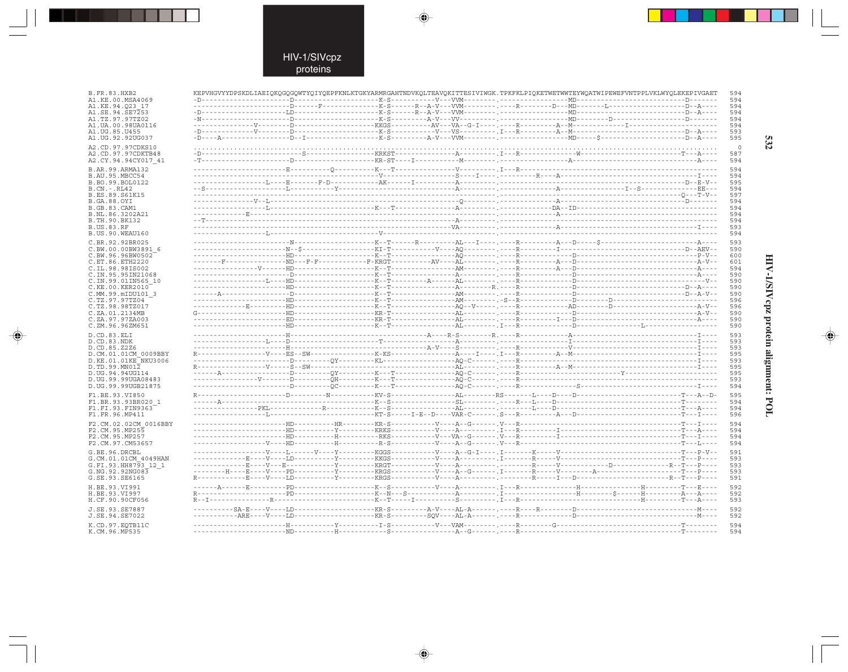$\blacklozenge$ 

| B.FR.83.HXB2<br>A1.KE.00.MSA4069          | KEPVHGVYYDPSKDLIAEIQKQGQGQWTYQIYQEPFKNLKTGKYARMRGAHTNDVKQLTEAVQKITTESIVIWGK.TPKFKLPIQKETWETWWTEYWQATWIPEWEFVNTPPLVKLWYQLEKEPIVGAET                                                                                                                                                                                                                                                                                                                                                          |  | 594<br>594 |
|-------------------------------------------|---------------------------------------------------------------------------------------------------------------------------------------------------------------------------------------------------------------------------------------------------------------------------------------------------------------------------------------------------------------------------------------------------------------------------------------------------------------------------------------------|--|------------|
| A1.KE.94.023 17                           |                                                                                                                                                                                                                                                                                                                                                                                                                                                                                             |  | 594        |
| A1.SE.94.SE7253                           |                                                                                                                                                                                                                                                                                                                                                                                                                                                                                             |  | 594        |
| A1.TZ.97.97TZ02<br>A1.UA.00.98UA0116      |                                                                                                                                                                                                                                                                                                                                                                                                                                                                                             |  | 594<br>594 |
| A1.UG.85.U455                             |                                                                                                                                                                                                                                                                                                                                                                                                                                                                                             |  | 593        |
| A1. UG. 92. 92 UG037                      |                                                                                                                                                                                                                                                                                                                                                                                                                                                                                             |  | 595        |
| A2.CD.97.97CDKS10                         |                                                                                                                                                                                                                                                                                                                                                                                                                                                                                             |  | $\Omega$   |
| A2.CD.97.97CDKTB48                        |                                                                                                                                                                                                                                                                                                                                                                                                                                                                                             |  | 587        |
| A2.CY.94.94CY017 41                       |                                                                                                                                                                                                                                                                                                                                                                                                                                                                                             |  | 594        |
| B.AR.99.ARMA132                           |                                                                                                                                                                                                                                                                                                                                                                                                                                                                                             |  | 594        |
| B.AU.95.MBCC54                            |                                                                                                                                                                                                                                                                                                                                                                                                                                                                                             |  | 594        |
| B.BO.99.BOL0122                           |                                                                                                                                                                                                                                                                                                                                                                                                                                                                                             |  | 595        |
| $B.CN.-.RL42$                             |                                                                                                                                                                                                                                                                                                                                                                                                                                                                                             |  | 594        |
| B.ES.89.S61K15                            |                                                                                                                                                                                                                                                                                                                                                                                                                                                                                             |  | 597        |
| B.GA.88.OYI<br><b>B.GB.83.CAM1</b>        |                                                                                                                                                                                                                                                                                                                                                                                                                                                                                             |  | 594<br>594 |
| B.NL.86.3202A21                           |                                                                                                                                                                                                                                                                                                                                                                                                                                                                                             |  | 594        |
| B.TH.90.BK132                             |                                                                                                                                                                                                                                                                                                                                                                                                                                                                                             |  | 594        |
| B.US.83.RF                                |                                                                                                                                                                                                                                                                                                                                                                                                                                                                                             |  | 593        |
| B.US.90.WEAU160                           |                                                                                                                                                                                                                                                                                                                                                                                                                                                                                             |  | 594        |
| C.BR.92.92BR025                           |                                                                                                                                                                                                                                                                                                                                                                                                                                                                                             |  | 593        |
| C.BW.00.00BW3891 6                        |                                                                                                                                                                                                                                                                                                                                                                                                                                                                                             |  | 590        |
| C.BW.96.96BW0502                          |                                                                                                                                                                                                                                                                                                                                                                                                                                                                                             |  | 600        |
| C.ET.86.ETH2220                           |                                                                                                                                                                                                                                                                                                                                                                                                                                                                                             |  | 601        |
| C.IL.98.98IS002<br>C. IN. 95. 95 IN 21068 |                                                                                                                                                                                                                                                                                                                                                                                                                                                                                             |  | 594<br>590 |
| C.IN.99.01IN565 10                        |                                                                                                                                                                                                                                                                                                                                                                                                                                                                                             |  | 590        |
| C.KE.00.KER2010                           |                                                                                                                                                                                                                                                                                                                                                                                                                                                                                             |  | 590        |
| C.MM.99.mIDU101 3                         |                                                                                                                                                                                                                                                                                                                                                                                                                                                                                             |  | 590        |
| C.TZ.97.97TZ04                            |                                                                                                                                                                                                                                                                                                                                                                                                                                                                                             |  | 596        |
| C.TZ.98.98TZ017                           |                                                                                                                                                                                                                                                                                                                                                                                                                                                                                             |  | 596        |
| C.ZA.01.2134MB<br>C.ZA.97.97ZA003         | $\texttt{G}\texttt{-----} \texttt{-----} \texttt{H} \texttt{D} \texttt{-----} \texttt{---} \texttt{-----} \texttt{K} \texttt{R} \texttt{-}\texttt{T} \texttt{-----} \texttt{A} \texttt{L} \texttt{-----} \texttt{---} \texttt{---} \texttt{R} \texttt{---} \texttt{---} \texttt{---} \texttt{---} \texttt{---} \texttt{---} \texttt{---} \texttt{---} \texttt{---} \texttt{---} \texttt{---} \texttt{---} \texttt{---} \texttt{A} \texttt{-}\texttt{V} \texttt{-} \texttt{---} \texttt{---$ |  | 590<br>590 |
| C.ZM.96.96ZM651                           |                                                                                                                                                                                                                                                                                                                                                                                                                                                                                             |  | 590        |
| D.CD.83.ELI                               |                                                                                                                                                                                                                                                                                                                                                                                                                                                                                             |  | 593        |
| D.CD.83.NDK                               |                                                                                                                                                                                                                                                                                                                                                                                                                                                                                             |  | 593        |
| D.CD.85.Z2Z6                              |                                                                                                                                                                                                                                                                                                                                                                                                                                                                                             |  | 593        |
| D.CM.01.01CM 0009BBY                      |                                                                                                                                                                                                                                                                                                                                                                                                                                                                                             |  | 595        |
| D.KE.01.01KE NKU3006                      |                                                                                                                                                                                                                                                                                                                                                                                                                                                                                             |  | 593        |
| D.TD.99.MN012                             |                                                                                                                                                                                                                                                                                                                                                                                                                                                                                             |  | 595        |
| D.UG.94.94UG114<br>D.UG.99.99UGA08483     |                                                                                                                                                                                                                                                                                                                                                                                                                                                                                             |  | 595<br>593 |
| D.UG.99.99UGB21875                        |                                                                                                                                                                                                                                                                                                                                                                                                                                                                                             |  | 594        |
| F1.BE.93.VI850                            |                                                                                                                                                                                                                                                                                                                                                                                                                                                                                             |  | 595        |
| F1.BR.93.93BR020 1                        |                                                                                                                                                                                                                                                                                                                                                                                                                                                                                             |  | 594        |
| F1.FI.93.FIN9363                          |                                                                                                                                                                                                                                                                                                                                                                                                                                                                                             |  | 594        |
| F1.FR.96.MP411                            |                                                                                                                                                                                                                                                                                                                                                                                                                                                                                             |  | 596        |
| F2.CM.02.02CM 0016BBY                     |                                                                                                                                                                                                                                                                                                                                                                                                                                                                                             |  | 594        |
| F2.CM.95.MP255                            |                                                                                                                                                                                                                                                                                                                                                                                                                                                                                             |  | 594        |
| F2.CM.95.MP257                            |                                                                                                                                                                                                                                                                                                                                                                                                                                                                                             |  | 594        |
| F2.CM.97.CM53657                          |                                                                                                                                                                                                                                                                                                                                                                                                                                                                                             |  | 594        |
| G.BE.96.DRCBL                             |                                                                                                                                                                                                                                                                                                                                                                                                                                                                                             |  | 591        |
| G.CM.01.01CM 4049HAN                      |                                                                                                                                                                                                                                                                                                                                                                                                                                                                                             |  | 593        |
| G.FI.93.HH8793 12 1                       |                                                                                                                                                                                                                                                                                                                                                                                                                                                                                             |  | 593        |
| G.NG.92.92NG083<br>G.SE.93.SE6165         |                                                                                                                                                                                                                                                                                                                                                                                                                                                                                             |  | 593<br>591 |
|                                           |                                                                                                                                                                                                                                                                                                                                                                                                                                                                                             |  |            |
| H.BE.93.VI991                             |                                                                                                                                                                                                                                                                                                                                                                                                                                                                                             |  | 592<br>592 |
| H.BE.93.VI997<br>H.CF.90.90CF056          |                                                                                                                                                                                                                                                                                                                                                                                                                                                                                             |  | 593        |
|                                           |                                                                                                                                                                                                                                                                                                                                                                                                                                                                                             |  |            |
| J.SE.93.SE7887                            |                                                                                                                                                                                                                                                                                                                                                                                                                                                                                             |  | 592        |
| J.SE.94.SE7022                            |                                                                                                                                                                                                                                                                                                                                                                                                                                                                                             |  | 592        |
| K.CD.97.EOTB11C<br>K CM 96 MD535          |                                                                                                                                                                                                                                                                                                                                                                                                                                                                                             |  | 594<br>594 |
|                                           |                                                                                                                                                                                                                                                                                                                                                                                                                                                                                             |  |            |

 $\blacklozenge$ 

 $\Rightarrow$ 

532

# HIV-1/SIVcpz protein alignment: POL

 $\begin{picture}(20,5) \put(0,0){\line(1,0){10}} \put(15,0){\line(1,0){10}} \put(15,0){\line(1,0){10}} \put(15,0){\line(1,0){10}} \put(15,0){\line(1,0){10}} \put(15,0){\line(1,0){10}} \put(15,0){\line(1,0){10}} \put(15,0){\line(1,0){10}} \put(15,0){\line(1,0){10}} \put(15,0){\line(1,0){10}} \put(15,0){\line(1,0){10}} \put(15,0){\line(1,$ 

 $\overline{\phantom{0}}$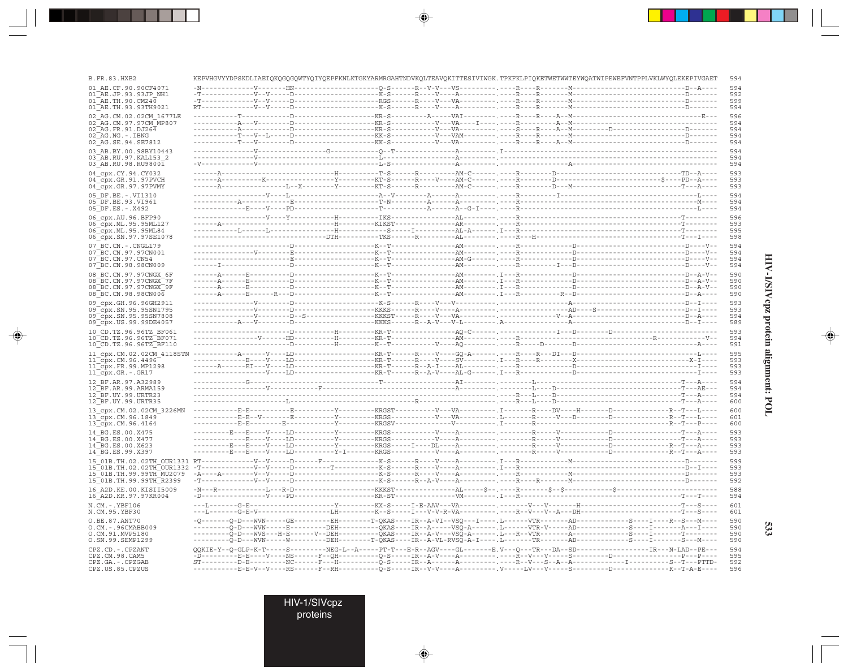| <b>B.FR.83.HXB2</b>                              | KEPVHGVYYDPSKDLIAEIQKQGQGQWTYQIYQEPFKNLKTGKYARMRGAHTNDVKQLTEAVQKITTESIVIWGK.TPKFKLPIQKETWETWWTEYWQATWIPEWEFVNTPPLVKLWYQLEKEPIVGAET                                                                                                                                                                                                                                                             |  |  |  |  | 594        |
|--------------------------------------------------|------------------------------------------------------------------------------------------------------------------------------------------------------------------------------------------------------------------------------------------------------------------------------------------------------------------------------------------------------------------------------------------------|--|--|--|--|------------|
| 01 AE.CF.90.90CF4071                             |                                                                                                                                                                                                                                                                                                                                                                                                |  |  |  |  | 594        |
| 01 AE.JP.93.93JP NH1<br>01 AE.TH.90.CM240        |                                                                                                                                                                                                                                                                                                                                                                                                |  |  |  |  | 592<br>599 |
| 01 AE.TH.93.93TH9021                             |                                                                                                                                                                                                                                                                                                                                                                                                |  |  |  |  | 594        |
| 02 AG.CM.02.02CM 1677LE                          |                                                                                                                                                                                                                                                                                                                                                                                                |  |  |  |  | 596        |
| 02 AG.CM.97.97CM MP807                           |                                                                                                                                                                                                                                                                                                                                                                                                |  |  |  |  | 594        |
| 02 AG. FR. 91. DJ264<br>02 AG.NG.-.IBNG          |                                                                                                                                                                                                                                                                                                                                                                                                |  |  |  |  | 594<br>594 |
| 02 AG.SE.94.SE7812                               |                                                                                                                                                                                                                                                                                                                                                                                                |  |  |  |  | 594        |
| 03 AB.BY.00.98BY10443                            |                                                                                                                                                                                                                                                                                                                                                                                                |  |  |  |  | 594        |
| 03 AB.RU.97.KAL153 2<br>03 AB.RU.98.RU98001      |                                                                                                                                                                                                                                                                                                                                                                                                |  |  |  |  | 594<br>594 |
| 04 cpx.CY.94.CY032                               |                                                                                                                                                                                                                                                                                                                                                                                                |  |  |  |  | 593        |
| 04_cpx.GR.91.97PVCH                              |                                                                                                                                                                                                                                                                                                                                                                                                |  |  |  |  | 593        |
| 04_cpx.GR.97.97PVMY                              |                                                                                                                                                                                                                                                                                                                                                                                                |  |  |  |  | 593        |
| 05 DF.BE. -. VI1310<br>05 DF.BE.93.VI961         |                                                                                                                                                                                                                                                                                                                                                                                                |  |  |  |  | 594<br>594 |
| 05 DF.ES. - . X492                               |                                                                                                                                                                                                                                                                                                                                                                                                |  |  |  |  | 594        |
| 06_cpx.AU.96.BFP90                               |                                                                                                                                                                                                                                                                                                                                                                                                |  |  |  |  | 596        |
| 06_cpx.ML.95.95ML127                             |                                                                                                                                                                                                                                                                                                                                                                                                |  |  |  |  | 593        |
| 06_cpx.ML.95.95ML84<br>06 cpx.SN.97.97SE1078     |                                                                                                                                                                                                                                                                                                                                                                                                |  |  |  |  | 595<br>598 |
| 07 BC.CN. - . CNGL179                            |                                                                                                                                                                                                                                                                                                                                                                                                |  |  |  |  | 594        |
| 07 BC.CN.97.97CN001                              |                                                                                                                                                                                                                                                                                                                                                                                                |  |  |  |  | 594        |
| 07 BC.CN.97.CN54<br>07 BC.CN.98.98CN009          |                                                                                                                                                                                                                                                                                                                                                                                                |  |  |  |  | 594<br>594 |
| 08 BC.CN.97.97CNGX 6F                            |                                                                                                                                                                                                                                                                                                                                                                                                |  |  |  |  | 590        |
| 08 BC.CN.97.97CNGX 7F                            |                                                                                                                                                                                                                                                                                                                                                                                                |  |  |  |  | 590        |
| 08 BC.CN.97.97CNGX 9F<br>08 BC.CN.98.98CN006     |                                                                                                                                                                                                                                                                                                                                                                                                |  |  |  |  | 590<br>590 |
| 09 cpx.GH.96.96GH2911                            |                                                                                                                                                                                                                                                                                                                                                                                                |  |  |  |  | 593        |
| 09 cpx.SN.95.95SN1795                            |                                                                                                                                                                                                                                                                                                                                                                                                |  |  |  |  | 593        |
| 09 cpx.SN.95.95SN7808                            |                                                                                                                                                                                                                                                                                                                                                                                                |  |  |  |  | 594<br>589 |
| 09_cpx.US.99.99DE4057                            |                                                                                                                                                                                                                                                                                                                                                                                                |  |  |  |  | 593        |
| 10 CD.TZ.96.96TZ BF061<br>10 CD.TZ.96.96TZ BF071 |                                                                                                                                                                                                                                                                                                                                                                                                |  |  |  |  | 594        |
| 10 CD.TZ.96.96TZ BF110                           |                                                                                                                                                                                                                                                                                                                                                                                                |  |  |  |  | 591        |
| 11 cpx.CM.02.02CM 4118STN                        |                                                                                                                                                                                                                                                                                                                                                                                                |  |  |  |  | 595        |
| 11 cpx.CM.96.4496<br>$11$ cpx. FR. 99. MP1298    |                                                                                                                                                                                                                                                                                                                                                                                                |  |  |  |  | 593<br>593 |
| $11$ $Cpx.GR.-.GR17$                             |                                                                                                                                                                                                                                                                                                                                                                                                |  |  |  |  | 593        |
| 12 BF.AR.97.A32989                               |                                                                                                                                                                                                                                                                                                                                                                                                |  |  |  |  | 594        |
| 12 BF.AR.99.ARMA159<br>12 BF.UY.99.URTR23        |                                                                                                                                                                                                                                                                                                                                                                                                |  |  |  |  | 594<br>594 |
| 12 BF.UY.99.URTR35                               |                                                                                                                                                                                                                                                                                                                                                                                                |  |  |  |  | 600        |
| 13_cpx.CM.02.02CM_3226MN                         |                                                                                                                                                                                                                                                                                                                                                                                                |  |  |  |  | 600        |
| 13_cpx.CM.96.1849                                |                                                                                                                                                                                                                                                                                                                                                                                                |  |  |  |  | 601<br>600 |
| 13 cpx.CM.96.4164<br>14 BG.ES.00.X475            |                                                                                                                                                                                                                                                                                                                                                                                                |  |  |  |  | 593        |
| 14 BG.ES.00.X477                                 |                                                                                                                                                                                                                                                                                                                                                                                                |  |  |  |  | 593        |
| 14 BG.ES.00.X623                                 |                                                                                                                                                                                                                                                                                                                                                                                                |  |  |  |  | 593        |
| 14 BG.ES.99.X397                                 |                                                                                                                                                                                                                                                                                                                                                                                                |  |  |  |  | 593<br>599 |
|                                                  |                                                                                                                                                                                                                                                                                                                                                                                                |  |  |  |  | 593        |
|                                                  |                                                                                                                                                                                                                                                                                                                                                                                                |  |  |  |  |            |
| 15 01B. TH. 99. 99TH MU2079                      |                                                                                                                                                                                                                                                                                                                                                                                                |  |  |  |  | 593        |
| 15_01B.TH.99.99TH_R2399                          |                                                                                                                                                                                                                                                                                                                                                                                                |  |  |  |  | 592        |
| 16 A2D. KE. 00. KISII5009                        |                                                                                                                                                                                                                                                                                                                                                                                                |  |  |  |  | 588        |
| 16_A2D.KR.97.97KR004<br>$N.CM.-.YBF106$          |                                                                                                                                                                                                                                                                                                                                                                                                |  |  |  |  | 594<br>601 |
| N.CM.95.YBF30                                    | ---L-------G-E-V-----------------LH---------K--S-----I---V-V-R-VA----------.----R--V--A--DH------------------------T---S----                                                                                                                                                                                                                                                                   |  |  |  |  | 601        |
| O.BE.87.ANT70                                    | -0--------0-D---WVN-----GE----------EH--------T-QKAS----IR--A-VI--VSQ---I-----.L------VTR-------AD--------------S---I----R--S---M----                                                                                                                                                                                                                                                          |  |  |  |  | 590        |
| O.CM. - . 96CMABB009<br>O.CM.91.MVP5180          | ---------Q-D---WVN-----E---------DEH----------QKAS----IR--A-----VSQ-A------ ,L------VTR-V-----AD-------------S----I-------A---I-----                                                                                                                                                                                                                                                           |  |  |  |  | 590<br>590 |
| 0.SN.99.SEMP1299                                 | ---------Q-D---WVS---H-E------V--DEH----------QKAS----IR--A-V---VSQ-A------. L---R--VTR-------A-----------S----I--------T--------<br>---------Q-D---WVN-----W---------DEH--------T-QKAS----IR--A-VL-RVSQ-A-I----.L-------TR-------AD-----------S---I-------S---M----                                                                                                                           |  |  |  |  | 590        |
| CPZ.CD. - . CPZANT                               | QQKIE-Y--Q-GLP-K-T-----S---------NEG-L--A-----PT-T---E-R--AGV----GL--------E.V---Q---TR---DA--SD---------------------IR---N-LAD--PE---                                                                                                                                                                                                                                                         |  |  |  |  | 594        |
| CPZ.CM.98.CAM5<br>CPZ.GA. - . CPZGAB             | -D---------E-E----V----NS------F--QH----------Q-S-----IR--A-V----A---------. ----R--V----S--------D----------------P---P----<br>$\texttt{ST---}--\texttt{P-E---}--\texttt{NC---}--\texttt{N--}--\texttt{H---}--\texttt{Q-S---}+\texttt{R---}--\texttt{R---}--\texttt{P---}--\texttt{P--V---}--\texttt{S--A---}--\texttt{A---}--\texttt{I---}--\texttt{S---}--\texttt{S--T---}--\texttt{PTD--}$ |  |  |  |  | 595<br>592 |

 $\color{red}\blacklozenge$ 

 $\Rightarrow$ 

HIV-1/SIVepz protein alignment: POL

 $\Rightarrow$ 

533

HIV-1/SIVcpz<br>proteins

 $\Rightarrow$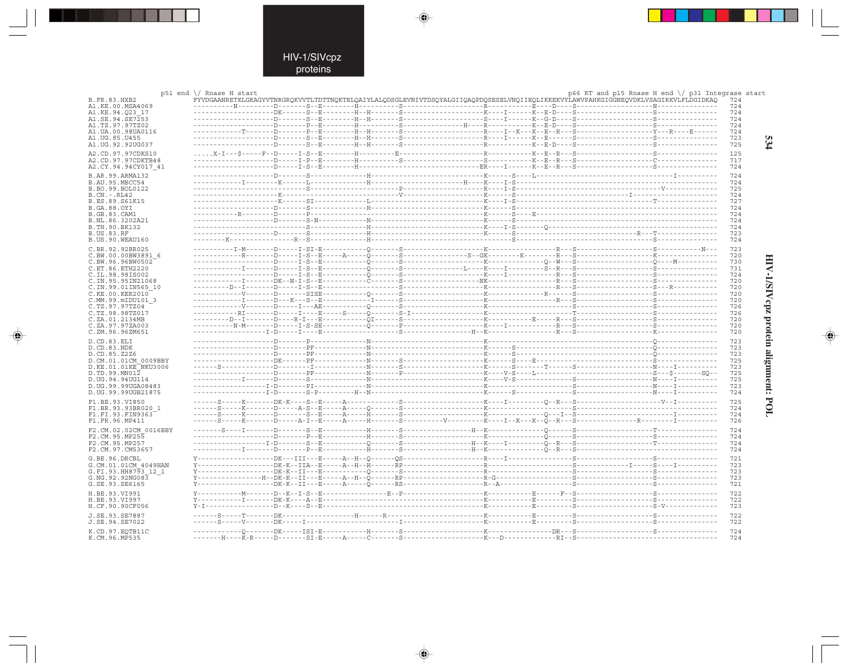. . .

 $\overline{\blacklozenge}$ 

 $\mathbb{R}^2$ 

|                                      | p51 end \/ Rnase H start |                                                                                                                                    | p66 RT and p15 Rnase H end $\setminus$ p31 Integrase start |            |
|--------------------------------------|--------------------------|------------------------------------------------------------------------------------------------------------------------------------|------------------------------------------------------------|------------|
| <b>B.FR.83.HXB2</b>                  |                          | FYVDGAANRETKLGKAGYVTNRGROKVVTLTDTTNOKTELOAIYLALODSGLEVNIVTDSOYALGIIOAOPDOSESELVNOIIEOLIKKEKVYLAWVPAHKGIGGNEOVDKLVSAGIRKVLFLDGIDKAO |                                                            | 724        |
| A1.KE.00.MSA4069                     |                          |                                                                                                                                    |                                                            | 724        |
| A1.KE.94.023 17                      |                          |                                                                                                                                    |                                                            | 724        |
| A1.SE.94.SE7253                      |                          |                                                                                                                                    |                                                            | 724        |
| A1.TZ.97.97TZ02                      |                          |                                                                                                                                    |                                                            | 724        |
| A1.UA.00.98UA0116                    |                          |                                                                                                                                    |                                                            | 724        |
| A1.UG.85.U455                        |                          |                                                                                                                                    |                                                            | 723        |
| A1.UG.92.92UG037                     |                          |                                                                                                                                    |                                                            | 725        |
| A2.CD.97.97CDKS10                    |                          |                                                                                                                                    |                                                            | 125        |
| A2.CD.97.97CDKTB48                   |                          |                                                                                                                                    |                                                            | 717        |
| A2.CY.94.94CY017 41                  |                          |                                                                                                                                    |                                                            | 724        |
|                                      |                          |                                                                                                                                    |                                                            |            |
| B.AR.99.ARMA132                      |                          |                                                                                                                                    |                                                            | 724        |
| B.AU.95.MBCC54                       |                          |                                                                                                                                    |                                                            | 724<br>725 |
| B.BO.99.BOL0122                      |                          |                                                                                                                                    |                                                            |            |
| $B.CN.-.RL42$                        |                          |                                                                                                                                    |                                                            | 724        |
| B.ES.89.S61K15                       |                          |                                                                                                                                    |                                                            | 727<br>724 |
| B.GA.88.OYI                          |                          |                                                                                                                                    |                                                            |            |
| B.GB.83.CAM1                         |                          |                                                                                                                                    |                                                            | 724<br>724 |
| B.NL.86.3202A21<br>B.TH.90.BK132     |                          |                                                                                                                                    |                                                            | 724        |
|                                      |                          |                                                                                                                                    |                                                            | 723        |
| <b>B.US.83.RF</b><br>B.US.90.WEAU160 |                          |                                                                                                                                    |                                                            |            |
|                                      |                          |                                                                                                                                    |                                                            | 724        |
| C.BR.92.92BR025                      |                          |                                                                                                                                    |                                                            | 723        |
| C.BW.00.00BW3891 6                   |                          |                                                                                                                                    |                                                            | 720        |
| C.BW.96.96BW0502                     |                          |                                                                                                                                    |                                                            | 730        |
| C.ET.86.ETH2220                      |                          |                                                                                                                                    |                                                            | 731        |
| C.IL.98.98IS002                      |                          |                                                                                                                                    |                                                            | 724        |
| C. IN. 95.95 IN21068                 |                          |                                                                                                                                    |                                                            | 720        |
| C.IN.99.01IN565 10                   |                          |                                                                                                                                    |                                                            | 720        |
| C.KE.00.KER2010                      |                          |                                                                                                                                    |                                                            | 720        |
| C.MM.99.mIDU101 3                    |                          |                                                                                                                                    |                                                            | 720        |
| C.TZ.97.97TZ04                       |                          |                                                                                                                                    |                                                            | 726        |
| C.TZ.98.98TZ017                      |                          |                                                                                                                                    |                                                            | 726        |
| C.ZA.01.2134MB                       |                          |                                                                                                                                    |                                                            | 720        |
| C.ZA.97.97ZA003                      |                          |                                                                                                                                    |                                                            | 720        |
| C.ZM.96.96ZM651                      |                          |                                                                                                                                    |                                                            | 720        |
|                                      |                          |                                                                                                                                    |                                                            |            |
| D.CD.83.ELI<br>D.CD.83.NDK           |                          |                                                                                                                                    |                                                            | 723<br>723 |
|                                      |                          |                                                                                                                                    |                                                            | 723        |
| D.CD.85.Z2Z6                         |                          |                                                                                                                                    |                                                            | 725        |
| D.CM.01.01CM 0009BBY                 |                          |                                                                                                                                    |                                                            | 723        |
| D.KE.01.01KE NKU3006                 |                          |                                                                                                                                    |                                                            | 725        |
| D.TD.99.MN012<br>D. UG. 94. 94 UG114 |                          |                                                                                                                                    |                                                            | 725        |
| D.UG.99.99UGA08483                   |                          |                                                                                                                                    |                                                            |            |
|                                      |                          |                                                                                                                                    |                                                            | 723<br>724 |
| D. UG. 99.99UGB21875                 |                          |                                                                                                                                    |                                                            |            |
| F1.BE.93.VI850                       |                          |                                                                                                                                    |                                                            | 725        |
| F1.BR.93.93BR020 1                   |                          |                                                                                                                                    |                                                            | 724        |
| F1.FI.93.FIN9363                     |                          |                                                                                                                                    |                                                            | 724        |
| F1.FR.96.MP411                       |                          |                                                                                                                                    |                                                            | 726        |
| F2.CM.02.02CM 0016BBY                |                          |                                                                                                                                    |                                                            | 724        |
| F2.CM.95.MP255                       |                          |                                                                                                                                    |                                                            | 724        |
| F2.CM.95.MP257                       |                          |                                                                                                                                    |                                                            | 724        |
| F2.CM.97.CM53657                     |                          |                                                                                                                                    |                                                            | 724        |
|                                      |                          |                                                                                                                                    |                                                            |            |
| G.BE.96.DRCBL                        |                          |                                                                                                                                    |                                                            | 721        |
| G.CM.01.01CM 4049HAN                 |                          |                                                                                                                                    |                                                            | 723        |
| G.FI.93.HH8793 12 1                  |                          |                                                                                                                                    |                                                            | 723        |
| G.NG.92.92NG083                      |                          |                                                                                                                                    |                                                            | 723        |
| G.SE.93.SE6165                       |                          |                                                                                                                                    |                                                            | 721        |
| H.BE.93.VI991                        |                          |                                                                                                                                    |                                                            | 722        |
|                                      |                          |                                                                                                                                    |                                                            | 722        |
| H.BE.93.VI997<br>H.CF.90.90CF056     |                          |                                                                                                                                    |                                                            | 723        |
|                                      |                          |                                                                                                                                    |                                                            |            |
| J.SE.93.SE7887                       |                          |                                                                                                                                    |                                                            | 722        |
| J.SE.94.SE7022                       |                          |                                                                                                                                    |                                                            | 722        |
| K.CD.97.EOTB11C                      |                          |                                                                                                                                    |                                                            | 724        |
| K.CM.96.MP535                        |                          |                                                                                                                                    |                                                            | 724        |
|                                      |                          |                                                                                                                                    |                                                            |            |

 $\begin{picture}(20,5) \put(0,0){\line(1,0){10}} \put(15,0){\line(1,0){10}} \put(15,0){\line(1,0){10}} \put(15,0){\line(1,0){10}} \put(15,0){\line(1,0){10}} \put(15,0){\line(1,0){10}} \put(15,0){\line(1,0){10}} \put(15,0){\line(1,0){10}} \put(15,0){\line(1,0){10}} \put(15,0){\line(1,0){10}} \put(15,0){\line(1,0){10}} \put(15,0){\line(1,$ 

 $\Rightarrow$ 

534

HIV-1/SIVepz protein alignment: POL

 $\begin{picture}(20,5) \put(0,0){\line(1,0){10}} \put(15,0){\line(1,0){10}} \put(15,0){\line(1,0){10}} \put(15,0){\line(1,0){10}} \put(15,0){\line(1,0){10}} \put(15,0){\line(1,0){10}} \put(15,0){\line(1,0){10}} \put(15,0){\line(1,0){10}} \put(15,0){\line(1,0){10}} \put(15,0){\line(1,0){10}} \put(15,0){\line(1,0){10}} \put(15,0){\line(1,$ 

 $\overline{\phantom{0}}$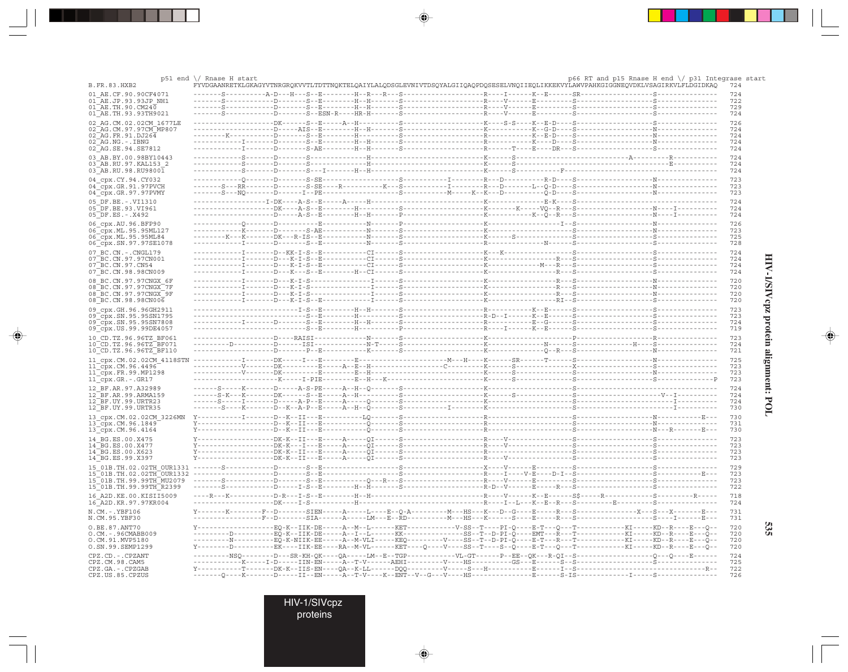|                                                        | $p51$ end $\setminus$ Rnase H start<br>FYVDGAANRETKLGKAGYVTNRGROKVVTLTDTTNOKTELOAIYLALODSGLEVNIVTDSOYALGIIOAOPDOSESELVNOIIEOLIKKEKVYLAWVPAHKGIGGNEOVDKLVSAGIRKVLFLDGIDKAO |                                     |                                                                                      |  | p66 RT and p15 Rnase H end \/ p31 Integrase start                                                                        |            |
|--------------------------------------------------------|---------------------------------------------------------------------------------------------------------------------------------------------------------------------------|-------------------------------------|--------------------------------------------------------------------------------------|--|--------------------------------------------------------------------------------------------------------------------------|------------|
| <b>B.FR.83.HXB2</b><br>01 AE.CF.90.90CF4071            |                                                                                                                                                                           |                                     |                                                                                      |  |                                                                                                                          | 724<br>724 |
| 01 AE.JP.93.93JP NH1                                   |                                                                                                                                                                           |                                     |                                                                                      |  |                                                                                                                          | 722        |
| $01\overline{AB}$ .TH.90.CM240                         |                                                                                                                                                                           |                                     |                                                                                      |  |                                                                                                                          | 729        |
| 01 AE.TH.93.93TH9021                                   |                                                                                                                                                                           |                                     |                                                                                      |  |                                                                                                                          | 724        |
| 02 AG.CM.02.02CM 1677LE<br>02 AG. CM. 97. 97 CM MP807  |                                                                                                                                                                           |                                     |                                                                                      |  |                                                                                                                          | 726<br>724 |
| 02 AG.FR.91.DJ264                                      |                                                                                                                                                                           |                                     |                                                                                      |  |                                                                                                                          | 724        |
| 02 AG.NG.-.IBNG                                        |                                                                                                                                                                           |                                     |                                                                                      |  |                                                                                                                          | 724        |
| 02 AG. SE. 94. SE7812                                  |                                                                                                                                                                           |                                     |                                                                                      |  |                                                                                                                          | 724        |
| 03 AB.BY.00.98BY10443                                  |                                                                                                                                                                           |                                     |                                                                                      |  |                                                                                                                          | 724        |
| 03 AB.RU.97.KAL153 2                                   |                                                                                                                                                                           |                                     |                                                                                      |  |                                                                                                                          | 724        |
| 03 AB.RU.98.RU98001                                    |                                                                                                                                                                           |                                     |                                                                                      |  |                                                                                                                          | 724        |
| 04 cpx.CY.94.CY032                                     |                                                                                                                                                                           | $---D---S-S-R------$                |                                                                                      |  |                                                                                                                          | 723        |
| 04 cpx.GR.91.97PVCH<br>04 cpx.GR.97.97PVMY             |                                                                                                                                                                           |                                     |                                                                                      |  |                                                                                                                          | 723<br>723 |
| 05 DF.BE. -. VI1310                                    |                                                                                                                                                                           |                                     |                                                                                      |  |                                                                                                                          | 724        |
| 05 DF.BE.93.VI961                                      |                                                                                                                                                                           |                                     |                                                                                      |  |                                                                                                                          | 724        |
| $05^{\circ}$ DF.ES. - . X492                           |                                                                                                                                                                           |                                     |                                                                                      |  |                                                                                                                          | 724        |
| 06 cpx.AU.96.BFP90                                     |                                                                                                                                                                           |                                     |                                                                                      |  |                                                                                                                          | 726        |
| 06 cpx.ML.95.95ML127                                   |                                                                                                                                                                           |                                     |                                                                                      |  |                                                                                                                          | 723        |
| 06 cpx.ML.95.95ML84                                    |                                                                                                                                                                           |                                     |                                                                                      |  |                                                                                                                          | 725        |
| 06 cpx.SN.97.97SE1078                                  |                                                                                                                                                                           |                                     |                                                                                      |  |                                                                                                                          | 728        |
| 07 BC.CN. - . CNGL179                                  |                                                                                                                                                                           |                                     |                                                                                      |  |                                                                                                                          | 724        |
| 07 BC. CN. 97. 97 CN001<br>07 BC.CN.97.CN54            |                                                                                                                                                                           |                                     |                                                                                      |  |                                                                                                                          | 724<br>724 |
| 07 BC.CN.98.98CN009                                    |                                                                                                                                                                           |                                     |                                                                                      |  |                                                                                                                          | 724        |
| 08 BC.CN.97.97CNGX 6F                                  |                                                                                                                                                                           |                                     |                                                                                      |  |                                                                                                                          | 720        |
| 08 BC.CN.97.97CNGX 7F                                  |                                                                                                                                                                           |                                     |                                                                                      |  |                                                                                                                          | 720        |
| 08 BC.CN.97.97CNGX 9F                                  |                                                                                                                                                                           |                                     |                                                                                      |  |                                                                                                                          | 720        |
| 08 BC.CN.98.98CN006                                    |                                                                                                                                                                           |                                     |                                                                                      |  |                                                                                                                          | 720        |
| 09 cpx.GH.96.96GH2911                                  |                                                                                                                                                                           |                                     |                                                                                      |  |                                                                                                                          | 723        |
| 09 cpx.SN.95.95SN1795                                  |                                                                                                                                                                           |                                     |                                                                                      |  |                                                                                                                          | 723        |
| 09 cpx. SN. 95. 95 SN 7808<br>09 cpx. US. 99. 99DE4057 |                                                                                                                                                                           |                                     |                                                                                      |  |                                                                                                                          | 724<br>719 |
|                                                        |                                                                                                                                                                           |                                     |                                                                                      |  |                                                                                                                          |            |
| 10 CD.TZ.96.96TZ BF061<br>10 CD. TZ. 96. 96TZ BF071    |                                                                                                                                                                           |                                     |                                                                                      |  |                                                                                                                          | 723<br>724 |
| 10 CD. TZ. 96. 96TZ BF110                              |                                                                                                                                                                           |                                     |                                                                                      |  |                                                                                                                          | 721        |
| 11 cpx.CM.02.02CM 4118STN                              |                                                                                                                                                                           |                                     |                                                                                      |  |                                                                                                                          | 725        |
| $11$ cpx. CM. 96.4496                                  |                                                                                                                                                                           |                                     |                                                                                      |  |                                                                                                                          | 723        |
| $11$ <sup><math>-</math></sup> cpx.FR.99.MP1298        |                                                                                                                                                                           |                                     |                                                                                      |  |                                                                                                                          | 723        |
| 11 cpx.GR.-.GR17                                       |                                                                                                                                                                           |                                     |                                                                                      |  |                                                                                                                          | 723        |
| 12 BF.AR.97.A32989                                     |                                                                                                                                                                           |                                     |                                                                                      |  |                                                                                                                          | 724        |
| $12$ $BF.AR.99.ARMA159$<br>12 BF.UY.99.URTR23          |                                                                                                                                                                           |                                     |                                                                                      |  |                                                                                                                          | 724<br>724 |
| 12 BF.UY.99.URTR35                                     |                                                                                                                                                                           |                                     |                                                                                      |  |                                                                                                                          | 730        |
| 13 cpx.CM.02.02CM 3226MN                               | $Y - - - -$                                                                                                                                                               |                                     |                                                                                      |  |                                                                                                                          | 730        |
| 13 cpx.CM.96.1849                                      |                                                                                                                                                                           |                                     |                                                                                      |  |                                                                                                                          | 731        |
| $13$ cpx. CM. 96.4164                                  |                                                                                                                                                                           |                                     |                                                                                      |  |                                                                                                                          | 730        |
| 14 BG.ES.00.X475                                       |                                                                                                                                                                           |                                     |                                                                                      |  |                                                                                                                          | 723        |
| 14 BG.ES.00.X477                                       |                                                                                                                                                                           |                                     |                                                                                      |  |                                                                                                                          | 723        |
| 14 BG.ES.00.X623                                       |                                                                                                                                                                           |                                     |                                                                                      |  |                                                                                                                          | 723<br>723 |
| 14 BG.ES.99.X397                                       |                                                                                                                                                                           |                                     |                                                                                      |  |                                                                                                                          |            |
| 15 01B.TH.02.02TH OUR1331                              |                                                                                                                                                                           |                                     |                                                                                      |  |                                                                                                                          | 729<br>723 |
| 15 01B. TH. 99. 99TH MU2079                            |                                                                                                                                                                           |                                     |                                                                                      |  |                                                                                                                          | 723        |
| 15 01B.TH.99.99TH R2399                                |                                                                                                                                                                           | -------H--H-<br>$- - - T - S - - R$ | ------S--------------------R-D--V------E-----R---S-                                  |  |                                                                                                                          | 722        |
| 16 A2D. KE. 00. KISII5009                              | $---R---K$                                                                                                                                                                |                                     |                                                                                      |  |                                                                                                                          | 718        |
| 16 A2D. KR. 97. 97KR004                                |                                                                                                                                                                           |                                     |                                                                                      |  |                                                                                                                          | 724        |
| N.CM. -. YBF106<br>N.CM.95.YBF30                       |                                                                                                                                                                           | $---SIENT---A-$                     |                                                                                      |  |                                                                                                                          | 731<br>731 |
| O.BE.87.ANT70                                          |                                                                                                                                                                           |                                     | ---E0-K--IIK-DE-----A--M--L------KET-------------V-SS--T----PI-0----E-T---0---T----- |  |                                                                                                                          | 720        |
| O.CM. - . 96CMABB009                                   | --------D---------BO-K--IIK-DE-----A--I--L------KK------------SS--T--D-PI-O----EMT---R---T--------------KI-----KD--R----E---O--                                           |                                     |                                                                                      |  |                                                                                                                          | 720        |
| O.CM.91.MVP5180                                        |                                                                                                                                                                           |                                     |                                                                                      |  | ---------EQ-K-NIIK-EE-----A--M-VLI-----KEQ---------V----SS--T--D-PI-Q----E-T---R---T-------------KI-----KD--R----E---Q-- | 720        |
| O.SN.99.SEMP1299                                       |                                                                                                                                                                           |                                     |                                                                                      |  |                                                                                                                          | 720        |
| CPZ.CD. - . CPZANT                                     | ----NSQ--------D---SR-KH-QK----QA-----LM--E--TGP-----------VL-GT------P--EE--QK---R-QI--S-----------------------O---C---E-----                                            |                                     |                                                                                      |  |                                                                                                                          | 724        |
| CPZ.CM.98.CAM5                                         |                                                                                                                                                                           |                                     |                                                                                      |  |                                                                                                                          | 725<br>722 |
| CPZ.GA. - . CPZGAB<br>CPZ.US.85.CPZUS                  |                                                                                                                                                                           |                                     |                                                                                      |  |                                                                                                                          | 726        |
|                                                        |                                                                                                                                                                           |                                     |                                                                                      |  |                                                                                                                          |            |

 $\begin{picture}(20,5) \put(0,0){\vector(0,1){10}} \put(15,0){\vector(0,1){10}} \put(15,0){\vector(0,1){10}} \put(15,0){\vector(0,1){10}} \put(15,0){\vector(0,1){10}} \put(15,0){\vector(0,1){10}} \put(15,0){\vector(0,1){10}} \put(15,0){\vector(0,1){10}} \put(15,0){\vector(0,1){10}} \put(15,0){\vector(0,1){10}} \put(15,0){\vector(0,1){10}} \put(15,0){\vector(0,$ 

 $\begin{picture}(20,5) \put(0,0){\vector(0,1){10}} \put(15,0){\vector(0,1){10}} \put(15,0){\vector(0,1){10}} \put(15,0){\vector(0,1){10}} \put(15,0){\vector(0,1){10}} \put(15,0){\vector(0,1){10}} \put(15,0){\vector(0,1){10}} \put(15,0){\vector(0,1){10}} \put(15,0){\vector(0,1){10}} \put(15,0){\vector(0,1){10}} \put(15,0){\vector(0,1){10}} \put(15,0){\vector(0,$ 

--

 $\overline{\blacklozenge}$ 

 $\overline{\mathbb{R}}$ 

E

 $\Rightarrow$ 

 $\frac{1}{\sqrt{2}}$ 

H

HIV-1/SIVcpz<br>proteins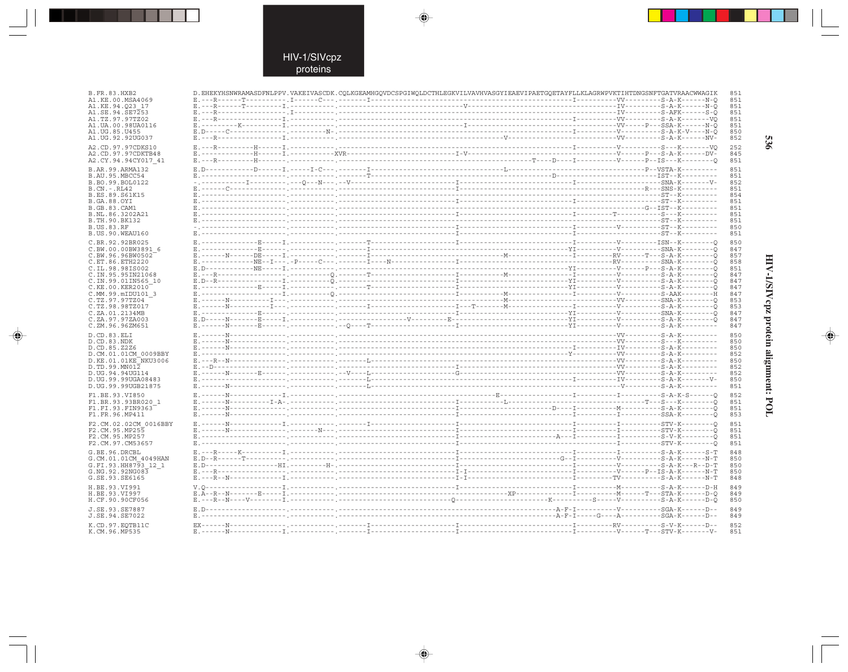$\begin{picture}(20,5) \put(0,0){\line(1,0){10}} \put(15,0){\line(1,0){10}} \put(15,0){\line(1,0){10}} \put(15,0){\line(1,0){10}} \put(15,0){\line(1,0){10}} \put(15,0){\line(1,0){10}} \put(15,0){\line(1,0){10}} \put(15,0){\line(1,0){10}} \put(15,0){\line(1,0){10}} \put(15,0){\line(1,0){10}} \put(15,0){\line(1,0){10}} \put(15,0){\line(1,$ 

 $\mathcal{A}$ 

| B.FR.83.HXB2                             | D. EHEKYHSNWRAMASDFNLPPV.VAKEIVASCDK.CQLKGEAMHGQVDCSPGIWQLDCTHLEGKVILVAVHVASGYIEAEVIPAETGQETAYFLLKLAGRWPVKTIHTDNGSNFTGATVRAACWWAGIK                                                                                                                                                                                                                                                                                                                          |  |  |  |  | 851        |
|------------------------------------------|--------------------------------------------------------------------------------------------------------------------------------------------------------------------------------------------------------------------------------------------------------------------------------------------------------------------------------------------------------------------------------------------------------------------------------------------------------------|--|--|--|--|------------|
| A1.KE.00.MSA4069                         |                                                                                                                                                                                                                                                                                                                                                                                                                                                              |  |  |  |  | 851        |
| A1.KE.94.023 17                          |                                                                                                                                                                                                                                                                                                                                                                                                                                                              |  |  |  |  | 851<br>851 |
| A1.SE.94.SE7253<br>A1.TZ.97.97TZ02       |                                                                                                                                                                                                                                                                                                                                                                                                                                                              |  |  |  |  | 851        |
| A1.UA.00.98UA0116                        |                                                                                                                                                                                                                                                                                                                                                                                                                                                              |  |  |  |  | 851        |
| A1.UG.85.U455                            |                                                                                                                                                                                                                                                                                                                                                                                                                                                              |  |  |  |  | 850        |
| A1.UG.92.92UG037                         |                                                                                                                                                                                                                                                                                                                                                                                                                                                              |  |  |  |  | 852        |
| A2.CD.97.97CDKS10                        |                                                                                                                                                                                                                                                                                                                                                                                                                                                              |  |  |  |  | 252        |
| A2.CD.97.97CDKTB48                       |                                                                                                                                                                                                                                                                                                                                                                                                                                                              |  |  |  |  | 845        |
| A2.CY.94.94CY017 41                      |                                                                                                                                                                                                                                                                                                                                                                                                                                                              |  |  |  |  | 851        |
| B.AR.99.ARMA132                          |                                                                                                                                                                                                                                                                                                                                                                                                                                                              |  |  |  |  | 851        |
| B.AU.95.MBCC54                           |                                                                                                                                                                                                                                                                                                                                                                                                                                                              |  |  |  |  | 851        |
| B.BO.99.BOL0122                          |                                                                                                                                                                                                                                                                                                                                                                                                                                                              |  |  |  |  | 852        |
| $B.CN.-.RL42$                            |                                                                                                                                                                                                                                                                                                                                                                                                                                                              |  |  |  |  | 851        |
| B.ES.89.S61K15<br><b>B.GA.88.OYI</b>     |                                                                                                                                                                                                                                                                                                                                                                                                                                                              |  |  |  |  | 854<br>851 |
| <b>B.GB.83.CAM1</b>                      |                                                                                                                                                                                                                                                                                                                                                                                                                                                              |  |  |  |  | 851        |
| B.NL.86.3202A21                          |                                                                                                                                                                                                                                                                                                                                                                                                                                                              |  |  |  |  | 851        |
| B.TH.90.BK132                            |                                                                                                                                                                                                                                                                                                                                                                                                                                                              |  |  |  |  | 851        |
| <b>B.US.83.RF</b>                        |                                                                                                                                                                                                                                                                                                                                                                                                                                                              |  |  |  |  | 850        |
| B.US.90.WEAU160                          |                                                                                                                                                                                                                                                                                                                                                                                                                                                              |  |  |  |  | 851        |
| C.BR.92.92BR025                          |                                                                                                                                                                                                                                                                                                                                                                                                                                                              |  |  |  |  | 850        |
| C.BW.00.00BW3891 6                       |                                                                                                                                                                                                                                                                                                                                                                                                                                                              |  |  |  |  | 847        |
| C.BW.96.96BW0502                         |                                                                                                                                                                                                                                                                                                                                                                                                                                                              |  |  |  |  | 857        |
| C.ET.86.ETH2220<br>C.IL.98.98IS002       |                                                                                                                                                                                                                                                                                                                                                                                                                                                              |  |  |  |  | 858<br>851 |
| C.IN.95.95IN21068                        |                                                                                                                                                                                                                                                                                                                                                                                                                                                              |  |  |  |  | 847        |
| C.IN.99.01IN565 10                       |                                                                                                                                                                                                                                                                                                                                                                                                                                                              |  |  |  |  | 847        |
| C.KE.00.KER2010                          |                                                                                                                                                                                                                                                                                                                                                                                                                                                              |  |  |  |  | 847        |
| C.MM.99.mIDU101 3                        |                                                                                                                                                                                                                                                                                                                                                                                                                                                              |  |  |  |  | 847        |
| C.TZ.97.97TZ04                           |                                                                                                                                                                                                                                                                                                                                                                                                                                                              |  |  |  |  | 853        |
| C.TZ.98.98TZ017<br>C.ZA.01.2134MB        |                                                                                                                                                                                                                                                                                                                                                                                                                                                              |  |  |  |  | 853<br>847 |
| C.ZA.97.97ZA003                          |                                                                                                                                                                                                                                                                                                                                                                                                                                                              |  |  |  |  | 847        |
| C.ZM.96.96ZM651                          |                                                                                                                                                                                                                                                                                                                                                                                                                                                              |  |  |  |  | 847        |
| D.CD.83.ELI                              |                                                                                                                                                                                                                                                                                                                                                                                                                                                              |  |  |  |  | 850        |
| D.CD.83.NDK                              | $\begin{minipage}{0.5cm} \begin{minipage}{0.5cm} \textbf{E.}\textbf{1} & \textbf{0.}\textbf{0.}\textbf{0.}\textbf{0.}\textbf{0.}\textbf{0.}\textbf{0.}\textbf{0.}\textbf{0.}\textbf{0.}\textbf{0.}\textbf{0.}\textbf{0.}\textbf{0.}\textbf{0.}\textbf{0.}\textbf{0.}\textbf{0.}\textbf{0.}\textbf{0.}\textbf{0.}\textbf{0.}\textbf{0.}\textbf{0.}\textbf{0.}\textbf{0.}\textbf{0.}\textbf{0.}\textbf{0.}\textbf{0.}\textbf$                                  |  |  |  |  | 850        |
| D.CD.85.Z2Z6                             |                                                                                                                                                                                                                                                                                                                                                                                                                                                              |  |  |  |  | 850        |
| D.CM.01.01CM 0009BBY                     |                                                                                                                                                                                                                                                                                                                                                                                                                                                              |  |  |  |  | 852        |
| D.KE.01.01KE NKU3006                     |                                                                                                                                                                                                                                                                                                                                                                                                                                                              |  |  |  |  | 850        |
| D.TD.99.MN012                            |                                                                                                                                                                                                                                                                                                                                                                                                                                                              |  |  |  |  | 852        |
| D.UG.94.94UG114                          |                                                                                                                                                                                                                                                                                                                                                                                                                                                              |  |  |  |  | 852        |
| D.UG.99.99UGA08483<br>D.UG.99.99UGB21875 |                                                                                                                                                                                                                                                                                                                                                                                                                                                              |  |  |  |  | 850<br>851 |
|                                          |                                                                                                                                                                                                                                                                                                                                                                                                                                                              |  |  |  |  |            |
| F1.BE.93.VI850<br>F1.BR.93.93BR020 1     |                                                                                                                                                                                                                                                                                                                                                                                                                                                              |  |  |  |  | 852<br>851 |
| F1.FI.93.FIN9363                         |                                                                                                                                                                                                                                                                                                                                                                                                                                                              |  |  |  |  | 851        |
| F1.FR.96.MP411                           |                                                                                                                                                                                                                                                                                                                                                                                                                                                              |  |  |  |  | 853        |
|                                          |                                                                                                                                                                                                                                                                                                                                                                                                                                                              |  |  |  |  | 851        |
| F2.CM.02.02CM 0016BBY<br>F2.CM.95.MP255  |                                                                                                                                                                                                                                                                                                                                                                                                                                                              |  |  |  |  | 851        |
| F2.CM.95.MP257                           |                                                                                                                                                                                                                                                                                                                                                                                                                                                              |  |  |  |  | 851        |
| F2.CM.97.CM53657                         |                                                                                                                                                                                                                                                                                                                                                                                                                                                              |  |  |  |  | 851        |
| G.BE.96.DRCBL                            |                                                                                                                                                                                                                                                                                                                                                                                                                                                              |  |  |  |  | 848        |
| G.CM.01.01CM 4049HAN                     |                                                                                                                                                                                                                                                                                                                                                                                                                                                              |  |  |  |  | 850        |
| G.FI.93.HH8793 12 1                      |                                                                                                                                                                                                                                                                                                                                                                                                                                                              |  |  |  |  | 850        |
| G.NG.92.92NG083                          |                                                                                                                                                                                                                                                                                                                                                                                                                                                              |  |  |  |  | 850        |
| G.SE.93.SE6165                           |                                                                                                                                                                                                                                                                                                                                                                                                                                                              |  |  |  |  | 848        |
| H.BE.93.VI991                            |                                                                                                                                                                                                                                                                                                                                                                                                                                                              |  |  |  |  | 849        |
| H.BE.93.VI997                            |                                                                                                                                                                                                                                                                                                                                                                                                                                                              |  |  |  |  | 849        |
| H.CF.90.90CF056                          | $\begin{smallmatrix} \texttt{V. Q}\texttt{-----} & \texttt{M--1} \texttt{-----} & \texttt{M--1} \texttt{-----} & \texttt{M--1} \texttt{-----} & \texttt{M--1} \texttt{---} & \texttt{M--1} \texttt{---} & \texttt{M--1} \texttt{---} & \texttt{M--1} \texttt{---} & \texttt{M--1} \texttt{---} & \texttt{M--1} \texttt{---} & \texttt{M--1} \texttt{---} & \texttt{M--1} \texttt{---} & \texttt{M--1} \texttt{---} & \texttt{M--1} \texttt{---} & \texttt{M$ |  |  |  |  | 850        |
| J.SE.93.SE7887                           |                                                                                                                                                                                                                                                                                                                                                                                                                                                              |  |  |  |  | 849        |
| J.SE.94.SE7022                           |                                                                                                                                                                                                                                                                                                                                                                                                                                                              |  |  |  |  | 849        |
| K.CD.97.EQTB11C                          |                                                                                                                                                                                                                                                                                                                                                                                                                                                              |  |  |  |  | 852        |
| K.CM.96.MP535                            |                                                                                                                                                                                                                                                                                                                                                                                                                                                              |  |  |  |  | 851        |
|                                          |                                                                                                                                                                                                                                                                                                                                                                                                                                                              |  |  |  |  |            |

 $\blacklozenge$ 

 $\Rightarrow$ 

926

# HIV-1/SIVcpz protein alignment: POL

 $\begin{picture}(20,5) \put(0,0){\line(1,0){10}} \put(15,0){\line(1,0){10}} \put(15,0){\line(1,0){10}} \put(15,0){\line(1,0){10}} \put(15,0){\line(1,0){10}} \put(15,0){\line(1,0){10}} \put(15,0){\line(1,0){10}} \put(15,0){\line(1,0){10}} \put(15,0){\line(1,0){10}} \put(15,0){\line(1,0){10}} \put(15,0){\line(1,0){10}} \put(15,0){\line(1,$ 

 $\overline{\phantom{0}}$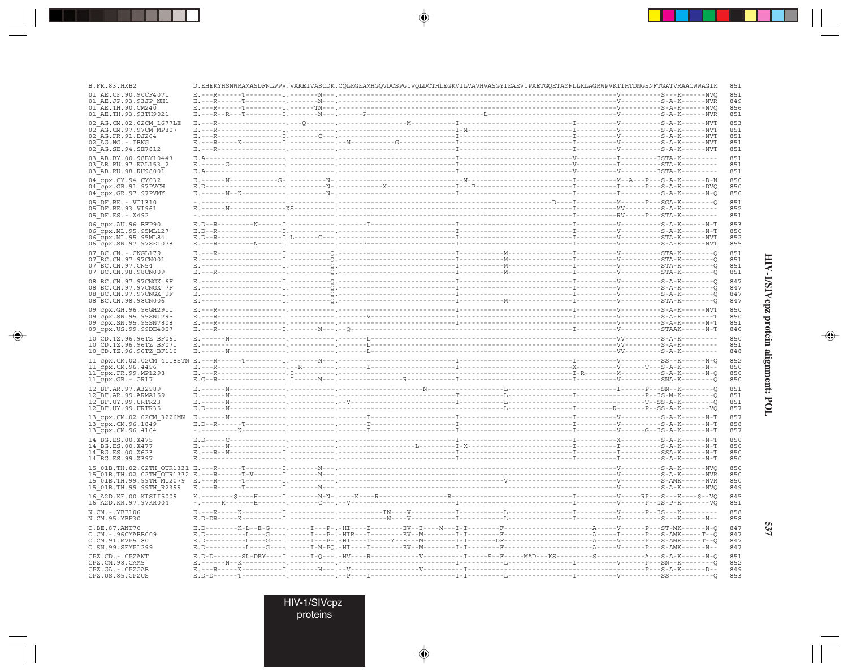| <b>B.FR.83.HXB2</b>                                                   | D.EHEKYHSNWRAMASDFNLPPV.VAKEIVASCDK.CQLKGEAMHGQVDCSPGIWQLDCTHLEGKVILVAVHVASGYIEAEVIPAETGQETAYFLLKLAGRWPVKTIHTDNGSNFTGATVRAACWWAGIK                                                                                                                                                                                                                                                                                                                                                                  |  |  |
|-----------------------------------------------------------------------|-----------------------------------------------------------------------------------------------------------------------------------------------------------------------------------------------------------------------------------------------------------------------------------------------------------------------------------------------------------------------------------------------------------------------------------------------------------------------------------------------------|--|--|
| 01 AE.CF.90.90CF4071                                                  |                                                                                                                                                                                                                                                                                                                                                                                                                                                                                                     |  |  |
| 01 AE.JP.93.93JP NH1                                                  |                                                                                                                                                                                                                                                                                                                                                                                                                                                                                                     |  |  |
| $01$ <sup>AE</sup> .TH.90.CM240<br>01 AE.TH.93.93TH9021               |                                                                                                                                                                                                                                                                                                                                                                                                                                                                                                     |  |  |
|                                                                       |                                                                                                                                                                                                                                                                                                                                                                                                                                                                                                     |  |  |
| 02 AG.CM.02.02CM 1677LE<br>02 AG.CM.97.97CM MP807                     |                                                                                                                                                                                                                                                                                                                                                                                                                                                                                                     |  |  |
| 02 AG. FR. 91. DJ264                                                  |                                                                                                                                                                                                                                                                                                                                                                                                                                                                                                     |  |  |
| 02 AG.NG.-.IBNG                                                       |                                                                                                                                                                                                                                                                                                                                                                                                                                                                                                     |  |  |
| 02 AG.SE.94.SE7812                                                    |                                                                                                                                                                                                                                                                                                                                                                                                                                                                                                     |  |  |
| 03 AB.BY.00.98BY10443                                                 |                                                                                                                                                                                                                                                                                                                                                                                                                                                                                                     |  |  |
| 03 AB.RU.97.KAL153 2                                                  | $\begin{minipage}{0.03\textwidth} \begin{tabular}{@{}l@{}} \texttt{E.A--}{\texttt{----------}} & \texttt{STA-K--}{\texttt{--------}} \\ \texttt{E.----G--}{\texttt{--------}} & \texttt{-----}{\texttt{--------}} \\ \texttt{E.A--}{\texttt{--------}} & \texttt{---------}} & \texttt{-----}{\texttt{------}} \\ \texttt{E.A--}{\texttt{--------}} & \texttt{STA-K--}{\texttt{------}} \\ \texttt{E.A--}{\texttt{------}} & \texttt{STA-K--}{\texttt{------}} \\ \end$                             |  |  |
| 03 AB.RU.98.RU98001                                                   |                                                                                                                                                                                                                                                                                                                                                                                                                                                                                                     |  |  |
| 04_cpx.CY.94.CY032                                                    |                                                                                                                                                                                                                                                                                                                                                                                                                                                                                                     |  |  |
| 04_cpx.GR.91.97PVCH                                                   |                                                                                                                                                                                                                                                                                                                                                                                                                                                                                                     |  |  |
| 04 cpx.GR.97.97PVMY                                                   |                                                                                                                                                                                                                                                                                                                                                                                                                                                                                                     |  |  |
| 05 DF.BE. - . VI1310                                                  |                                                                                                                                                                                                                                                                                                                                                                                                                                                                                                     |  |  |
| 05 DF.BE.93.VI961                                                     |                                                                                                                                                                                                                                                                                                                                                                                                                                                                                                     |  |  |
| $05$ DF.ES. - . X492                                                  |                                                                                                                                                                                                                                                                                                                                                                                                                                                                                                     |  |  |
|                                                                       |                                                                                                                                                                                                                                                                                                                                                                                                                                                                                                     |  |  |
| 06 cpx.AU.96.BFP90                                                    |                                                                                                                                                                                                                                                                                                                                                                                                                                                                                                     |  |  |
| 06_cpx.ML.95.95ML127<br>06 Cpx.ML.95.95ML84                           |                                                                                                                                                                                                                                                                                                                                                                                                                                                                                                     |  |  |
| 06_cpx.SN.97.97SE1078                                                 |                                                                                                                                                                                                                                                                                                                                                                                                                                                                                                     |  |  |
|                                                                       |                                                                                                                                                                                                                                                                                                                                                                                                                                                                                                     |  |  |
| 07 BC.CN. - . CNGL179<br>07 BC.CN.97.97CN001                          | $\begin{minipage}{0.033\textwidth} \begin{tabular}{@{}l@{}} \texttt{E.---R--}{\textbf{1.---}}{\textbf{2.---}}{\textbf{3.---}}{\textbf{1.---}}{\textbf{2.---}}{\textbf{3.---}}{\textbf{4.---}}{\textbf{5.---}}{\textbf{5.---}}{\textbf{6.---}}{\textbf{6.---}}{\textbf{7.---}}{\textbf{7.---}}{\textbf{8.---}}{\textbf{1.---}}{\textbf{1.---}}{\textbf{1.---}}{\textbf{1.---}}{\textbf{1.---}}{\textbf{1.---}}{\textbf{1.---}}{\textbf{1.---}}{\textbf{1$                                            |  |  |
| 07 BC.CN.97.CN54                                                      |                                                                                                                                                                                                                                                                                                                                                                                                                                                                                                     |  |  |
| 07 BC.CN.98.98CN009                                                   |                                                                                                                                                                                                                                                                                                                                                                                                                                                                                                     |  |  |
|                                                                       |                                                                                                                                                                                                                                                                                                                                                                                                                                                                                                     |  |  |
| 08 BC.CN.97.97CNGX 6F                                                 | $\begin{minipage}{0.033\textwidth} \begin{tabular}{@{}l@{}} \texttt{E.}\texttt{-----}\end{tabular} \begin{tabular}{@{}l@{}} \texttt{E.}\texttt{-----}\end{tabular} \begin{tabular}{@{}l@{}} \texttt{E.}\texttt{-----}\end{tabular} \begin{tabular}{@{}l@{}} \texttt{E.}\texttt{-----}\end{tabular} \begin{tabular}{@{}l@{}} \texttt{E.}\texttt{-----}\end{tabular} \begin{tabular}{@{}l@{}} \texttt{-----}\end{tabular} \begin{tabular}{@{}l@{}} \texttt{E.}\end{tabular} \begin{tabular}{@{}l@{}}$ |  |  |
| 08 BC.CN.97.97CNGX 7F<br>08 BC.CN.97.97CNGX 9F<br>08 BC.CN.98.98CN006 |                                                                                                                                                                                                                                                                                                                                                                                                                                                                                                     |  |  |
|                                                                       |                                                                                                                                                                                                                                                                                                                                                                                                                                                                                                     |  |  |
|                                                                       |                                                                                                                                                                                                                                                                                                                                                                                                                                                                                                     |  |  |
| 09 cpx.GH.96.96GH2911                                                 |                                                                                                                                                                                                                                                                                                                                                                                                                                                                                                     |  |  |
| 09 cpx.SN.95.95SN1795<br>09_cpx.SN.95.95SN7808                        |                                                                                                                                                                                                                                                                                                                                                                                                                                                                                                     |  |  |
| 09_cpx.US.99.99DE4057                                                 |                                                                                                                                                                                                                                                                                                                                                                                                                                                                                                     |  |  |
|                                                                       |                                                                                                                                                                                                                                                                                                                                                                                                                                                                                                     |  |  |
| 10 CD.TZ.96.96TZ BF061                                                |                                                                                                                                                                                                                                                                                                                                                                                                                                                                                                     |  |  |
| 10 CD. TZ. 96. 96TZ BF071                                             |                                                                                                                                                                                                                                                                                                                                                                                                                                                                                                     |  |  |
| 10 CD.TZ.96.96TZ BF110                                                |                                                                                                                                                                                                                                                                                                                                                                                                                                                                                                     |  |  |
|                                                                       |                                                                                                                                                                                                                                                                                                                                                                                                                                                                                                     |  |  |
|                                                                       |                                                                                                                                                                                                                                                                                                                                                                                                                                                                                                     |  |  |
|                                                                       |                                                                                                                                                                                                                                                                                                                                                                                                                                                                                                     |  |  |
|                                                                       |                                                                                                                                                                                                                                                                                                                                                                                                                                                                                                     |  |  |
| 12 BF.AR.97.A32989                                                    |                                                                                                                                                                                                                                                                                                                                                                                                                                                                                                     |  |  |
| 12 BF.AR.99.ARMA159                                                   |                                                                                                                                                                                                                                                                                                                                                                                                                                                                                                     |  |  |
| 12 BF.UY.99.URTR23                                                    |                                                                                                                                                                                                                                                                                                                                                                                                                                                                                                     |  |  |
| 12 BF.UY.99.URTR35                                                    |                                                                                                                                                                                                                                                                                                                                                                                                                                                                                                     |  |  |
| 13 cpx.CM.02.02CM 3226MN                                              |                                                                                                                                                                                                                                                                                                                                                                                                                                                                                                     |  |  |
| 13_cpx.CM.96.1849                                                     |                                                                                                                                                                                                                                                                                                                                                                                                                                                                                                     |  |  |
| 13_cpx.CM.96.4164                                                     |                                                                                                                                                                                                                                                                                                                                                                                                                                                                                                     |  |  |
| 14 BG.ES.00.X475                                                      |                                                                                                                                                                                                                                                                                                                                                                                                                                                                                                     |  |  |
| 14 BG.ES.00.X477                                                      |                                                                                                                                                                                                                                                                                                                                                                                                                                                                                                     |  |  |
| 14 BG.ES.00.X623                                                      |                                                                                                                                                                                                                                                                                                                                                                                                                                                                                                     |  |  |
| 14 BG.ES.99.X397                                                      |                                                                                                                                                                                                                                                                                                                                                                                                                                                                                                     |  |  |
|                                                                       |                                                                                                                                                                                                                                                                                                                                                                                                                                                                                                     |  |  |
|                                                                       |                                                                                                                                                                                                                                                                                                                                                                                                                                                                                                     |  |  |
|                                                                       |                                                                                                                                                                                                                                                                                                                                                                                                                                                                                                     |  |  |
|                                                                       |                                                                                                                                                                                                                                                                                                                                                                                                                                                                                                     |  |  |
| 16 A2D. KE. 00. KISII5009                                             |                                                                                                                                                                                                                                                                                                                                                                                                                                                                                                     |  |  |
| 16 A2D. KR. 97. 97KR004                                               |                                                                                                                                                                                                                                                                                                                                                                                                                                                                                                     |  |  |
| $N.CM. - .YBF106$<br>N.CM.95.YBF30                                    | $\underbrace{\texttt{E.---R------}-\texttt{X-------1}}_{\texttt{2.}-\texttt{2.}-\texttt{2.}-\texttt{3.}-\texttt{2.}-\texttt{3.}-\texttt{4.}-\texttt{2.}-\texttt{2.}-\texttt{2.}-\texttt{2.}-\texttt{2.}-\texttt{2.}-\texttt{2.}-\texttt{2.}-\texttt{2.}-\texttt{2.}-\texttt{2.}-\texttt{2.}-\texttt{2.}-\texttt{2.}-\texttt{2.}-\texttt{2.}-\texttt{2.}-\texttt{2.}-\texttt{2.}-\texttt{2.}-\texttt{2$                                                                                              |  |  |
|                                                                       |                                                                                                                                                                                                                                                                                                                                                                                                                                                                                                     |  |  |
| O.BE.87.ANT70                                                         |                                                                                                                                                                                                                                                                                                                                                                                                                                                                                                     |  |  |
| $0.CM. - .96CMABB009$                                                 |                                                                                                                                                                                                                                                                                                                                                                                                                                                                                                     |  |  |
| O.CM.91.MVP5180<br>O.SN.99.SEMP1299                                   |                                                                                                                                                                                                                                                                                                                                                                                                                                                                                                     |  |  |
|                                                                       |                                                                                                                                                                                                                                                                                                                                                                                                                                                                                                     |  |  |
| CPZ.CD. - . CPZANT                                                    | $E.D-D-\cdots--\text{SL-DEY---I}\xspace, \xrightarrow{p} \text{CEY--I}\xspace, \xrightarrow{p} \text{ICY--I}-\text{LW--I}-\text{R--I}-\text{LW--I}-\text{LW--I}-\text{LW--I}-\text{LW--I}-\text{LW--I}-\text{MAD--KS---I}-\text{LW--I}-\text{LW--I}-\text{LW--I}-\text{LW--I}-\text{LW--I}-\text{LW--I}-\text{LW--I}-\text{LW--I}-\text{LW--I}-\text{LW--I}-\text{LW--I}-\text{LW--I}-\text{LW--I$                                                                                                  |  |  |
|                                                                       |                                                                                                                                                                                                                                                                                                                                                                                                                                                                                                     |  |  |
|                                                                       |                                                                                                                                                                                                                                                                                                                                                                                                                                                                                                     |  |  |
| CPZ.CM.98.CAM5<br>CPZ.GA. - . CPZGAB<br>CPZ.US.85.CPZUS               |                                                                                                                                                                                                                                                                                                                                                                                                                                                                                                     |  |  |

 $\begin{picture}(20,5) \put(0,0){\vector(0,1){10}} \put(15,0){\vector(0,1){10}} \put(15,0){\vector(0,1){10}} \put(15,0){\vector(0,1){10}} \put(15,0){\vector(0,1){10}} \put(15,0){\vector(0,1){10}} \put(15,0){\vector(0,1){10}} \put(15,0){\vector(0,1){10}} \put(15,0){\vector(0,1){10}} \put(15,0){\vector(0,1){10}} \put(15,0){\vector(0,1){10}} \put(15,0){\vector(0,$ 

 $\begin{picture}(20,5) \put(0,0){\vector(0,1){10}} \put(15,0){\vector(0,1){10}} \put(15,0){\vector(0,1){10}} \put(15,0){\vector(0,1){10}} \put(15,0){\vector(0,1){10}} \put(15,0){\vector(0,1){10}} \put(15,0){\vector(0,1){10}} \put(15,0){\vector(0,1){10}} \put(15,0){\vector(0,1){10}} \put(15,0){\vector(0,1){10}} \put(15,0){\vector(0,1){10}} \put(15,0){\vector(0,$ 

---

 $\overrightarrow{\phantom{a}}$ 

HIV-1/SIVepz protein alignment: POL

 $\begin{picture}(20,5) \put(0,0){\line(1,0){10}} \put(15,0){\line(1,0){10}} \put(15,0){\line(1,0){10}} \put(15,0){\line(1,0){10}} \put(15,0){\line(1,0){10}} \put(15,0){\line(1,0){10}} \put(15,0){\line(1,0){10}} \put(15,0){\line(1,0){10}} \put(15,0){\line(1,0){10}} \put(15,0){\line(1,0){10}} \put(15,0){\line(1,0){10}} \put(15,0){\line(1,$ 

 $\overline{\phantom{0}}$ 

537

HIV-1/SIVcpz<br>proteins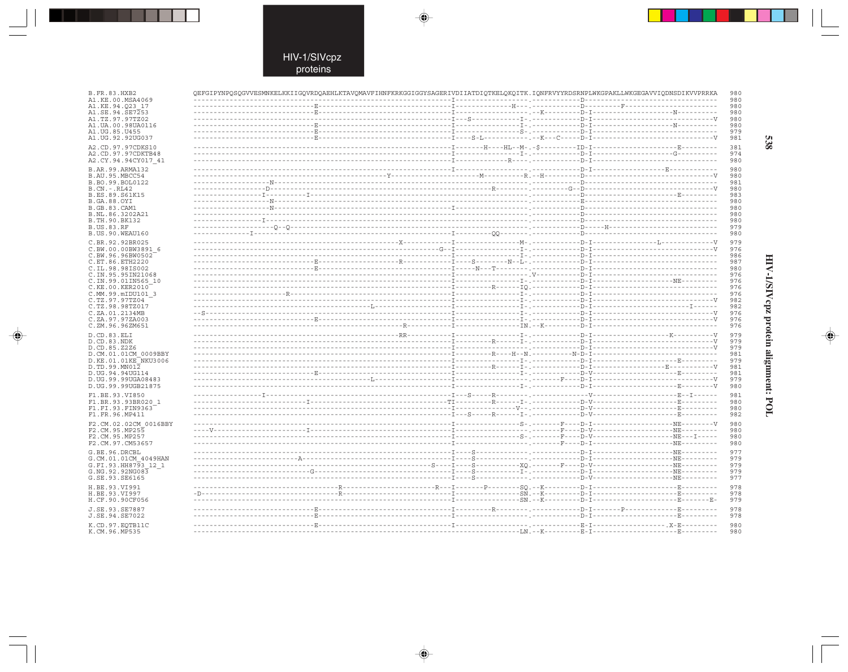$\begin{picture}(20,5) \put(0,0){\line(1,0){10}} \put(15,0){\line(1,0){10}} \put(15,0){\line(1,0){10}} \put(15,0){\line(1,0){10}} \put(15,0){\line(1,0){10}} \put(15,0){\line(1,0){10}} \put(15,0){\line(1,0){10}} \put(15,0){\line(1,0){10}} \put(15,0){\line(1,0){10}} \put(15,0){\line(1,0){10}} \put(15,0){\line(1,0){10}} \put(15,0){\line(1,$ 

 $\mathbb{R}^2$ 

| B.FR.83.HXB2                          | QEFGIPYNPQSQGVVESMNKELKKIIGQVRDQAEHLKTAVQMAVFIHNFKRKGGIGGYSAGERIVDIIATDIQTKELQKQITK.IQNFRVYYRDSRNPLWKGPAKLLWKGEGAVVIQDNSDIKVVPRRKA |  |                         | 980        |
|---------------------------------------|------------------------------------------------------------------------------------------------------------------------------------|--|-------------------------|------------|
| A1.KE.00.MSA4069<br>A1.KE.94.O23 17   |                                                                                                                                    |  |                         | 980<br>980 |
| A1.SE.94.SE7253                       |                                                                                                                                    |  |                         | 980        |
| A1.TZ.97.97TZ02                       |                                                                                                                                    |  |                         | 980        |
| A1.UA.00.98UA0116                     |                                                                                                                                    |  |                         | 980        |
| A1.UG.85.U455                         |                                                                                                                                    |  |                         | 979        |
| A1.UG.92.92UG037                      |                                                                                                                                    |  |                         | 981        |
| A2.CD.97.97CDKS10                     |                                                                                                                                    |  |                         | 381        |
| A2.CD.97.97CDKTB48                    |                                                                                                                                    |  |                         | 974        |
| A2.CY.94.94CY017 41                   |                                                                                                                                    |  |                         | 980        |
| B.AR. 99. ARMA132                     |                                                                                                                                    |  |                         | 980        |
| B.AU.95.MBCC54                        |                                                                                                                                    |  |                         | 980        |
| B.BO.99.BOL0122                       |                                                                                                                                    |  |                         | 981        |
| $B.CN.-.RL42$<br>B.ES.89.S61K15       |                                                                                                                                    |  |                         | 980<br>983 |
| <b>B.GA.88.OYI</b>                    |                                                                                                                                    |  |                         | 980        |
| <b>B.GB.83.CAM1</b>                   |                                                                                                                                    |  |                         | 980        |
| B.NL.86.3202A21                       |                                                                                                                                    |  |                         | 980        |
| B.TH.90.BK132                         |                                                                                                                                    |  |                         | 980        |
| <b>B.US.83.RF</b>                     |                                                                                                                                    |  |                         | 979        |
| B.US.90.WEAU160                       |                                                                                                                                    |  |                         | 980        |
| C.BR.92.92BR025                       |                                                                                                                                    |  |                         | 979        |
| C.BW.00.00BW3891 6                    |                                                                                                                                    |  |                         | 976        |
| C.BW.96.96BW0502                      |                                                                                                                                    |  |                         | 986        |
| C.ET.86.ETH2220                       |                                                                                                                                    |  |                         | 987        |
| C.IL.98.98IS002                       |                                                                                                                                    |  |                         | 980        |
| C. IN. 95.95IN21068                   |                                                                                                                                    |  |                         | 976        |
| C.IN.99.01IN565 10<br>C.KE.00.KER2010 |                                                                                                                                    |  |                         | 976<br>976 |
| C.MM.99.mIDU101 3                     |                                                                                                                                    |  |                         | 976        |
| C.TZ.97.97TZ04                        |                                                                                                                                    |  |                         | 982        |
| C.TZ.98.98TZ017                       |                                                                                                                                    |  |                         | 982        |
| C.ZA.01.2134MB                        |                                                                                                                                    |  |                         | 976        |
| C.ZA.97.97ZA003                       |                                                                                                                                    |  |                         | 976        |
| C.ZM.96.96ZM651                       |                                                                                                                                    |  |                         | 976        |
| D.CD.83.ELI                           |                                                                                                                                    |  |                         | 979        |
| D.CD.83.NDK                           |                                                                                                                                    |  |                         | 979        |
| D.CD.85.Z2Z6                          |                                                                                                                                    |  |                         | 979        |
| D.CM.01.01CM 0009BBY                  |                                                                                                                                    |  |                         | 981        |
| D.KE.01.01KE NKU3006                  |                                                                                                                                    |  |                         | 979        |
| D.TD.99.MN012<br>D.UG.94.94UG114      |                                                                                                                                    |  |                         | 981<br>981 |
| D. UG. 99. 99UGA08483                 |                                                                                                                                    |  |                         | 979        |
| D.UG.99.99UGB21875                    |                                                                                                                                    |  |                         | 980        |
| F1.BE.93.VI850                        |                                                                                                                                    |  |                         | 981        |
| F1.BR.93.93BR020 1                    |                                                                                                                                    |  |                         | 980        |
| F1.FI.93.FIN9363                      |                                                                                                                                    |  |                         | 980        |
| F1.FR.96.MP411                        |                                                                                                                                    |  |                         | 982        |
| F2.CM.02.02CM 0016BBY                 |                                                                                                                                    |  |                         | 980        |
| F2.CM.95.MP255                        |                                                                                                                                    |  |                         | 980        |
| F2.CM.95.MP257                        |                                                                                                                                    |  |                         | 980        |
| F2.CM.97.CM53657                      |                                                                                                                                    |  |                         | 980        |
| G.BE.96.DRCBL                         |                                                                                                                                    |  |                         | 977        |
| G.CM.01.01CM 4049HAN                  |                                                                                                                                    |  |                         | 979        |
| G.FI.93.HH8793 12 1                   |                                                                                                                                    |  |                         | 979        |
| G.NG.92.92NG083                       |                                                                                                                                    |  |                         | 979        |
| G.SE.93.SE6165                        |                                                                                                                                    |  |                         | 977        |
| H.BE.93.VI991                         |                                                                                                                                    |  |                         | 978        |
| H.BE.93.VI997                         |                                                                                                                                    |  |                         | 978        |
| H.CF.90.90CF056                       |                                                                                                                                    |  | $- - E - - - - - - E -$ | 979        |
| J.SE.93.SE7887                        |                                                                                                                                    |  |                         | 978        |
| J.SE.94.SE7022                        |                                                                                                                                    |  |                         | 978        |
|                                       |                                                                                                                                    |  |                         |            |
| K.CD.97.EOTB11C<br>K.CM.96.MP535      |                                                                                                                                    |  |                         | 980<br>980 |
|                                       |                                                                                                                                    |  |                         |            |

 $\begin{picture}(20,5) \put(0,0){\line(1,0){10}} \put(15,0){\line(1,0){10}} \put(15,0){\line(1,0){10}} \put(15,0){\line(1,0){10}} \put(15,0){\line(1,0){10}} \put(15,0){\line(1,0){10}} \put(15,0){\line(1,0){10}} \put(15,0){\line(1,0){10}} \put(15,0){\line(1,0){10}} \put(15,0){\line(1,0){10}} \put(15,0){\line(1,0){10}} \put(15,0){\line(1,$ 

 $\Rightarrow$ 

538

# HIV-1/SIVcpz protein alignment: POL

 $\begin{picture}(20,5) \put(0,0){\line(1,0){10}} \put(15,0){\line(1,0){10}} \put(15,0){\line(1,0){10}} \put(15,0){\line(1,0){10}} \put(15,0){\line(1,0){10}} \put(15,0){\line(1,0){10}} \put(15,0){\line(1,0){10}} \put(15,0){\line(1,0){10}} \put(15,0){\line(1,0){10}} \put(15,0){\line(1,0){10}} \put(15,0){\line(1,0){10}} \put(15,0){\line(1,$ 

 $\overline{\phantom{0}}$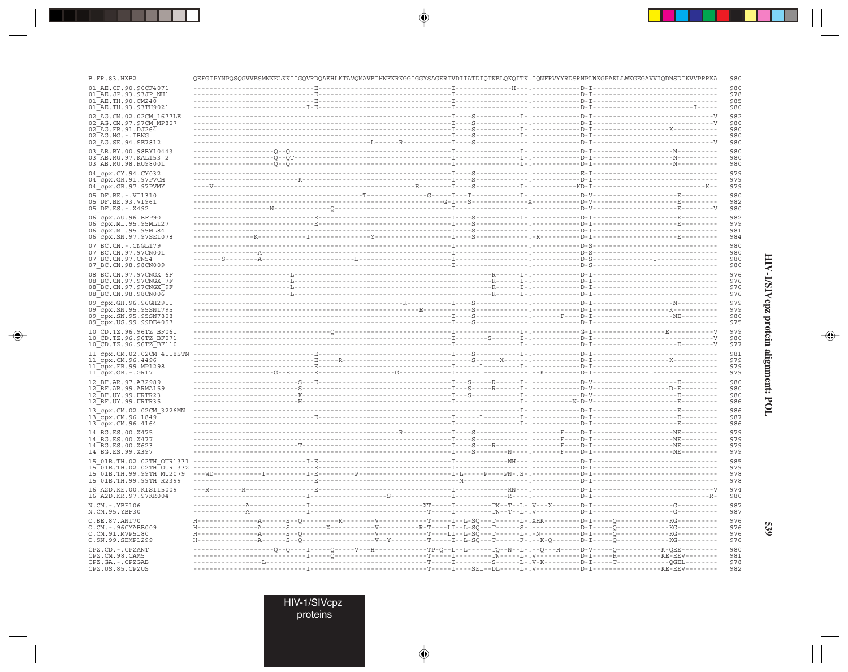| <b>B.FR.83.HXB2</b>                                   | QEFGIPYNPQSQGVVESMNKELKKIIGQVRDQAEHLKTAVQMAVFIHNFKRKGGIGGYSAGERIVDIIATDIQTKELQKQITK.IQNFRVYYRDSRNPLWKGPAKLLWKGEGAVVIQDNSDIKVVPRRKA |  | 980        |
|-------------------------------------------------------|------------------------------------------------------------------------------------------------------------------------------------|--|------------|
| 01 AE.CF.90.90CF4071                                  |                                                                                                                                    |  | 980        |
| 01 AE.JP.93.93JP NH1<br>01 AE.TH.90.CM240             |                                                                                                                                    |  | 978<br>985 |
| 01 AE.TH.93.93TH9021                                  |                                                                                                                                    |  | 980        |
| 02 AG.CM.02.02CM 1677LE                               |                                                                                                                                    |  | 982        |
| 02 AG.CM.97.97CM MP807<br>02 AG.FR.91.DJ264           |                                                                                                                                    |  | 980<br>980 |
| 02 AG.NG.-.IBNG                                       |                                                                                                                                    |  | 980        |
| 02 AG.SE.94.SE7812                                    |                                                                                                                                    |  | 980        |
| 03 AB.BY.00.98BY10443<br>03 AB.RU.97.KAL153 2         |                                                                                                                                    |  | 980<br>980 |
| 03 AB.RU.98.RU98001                                   |                                                                                                                                    |  | 980        |
| 04 cpx.CY.94.CY032                                    |                                                                                                                                    |  | 979        |
| $04$ $cpx$ . GR. 91.97PVCH<br>04 cpx.GR.97.97PVMY     |                                                                                                                                    |  | 979<br>979 |
| 05 DF.BE. -. VI1310                                   |                                                                                                                                    |  | 980        |
| 05 DF.BE.93.VI961                                     |                                                                                                                                    |  | 982        |
| 05 DF.ES. - . X492                                    |                                                                                                                                    |  | 980        |
| 06 cpx.AU.96.BFP90<br>06_cpx.ML.95.95ML127            |                                                                                                                                    |  | 982<br>979 |
| 06 cpx.ML.95.95ML84                                   |                                                                                                                                    |  | 981        |
| 06 cpx.SN.97.97SE1078                                 |                                                                                                                                    |  | 984        |
| 07 BC.CN. - . CNGL179                                 |                                                                                                                                    |  | 980        |
| 07 BC.CN.97.97CN001<br>07 BC. CN. 97. CN54            |                                                                                                                                    |  | 980<br>980 |
| 07 BC.CN.98.98CN009                                   |                                                                                                                                    |  | 980        |
| 08 BC.CN.97.97CNGX 6F                                 |                                                                                                                                    |  | 976        |
| 08 BC.CN.97.97CNGX 7F<br>08 BC.CN.97.97CNGX 9F        |                                                                                                                                    |  | 976<br>976 |
| 08 BC.CN.98.98CN006                                   |                                                                                                                                    |  | 976        |
| 09 cpx.GH.96.96GH2911                                 |                                                                                                                                    |  | 979        |
| 09_cpx.SN.95.95SN1795<br>09 cpx.SN.95.95SN7808        |                                                                                                                                    |  | 979<br>980 |
| 09 cpx.US.99.99DE4057                                 |                                                                                                                                    |  | 975        |
| 10 CD.TZ.96.96TZ BF061                                |                                                                                                                                    |  | 979        |
| 10 CD.TZ.96.96TZ BF071<br>10 CD.TZ.96.96TZ BF110      |                                                                                                                                    |  | 980<br>977 |
| 11_cpx.CM.02.02CM_4118STN                             |                                                                                                                                    |  | 981        |
| 11 cpx.CM.96.4496                                     |                                                                                                                                    |  | 979        |
| 11 cpx.FR.99.MP1298<br>$11$ _cpx.GR.-.GR17            |                                                                                                                                    |  | 979<br>979 |
|                                                       |                                                                                                                                    |  | 980        |
| 12 BF.AR.97.A32989<br>12 BF.AR.99.ARMA159             |                                                                                                                                    |  | 980        |
| 12 BF.UY.99.URTR23                                    |                                                                                                                                    |  | 980        |
| 12 BF.UY.99.URTR35                                    |                                                                                                                                    |  | 986        |
| 13 cpx.CM.02.02CM 3226MN<br>13 cpx.CM.96.1849         |                                                                                                                                    |  | 986<br>987 |
| 13 cpx.CM.96.4164                                     |                                                                                                                                    |  | 986        |
| 14 BG.ES.00.X475                                      |                                                                                                                                    |  | 979        |
| 14 BG.ES.00.X477<br>14 BG.ES.00.X623                  |                                                                                                                                    |  | 979<br>979 |
| 14 BG.ES.99.X397                                      |                                                                                                                                    |  | 979        |
| 15 01B.TH.02.02TH OUR1331                             |                                                                                                                                    |  | 985        |
| 15 01B.TH.02.02TH OUR1332<br>15 01B.TH.99.99TH MU2079 |                                                                                                                                    |  | 979<br>978 |
| 15 01B.TH.99.99TH R2399                               |                                                                                                                                    |  | 978        |
| 16 A2D. KE. 00. KISII5009                             |                                                                                                                                    |  | 974        |
| 16_A2D.KR.97.97KR004                                  |                                                                                                                                    |  | 980        |
| N.CM.-.YBF106<br>N.CM.95.YBF30                        |                                                                                                                                    |  | 987<br>987 |
| O.BE.87.ANT70                                         |                                                                                                                                    |  | 976        |
| O.CM. - . 96CMABB009<br>O.CM.91.MVP5180               |                                                                                                                                    |  | 976<br>976 |
| 0.SN.99.SEMP1299                                      |                                                                                                                                    |  | 976        |
| CPZ.CD. - . CPZANT                                    |                                                                                                                                    |  | 980        |
| CPZ.CM.98.CAM5                                        |                                                                                                                                    |  | 981<br>978 |
| CPZ.GA.-.CPZGAB<br>CPZ.US.85.CPZUS                    | -------I----------------------------T----I---SEL--DL-----L-.V----------D-I----------------KE-EEV--------                           |  | 982        |

 $\color{red} \blacklozenge$ 

 $\Rightarrow$ 

. . .

 $\Rightarrow$ 

# HIV-1/SIVepz protein alignment: POL

 $\Rightarrow$ 

**539** 

HIV-1/SIVcpz<br>proteins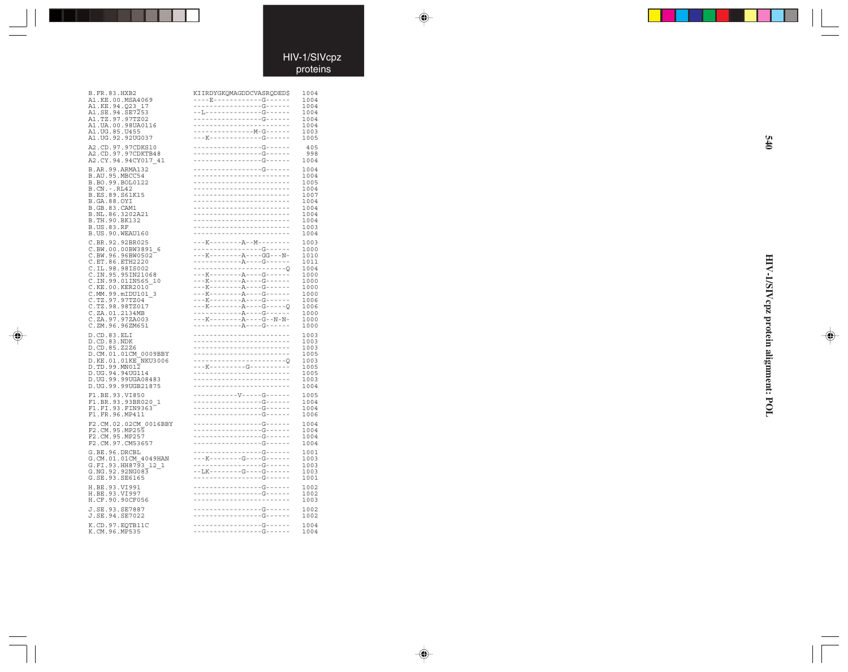### HIV-1/SIVcpz proteins

 $\Rightarrow$ 

 $\begin{picture}(20,5) \put(0,0){\vector(0,1){10}} \put(15,0){\vector(0,1){10}} \put(15,0){\vector(0,1){10}} \put(15,0){\vector(0,1){10}} \put(15,0){\vector(0,1){10}} \put(15,0){\vector(0,1){10}} \put(15,0){\vector(0,1){10}} \put(15,0){\vector(0,1){10}} \put(15,0){\vector(0,1){10}} \put(15,0){\vector(0,1){10}} \put(15,0){\vector(0,1){10}} \put(15,0){\vector(0,$ 

| B.FR.83.HXB2<br>A1.KE.00.MSA4069<br>A1.KE.94.Q23 17<br>A1.SE.94.SE7253<br>A1.TZ.97.97TZ02<br>A1.UA.00.98UA0116<br>A1. UG. 85. U455<br>A1.UG.92.92UG037                                                                                                                              | KIIRDYGKQMAGDDCVASRQDED\$<br>----E------------G------<br>-----------------G------<br>--L--------------G------<br>-----------------------<br>---K-------------G------<br>-----------------G------                                                                                                                             | 1004<br>1004<br>1004<br>1004<br>1004<br>1004<br>1003<br>1005<br>405                                          |
|-------------------------------------------------------------------------------------------------------------------------------------------------------------------------------------------------------------------------------------------------------------------------------------|------------------------------------------------------------------------------------------------------------------------------------------------------------------------------------------------------------------------------------------------------------------------------------------------------------------------------|--------------------------------------------------------------------------------------------------------------|
| A2.CD.97.97CDKS10<br>A2.CD.97.97CDKTB48<br>A2.CY.94.94CY017 41                                                                                                                                                                                                                      | -----------------G------<br>-----------------G------                                                                                                                                                                                                                                                                         | 998<br>1004                                                                                                  |
| B.AR.99.ARMA132                                                                                                                                                                                                                                                                     | -----------------G------                                                                                                                                                                                                                                                                                                     | 1004                                                                                                         |
| B.AU.95.MBCC54                                                                                                                                                                                                                                                                      | ------------------------                                                                                                                                                                                                                                                                                                     | 1004                                                                                                         |
| B.BO.99.BOL0122                                                                                                                                                                                                                                                                     | ------------------------                                                                                                                                                                                                                                                                                                     | 1005                                                                                                         |
| B.CN.-.RL42                                                                                                                                                                                                                                                                         | -------------------------                                                                                                                                                                                                                                                                                                    | 1004                                                                                                         |
| B.ES.89.S61K15                                                                                                                                                                                                                                                                      | ------------------------                                                                                                                                                                                                                                                                                                     | 1007                                                                                                         |
| B.GA.88.OYI                                                                                                                                                                                                                                                                         | -------------------------                                                                                                                                                                                                                                                                                                    | 1004                                                                                                         |
| B.GB.83.CAM1                                                                                                                                                                                                                                                                        | -------------------------                                                                                                                                                                                                                                                                                                    | 1004                                                                                                         |
| B.NL.86.3202A21                                                                                                                                                                                                                                                                     | --------------------------                                                                                                                                                                                                                                                                                                   | 1004                                                                                                         |
| B.TH.90.BK132                                                                                                                                                                                                                                                                       | ------------------------                                                                                                                                                                                                                                                                                                     | 1004                                                                                                         |
| B.US.83.RF                                                                                                                                                                                                                                                                          | ------------------------                                                                                                                                                                                                                                                                                                     | 1003                                                                                                         |
| B.US.90.WEAU160                                                                                                                                                                                                                                                                     | ------------------------                                                                                                                                                                                                                                                                                                     | 1004                                                                                                         |
| C.BR.92.92BR025<br>C.BW.00.00BW3891<br>-6<br>C.BW.96.96BW0502<br>C.ET.86.ETH2220<br>C.IL.98.98IS002<br>C.IN.95.95IN21068<br>C.IN.99.01IN565_10<br>C.KE.00.KER2010<br>C.MM.99.mIDU101 3<br>C.TZ.97.97TZ04<br>C.TZ.98.98TZ017<br>C.ZA.01.2134MB<br>C.ZA.97.97ZA003<br>C.ZM.96.96ZM651 | ---K--------A--M-------<br>-----------------G------<br>$---K------A---GG---N-$<br>$- - - {\rm K} - - - - - - - - - {\rm A} - - - - {\rm G} - - - - - - -$<br>---K--------A----G------<br>---K--------A----G------<br>---K--------A----G------<br>---K--------A----G------<br>$---K------A---G---$<br>------------A----G----- | 1003<br>1000<br>1010<br>1011<br>1004<br>1000<br>1000<br>1000<br>1000<br>1006<br>1006<br>1000<br>1000<br>1000 |
| D.CD.83.ELI                                                                                                                                                                                                                                                                         | ------------------------                                                                                                                                                                                                                                                                                                     | 1003                                                                                                         |
| D.CD.83.NDK                                                                                                                                                                                                                                                                         | -------------------------                                                                                                                                                                                                                                                                                                    | 1003                                                                                                         |
| D.CD.85.Z2Z6                                                                                                                                                                                                                                                                        | -------------------------                                                                                                                                                                                                                                                                                                    | 1003                                                                                                         |
| D.CM.01.01CM_0009BBY                                                                                                                                                                                                                                                                | -------------------------                                                                                                                                                                                                                                                                                                    | 1005                                                                                                         |
| D.KE.01.01KE_NKU3006                                                                                                                                                                                                                                                                | -----------------------0                                                                                                                                                                                                                                                                                                     | 1003                                                                                                         |
| D.TD.99.MN012                                                                                                                                                                                                                                                                       | ---K---------G----------                                                                                                                                                                                                                                                                                                     | 1005                                                                                                         |
| D.UG.94.94UG114                                                                                                                                                                                                                                                                     |                                                                                                                                                                                                                                                                                                                              | 1005                                                                                                         |
| D.UG.99.99UGA08483                                                                                                                                                                                                                                                                  | ------------------------                                                                                                                                                                                                                                                                                                     | 1003                                                                                                         |
| D.UG.99.99UGB21875                                                                                                                                                                                                                                                                  | ------------------------                                                                                                                                                                                                                                                                                                     | 1004                                                                                                         |
| F1.BE.93.VI850<br>F1.BR.93.93BR020<br>F1.FI.93.FIN9363<br>$\mathbf{1}$<br>F1.FR.96.MP411                                                                                                                                                                                            | -----------V-----G------                                                                                                                                                                                                                                                                                                     | 1005<br>1004<br>1004<br>1006                                                                                 |
| F2.CM.02.02CM 0016BBY                                                                                                                                                                                                                                                               | -----------------G------                                                                                                                                                                                                                                                                                                     | 1004                                                                                                         |
| F2.CM.95.MP255                                                                                                                                                                                                                                                                      | -----------------G------                                                                                                                                                                                                                                                                                                     | 1004                                                                                                         |
| F2.CM.95.MP257                                                                                                                                                                                                                                                                      | -----------------G------                                                                                                                                                                                                                                                                                                     | 1004                                                                                                         |
| F2.CM.97.CM53657                                                                                                                                                                                                                                                                    | -----------------G------                                                                                                                                                                                                                                                                                                     | 1004                                                                                                         |
| G.BE.96.DRCBL<br>G.CM.01.01CM_4049HAN<br>G.FI.93.HH8793<br>12 1<br>G.NG.92.92NG083<br>G.SE.93.SE6165                                                                                                                                                                                | -----------------G------<br>-----------------G------<br>--LK--------G----G------<br>-----------------G------                                                                                                                                                                                                                 | 1001<br>1003<br>1003<br>1003<br>1001                                                                         |
| H.BE.93.VI991                                                                                                                                                                                                                                                                       | -----------------G------                                                                                                                                                                                                                                                                                                     | 1002                                                                                                         |
| H.BE.93.VI997                                                                                                                                                                                                                                                                       | ----------------G------                                                                                                                                                                                                                                                                                                      | 1002                                                                                                         |
| H.CF.90.90CF056                                                                                                                                                                                                                                                                     |                                                                                                                                                                                                                                                                                                                              | 1003                                                                                                         |
| J.SE.93.SE7887                                                                                                                                                                                                                                                                      | ----------------G-----                                                                                                                                                                                                                                                                                                       | 1002                                                                                                         |
| J.SE.94.SE7022                                                                                                                                                                                                                                                                      | -----------------G------                                                                                                                                                                                                                                                                                                     | 1002                                                                                                         |
| K.CD.97.EQTB11C                                                                                                                                                                                                                                                                     | -----------------G------                                                                                                                                                                                                                                                                                                     | 1004                                                                                                         |
| K.CM.96.MP535                                                                                                                                                                                                                                                                       | -----------------G------                                                                                                                                                                                                                                                                                                     | 1004                                                                                                         |

 $\Rightarrow$ 

**HIV-1/SIVcpz protein alignment: POL 540** HIV-1/SIVcpz protein alignment: POL

 $\begin{picture}(20,5) \put(0,0){\line(1,0){10}} \put(15,0){\line(1,0){10}} \put(15,0){\line(1,0){10}} \put(15,0){\line(1,0){10}} \put(15,0){\line(1,0){10}} \put(15,0){\line(1,0){10}} \put(15,0){\line(1,0){10}} \put(15,0){\line(1,0){10}} \put(15,0){\line(1,0){10}} \put(15,0){\line(1,0){10}} \put(15,0){\line(1,0){10}} \put(15,0){\line(1,$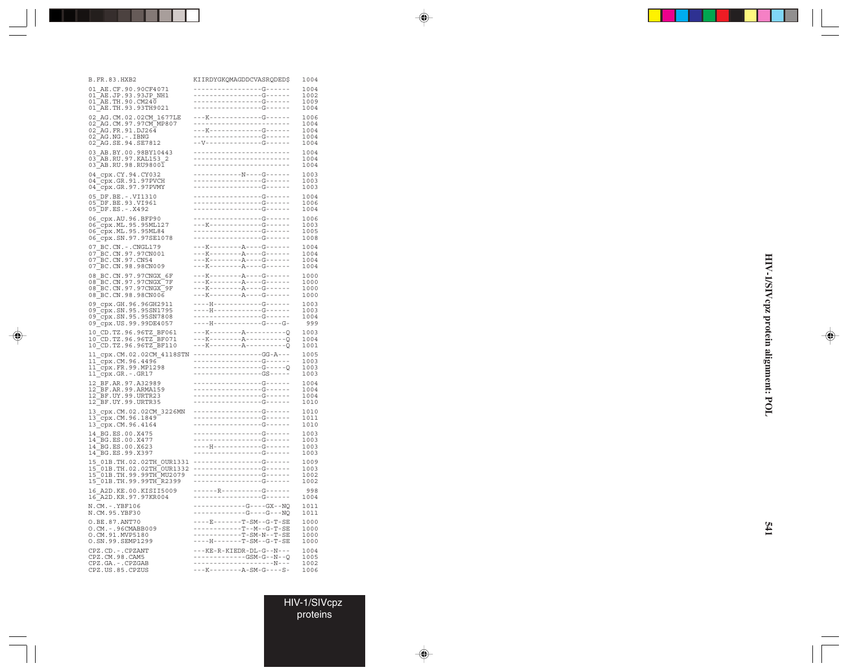| B.FR.83.HXB2                                                                                                                                    | KIIRDYGKQMAGDDCVASRQDED\$                                                                                   | 1004                                 |
|-------------------------------------------------------------------------------------------------------------------------------------------------|-------------------------------------------------------------------------------------------------------------|--------------------------------------|
| AE.CF.90.90CF4071<br>01<br>$AR.JP.93.93JP_MH1$<br>01<br>$01^{\overline{A}}E$ .TH.90.CM240<br>01 AE. TH. 93.93TH9021                             | -----------------------<br>- - - - - - - - - - - - - - - - G- - - - - -                                     | 1004<br>1002<br>1009<br>1004         |
| 02 AG.CM.02.02CM 1677LE<br>02 AG. CM. 97. 97 CM MP807<br>$02$ <sup>-</sup> AG.FR.91.DJ264<br>02_AG.NG.-.IBNG<br>02_AG.SE.94.SE7812              |                                                                                                             | 1006<br>1004<br>1004<br>1004<br>1004 |
| 03_AB.BY.00.98BY10443<br>03 AB.RU.97.KAL153_2<br>$03$ AB.RU.98.RU9800 $\overline{1}$                                                            | ------------------------<br>------------------------<br>------------------------                            | 1004<br>1004<br>1004                 |
| $04$ cpx. $CY.94. CY032$<br>04_cpx.GR.91.97PVCH<br>04_cpx.GR.97.97PVMY                                                                          | ------------N----G------                                                                                    | 1003<br>1003<br>1003                 |
| 05_DF.BE.-.VI1310<br>05_DF.BE.93.VI961<br>05_DF.ES.-.X492                                                                                       | -----------------G------                                                                                    | 1004<br>1006<br>1004                 |
| 06_cpx.AU.96.BFP90<br>06_cpx.ML.95.95ML127<br>06_cpx.ML.95.95ML84<br>06 cpx.SN.97.97SE1078                                                      | -----------------G------                                                                                    | 1006<br>1003<br>1005<br>1008         |
| 07_BC.CN.-.CNGL179<br>07_BC.CN.97.97CN001<br>07 BC. CN. 97. CN54<br>07 BC.CN.98.98CN009                                                         | ---K--------A----G------<br>---K--------A----G------<br>---K--------A----G------<br>---K--------A----G----- | 1004<br>1004<br>1004<br>1004         |
| 08 BC.CN.97.97CNGX 6F<br>08 BC.CN.97.97CNGX 7F<br>08 BC.CN.97.97CNGX<br>9F<br>08 BC.CN.98.98CN006                                               |                                                                                                             | 1000<br>1000<br>1000<br>1000         |
| 09_cpx.GH.96.96GH2911<br>09_cpx.SN.95 050***<br>09_cpx.SN.95.95SN1795<br>09_cpx.SN.95.95SN7808<br>09_cpx.US.99.99DE4057                         | ----H------------G----G-                                                                                    | 1003<br>1003<br>1004<br>999          |
| 10 CD.TZ.96.96TZ_BF061<br>$10$ $\boxed{\text{CD}.\text{TZ}.96.\text{96TZ} \boxed{\text{B} \text{F} 071}}$<br>$10$ CD. TZ. 96. 96TZ BF110        |                                                                                                             | 1003<br>1004<br>1001                 |
| 11_cpx.CM.02.02CM_4118STN<br>11_cpx.CM.96.4496<br>11_cpx.FR.99.MP1298<br>11_cpx.GR.-.GR17                                                       |                                                                                                             | 1005<br>1003<br>1003<br>1003         |
| 12 BF.AR.97.A32989<br>12_BF.AR.99.ARMA159<br>12_BF.UY.99.URTR23<br>$12$ BF.UY.99.URTR35                                                         | ----------------G------                                                                                     | 1004<br>1004<br>1004<br>1010         |
| 13_cpx.CM.02.02CM_3226MN<br>13_cpx.CM.96.1849<br>13_cpx.CM.96.4164                                                                              |                                                                                                             | 1010<br>1011<br>1010                 |
| 14 BG.ES.00.X475<br>14<br>$\overline{\phantom{a}}$ BG.ES.00.X477<br>14 BG.ES.00.X623<br>14 BG.ES.99.X397                                        | -----------------G------<br>----------------G------                                                         | 1003<br>1003<br>1003<br>1003         |
| _01B.TH.02.02TH_OUR1331<br>_01B.TH.02.02TH_OUR1332<br>15<br>15<br>15_01B.m.02.02m_000155<br>15_01B.TH.99.99TH_MU2079<br>15_01B.TH.99.99TH_R2399 |                                                                                                             | 1009<br>1003<br>1002<br>1002         |
| 16 A2D.KE.00.KISII5009<br>16 A2D.KR.97.97KR004                                                                                                  | ------R----------G------<br>-----------------G------                                                        | 998<br>1004                          |
| N.CM.-.YBF106<br>N.CM.95.YBF30                                                                                                                  | ------------G----G---NQ                                                                                     | 1011<br>1011                         |
| 0.BE.87.ANT70<br>O.CM. - . 96CMABB009<br>O.CM.91.MVP5180<br>O.SN.99.SEMP1299                                                                    | ----E-------T-SM--G-T-SE<br>-----------T--M--G-T-SE<br>----H-------T-SM--G-T-SE                             | 1000<br>1000<br>1000<br>1000         |
| CPZ.CD. - . CPZANT<br>CPZ.CM.98.CAM5<br>CPZ.GA.-.CPZGAB<br>CPZ.US.85.CPZUS                                                                      | ---KE-R-KIEDR-DL-G--N---                                                                                    | 1004<br>1005<br>1002<br>1006         |
|                                                                                                                                                 |                                                                                                             |                                      |

 $\Rightarrow$ 

HIV-1/SIVcpz proteins

 $\color{red}\blacklozenge$ 

 $\color{red} \blacklozenge$ 

HIV-1/SIVcpz protein alignment: POL **HIV-1/SIVcpz protein alignment: POL**

 $\color{red}\blacklozenge$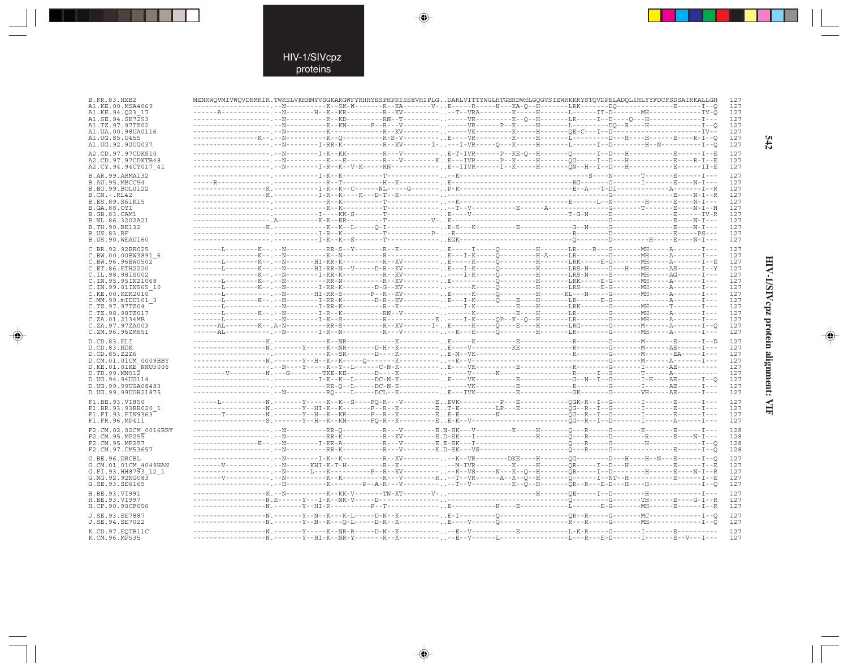$\blacklozenge$ 

| B.FR.83.HXB2                        | MENRWQVMIVWQVDRMRIR.TWKSLVKHHMYVSGKARGWFYRHHYESPHPRISSEVHIPLGDARLVITTYWGLHTGERDWHLGQGVSIEWRKKRYSTQVDPELADQLIHLYYFDCFSDSAIRKALLGH        |  |  |  |  |
|-------------------------------------|-----------------------------------------------------------------------------------------------------------------------------------------|--|--|--|--|
| A1.KE.00.MSA4069<br>A1.KE.94.023 17 | --------------------.-R--------K--SK-W-------R--KA-------V-E-----R----N---KA-Q--H-------LRK-------DQ--------------E------I--Q           |  |  |  |  |
| A1.SE.94.SE7253                     |                                                                                                                                         |  |  |  |  |
| A1.TZ.97.97TZ02                     |                                                                                                                                         |  |  |  |  |
| A1.UA.00.98UA0116                   |                                                                                                                                         |  |  |  |  |
| A1.UG.85.U455                       |                                                                                                                                         |  |  |  |  |
| A1.UG.92.92UG037                    | -------------------,--N--------I-RR-K----------R--KV-------I----I-VR----Q---K-----H-------I--D--------H--N----------I--Q                |  |  |  |  |
| A2.CD.97.97CDKS10                   | -----------------------T-K--KK--------R---V--------.E-T-IVR-----P--KE-Q--H------Q------I--D---H----------E------I--E                    |  |  |  |  |
| A2.CD.97.97CDKTB48                  |                                                                                                                                         |  |  |  |  |
| A2.CY.94.94CY017 41                 | ------------------------T-R--K--V-K-----RN------------.E--IIVR------I--K-----H-------QN--H--I--D---H---------E------II-E                |  |  |  |  |
| B.AR.99.ARMA132                     |                                                                                                                                         |  |  |  |  |
| B.AU.95.MBCC54                      |                                                                                                                                         |  |  |  |  |
| B.BO.99.BOL0122                     |                                                                                                                                         |  |  |  |  |
| B.CN. - .RL42                       |                                                                                                                                         |  |  |  |  |
| B.ES.89.S61K15                      |                                                                                                                                         |  |  |  |  |
| B.GA.88.OYI                         |                                                                                                                                         |  |  |  |  |
| B.GB.83.CAM1                        |                                                                                                                                         |  |  |  |  |
| B.NL.86.3202A21                     |                                                                                                                                         |  |  |  |  |
| B.TH.90.BK132                       |                                                                                                                                         |  |  |  |  |
| <b>B.US.83.RF</b>                   |                                                                                                                                         |  |  |  |  |
| B.US.90.WEAU160                     |                                                                                                                                         |  |  |  |  |
| C.BR.92.92BR025                     |                                                                                                                                         |  |  |  |  |
| C.BW.00.00BW3891 6                  |                                                                                                                                         |  |  |  |  |
| C.BW.96.96BW0502                    | -------L--------K--.--N-------HI-KR-K----------R--KV----------E-----K-----Q---------H-------LRK-----B-G-------MH-----A--------I--E      |  |  |  |  |
| C.ET.86.ETH2220                     | -------L--------K--.--N-------HI-RR-N--V-----D-R--KV---------E---I-K-----Q---------H-------LRS-N-----G---H---MH-----AE------I--Y        |  |  |  |  |
| C.IL.98.98IS002                     |                                                                                                                                         |  |  |  |  |
| C.IN.95.95IN21068                   | -------L--------K--.--N----------RR-N----------R--KV---------E----------Q----------H-------LRK-----E-G--------MH-----A-------I---       |  |  |  |  |
| C.IN.99.01IN565 10                  | -------L--------K--.--N---------I-RR-K--------D-G--KV---------. . ------K-----Q---------H--------ERS-----E-G--------MH-----A--------I-- |  |  |  |  |
| C.KE.00.KER2010                     | --------L-----------------HI-RR-S-------F--RV----------.E-----K-----Q---------H------KL---R-----G--------MH-----A-------I---            |  |  |  |  |
| C.MM.99.mIDU101 3<br>C.TZ.97.97TZ04 | -------L--------K--.--N---------I-RR-K--------D-R--KV----------E---I-K-----Q----E----H-------LR-------E-G---------------A-------I---    |  |  |  |  |
| C.TZ.98.98TZ017                     | -------L--------K--.--N---------I-R--K----------RN--V-----------------K---------E----H-------LR--------------MH-----A--------I---       |  |  |  |  |
| C.ZA.01.2134MB                      |                                                                                                                                         |  |  |  |  |
| C.ZA.97.97ZA003                     | ------AL--------K--.A-N----------RR-S---------R--KV-------I-E-----K----Q----E----H-------LRG--------G-------M-------A-------I--Q        |  |  |  |  |
| C.ZM.96.96ZM651                     |                                                                                                                                         |  |  |  |  |
|                                     |                                                                                                                                         |  |  |  |  |
| D.CD.83.ELI                         |                                                                                                                                         |  |  |  |  |
| D.CD.83.NDK<br>D.CD.85.Z2Z6         |                                                                                                                                         |  |  |  |  |
| D.CM.01.01CM 0009BBY                |                                                                                                                                         |  |  |  |  |
| D.KE.01.01KE NKU3006                |                                                                                                                                         |  |  |  |  |
| D.TD.99.MN012                       |                                                                                                                                         |  |  |  |  |
| D.UG.94.94UG114                     |                                                                                                                                         |  |  |  |  |
| D.UG.99.99UGA08483                  |                                                                                                                                         |  |  |  |  |
| D.UG.99.99UGB21875                  | ------------------------R---------RQ----L----DCL--K----------E---IVK---------E-----------GK-------G-------VH-----AE------I---           |  |  |  |  |
| F1.BE.93.VI850                      | ------L-----------N.-------Y-----K--K--S----FQ-R---V--------EEVK----------P---E----------QGK-R--I--G------I-------E------I---           |  |  |  |  |
| F1.BR.93.93BR020 1                  | ------------------N.------Y--HI-K--K-------F--R--K---------ET-E---------LP---E----------QG--R--I--G------I--------E------I---           |  |  |  |  |
| F1.FI.93.FIN9363                    |                                                                                                                                         |  |  |  |  |
| F1.FR.96.MP411                      |                                                                                                                                         |  |  |  |  |
|                                     |                                                                                                                                         |  |  |  |  |
| F2.CM.02.02CM 0016BBY               |                                                                                                                                         |  |  |  |  |
| F2.CM.95.MP255<br>F2.CM.95.MP257    |                                                                                                                                         |  |  |  |  |
| F2.CM.97.CM53657                    |                                                                                                                                         |  |  |  |  |
|                                     |                                                                                                                                         |  |  |  |  |
| G.BE.96.DRCBL                       |                                                                                                                                         |  |  |  |  |
| G.CM.01.01CM 4049HAN                | -------V------------.-N------KHI-K-T-H---------R--K------------M-IVR----------K-----H------QR----I--D---H------------E------I--E        |  |  |  |  |
| G.FI.93.HH8793 12 1                 |                                                                                                                                         |  |  |  |  |
| G.NG.92.92NG083                     |                                                                                                                                         |  |  |  |  |
| G.SE.93.SE6165                      |                                                                                                                                         |  |  |  |  |
| H.BE.93.VI991                       | -----------------K.--N----------K--KK-V-------TN-KT-------V---------------------H-------QE----I--D--------H------------I---             |  |  |  |  |
| H.BE.93.VI997                       |                                                                                                                                         |  |  |  |  |
| H.CF.90.90CF056                     |                                                                                                                                         |  |  |  |  |
| J.SE.93.SE7887                      |                                                                                                                                         |  |  |  |  |
| J.SE.94.SE7022                      |                                                                                                                                         |  |  |  |  |
|                                     |                                                                                                                                         |  |  |  |  |
|                                     |                                                                                                                                         |  |  |  |  |
| K.CD.97.EQTB11C<br>K.CM.96.MP535    | ------------------N.------Y--HI-K--NR-Y-------R--K----------E--V------L--------------L---R---E-D--------E--V---I---                     |  |  |  |  |

 $\blacklozenge$ 

 $\Rightarrow$ 

 $542$ 

# HIV-1/SIVcpz protein alignment: VIF

 $\begin{picture}(20,5) \put(0,0){\line(1,0){10}} \put(15,0){\line(1,0){10}} \put(15,0){\line(1,0){10}} \put(15,0){\line(1,0){10}} \put(15,0){\line(1,0){10}} \put(15,0){\line(1,0){10}} \put(15,0){\line(1,0){10}} \put(15,0){\line(1,0){10}} \put(15,0){\line(1,0){10}} \put(15,0){\line(1,0){10}} \put(15,0){\line(1,0){10}} \put(15,0){\line(1,$ 

 $\overline{\phantom{0}}$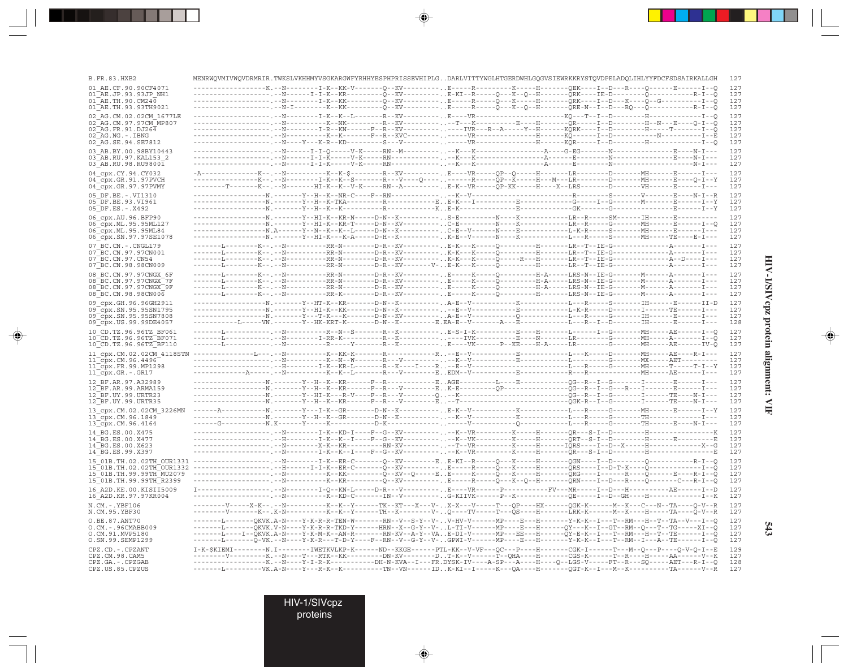| B.FR.83.HXB2                                                                                                                                                                                                                                                                                                                                                                                               |  |  |  | MENRWQVMIVWQVDRMRIR.TWKSLVKHHMYVSGKARGWFYRHHYESPHPRISSEVHIPLGDARLVITTYWGLHTGERDWHLGQGVSIEWRKKRYSTQVDPELADQLIHLYYFDCFSDSAIRKALLGH                                                                                                                                     |  |            |
|------------------------------------------------------------------------------------------------------------------------------------------------------------------------------------------------------------------------------------------------------------------------------------------------------------------------------------------------------------------------------------------------------------|--|--|--|----------------------------------------------------------------------------------------------------------------------------------------------------------------------------------------------------------------------------------------------------------------------|--|------------|
| 01 AE.CF.90.90CF4071                                                                                                                                                                                                                                                                                                                                                                                       |  |  |  | --N---------I-K--KK-V-------Q--KV---------. . E-----R-----------K-----H-------QEK----I--D---R----                                                                                                                                                                    |  |            |
| 01 AE.JP.93.93JP NH1<br>01 AE.TH.90.CM240                                                                                                                                                                                                                                                                                                                                                                  |  |  |  | - . --N-------I-I-K--KR----------Q--KV---------E-KI--R-----Q---K--Q--H--------QRK----IE-D--------Q-------                                                                                                                                                            |  | ----R-I--Q |
| 01 AE.TH.93.93TH9021                                                                                                                                                                                                                                                                                                                                                                                       |  |  |  |                                                                                                                                                                                                                                                                      |  |            |
| 02 AG.CM.02.02CM 1677LE                                                                                                                                                                                                                                                                                                                                                                                    |  |  |  |                                                                                                                                                                                                                                                                      |  |            |
| 02 AG.CM.97.97CM MP807                                                                                                                                                                                                                                                                                                                                                                                     |  |  |  |                                                                                                                                                                                                                                                                      |  |            |
| 02 AG. FR. 91. DJ264<br>$02$ <sup><math>-</math></sup> AG.NG. $-$ .IBNG                                                                                                                                                                                                                                                                                                                                    |  |  |  |                                                                                                                                                                                                                                                                      |  |            |
| 02 AG.SE.94.SE7812                                                                                                                                                                                                                                                                                                                                                                                         |  |  |  | --------------------,--N----------K--K-------F--R--KVC--------, .-----VR---------------H-------XQ------I--D----------N----------I---E                                                                                                                                |  |            |
| 03 AB.BY.00.98BY10443                                                                                                                                                                                                                                                                                                                                                                                      |  |  |  |                                                                                                                                                                                                                                                                      |  |            |
| 03 AB.RU.97.KAL153 2                                                                                                                                                                                                                                                                                                                                                                                       |  |  |  |                                                                                                                                                                                                                                                                      |  |            |
| 03 AB.RU.98.RU98001                                                                                                                                                                                                                                                                                                                                                                                        |  |  |  |                                                                                                                                                                                                                                                                      |  |            |
| 04 cpx.CY.94.CY032                                                                                                                                                                                                                                                                                                                                                                                         |  |  |  | -A-------------K--.--N---------K--K-\$-------R--KV---------E---VR-----QP--Q-----H-------LR-------D-------MH------E------I---                                                                                                                                         |  |            |
| 04_cpx.GR.91.97PVCH                                                                                                                                                                                                                                                                                                                                                                                        |  |  |  |                                                                                                                                                                                                                                                                      |  |            |
| 04_cpx.GR.97.97PVMY                                                                                                                                                                                                                                                                                                                                                                                        |  |  |  | --------T-------K--.--N-------HI-K--K--V-K-----RN--A---------E-K--VR-----QP-KK-----H---X--LRS------D--------VH------E------I---                                                                                                                                      |  |            |
| 05 DF.BE. -. VI1310<br>05 DF.BE.93.VI961                                                                                                                                                                                                                                                                                                                                                                   |  |  |  |                                                                                                                                                                                                                                                                      |  |            |
| 05 DF.ES. - . X492                                                                                                                                                                                                                                                                                                                                                                                         |  |  |  |                                                                                                                                                                                                                                                                      |  |            |
| 06 cpx.AU.96.BFP90                                                                                                                                                                                                                                                                                                                                                                                         |  |  |  |                                                                                                                                                                                                                                                                      |  |            |
| 06 cpx.ML.95.95ML127                                                                                                                                                                                                                                                                                                                                                                                       |  |  |  | ------------------N.-------Y--HI-K--KR-T-----D-N--KV---------. . C-E---------N---K---------LR--R-----G-------MH------E------I--Q                                                                                                                                     |  |            |
| 06 cpx.ML.95.95ML84                                                                                                                                                                                                                                                                                                                                                                                        |  |  |  |                                                                                                                                                                                                                                                                      |  |            |
| 06 cpx.SN.97.97SE1078                                                                                                                                                                                                                                                                                                                                                                                      |  |  |  |                                                                                                                                                                                                                                                                      |  |            |
| 07 BC.CN. - . CNGL179                                                                                                                                                                                                                                                                                                                                                                                      |  |  |  | -------L--------K--.--N----------RR-N--------D-R--KV----------E-K---K-----Q----------H-------LR--T--IE-G---------------A-------I---                                                                                                                                  |  |            |
| 07 BC.CN.97.97CN001<br>07 BC.CN.97.CN54                                                                                                                                                                                                                                                                                                                                                                    |  |  |  |                                                                                                                                                                                                                                                                      |  |            |
| 07 BC.CN.98.98CN009                                                                                                                                                                                                                                                                                                                                                                                        |  |  |  |                                                                                                                                                                                                                                                                      |  |            |
| 08 BC.CN.97.97CNGX 6F                                                                                                                                                                                                                                                                                                                                                                                      |  |  |  |                                                                                                                                                                                                                                                                      |  |            |
| 08 BC.CN.97.97CNGX 7F                                                                                                                                                                                                                                                                                                                                                                                      |  |  |  | -------L--------K--.--N-----------RR-N--------D-R--KV----------E-----K-----Q---------H-A-----LRS-N--IE-G-------M------A-------I---<br>-------L---------K--.--N-----------RR-N--------D-R--KV----------E-----K-----Q---------H                                        |  |            |
| 08 BC.CN.97.97CNGX 9F                                                                                                                                                                                                                                                                                                                                                                                      |  |  |  | -------L--------K--.--N-----------RR-N--------D-R--KV----------. .E-----K-----Q---------H-A-----LRS-N--IE-G-------M-------A-------I---                                                                                                                               |  |            |
| 08 BC.CN.98.98CN006                                                                                                                                                                                                                                                                                                                                                                                        |  |  |  | -------L--------K--.--N----------RR-K--------D-R--KV---------. .E-----K-----Q----------H-------LRS-N--IE-G-------M------A-------I---                                                                                                                                 |  |            |
| 09 cpx.GH.96.96GH2911                                                                                                                                                                                                                                                                                                                                                                                      |  |  |  |                                                                                                                                                                                                                                                                      |  |            |
| 09 cpx.SN.95.95SN1795<br>09 cpx.SN.95.95SN7808                                                                                                                                                                                                                                                                                                                                                             |  |  |  |                                                                                                                                                                                                                                                                      |  |            |
| 09 cpx.US.99.99DE4057                                                                                                                                                                                                                                                                                                                                                                                      |  |  |  |                                                                                                                                                                                                                                                                      |  |            |
| 10 CD.TZ.96.96TZ BF061                                                                                                                                                                                                                                                                                                                                                                                     |  |  |  |                                                                                                                                                                                                                                                                      |  |            |
| 10 CD.TZ.96.96TZ BF071                                                                                                                                                                                                                                                                                                                                                                                     |  |  |  |                                                                                                                                                                                                                                                                      |  |            |
| 10 CD.TZ.96.96TZ BF110                                                                                                                                                                                                                                                                                                                                                                                     |  |  |  |                                                                                                                                                                                                                                                                      |  |            |
| $11\_cpx.CM. 02.02CM\_4118STM  \mbox{---} \mbox{---} \mbox{---} \mbox{---} \mbox{---} \mbox{---} \mbox{---} \mbox{---} \mbox{---} \mbox{---} \mbox{---} \mbox{---} \mbox{---} \mbox{---} \mbox{---} \mbox{---} \mbox{---} \mbox{---} \mbox{---} \mbox{---} \mbox{---} \mbox{---} \mbox{---} \mbox{---} \mbox{---} \mbox{---} \mbox{---} \mbox{---} \mbox{---} \mbox{---} \mbox{---} \mbox{---} \mbox{---}$ |  |  |  |                                                                                                                                                                                                                                                                      |  |            |
| 11_cpx.CM.96.4496<br>11_cpx.FR.99.MP1298                                                                                                                                                                                                                                                                                                                                                                   |  |  |  |                                                                                                                                                                                                                                                                      |  |            |
| 11 cpx.GR.-.GR17                                                                                                                                                                                                                                                                                                                                                                                           |  |  |  |                                                                                                                                                                                                                                                                      |  |            |
| 12 BF.AR.97.A32989                                                                                                                                                                                                                                                                                                                                                                                         |  |  |  | -------Y--H--K--KR------F--R------------EAGE----------L----E-------------QG--R--I--G-------I-------E------I---                                                                                                                                                       |  |            |
| 12 BF.AR.99.ARMA159                                                                                                                                                                                                                                                                                                                                                                                        |  |  |  |                                                                                                                                                                                                                                                                      |  |            |
| 12 BF.UY.99.URTR23                                                                                                                                                                                                                                                                                                                                                                                         |  |  |  |                                                                                                                                                                                                                                                                      |  |            |
| 12 BF.UY.99.URTR35                                                                                                                                                                                                                                                                                                                                                                                         |  |  |  |                                                                                                                                                                                                                                                                      |  |            |
| 13_cpx.CM.02.02CM_3226MN<br>13_cpx.CM.96.1849                                                                                                                                                                                                                                                                                                                                                              |  |  |  |                                                                                                                                                                                                                                                                      |  |            |
| 13_cpx.CM.96.4164                                                                                                                                                                                                                                                                                                                                                                                          |  |  |  |                                                                                                                                                                                                                                                                      |  |            |
| 14 BG.ES.00.X475                                                                                                                                                                                                                                                                                                                                                                                           |  |  |  | --------------------.--N---------I-K--KD-I----F--G--KV-----------K--VR---------K----H-------QR---S-I--D--------H--------------------K                                                                                                                                |  |            |
| 14 BG.ES.00.X477                                                                                                                                                                                                                                                                                                                                                                                           |  |  |  |                                                                                                                                                                                                                                                                      |  |            |
| 14 BG.ES.00.X623                                                                                                                                                                                                                                                                                                                                                                                           |  |  |  |                                                                                                                                                                                                                                                                      |  |            |
| 14 BG.ES.99.X397                                                                                                                                                                                                                                                                                                                                                                                           |  |  |  | -------------------.--N--------I-K--K--I----F--G--KV-----------K--VR---------K----H-------QR---S-I--D--------H---------------------E                                                                                                                                 |  |            |
| 15 01B.TH.02.02TH OUR1331 -----------------------T-K--ER-C-------Q--KV--------EE-KI--R-----Q---K-----H-------QGN----I--D---------Q-------------R-I--Q                                                                                                                                                                                                                                                      |  |  |  |                                                                                                                                                                                                                                                                      |  |            |
| 15 01B.TH.99.99TH MU2079                                                                                                                                                                                                                                                                                                                                                                                   |  |  |  |                                                                                                                                                                                                                                                                      |  |            |
| 15 01B. TH. 99. 99TH R2399                                                                                                                                                                                                                                                                                                                                                                                 |  |  |  |                                                                                                                                                                                                                                                                      |  |            |
| 16 A2D. KE. 00. KISII5009                                                                                                                                                                                                                                                                                                                                                                                  |  |  |  |                                                                                                                                                                                                                                                                      |  |            |
| 16 A2D.KR.97.97KR004                                                                                                                                                                                                                                                                                                                                                                                       |  |  |  | -------------------------------K--KD-C-------IN--V---------G-KIIVK------P--K------------QE-----I--D--GH----H-------------I--K                                                                                                                                        |  |            |
| N.CM. - . YBF106                                                                                                                                                                                                                                                                                                                                                                                           |  |  |  | --------V-----X-K--.--N----------K--K--Y-------TK--KT---X---V-X-X---V----T---QP----HX------QGK-K------M--K--C---N--TA----Q-V--R                                                                                                                                      |  |            |
| N.CM.95.YBF30                                                                                                                                                                                                                                                                                                                                                                                              |  |  |  | --------V-------K--.K-N---------K--K--Y------TH--K-------V-Q----TV-----T---QS----H-------LRK-K------M--K----H-----TA----Q-V--R                                                                                                                                       |  |            |
| O.BE.87.ANT70                                                                                                                                                                                                                                                                                                                                                                                              |  |  |  | ------------------QKVK.A-N----Y-K-R-R-TEN-W--------RN--V--S-Y--V-V-HV-V-------MP----E---H--------Y-K-K--I---T--RM---H--T--TA--V---I--Q                                                                                                                               |  |            |
| O.CM. - . 96CMABB009                                                                                                                                                                                                                                                                                                                                                                                       |  |  |  | -------L-------QKVK.V-N----Y-K-R-R-TKD-Y------HRN--X--G-Y--V-L-TI-V------MP----E---H------QY---K--I--GT--RM--Q---T--TG-----XI--Q                                                                                                                                     |  |            |
| O.CM.91.MVP5180<br>O.SN.99.SEMP1299                                                                                                                                                                                                                                                                                                                                                                        |  |  |  | -------L----I--QKVK.A-N----Y-K-M-K--AN-R------RN-KV--A-Y--VAE-DI-V------MP---EE---H------QY-E-K--I---T--RM---H--T--TE------I--Q<br>-------I-------Q-VK.--N----Y-K-R---T-D-Y----F--RN--V--G-Y--V-GPWI-V------MP----E---H--------Y-K-K--I---T--RM--I---A--TE------I--Q |  |            |
| CPZ.CD. - . CPZANT                                                                                                                                                                                                                                                                                                                                                                                         |  |  |  | I-K-\$KIEMI--------N.I--------IWETKVLKP-K------ND--KKGE------PTL-KK--V-VF---QC---P----H------CGK-I------T---M--Q---P----Q-V-Q-I--E                                                                                                                                   |  |            |
| CPZ.CM.98.CAM5                                                                                                                                                                                                                                                                                                                                                                                             |  |  |  | --------V---------K.--N----T---RTK--KK---------DN-KV--------DT-K--V------T--QHA----H------CGS-K------T--R----H-----AA------V--K                                                                                                                                      |  |            |
| CPZ.GA. - . CPZGAB                                                                                                                                                                                                                                                                                                                                                                                         |  |  |  | -----------------K.--N----Y-I-R-K----------DH-N-KVA--I---FR.DYSK-IV----A-SP---A----H----Q--LGS-V-----FT--R---SQ-----AET---R-I--Q                                                                                                                                     |  |            |
| CPZ.US.85.CPZUS                                                                                                                                                                                                                                                                                                                                                                                            |  |  |  | ------Ti----------WK .A-N----Y---R-K--K---------TN--VN------TDK-KT--T-----K---QA----H------OGT-K--T---M--K---------TA------V--R                                                                                                                                      |  |            |

 $\begin{picture}(20,5) \put(0,0){\vector(0,1){10}} \put(15,0){\vector(0,1){10}} \put(15,0){\vector(0,1){10}} \put(15,0){\vector(0,1){10}} \put(15,0){\vector(0,1){10}} \put(15,0){\vector(0,1){10}} \put(15,0){\vector(0,1){10}} \put(15,0){\vector(0,1){10}} \put(15,0){\vector(0,1){10}} \put(15,0){\vector(0,1){10}} \put(15,0){\vector(0,1){10}} \put(15,0){\vector(0,$ 

 $\begin{picture}(20,5) \put(0,0){\vector(0,1){10}} \put(15,0){\vector(0,1){10}} \put(15,0){\vector(0,1){10}} \put(15,0){\vector(0,1){10}} \put(15,0){\vector(0,1){10}} \put(15,0){\vector(0,1){10}} \put(15,0){\vector(0,1){10}} \put(15,0){\vector(0,1){10}} \put(15,0){\vector(0,1){10}} \put(15,0){\vector(0,1){10}} \put(15,0){\vector(0,1){10}} \put(15,0){\vector(0,$ 

---

 $\overline{\blacklozenge}$ 

HIV-1/SIVcpz protein alignment: VIF

 $\begin{picture}(20,5) \put(0,0){\line(1,0){10}} \put(15,0){\line(1,0){10}} \put(15,0){\line(1,0){10}} \put(15,0){\line(1,0){10}} \put(15,0){\line(1,0){10}} \put(15,0){\line(1,0){10}} \put(15,0){\line(1,0){10}} \put(15,0){\line(1,0){10}} \put(15,0){\line(1,0){10}} \put(15,0){\line(1,0){10}} \put(15,0){\line(1,0){10}} \put(15,0){\line(1,$ 

 $\overline{\phantom{0}}$ 

١

**STEP** 

 $543$ 

HIV-1/SIVcpz<br>proteins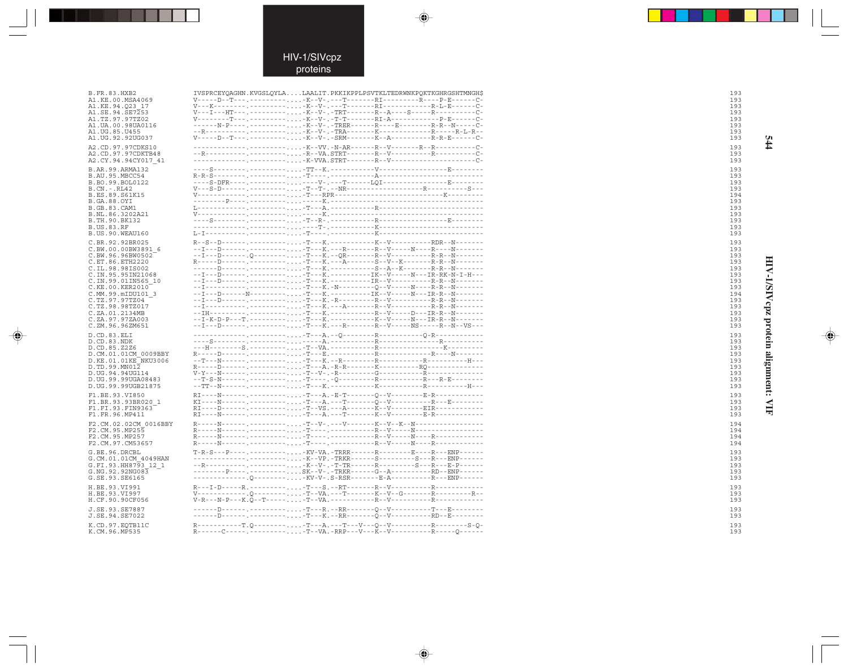$\color{red}\blacklozenge$ 

 $\overrightarrow{\phantom{a}}$ 

| <b>B.FR.83.HXB2</b>                | IVSPRCEYOAGHN.KVGSLOYLALAALIT.PKKIKPPLPSVTKLTEDRWNKPOKTKGHRGSHTMNGH\$                                                                        |  |                                                         |
|------------------------------------|----------------------------------------------------------------------------------------------------------------------------------------------|--|---------------------------------------------------------|
| A1.KE.00.MSA4069                   | V-----D--T---.----------K--V-.---T--------RI--------------------C-<br>V---K-----------------K--V-.---T--------RI---------------R-L-E------C- |  |                                                         |
| A1.KE.94.Q23 17<br>A1.SE.94.SE7253 | V---I---HT---.----------K--V-.-TRT-------R--A----S-----R---------C-                                                                          |  |                                                         |
| A1.TZ.97.97TZ02                    | V--------T---.----------K--V-.-T-T--------RI-A--------------P-E------C-                                                                      |  |                                                         |
| A1.UA.00.98UA0116                  | ------N-P----.----------K--V-.-TRER------R----E-----------R-R-N-----C-                                                                       |  |                                                         |
| A1. UG. 85. U455                   |                                                                                                                                              |  |                                                         |
| A1.UG.92.92UG037                   | V-----D--T---.----------K--V-.-SRM--------K--A------------R-R-E------C-                                                                      |  |                                                         |
| A2.CD.97.97CDKS10                  |                                                                                                                                              |  | ----.---------K--VV.-N-AR------R--V------R--R--------C- |
| A2.CD.97.97CDKTB48                 |                                                                                                                                              |  |                                                         |
| A2.CY.94.94CY017 41                | ------------. ---------. -K-VVA . STRT-------R--V--------------------C-                                                                      |  |                                                         |
| B.AR.99.ARMA132                    |                                                                                                                                              |  |                                                         |
| B.AU.95.MBCC54                     |                                                                                                                                              |  |                                                         |
| B.BO.99.BOL0122                    | ----S-DFR----.-------------V-.---T------LOI------------------E--------                                                                       |  |                                                         |
| B.CN. - . RL42<br>B.ES.89.S61K15   |                                                                                                                                              |  |                                                         |
| <b>B.GA.88.OYI</b>                 |                                                                                                                                              |  |                                                         |
| <b>B.GB.83.CAM1</b>                |                                                                                                                                              |  |                                                         |
| B.NL.86.3202A21                    |                                                                                                                                              |  |                                                         |
| B.TH.90.BK132                      |                                                                                                                                              |  |                                                         |
| <b>B.US.83.RF</b>                  |                                                                                                                                              |  |                                                         |
| B.US.90.WEAU160                    |                                                                                                                                              |  |                                                         |
| C.BR.92.92BR025                    |                                                                                                                                              |  |                                                         |
| C.BW.00.00BW3891 6                 |                                                                                                                                              |  |                                                         |
| C.BW.96.96BW0502                   |                                                                                                                                              |  |                                                         |
| C.ET.86.ETH2220                    | R-----D------. <sup>2</sup> ---------T---K.---A-------S--V--K-------R-R--N-------                                                            |  |                                                         |
| C.IL.98.98IS002                    |                                                                                                                                              |  |                                                         |
| C.IN.95.95IN21068                  |                                                                                                                                              |  |                                                         |
| C.IN.99.01IN565 10                 |                                                                                                                                              |  |                                                         |
| C.KE.00.KER2010                    |                                                                                                                                              |  |                                                         |
| C.MM.99.mIDU101 3                  |                                                                                                                                              |  |                                                         |
| C.TZ.97.97TZ04<br>C.TZ.98.98TZ017  | --I----------,---------T---K.---A-------R--V-------------R-R--N-------                                                                       |  |                                                         |
| C.ZA.01.2134MB                     |                                                                                                                                              |  |                                                         |
| C.ZA.97.97ZA003                    |                                                                                                                                              |  |                                                         |
| C.ZM.96.96ZM651                    | --I---D------. ----------. -T---K. ---R-------R--V-----NS-----R--N--VS---                                                                    |  |                                                         |
|                                    |                                                                                                                                              |  |                                                         |
| D.CD.83.ELI<br>D.CD.83.NDK         |                                                                                                                                              |  |                                                         |
| D.CD.85.Z2Z6                       |                                                                                                                                              |  |                                                         |
| D.CM.01.01CM 0009BBY               |                                                                                                                                              |  |                                                         |
| D.KE.01.01KE NKU3006               |                                                                                                                                              |  |                                                         |
| D.TD.99.MN012                      |                                                                                                                                              |  |                                                         |
| D.UG.94.94UG114                    |                                                                                                                                              |  |                                                         |
| D.UG.99.99UGA08483                 |                                                                                                                                              |  |                                                         |
| D.UG.99.99UGB21875                 |                                                                                                                                              |  |                                                         |
| F1.BE.93.VI850                     | RI----N------.----------T---A.-E-T--------0--V---------E-R-------------                                                                      |  |                                                         |
| F1.BR.93.93BR020 1                 |                                                                                                                                              |  |                                                         |
| F1.FI.93.FIN9363                   |                                                                                                                                              |  |                                                         |
| F1.FR.96.MP411                     | RI----N------.----------T---A.---T-------K--V-------E-R------------                                                                          |  |                                                         |
| F2.CM.02.02CM 0016BBY              | R-----N------ . --------- -T--V- . ---V-------K--V--K--N----------------                                                                     |  |                                                         |
| F2.CM.95.MP255                     |                                                                                                                                              |  |                                                         |
| F2.CM.95.MP257                     |                                                                                                                                              |  |                                                         |
| F2.CM.97.CM53657                   |                                                                                                                                              |  |                                                         |
| G.BE.96.DRCBL                      | T-R-S---P---- . --------- -KV-VA . -TRRR-------R--------E----R---ENP------                                                                   |  |                                                         |
| G.CM.01.01CM 4049HAN               | ------------------K--VP.-TRKR------S--------S---R---ENP------                                                                                |  |                                                         |
| G.FI.93.HH8793 12 1                | --R----------,--------,,,,-K--V-,-T-TR------R--------S---R---E-P------                                                                       |  |                                                         |
| G.NG.92.92NG083                    | ---------P----.---------SK--V-.-TRKR------G--A------------RD--ENP------                                                                      |  |                                                         |
| G.SE.93.SE6165                     |                                                                                                                                              |  |                                                         |
| H.BE.93.VI991                      | R---I-D-----R. ----------T---S. --RT--------R--V------------R---------                                                                       |  |                                                         |
| H.BE.93.VI997                      | V------------.0---------T--VA.---T-------K--V--G-------R----------R--                                                                        |  |                                                         |
| H.CF.90.90CF056                    | $V-R--N-P---K.\tilde{O}---T---A.---T--VA.---P---R--V---R---R---R---R---C$                                                                    |  |                                                         |
| J.SE.93.SE7887                     |                                                                                                                                              |  |                                                         |
| J.SE.94.SE7022                     |                                                                                                                                              |  |                                                         |
| K.CD.97.EOTB11C                    |                                                                                                                                              |  |                                                         |
| K.CM.96.MP535                      |                                                                                                                                              |  |                                                         |
|                                    |                                                                                                                                              |  |                                                         |

 $\color{red} \blacklozenge$ 

193<br>193 193<br>193

HIV-1/SIVcpz protein alignment: VIF

♦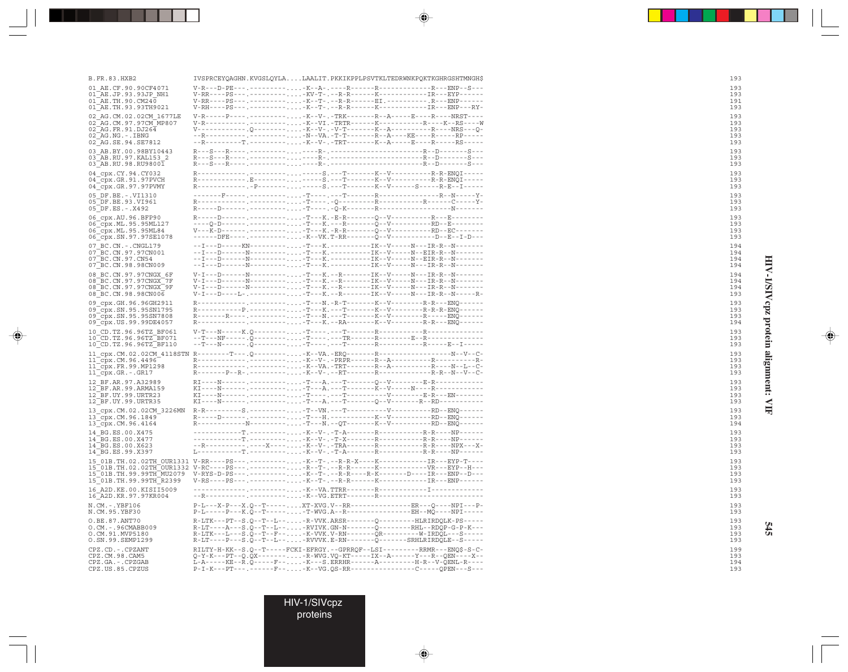| <b>B.FR.83.HXB2</b>                                 | IVSPRCEYOAGHN.KVGSLOYLALAALIT.PKKIKPPLPSVTKLTEDRWNKPOKTKGHRGSHTMNGHS                                                                                    | 193        |
|-----------------------------------------------------|---------------------------------------------------------------------------------------------------------------------------------------------------------|------------|
| 01 AE.CF.90.90CF4071<br>01 AE.JP.93.93JP NH1        |                                                                                                                                                         | 193<br>193 |
| 01 AE.TH.90.CM240                                   | V-RR----PS---.----------K--T-.--R-R------EI.-----------.R---ENP------                                                                                   | 191        |
| 01 AE. TH. 93. 93 TH 9021                           |                                                                                                                                                         | 193        |
| 02 AG.CM.02.02CM 1677LE<br>02 AG.CM.97.97CM MP807   | V-R-----P---- .--------- -K--V- . -TRK--------R--A-----E-----R-R----NRST----<br>V-R----------,--------,-K--VI.-TRTR------K-------------------K--RS----W | 193<br>193 |
| 02 AG.FR.91.DJ264                                   | V------------.Q---------K--V-.-V-T-------K--A------------------R----Q-                                                                                  | 193        |
| $02$ $AG.NG. - . IBNG$<br>02_AG.SE.94.SE7812        | --R----------.---------N--VA.-T-T-------R--A----KE----R-----RP-----<br>--R---------T.----------K--V-.-TRT-------K--A-----E----R-----RS-----             | 193<br>193 |
| 03 AB.BY.00.98BY10443                               |                                                                                                                                                         | 193        |
| 03 AB.RU.97.KAL153 2<br>03 AB.RU.98.RU98001         |                                                                                                                                                         | 193<br>193 |
| 04 cpx.CY.94.CY032                                  |                                                                                                                                                         | 193        |
| 04 cpx.GR.91.97PVCH                                 | R------------ E-------- ----- S . --- T-------- K--V----------- R-R-ENOI-----                                                                           | 193        |
| 04 cpx.GR.97.97PVMY                                 | R------------P------------S.---T-------K--V------S-----R-E--I-----                                                                                      | 193        |
| 05 DF.BE. -. VI1310<br>05 DF.BE.93.VI961            |                                                                                                                                                         | 193<br>193 |
| 05 DF.ES. - . X492                                  |                                                                                                                                                         | 193        |
| 06 cpx.AU.96.BFP90<br>06 cpx. ML. 95.95ML127        | R-----D---------------T---K.-E-R-------O--V------------R---E--------                                                                                    | 193<br>193 |
| 06 CDX.ML.95.95ML84                                 | V---K-D-------.-----------T---K.-R-R-------Q--V------------RD--EC-------                                                                                | 193        |
| 06 cpx.SN.97.97SE1078                               | ------DFE----.---------K--VK.T-RR-------0--V----------D--E--I-D---                                                                                      | 193        |
| 07 BC.CN. - . CNGL179<br>07 BC.CN.97.97CN001        | --I---D------N---------T---K.----------IK--V-----N--EIR-R--N-------                                                                                     | 194<br>194 |
| 07 BC.CN.97.CN54                                    |                                                                                                                                                         | 194        |
| 07 BC.CN.98.98CN009<br>08 BC.CN.97.97CNGX 6F        | --I---D------N----------T---K.----------IK--V----N---IR-R--N-------<br>V-I---D-------N----------T---K.--R-------IK--V-----N---IR-R--N-------            | 194<br>194 |
| 08 BC.CN.97.97CNGX 7F                               | V-I---D-------N----------T---K.--R-------IK--V-----N---IR-R--N-------                                                                                   | 194        |
| 08 BC.CN.97.97CNGX 9F<br>08 BC.CN.98.98CN006        | V-I---D-------N--------- -T---K. --R--------IK--V-----N---IR-R--N-------<br>V-I---D----L-.----------T---K.--R--------IK--V------N---IR-R--N------R-     | 194<br>193 |
| 09 cpx.GH.96.96GH2911                               | R------------,--------,-T---N.-R-T-------K--V----------R-R---ENO------                                                                                  | 193        |
| 09 cpx.SN.95.95SN1795                               |                                                                                                                                                         | 193        |
| 09 cpx.SN.95.95SN7808<br>09 cpx. US. 99. 99DE4057   | R-------R----.---------T---N.---T-------K--V---------R-----EN0------                                                                                    | 193<br>194 |
| 10 CD.TZ.96.96TZ BF061                              |                                                                                                                                                         | 193        |
| 10 CD.TZ.96.96TZ BF071<br>10 CD. TZ. 96. 96TZ BF110 |                                                                                                                                                         | 193<br>193 |
|                                                     | 11_cpx.CM.02.02CM_4118STN R--------T---.Q---------K--VA.-ERQ-------R----------------------N--V--C-                                                      | 193        |
| 11 cpx.CM.96.4496                                   |                                                                                                                                                         | 193        |
| 11 cpx.FR.99.MP1298<br>11 cpx.GR.-.GR17             |                                                                                                                                                         | 193<br>193 |
| 12 BF.AR.97.A32989                                  |                                                                                                                                                         | 193        |
| 12 BF.AR.99.ARMA159                                 |                                                                                                                                                         | 193<br>193 |
| 12 BF.UY.99.URTR23<br>12 BF.UY.99.URTR35            |                                                                                                                                                         | 193        |
| 13 cpx.CM.02.02CM 3226MN                            | $R-R$ ---------S, --------,,,, -T--VN, ---T---------------------RD--ENO-------                                                                          | 193        |
| 13 cpx.CM.96.1849<br>13 cpx.CM.96.4164              |                                                                                                                                                         | 193<br>194 |
| 14 BG.ES.00.X475                                    | -----------T.---------K--V-.-T-A-------R------------R-R-----NP------                                                                                    | 193        |
| 14 BG.ES.00.X477                                    | ------------T.---------K--V-.-T-X--------R-------------------NP------                                                                                   | 193        |
| 14 BG.ES.00.X623<br>14 BG.ES.99.X397                |                                                                                                                                                         | 193<br>193 |
|                                                     | 15 01B.TH.02.02TH OUR1331 V-RR----PS---.---------K--T-.--R-R-X----K----------------EYP-T----                                                            | 193        |
|                                                     | 15 01B.111.02.02111 00x1332 v.v.<br>15 01B.TH.99.99TH_MU2079 V-RYS-D-PS---.-----------K--T-.--R-R-----R-K-------D----IR----EMP--D---                    | 193<br>193 |
| 15 01B.TH.99.99TH R2399                             |                                                                                                                                                         | 193        |
| 16 A2D. KE. 00. KISII5009                           |                                                                                                                                                         | 193        |
| 16 A2D. KR. 97. 97KR004<br>N.CM. -. YBF106          | P-L---X-P---X.O--T-----XT-XVG.V--RR-------------------RR---O----NPI---P-                                                                                | 193<br>193 |
| N.CM.95.YBF30                                       | P-L-----P---K.O--T------T-WVG.A--R------------------EH--MO----NPI-----                                                                                  | 193        |
| O.BE.87.ANT70                                       | $\verb R-LTK---PT--S.Q--T--L--. - R-VVK.ARSR----Q------HLRIRDQLK-PS----P.$                                                                              | 193        |
| $O.CM. - .96CMABB009$<br>O.CM.91.MVP5180            | R-LT----A---S.Q--T--L---RVIVK.GN-N-------Q--------RHL--RDQP-G-P-K---<br>R-LTK---L---S.Q--T--F---K-VVK.V-RN-------QR---------W-IRDQL---S-----            | 193<br>193 |
| 0.SN.99.SEMP1299                                    | R-LT----P---S.Q--T--L---RVVVK.E-RN-------Q-------SRHLRIRDQLE--S-----                                                                                    | 193        |
| CPZ.CD. - . CPZANT<br>CPZ.CM.98.CAM5                | RILTY-H-KK--S.Q--T-----FCKI-EFRGY.--GPRRQF--LSI---------RRMR---ENQ\$-S-C-<br>Q-Y-K---PT--Q.QX--------R-WVG.VQ-KT-----IX--A------Y---R--QEN----X--       | 199<br>193 |
| CPZ.GA. - . CPZGAB                                  | L-A-----KE--R.Q-----F---K---S.ERRHR------A-------H-R--V-QENL-R----                                                                                      | 194        |
| CPZ.US.85.CPZUS                                     | P-I-K---PT---.------F---K--VG.QS-RR---------------C----QPEN---S---                                                                                      | 193        |

. . .

 $\Rightarrow$ 

 $\overline{\mathbb{F}}$ 

 $\overline{\blacklozenge}$ 

HIV-1/SIVcpz

 $\Rightarrow$ 

proteins

HIV-1/SIVcpz protein alignment: VIF **HIV-1/SIVcpz protein alignment: VIF**

 $\Rightarrow$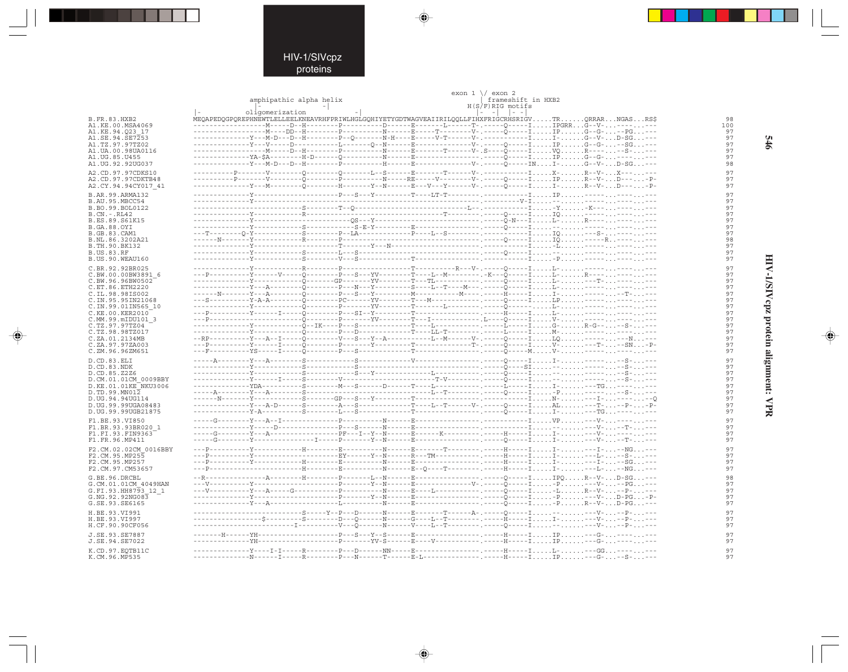◈

|                                          | amphipathic alpha helix |  | exon $1 \sqrt{}$ exon 2<br>frameshift in HXB2                         |                       |  |                                                                                                       |  |
|------------------------------------------|-------------------------|--|-----------------------------------------------------------------------|-----------------------|--|-------------------------------------------------------------------------------------------------------|--|
|                                          |                         |  |                                                                       | $H(S/F)$ RIG motifs   |  |                                                                                                       |  |
| <b>B.FR.83.HXB2</b>                      | oligomerization         |  |                                                                       | $  - - -   -   - -  $ |  | MEQAPEDQGPQREPHNEWTLELLEELKNEAVRHFPRIWLHGLGOHIYETYGDTWAGVEAIIRILQOLLFIHXFRIGCRHSRIGVTRQRRARNGASRS\$   |  |
| A1.KE.00.MSA4069                         |                         |  |                                                                       |                       |  |                                                                                                       |  |
| A1.KE.94.023 17                          |                         |  |                                                                       |                       |  |                                                                                                       |  |
| A1.SE.94.SE7253<br>A1.TZ.97.97TZ02       |                         |  |                                                                       |                       |  |                                                                                                       |  |
| A1. UA. 00. 98 UA0116                    |                         |  |                                                                       |                       |  |                                                                                                       |  |
| A1.UG.85.U455                            |                         |  |                                                                       |                       |  |                                                                                                       |  |
| A1.UG.92.92UG037                         |                         |  |                                                                       |                       |  | $-V-$ . ----- $Q$ -----INI- $G--V-$ D-SG---                                                           |  |
| A2.CD.97.97CDKS10                        |                         |  |                                                                       |                       |  |                                                                                                       |  |
| A2. CD. 97. 97 CDKTB48                   |                         |  |                                                                       |                       |  | ----Y---M---------Õ---------H-------Y---N-------B---V---Y-------V-.-----Õ-----II-R--V-D---P-          |  |
| A2.CY.94.94CY017 41                      |                         |  |                                                                       |                       |  |                                                                                                       |  |
| B.AR.99.ARMA132<br>B.AU.95.MBCC54        |                         |  |                                                                       |                       |  |                                                                                                       |  |
| B.BO.99.BOL0122                          |                         |  |                                                                       |                       |  | . - Y - K--- -                                                                                        |  |
| $B.CN.-.RL42$                            |                         |  |                                                                       |                       |  |                                                                                                       |  |
| B.ES.89.S61K15                           |                         |  |                                                                       |                       |  |                                                                                                       |  |
| <b>B.GA.88.OYI</b><br>B.GB.83.CAM1       |                         |  |                                                                       |                       |  |                                                                                                       |  |
| B.NL.86.3202A21                          |                         |  |                                                                       |                       |  |                                                                                                       |  |
| B.TH.90.BK132                            |                         |  |                                                                       |                       |  |                                                                                                       |  |
| <b>B.US.83.RF</b>                        |                         |  |                                                                       |                       |  |                                                                                                       |  |
| B.US.90.WEAU160                          |                         |  |                                                                       |                       |  |                                                                                                       |  |
| C.BR.92.92BR025<br>C.BW.00.00BW3891 6    |                         |  | $-T$ -----------R---V-.-----0-----IL                                  |                       |  | ----Y------V------0---------P---S---YV---------T----L--M----------. -K---Q-----IL-R-----              |  |
| C.BW.96.96BW0502                         |                         |  |                                                                       |                       |  |                                                                                                       |  |
| C.ET.86.ETH2220                          |                         |  |                                                                       |                       |  | ---------Y---A---------Õ---------P---Y---------S----I--T----M---.-----Õ-----II------------            |  |
| C.IL.98.98IS002                          |                         |  |                                                                       |                       |  |                                                                                                       |  |
| C.IN.95.95IN21068<br>C.IN.99.01IN565 10  |                         |  |                                                                       |                       |  | an sala                                                                                               |  |
| C.KE.00.KER2010                          |                         |  |                                                                       |                       |  |                                                                                                       |  |
| C.MM.99.mIDU101 3                        |                         |  |                                                                       |                       |  |                                                                                                       |  |
| C.TZ.97.97TZ04                           |                         |  |                                                                       |                       |  |                                                                                                       |  |
| C.TZ.98.98TZ017<br>C.ZA.01.2134MB        |                         |  |                                                                       |                       |  | --RP----------Y---A--I------Õ---------V---S---Y--A------------L--M------V-.-----O-----ILO----------N  |  |
| C.ZA.97.97ZA003                          |                         |  |                                                                       |                       |  |                                                                                                       |  |
| C.ZM.96.96ZM651                          |                         |  |                                                                       |                       |  |                                                                                                       |  |
| D.CD.83.ELI                              |                         |  |                                                                       |                       |  |                                                                                                       |  |
| D.CD.83.NDK                              |                         |  |                                                                       |                       |  |                                                                                                       |  |
| D.CD.85.Z2Z6<br>D.CM.01.01CM 0009BBY     |                         |  |                                                                       |                       |  |                                                                                                       |  |
| D.KE.01.01KE NKU3006                     |                         |  |                                                                       |                       |  |                                                                                                       |  |
| D.TD.99.MN012                            |                         |  |                                                                       |                       |  |                                                                                                       |  |
| D.UG.94.94UG114                          |                         |  |                                                                       |                       |  |                                                                                                       |  |
| D.UG.99.99UGA08483<br>D.UG.99.99UGB21875 |                         |  |                                                                       |                       |  |                                                                                                       |  |
| F1.BE.93.VI850                           |                         |  |                                                                       |                       |  |                                                                                                       |  |
| F1.BR.93.93BR020<br>$\overline{1}$       |                         |  |                                                                       |                       |  |                                                                                                       |  |
| F1.FI.93.FIN9363                         |                         |  |                                                                       |                       |  | -----G--------Y---A-----------------PF---I--Y--N------B------K--------------H-----II----V-----        |  |
| F1.FR.96.MP411                           |                         |  |                                                                       |                       |  |                                                                                                       |  |
| F2.CM.02.02CM 0016BBY                    |                         |  |                                                                       |                       |  |                                                                                                       |  |
| F2.CM.95.MP255<br>F2.CM.95.MP257         |                         |  |                                                                       |                       |  | ---P----------Y--------------------EY------Y--N------R---TM-----------------H-----II---B---S----      |  |
| F2.CM.97.CM53657                         |                         |  |                                                                       |                       |  |                                                                                                       |  |
| G.BE.96.DRCBL                            |                         |  |                                                                       |                       |  |                                                                                                       |  |
| G.CM.01.01CM 4049HAN                     |                         |  |                                                                       |                       |  |                                                                                                       |  |
| G.FI.93.HH8793 12 1                      |                         |  |                                                                       |                       |  |                                                                                                       |  |
| G.NG.92.92NG083                          |                         |  |                                                                       |                       |  |                                                                                                       |  |
| G.SE.93.SE6165                           |                         |  |                                                                       |                       |  | -PR--V-D-PG---                                                                                        |  |
| H.BE.93.VI991<br>H.BE.93.VI997           |                         |  | ---S------Y--P---D--------N------E---------T-------A-.------O-----I-- |                       |  | ----------------\$---------\$--------D---0-----N-----G----L--T--------,----------T------II----V---P-- |  |
| H.CF.90.90CF056                          |                         |  |                                                                       |                       |  |                                                                                                       |  |
| J.SE.93.SE7887                           |                         |  |                                                                       |                       |  | ----R---------------------H-----IIP---G---                                                            |  |
| J.SE.94.SE7022                           |                         |  |                                                                       |                       |  | -----YV-S------R----V-----------.-----H-----IIP---G--                                                 |  |
| K.CD.97.EOTB11C                          |                         |  |                                                                       |                       |  |                                                                                                       |  |
| K.CM.96.MP535                            |                         |  |                                                                       |                       |  |                                                                                                       |  |

◈

⊕

 $\frac{97}{97}$ 

 $\begin{array}{c} 97 \\ 97 \end{array}$ 

HIV-1/SIVcpz protein alignment: VPR

♠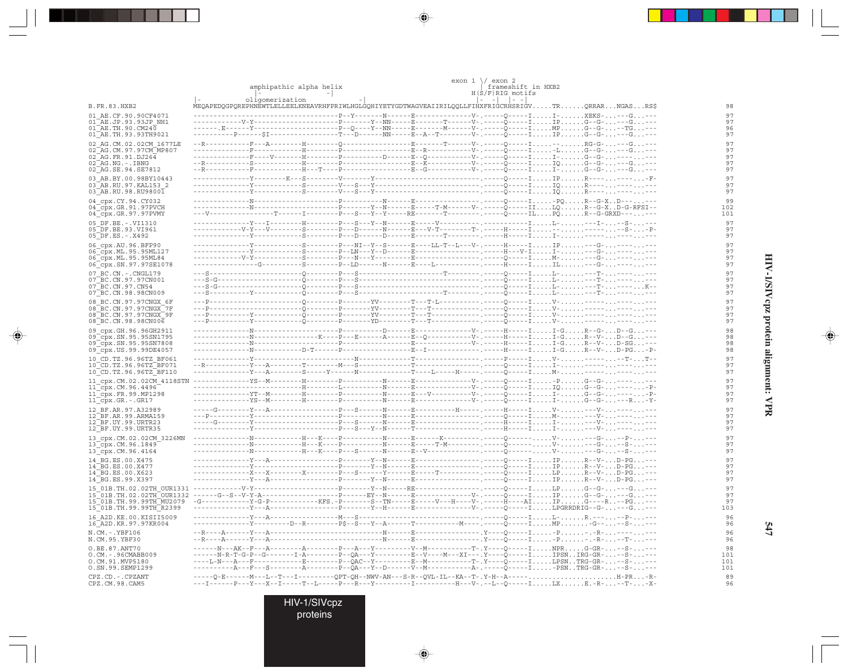|                                                                           | amphipathic alpha helix                     |                                       |  |  |  |                                                                                                     |  | $exon 1 \ \sqrt{}$ exon 2<br>frameshift in HXB2<br>$H(S/F)$ RIG motifs |  |              |                                                    |       |
|---------------------------------------------------------------------------|---------------------------------------------|---------------------------------------|--|--|--|-----------------------------------------------------------------------------------------------------|--|------------------------------------------------------------------------|--|--------------|----------------------------------------------------|-------|
| B.FR.83.HXB2                                                              |                                             | oligomerization                       |  |  |  | MEQAPEDQGPQREPHNEWTLELLEELKNEAVRHFPRIWLHGLGQHIYETYGDTWAGVEAIIRILQQLLFIHXFRIGCRHSRIGVTRQRRARNGASRS\$ |  | $\vert - \vert$                                                        |  |              |                                                    |       |
| 01 AE.CF.90.90CF4071                                                      |                                             |                                       |  |  |  | P--Y-------N------E--------------V-                                                                 |  |                                                                        |  |              | . - - - - - 0 - - - - - I I - XEKS - - - - G - - - |       |
| 01 AE.JP.93.93JP NH1<br>$01$ AE. TH. 90. CM240                            |                                             |                                       |  |  |  |                                                                                                     |  |                                                                        |  |              |                                                    |       |
| 01 AE. TH. 93. 93 TH 9021                                                 |                                             |                                       |  |  |  | --T---D-------NN-----E--A--T---------V-.-----Q-----IIPG--G----G---                                  |  |                                                                        |  |              |                                                    |       |
| 02 AG.CM.02.02CM 1677LE                                                   |                                             |                                       |  |  |  |                                                                                                     |  |                                                                        |  |              |                                                    |       |
| 02 AG. CM. 97. 97 CM MP807                                                |                                             |                                       |  |  |  |                                                                                                     |  |                                                                        |  |              |                                                    |       |
| $02$ AG. FR. 91. DJ264<br>$02$ <sup><math>-</math></sup> AG. NG. - . IBNG |                                             |                                       |  |  |  |                                                                                                     |  |                                                                        |  |              |                                                    |       |
| 02 AG. SE. 94. SE7812                                                     | $-$ - R - - - - -                           |                                       |  |  |  | ---------------F--G-----------V-.------O-                                                           |  |                                                                        |  |              | - I I - G--G- ---G ---                             |       |
| 03 AB.BY.00.98BY10443<br>03 AB.RU.97.KAL153 2<br>03 AB.RU.98.RU98001      |                                             |                                       |  |  |  |                                                                                                     |  |                                                                        |  |              |                                                    |       |
| 04 cpx.CY.94.CY032                                                        |                                             |                                       |  |  |  | ------N------E--------------------Q-----I-PQR--G-XD---.                                             |  |                                                                        |  |              |                                                    |       |
| 04 <sup>-</sup> cpx.GR.91.97PVCH                                          |                                             |                                       |  |  |  |                                                                                                     |  |                                                                        |  |              |                                                    |       |
| 04 cpx.GR.97.97PVMY                                                       |                                             |                                       |  |  |  |                                                                                                     |  |                                                                        |  |              |                                                    |       |
| 05 DF.BE. -. VI1310<br>05 DF.BE.93.VI961                                  |                                             |                                       |  |  |  |                                                                                                     |  |                                                                        |  |              | .----IL----I---S                                   |       |
| $05$ DF.ES. - . X492                                                      |                                             |                                       |  |  |  |                                                                                                     |  |                                                                        |  |              |                                                    |       |
| 06 cpx.AU.96.BFP90                                                        |                                             |                                       |  |  |  | --------S--------P---NI--Y--S------E----LL-T--L---V-.-----H-----IIP---G-                            |  |                                                                        |  |              |                                                    |       |
| 06 cpx.ML.95.95ML127                                                      |                                             |                                       |  |  |  | --------------Y-----------S--------P--LN---Y--D-----E----------------------H---V-II----G----        |  |                                                                        |  |              |                                                    |       |
| 06_cpx.ML.95.95ML84<br>06 cpx.SN.97.97SE1078                              |                                             |                                       |  |  |  |                                                                                                     |  |                                                                        |  |              |                                                    |       |
| 07 BC.CN. - . CNGL179                                                     |                                             |                                       |  |  |  |                                                                                                     |  |                                                                        |  |              |                                                    |       |
| 07 BC.CN.97.97CN001                                                       |                                             |                                       |  |  |  |                                                                                                     |  |                                                                        |  |              |                                                    |       |
| 07 BC.CN.97.CN54                                                          | $---S-G-$                                   |                                       |  |  |  |                                                                                                     |  |                                                                        |  |              |                                                    |       |
| 07 BC.CN.98.98CN009                                                       |                                             |                                       |  |  |  | ---Q---------P-------YV---------T---T-L----------.-----Q-----IV------                               |  |                                                                        |  |              |                                                    |       |
| 08 BC.CN.97.97CNGX 6F<br>08 BC.CN.97.97CNGX 7F                            |                                             |                                       |  |  |  |                                                                                                     |  |                                                                        |  |              |                                                    |       |
| 08 BC. CN. 97. 97 CNGX 9F                                                 |                                             |                                       |  |  |  |                                                                                                     |  |                                                                        |  |              |                                                    |       |
| 08 BC.CN.98.98CN006                                                       |                                             |                                       |  |  |  |                                                                                                     |  |                                                                        |  | ----IV------ |                                                    |       |
| 09 cpx.GH.96.96GH2911<br>09 cpx. SN. 95. 95 SN1795                        |                                             |                                       |  |  |  |                                                                                                     |  |                                                                        |  |              |                                                    |       |
| 09 cpx.SN.95.95SN7808                                                     |                                             |                                       |  |  |  |                                                                                                     |  |                                                                        |  |              |                                                    |       |
| 09_cpx.US.99.99DE4057                                                     |                                             |                                       |  |  |  |                                                                                                     |  |                                                                        |  |              |                                                    |       |
| 10 CD.TZ.96.96TZ BF061<br>10 CD. TZ. 96. 96TZ BF071                       |                                             |                                       |  |  |  |                                                                                                     |  |                                                                        |  |              |                                                    |       |
| 10 CD.TZ.96.96TZ BF110                                                    |                                             |                                       |  |  |  |                                                                                                     |  |                                                                        |  |              |                                                    |       |
| 11 cpx.CM.02.02CM 4118STN ---                                             |                                             |                                       |  |  |  | ------N------E---------------V-.------0-----I-PG--G                                                 |  |                                                                        |  |              |                                                    |       |
| $11$ cpx. CM. 96.4496                                                     |                                             |                                       |  |  |  |                                                                                                     |  |                                                                        |  |              |                                                    | $ P-$ |
| $11$ cpx. FR. 99. MP1298<br>11_cpx.GR.-.GR17                              |                                             |                                       |  |  |  |                                                                                                     |  |                                                                        |  |              |                                                    |       |
| 12 BF.AR.97.A32989                                                        |                                             |                                       |  |  |  | -----G---------Y---A------------------P---S------N------E---------H-----. -----H-----IV----V----    |  |                                                                        |  |              |                                                    |       |
| 12 BF.AR.99.ARMA159                                                       |                                             |                                       |  |  |  |                                                                                                     |  |                                                                        |  |              |                                                    |       |
| 12 BF.UY.99.URTR23<br>12 BF.UY.99.URTR35                                  |                                             |                                       |  |  |  |                                                                                                     |  |                                                                        |  |              |                                                    |       |
| 13 cpx.CM.02.02CM 3226MN                                                  |                                             |                                       |  |  |  | H---K----P-----------N------E------K---------.------O------V----G--                                 |  |                                                                        |  |              |                                                    |       |
| 13 cpx.CM.96.1849                                                         | -------------N-                             |                                       |  |  |  |                                                                                                     |  |                                                                        |  |              |                                                    |       |
| 13 cpx.CM.96.4164                                                         |                                             |                                       |  |  |  |                                                                                                     |  |                                                                        |  |              | -----V----G---S----                                |       |
| 14 BG.ES.00.X475<br>14 BG.ES.00.X477                                      |                                             |                                       |  |  |  |                                                                                                     |  |                                                                        |  |              |                                                    |       |
| 14 BG.ES.00.X623                                                          |                                             |                                       |  |  |  |                                                                                                     |  |                                                                        |  |              |                                                    |       |
| 14 BG.ES.99.X397                                                          |                                             |                                       |  |  |  |                                                                                                     |  |                                                                        |  |              | . - - - I I P R - - V - D - PG - - -               |       |
| 15 01B.TH.02.02TH OUR1331                                                 |                                             |                                       |  |  |  |                                                                                                     |  |                                                                        |  |              | . - - - I LP G- - G- - - - G - - -                 |       |
| 15 01B. TH. 02.02 TH OUR1332<br>15 01B.TH.99.99TH MU2079                  |                                             |                                       |  |  |  |                                                                                                     |  |                                                                        |  |              |                                                    |       |
| 15 01B. TH. 99. 99TH R2399                                                |                                             |                                       |  |  |  |                                                                                                     |  |                                                                        |  |              |                                                    |       |
| 16 A2D. KE. 00. KISII5009<br>16 A2D.KR.97.97KR004                         |                                             |                                       |  |  |  |                                                                                                     |  |                                                                        |  |              | $---IP$ MP-G----S----                              |       |
| $N.CM. - .YBF106$<br>N.CM.95.YBF30                                        | $-$ - R - - - - A - - - - - - Y - - - A - - |                                       |  |  |  |                                                                                                     |  |                                                                        |  |              |                                                    |       |
| O.BE.87.ANT70                                                             |                                             |                                       |  |  |  |                                                                                                     |  |                                                                        |  |              |                                                    |       |
| O.CM. - . 96CMABB009<br>O.CM.91.MVP5180                                   |                                             |                                       |  |  |  |                                                                                                     |  |                                                                        |  |              |                                                    |       |
| O.SN.99.SEMP1299                                                          |                                             | $-$ - A - - - F - - - S - - - - - - - |  |  |  | -A--------P--QA---Y--D-------V--M-------------A-.-----Q-----I-PSNTRG-GR---S----                     |  |                                                                        |  |              |                                                    |       |
| CPZ.CD. - . CPZANT                                                        |                                             |                                       |  |  |  | -----Q-E-------M---L--T---I----------QPT-QH--NWV-AN---S-R--QVL-IL--KA--T-.Y-H--A-----H-PR-R-        |  |                                                                        |  |              |                                                    |       |
| CPZ.CM.98.CAM5                                                            |                                             |                                       |  |  |  | ---I------P---Y---X--I-----T--L-----P---R---Y---------I---------H---V-.--L--Q-----ILXE.-R---T--X-   |  |                                                                        |  |              |                                                    |       |

 $\Rightarrow$ 

 $\Rightarrow$ 

. . .

 $\Rightarrow$ 

HIV-1/SIVcpz<br>proteins

HIV-1/SIVcpz protein alignment: VPR

 $\Rightarrow$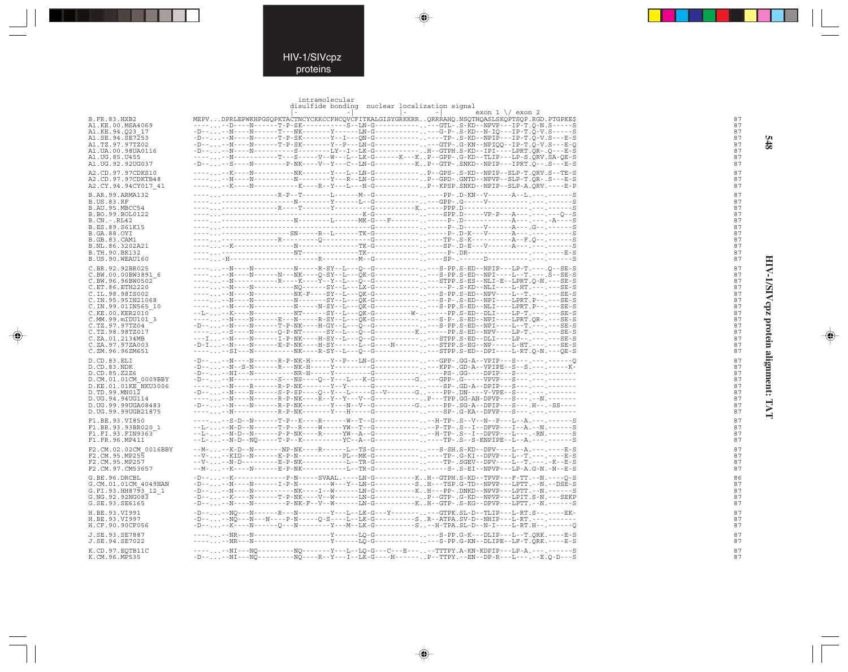## HIV-1/SIVcpz proteins

. . .

 $\Rightarrow$ 

### intramolecular<br>disulfide bonding

 $\overline{\blacklozenge}$ 

 $\Rightarrow$ 

|                                             | THET GILLECATGT<br>disulfide bonding nuclear localization signal                                                                                                                                                                                                                                                                                                                             |          |
|---------------------------------------------|----------------------------------------------------------------------------------------------------------------------------------------------------------------------------------------------------------------------------------------------------------------------------------------------------------------------------------------------------------------------------------------------|----------|
|                                             | $\sim$ $-1$<br>$\sim$<br>$exon 1 \ \sqrt{}$ exon 2                                                                                                                                                                                                                                                                                                                                           |          |
| B.FR.83.HXB2                                | MEPVDPRLEPWKHPGSQPKTACTNCYCKKCCFHCQVCFITKALGISYGRKKRRQRRRAHQ.NSQTHQASLSKQPTSQP.RGD.PTGPKE\$                                                                                                                                                                                                                                                                                                  | 87       |
| A1.KE.00.MSA4069                            | ------D----N------T-P-SK----------S--LN-G--------------GTL-.S-KD--NPVP---IP-T.Q-N.S-----S                                                                                                                                                                                                                                                                                                    | 87       |
| A1.KE.94.O23 17                             | -D----N----N------T---NK--------Y------LN-G--------------G-P-.S-KD--N-IO---IP-T.O-V.S-----S                                                                                                                                                                                                                                                                                                  | 87       |
| A1.SE.94.SE7253                             |                                                                                                                                                                                                                                                                                                                                                                                              | 87       |
| A1.TZ.97.97TZ02                             | $-D-\ldots. \ -N--N----N------TP-SK------Y--P--LN-G---------. \ -GTP-. G-KN--NPIQQ--IP-T.Q-V.S---E-Q$                                                                                                                                                                                                                                                                                        | 87       |
| A1.UA.00.98UA0116                           | -D----N----N----------S--------LY--I--LK-G----------H--GTPH.S-KD--IPI----LPRT.QR-.Q---E-S                                                                                                                                                                                                                                                                                                    | 87       |
| A1.UG.85.U455<br>A1.UG.92.92UG037           | $-\cdot\cdot\cdot\cdot\cdot\cdot\cdot\cdot--N-\cdot\cdot\cdot--\cdot--T-\cdot\cdot-S-\cdot--V-\cdot-W--L--LK-G---K--K--K--G-G-G-KD--TLLP--L-P-S.QRV.SA-QE-S$<br>-D----S----N--------P-NK----V--Y---C--LN-G-----------KP--GTP-.SNKD--NPIP---IPRT.Q--.S---E-S                                                                                                                                  | 87<br>87 |
|                                             |                                                                                                                                                                                                                                                                                                                                                                                              |          |
| A2.CD.97.97CDKS10                           |                                                                                                                                                                                                                                                                                                                                                                                              | 87       |
| A2.CD.97.97CDKTB48                          | ------K----N----------K----R--Y---L---N-G----------P--KPSP.SNKD--NPIP--SLP-A.QRV.----E-P                                                                                                                                                                                                                                                                                                     | 87       |
| A2.CY.94.94CY017 41                         |                                                                                                                                                                                                                                                                                                                                                                                              | 87       |
| B.AR.99.ARMA132                             | ---------------------R-P--T-------L-------M--G---------------PP-.D-KN--V------A--L.---.------S                                                                                                                                                                                                                                                                                               | 87       |
| <b>B.US.83.RF</b>                           |                                                                                                                                                                                                                                                                                                                                                                                              | 87       |
| B.AU.95.MBCC54                              |                                                                                                                                                                                                                                                                                                                                                                                              | 87<br>87 |
| B.BO.99.BOL0122<br>B.CN.-.RL42              |                                                                                                                                                                                                                                                                                                                                                                                              | 87       |
| B.ES.89.S61K15                              |                                                                                                                                                                                                                                                                                                                                                                                              | 87       |
| B.GA.88.OYI                                 | ----,,,--------------SN-----R--L------TK-G---------,,-----P-,D-K---V------A---,---,-----S                                                                                                                                                                                                                                                                                                    | 87       |
| B.GB.83.CAM1                                |                                                                                                                                                                                                                                                                                                                                                                                              | 87       |
| B.NL.86.3202A21                             |                                                                                                                                                                                                                                                                                                                                                                                              | 87       |
| B.TH.90.BK132                               |                                                                                                                                                                                                                                                                                                                                                                                              | 87       |
| B.US.90.WEAU160                             |                                                                                                                                                                                                                                                                                                                                                                                              | 87       |
| C.BR.92.92BR025                             |                                                                                                                                                                                                                                                                                                                                                                                              | 87       |
| C.BW.00.00BW3891 6                          | ------N----N------N----NK----O-SY--L---OK-G-------------S-PP.S-ED--NPI----L--T.---.S--SE-S                                                                                                                                                                                                                                                                                                   | 87       |
| C.BW.96.96BW0502                            |                                                                                                                                                                                                                                                                                                                                                                                              | 87       |
| C.ET.86.ETH2220                             | ------N----N----------N0------SY--L---LX-G---------------P-.S-KD--NLI----L-HT.---.---SE-S                                                                                                                                                                                                                                                                                                    | 87<br>87 |
| C.IL.98.98IS002<br>C.IN.95.95IN21068        | ------N----N-----------N-------SY--L---QK-G-------------S-P-.S-ED--NPI----LPRT.P--.---SE-S                                                                                                                                                                                                                                                                                                   | 87       |
| C.IN.99.01IN565 10                          | ------N----N-----------N-----N-SY--L---OK-G-------------S-PP.S-ED--NLI----LPRT.P--.---SE-S                                                                                                                                                                                                                                                                                                   | 87       |
| C.KE.00.KER2010                             |                                                                                                                                                                                                                                                                                                                                                                                              | 87       |
| C.MM.99.mIDU101 3                           | ------N----N-----E---N-----R-SY--L---OK-G-------------S-P-.S-ED--NPI----LPRT.OR-.---SE-S                                                                                                                                                                                                                                                                                                     | 87       |
| C.TZ.97.97TZ04                              |                                                                                                                                                                                                                                                                                                                                                                                              | 87       |
| C.TZ.98.98TZ017                             | ------S----N------O-P-NT------SY--L---O--G-----------K-----PP.S-ED--NPV----LP-T.---.----SE-S                                                                                                                                                                                                                                                                                                 | 87       |
| C.ZA.01.2134MB                              | -D-I--N----N------E-P-NK----H-SY------L--G----N---------STPP.S-EG--NP-----L-HT.---.---SE-S                                                                                                                                                                                                                                                                                                   | 87<br>87 |
| C.ZA.97.97ZA003<br>C.ZM.96.96ZM651          |                                                                                                                                                                                                                                                                                                                                                                                              | 87       |
|                                             | $-D----N---N----R-P-NK-H---Y-P---LN-G---------GPP-.GG-A--VPIP---S---------S---$                                                                                                                                                                                                                                                                                                              |          |
| D.CD.83.ELI<br>D.CD.83.NDK                  | $-D-1$ -N--S-N------R---NK-H-----Y---------G-------------KPP-.GD-A--VPIPE--S--S.---.-----K-                                                                                                                                                                                                                                                                                                  | 87<br>87 |
| D.CD.85.Z2Z6                                | $-D----N1---N-----NR-H---Y---Y-----G---------PS-.GG----DPIP---S---.---$                                                                                                                                                                                                                                                                                                                      | 87       |
| D.CM.01.01CM 0009BBY                        |                                                                                                                                                                                                                                                                                                                                                                                              | 87       |
| D.KE.01.01KE NKU3006                        | ------N----R-------R-P-NK-------Y--Y------G--------------SP-.GD-A--DPIP---S---.---.-------                                                                                                                                                                                                                                                                                                   | 87       |
| D.TD.99.MN012                               |                                                                                                                                                                                                                                                                                                                                                                                              | 87       |
| D.UG.94.94UG114                             |                                                                                                                                                                                                                                                                                                                                                                                              | 87       |
| D.UG.99.99UGA08483                          | $-D--\ldots --N---N---N---R-P-NK---Y---N--V--G-----C----G.---PP-.SG-A--DPIP---S---.H--.-S----$                                                                                                                                                                                                                                                                                               | 87       |
| D.UG.99.99UGB21875                          | ------N-----------R-P-NK-------Y---H-----G-------------SP-.G-KA--DPVP---S------.-----                                                                                                                                                                                                                                                                                                        | 87       |
| F1.BE.93.VI850                              | ------S-D--N-------T-P--K----R------W--T--G------------H-TP-.S--V--N--P---L--A.---.------S                                                                                                                                                                                                                                                                                                   | 87       |
| F1.BR.93.93BR020 1                          | $-$ -L--N-D--N------T-P--R----W-----YW--T--G------------P-TP-.S--I--DFVP---I--A.--N.------S                                                                                                                                                                                                                                                                                                  | 87       |
| F1.FI.93.FIN9363<br>F1.FR.96.MP411          | --L---N-D--N------P-P-NK----R-----YW--A--G------------H-TP-.S--I--DPVP---L---.-RN.------S<br>--L---N-D--NQ-----T-P--K----------YC--A--G---------------TP-.S--S-KNPIPE--L--A.---.------S                                                                                                                                                                                                      | 87<br>87 |
|                                             |                                                                                                                                                                                                                                                                                                                                                                                              |          |
| F2.CM.02.02CM 0016BBY                       | --M---K-D--N--------NP-NK----R------L--TS-G-------------S-SH.S-KD--DPV----L--A.---.-----E-S                                                                                                                                                                                                                                                                                                  | 87       |
| F2.CM.95.MP255<br>F2.CM.95.MP257            | --V---KID--N------E-P-N------------PL--MK-G---------------TP-.G-KI--DPVP---L--T.-------E-S<br>--V---N-D---------E-P-NK-----------L--TR-G---------------TP-.SGEV--DPV----L--T.---.-K--E-S                                                                                                                                                                                                     | 87<br>87 |
| F2.CM.97.CM53657                            | --M---K----N------E-P-NK----------L--TR-G--------------S-.S-EI--NPVP---LP-A.G-N.-N--E-S                                                                                                                                                                                                                                                                                                      | 87       |
|                                             |                                                                                                                                                                                                                                                                                                                                                                                              |          |
| G.BE.96.DRCBL                               | -D----K--------------P-N-----SVAAL.----LN-G----------KH--GTPH.S-KD--TPVP---F-TT.--N.----Q-S<br>$-D-\ldots--N-\ldots-N-\ldots--1-P-N-\ldots--N-\ldots-N-\ldots-1\\ N-G-\ldots--S\ldots H--TSP\ldots-1PVP--NPVP--LPT\ldots-N.\ldots-DE-S\ldots-1$                                                                                                                                              | 86       |
| G.CM.01.01CM 4049HAN<br>G.FI.93.HH8793 12 1 | -D----N----N-----------NK----I--W------LN-G----------KH---PP-.DNKD--NPVP---LPTT.--N.------S                                                                                                                                                                                                                                                                                                  | 87<br>87 |
| G.NG.92.92NG083                             | $-D----K---N-----T-P-NK---V-W---M--L-N-G------P$ . $P-GTP-.G-KD--NPVP---LPTT.S-N----SEKP$                                                                                                                                                                                                                                                                                                    | 87       |
| G.SE.93.SE6165                              | -D----N----N--------P-NK-F--V--W------LN-G----------KH--GTP-.S-KG--DPVP---LPTT.--N.------S                                                                                                                                                                                                                                                                                                   | 87       |
| H.BE.93.VI991                               | -D----N0---N-------R---N--------Y---LK-G---Y--------GTPK.SL-D--TLIP---L-RT.S--.----EK-                                                                                                                                                                                                                                                                                                       | 87       |
| H.BE.93.VI997                               | $-D----NO---N---N---P-N---D-S---L---LK-G------SR--ATPA.SV-D--NHIP---L-RT.------N---N$                                                                                                                                                                                                                                                                                                        | 87       |
| H.CF.90.90CF056                             | $-D-\cdot \ldots \ -{\bf K}^--{\bf N}--{\bf N}--\cdot \ldots \ -Q--{\bf N}--{\bf N}--{\bf N}--{\bf N}--{\bf M}-{\bf L}{\bf K}-{\bf G}-\cdot \ldots \ -\cdot \cdot \cdot \ -{\bf S} \ .\ -\cdot \cdot \cdot \cdot \ -{\bf H}-{\bf T}{\bf P}{\bf A}\ .\ {\bf SL}-{\bf D}-{\bf N}-{\bf I}---\cdot \ldots \ -{\bf L}-{\bf RT}\ .{\bf H}-\cdot \cdot \cdot \cdot \ -\cdot \cdot \cdot \ -{\bf Q}$ | 87       |
|                                             |                                                                                                                                                                                                                                                                                                                                                                                              | 87       |
| J.SE.93.SE7887<br>J.SE.94.SE7022            |                                                                                                                                                                                                                                                                                                                                                                                              | 87       |
|                                             |                                                                                                                                                                                                                                                                                                                                                                                              |          |
| K.CD.97.EQTB11C                             | -----NI---NQ----------NQ--------Y---L--LQ-G---C---B-----TTTPY.A-KN-KDPIP---LP-A.---.------S                                                                                                                                                                                                                                                                                                  | 87       |
| K.CM.96.MP535                               | -D----NI---NQ---------NQ----R--Y---I--LK-G----N------P--TTPY.--EN--DP-R---L---.--E.Q-D---S                                                                                                                                                                                                                                                                                                   | 87       |

HIV-1/SIVcpz protein alignment: TAT

 $\overline{\blacklozenge}$ 

**S48 HIV-1/SIVcpz protein alignment: TAT 548**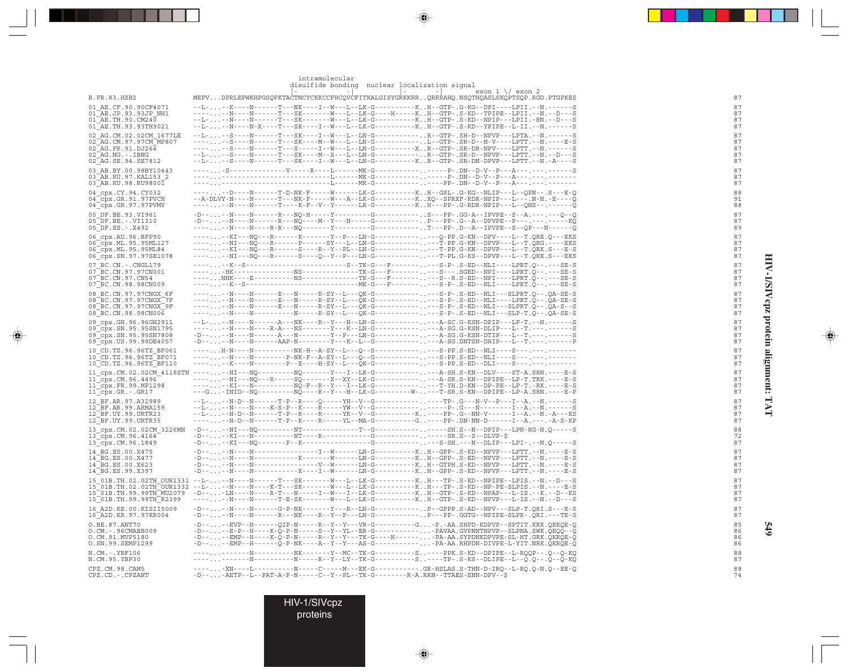| FOT.   |
|--------|
| ľ      |
| $\sim$ |
| Ì      |
|        |
| Š      |
|        |
|        |
| C      |
|        |
|        |
|        |
|        |
| Ē<br>ŗ |
|        |

 $\color{red} \blacklozenge$ 

 $\Xi$ 

**549**

|                                                                                                     | ---------<br><u>womanna</u><br>$1100 + 1001$<br>- - - - - - - - - - -<br>exon $1 \sqrt{}$ exon 2<br>$\vert - \vert$<br>$-1$                                                                                                                                                                                                                                                                                                                                                                                            |
|-----------------------------------------------------------------------------------------------------|------------------------------------------------------------------------------------------------------------------------------------------------------------------------------------------------------------------------------------------------------------------------------------------------------------------------------------------------------------------------------------------------------------------------------------------------------------------------------------------------------------------------|
| <b>B.FR.83.HXB2</b>                                                                                 | MEPVDPRLEPWKHPGSQPKTACTNCYCKKCCFHCQVCFITKALGISYGRKKRRQRRRAHQ.NSQTHQASLSKQPTSQP.RGD.PTGPKE\$                                                                                                                                                                                                                                                                                                                                                                                                                            |
| 01 AE.CF.90.90CF4071                                                                                | --L---K----N-------T---NK----I--W---L--LK-G----------KH--GTP-.G-KG--DPI----LPII.--N.-------S                                                                                                                                                                                                                                                                                                                                                                                                                           |
| 01 AE.JP.93.93JP NH1                                                                                |                                                                                                                                                                                                                                                                                                                                                                                                                                                                                                                        |
| 01 AE.TH.90.CM24 $\overline{0}$<br>01 AE.TH.93.93TH9021                                             | --L---N----N------T---SK-------W---L--LK-G-----------KH--GTP-.S-KD--NPIP---LPII.-RN.--D---S<br>--L---N----N-X----T---SK----I--W---L--LK-G-----------KH--GTP-.S-KD--YPIPE--L-II.--N.-------S                                                                                                                                                                                                                                                                                                                            |
| 02 AG.CM.02.02CM 1677LE                                                                             | --L---S----N------T---SK----I--W---L--LM-G----------R--GTP-.SH-D--NPVP---LPTA.--N.-------S                                                                                                                                                                                                                                                                                                                                                                                                                             |
| 02 AG.CM.97.97CM MP807                                                                              | ------S----N------T---SK----M---W---LN-G---------L--GTP-.SR-D--N-V----LPTT.--N.----E-S                                                                                                                                                                                                                                                                                                                                                                                                                                 |
| $02$ AG. FR. 91. DJ264                                                                              | ------S----N------T---S-----I--W---L--LN-G----------XR--GTP-.SR-DR-NPV----LPTT.--N.------S                                                                                                                                                                                                                                                                                                                                                                                                                             |
| $02^-AG$ . NG. $-$ . IBNG<br>02 AG.SE.94.SE7812                                                     | $- - \text{L} - \text{L} - \text{S} - \text{S} - \text{L} - \text{N} - \text{S} - \text{S} - \text{S} - \text{S} - \text{S} - \text{S} - \text{S} - \text{S} - \text{S} - \text{S} - \text{S} - \text{S} - \text{S} - \text{S} - \text{S} - \text{S} - \text{S} - \text{S} - \text{S} - \text{S} - \text{S} - \text{S} - \text{S} - \text{S} - \text{S} - \text{S} - \text{S} - \text{S} - \text{S} - \text{S} - \text$<br>--L---S----N------T---SK----I--W---L--LN-G-----------KR--GTP-.SR-DN-DPVP---LPTT.--N.-A----S |
| 03 AB.BY.00.98BY10443                                                                               |                                                                                                                                                                                                                                                                                                                                                                                                                                                                                                                        |
| 03 AB.RU.97.KAL153 2                                                                                |                                                                                                                                                                                                                                                                                                                                                                                                                                                                                                                        |
| 03 AB.RU.98.RU98001                                                                                 |                                                                                                                                                                                                                                                                                                                                                                                                                                                                                                                        |
| 04 cpx.CY.94.CY032<br>$04$ cpx.GR.91.97PVCH                                                         | ------D----N------T-D-NK-F-----W------LK-G-------------KH--GSL-.G-KG--NLIP---L--OPN--.S---E-O<br>--A-DLVY-N----N------T---NK-F-----W---A--LK-G----------KXO--SPRXF-RDR-NPIP---L---.N-N.-E----O                                                                                                                                                                                                                                                                                                                         |
| 04 cpx.GR.97.97PVMY                                                                                 | ------N----N------T----K-F--V--Y------LR-G----------KH---PP-.G-RDR-NPIP---L--QHS--.------Q                                                                                                                                                                                                                                                                                                                                                                                                                             |
| 05 DF.BE.93.VI961                                                                                   | $-D--\ldots -N---N---N---R---N0-H---Y---S---G-----\ldots S---PP-.GG-A--IPVPE--S--A---A---O--O-0$                                                                                                                                                                                                                                                                                                                                                                                                                       |
| 05 DF.BE. - . VI1310                                                                                |                                                                                                                                                                                                                                                                                                                                                                                                                                                                                                                        |
| 05 DF.ES. -. X492                                                                                   | ------KI---NO---R-------K-------Y--P---LM-G-------------O-PP.G-KN--DPV----L--T.ORE.O---EKS                                                                                                                                                                                                                                                                                                                                                                                                                             |
| 06 cpx.AU.96.BFP90<br>06 cpx.ML.95.95ML127                                                          | ------NI---NQ---R-------P------SY---L--LN-G-------------T-PP.G-KN--DPVP---L--T.QRG.----EKS                                                                                                                                                                                                                                                                                                                                                                                                                             |
| 06 cpx.ML.95.95ML84                                                                                 | ------KI---NQ---R------S----R--Y--PL--LN-G-------------T-PP.G-KN--DPVP---L--T.QRK.S---E-S                                                                                                                                                                                                                                                                                                                                                                                                                              |
| 06_cpx.SN.97.97SE1078                                                                               | ------NI---NO---R------S----O--Y--P---LN-G-------------T-PL.G-KS--DPVP---L--T.ORE.S---EKS                                                                                                                                                                                                                                                                                                                                                                                                                              |
| 07 BC.CN. - . CNGL179<br>07 BC.CN.97.97CN001                                                        | ------K--S-----------------------S--TK-G---F----------S-P-.S-ED--NLI----LPRT.Q--.---SE-S<br>-----HK---------------NS--------------TK-G---F----------S---.SGED--NPI----LPRT.O--.---SE-S                                                                                                                                                                                                                                                                                                                                 |
| 07 BC.CN.97.CN54                                                                                    | ----NHK----E----------NS--------------TK-G---F----------S--R.S-ED--NPI----LPRT.Q--.---SE-S                                                                                                                                                                                                                                                                                                                                                                                                                             |
| 07 BC.CN.98.98CN009                                                                                 |                                                                                                                                                                                                                                                                                                                                                                                                                                                                                                                        |
| 08 BC.CN.97.97CNGX 6F<br>08 BC.CN.97.97CNGX 7F                                                      | ------N----N-----E---N-----R-SY--L---OK-G-------------S-P-.S-ED--NLI---SLPRT.O--.OA-SE-S<br>------N-------E---N------R-SY--L---QK-G-------------S-P-.S-ED--NLI----LPRT.Q--.QA-SE-S                                                                                                                                                                                                                                                                                                                                     |
| 08 BC.CN.97.97CNGX 9F                                                                               | -------N-------E---N------R-SY--L---QK-G-------------S-P-.S-ED--NLI---SLPRT.Q--.QA-S--S                                                                                                                                                                                                                                                                                                                                                                                                                                |
| 08 BC.CN.98.98CN006                                                                                 | ------N----N--------------R-SY--L---QK-G-------------S-P-.S-ED--NLI---SLP-T.Q--.QA-SE-S                                                                                                                                                                                                                                                                                                                                                                                                                                |
| 09 cpx.GH.96.96GH2911                                                                               | --L---N----N------A---NK----R--Y---H--LN-G-------------A-SC.G-KSN-DPIP---LP-T.--N.------S                                                                                                                                                                                                                                                                                                                                                                                                                              |
| 09 cpx.SN.95.95SN1795<br>09 cpx.SN.95.95SN7808                                                      | ------N----N----R-A---NS-------Y---K--LN-G-------------A-SG.G-KSN-DLIP---L--T.---.------S<br>$-D-\ldots. \ -N--N----N-----A--N--------Y--D--LN-G---------. \ -A-SG. G-KSN-DTIP--L--T. \ -\ldots. \ -\ldots.$                                                                                                                                                                                                                                                                                                           |
| 09 cpx.US.99.99DE4057                                                                               | $-D-1$ -N----N------AAP-N--------Y---K--L--G----------- ---A-SG.DNTSN-DHIP---L--T.---.--------P                                                                                                                                                                                                                                                                                                                                                                                                                        |
| 10 CD.TZ.96.96TZ BF061                                                                              | ----H-N----N-----------NK-H--A-SY--L---O--S--------------S-PP.S-ED--NLI----S---.---.-------                                                                                                                                                                                                                                                                                                                                                                                                                            |
| 10 CD.TZ.96.96TZ BF071<br>$10$ CD.TZ.96.96TZ BF110                                                  | ------N----N--------P-NK-F--A-SY--L---Q--G-------------S-PP.S-ED--NLI----S---.---.-------<br>------K----N--------P--E----H-SY--L---QK-G-------------S-PP.S-ED--DLI----S---.---.------                                                                                                                                                                                                                                                                                                                                  |
|                                                                                                     | 11 cpx.CM.02.02CM 4118STN ------NI---NQ--------NQ-------Y---I--LK-G-------------A-SH.S-KN--DLV----ST-A.SRN.----E-S                                                                                                                                                                                                                                                                                                                                                                                                     |
| 11 cpx.CM.96.4496                                                                                   | ------NI---NO---R-----SQ-------X--XY--LK-G-------------A-SR.S-KN--DPIPE--LP-T.TRK.----E-S                                                                                                                                                                                                                                                                                                                                                                                                                              |
| $11$ cpx. FR. 99. MP1298                                                                            | ------KI---N----------NO-F--R--Y---I--LK-G-------------T-YH.D-KN--DP-PE--LP-T.-RK.----E-S                                                                                                                                                                                                                                                                                                                                                                                                                              |
| 11_cpx.GR.-.GR17                                                                                    | ---G-INID--NO---------NO----R--Y---H--LK-G---------W----T-SR.S-KN--DPIPE--LP-A.SRN.----E-P                                                                                                                                                                                                                                                                                                                                                                                                                             |
| 12 BF.AR.97.A32989<br>12 BF.AR.99.ARMA159                                                           | --L---N----N----K-S-P--K----R-----YW--V--G----------------P-.G---N-------I--A.--N.------S                                                                                                                                                                                                                                                                                                                                                                                                                              |
| $12$ $\overline{\phantom{a}}$ BF.UY.99.URTR23                                                       | --L---N-D--N-------T-P--R-----R-----YR--V--G-----------K. .----PP- .G--NN-V------I--A. --N. -A---KS                                                                                                                                                                                                                                                                                                                                                                                                                    |
| 12 BF.UY.99.URTR35                                                                                  | ------N-D--N-------T-P--K-----R-----YL--MA-G---------G----PP-.DN-NN-D------I--A.---.-A-S-KP                                                                                                                                                                                                                                                                                                                                                                                                                            |
| 13 cpx.CM.02.02CM 3226MN<br>$13$ <sup><math>-</math></sup> cpx.CM.96.4164 <sup><math>-</math></sup> | $-D----KL---N------NT---R----------G--------------SR.S--S--DLVP-S$                                                                                                                                                                                                                                                                                                                                                                                                                                                     |
| 13_cpx.CM.96.1849                                                                                   | $-D-$ -KI---NQ-------P--K---------------G-------------S-SH.---N--DLIP---LPI-.--N.Q-----S                                                                                                                                                                                                                                                                                                                                                                                                                               |
| 14 BG.ES.00.X475                                                                                    |                                                                                                                                                                                                                                                                                                                                                                                                                                                                                                                        |
| 14 BG.ES.00.X477                                                                                    |                                                                                                                                                                                                                                                                                                                                                                                                                                                                                                                        |
| 14 BG.ES.00.X623<br>14 BG.ES.99.X397                                                                | $-D-\ldots. \ -N--N----N-------------V--N-----LM-G------K \ . \ +\textit{--GTPH} . S-KD--NPVP--LPTT. -- N. --- E-S-2D--N-FQ--LPTT. -- N. ----E-S-2D--N-FQ--LPT. -- N. ----E-S-2D--N-FQ--LPT. -- N. ----E-S-2D--N-FQ--LPT. -- N. ----E-S-2D--N-FQ--LPT. ---K-S-2D--N-FQ--LPT. ---K-S-2D--N-FQ--LPT. ---K-S-2D--N-FQ--LPT. ---K-S-2D--N-FQ--LPT. ---K-S-2D--N-FQ--L$<br>$-D-\ldots. \ -N--N----N--------K---I--W-----LN-G------K. \ . H--GPP-. \ S-KD--NPVP---LPT. \ -N. \ ---E-S$                                       |
|                                                                                                     | 15 01B.TH.02.02TH OUR1331 --L---N----N-----T---SK-------W---L--LK-G----------KH---TP-.S-KD--NPIPE--LPIS.--N.--D---S                                                                                                                                                                                                                                                                                                                                                                                                    |
|                                                                                                     |                                                                                                                                                                                                                                                                                                                                                                                                                                                                                                                        |
| 15 01B.TH.99.99TH MU2079                                                                            | -D---LN----N----R-T---N------I--W---I--LK-G----------KH--GTP-.S-KD--NPAP---L-IS.--K.--D--KS                                                                                                                                                                                                                                                                                                                                                                                                                            |
| 15_01B.TH.99.99TH_R2399                                                                             | ------N----N------T-E-SK-------W---L--LK-G-----------KH--GTP-.S-KD--NPVP---L-IS.--N.--D---S                                                                                                                                                                                                                                                                                                                                                                                                                            |
| 16 A2D.KE.00.KISII5009<br>16 A2D.KR.97.97KR004                                                      | $-D--\ldots--N---N---S-P-NK---S-P-NK---S---S---LN-G---S---S-P-GPPP.S-AD--NPV---SLP-T_QR I.S---E-S$<br>-D----N-----R------R----NK----R--Y--P---LN-G----------P---PP-.GGTG--NPIPE-SLPR-.QRI.---TE-S                                                                                                                                                                                                                                                                                                                      |
| 0.BE.87.ANT70                                                                                       | -D----EVP--H------QIP-N-----R--Y--Y---VR-G---------G-P.-AA.SHPD-KDPVP--SPTIT.KRK.QERQE-Q                                                                                                                                                                                                                                                                                                                                                                                                                               |
| O.CM.-.96CMABB009                                                                                   | -D----E-P--H----K-Q-P-N-----S--Y--YL--ER-G-----------PAVAA.GVPNNTNPVP--SLPNA.SWK.QEQQ--Q                                                                                                                                                                                                                                                                                                                                                                                                                               |
| O.CM.91.MVP5180<br>O.SN.99.SEMP1299                                                                 | $-D--\ldots--EMP--H-----K-Q-P-N---R--Y--Y--TK-G---H---\ldots-PA-AA\\ SPDNKDPVPE-SL-HT,GRK,QKRQE-Q$<br>$-D--\ldots--EMP--H---O-P-NK---A--Y--Y--AS-G------\ldots.-PA-AA.RHPDN-DIVPE-L-YIT.NRK.QKRQE-Q$                                                                                                                                                                                                                                                                                                                   |
| N.CM.-.YBF106                                                                                       | -----------N---------NK-------Y--MC--TK-G---------S----PPK.S-KD--DPIPE--L-RQQP--.Q--Q-KQ                                                                                                                                                                                                                                                                                                                                                                                                                               |
| N.CM.95.YBF30                                                                                       | -----------N---------N-----R--Y--LY--TK-G---------S---TP-.S-KS--DLIPE--L--Q.Q--.Q--Q-KQ                                                                                                                                                                                                                                                                                                                                                                                                                                |
| CPZ.CM.98.CAM5                                                                                      | -----XN----L-----------N-----C-----M---EK-G------------GR-HSLAS.S-THN-D-IRO--L-RO.O-N.O--EE-O                                                                                                                                                                                                                                                                                                                                                                                                                          |
| CPZ.CD. - . CPZANT                                                                                  | $-D--$ - $AETP--L--PAT-A-P-N---C--Y--PL--TK-G-----R-A.RRN--TTAES-END-DFV--S$                                                                                                                                                                                                                                                                                                                                                                                                                                           |
|                                                                                                     |                                                                                                                                                                                                                                                                                                                                                                                                                                                                                                                        |

. . .

 $\bigoplus$ 

HIV-1/SIVcpz proteins

◈

intramolecular disulfide bonding nuclear localization signal

 $\color{red}\blacklozenge$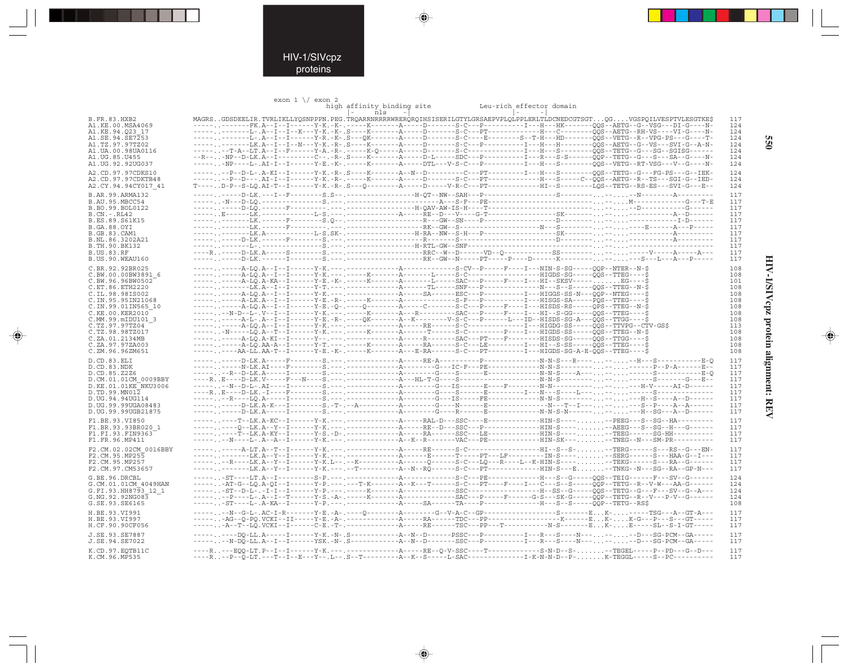### HIV-1/SIVcpz proteins

. . .

 $\Rightarrow$ 

exon  $1 \sqrt{}$  exon  $2$ 

|                                        |                                                                                                                      | high affinity binding site |             | Leu-rich effector domain |                                                                                                                                                                                                                                                      |            |
|----------------------------------------|----------------------------------------------------------------------------------------------------------------------|----------------------------|-------------|--------------------------|------------------------------------------------------------------------------------------------------------------------------------------------------------------------------------------------------------------------------------------------------|------------|
|                                        |                                                                                                                      | $\vert - \vert$<br>nls     | $\sim$ $-1$ | $\sim$<br>$-1$           |                                                                                                                                                                                                                                                      |            |
| B.FR.83.HXB2<br>A1.KE.00.MSA4069       |                                                                                                                      |                            |             |                          | MAGRSGDSDEELIR.TVRLIKLLYOSNPPPN.PEG.TROARRNRRRRWREROROIHSISERILGTYLGRSAEPVPLOLPPLERLTLDCNEDCGTSGTOGVGSPOILVESPTVLESGTKES<br>------------FK.A--I--I------Y-K.-K-.-----K------A----D------S-C---P----------I---HK-------00S--AETG--G--VSG---DI-G----N- | 117<br>124 |
| A1.KE.94.023 17                        |                                                                                                                      |                            |             |                          |                                                                                                                                                                                                                                                      | 124        |
| A1.SE.94.SE7253                        |                                                                                                                      |                            |             |                          |                                                                                                                                                                                                                                                      | 124        |
| A1.TZ.97.97TZ02                        |                                                                                                                      |                            |             |                          |                                                                                                                                                                                                                                                      | 124        |
| A1.UA.00.98UA0116                      |                                                                                                                      |                            |             |                          | -----, --T-A--LT.A--I--F------Y-A.-R-.-----K-0----A-----D------S-C--------------I---H---S-------00S--TETG--G---SG--SGISG------                                                                                                                       | 124        |
| A1.UG.85.U455                          |                                                                                                                      |                            |             |                          |                                                                                                                                                                                                                                                      | 124        |
| A1. UG. 92. 92 UG037                   |                                                                                                                      |                            |             |                          | ----- . -NP----L-.AI-I--I------Y-E.-K-.-----K------A-----DTL---V-S-C---P---------I---H---S--------OOS--VETG--RT-VSG---V--G---N-                                                                                                                      | 124        |
| A2.CD.97.97CDKS10                      |                                                                                                                      |                            |             |                          | -----,,--P--D-L-,A-KI--I------Y-K,-R-,S----K-------A--N--D--------C---PT---------I---H---S--------00S--TETG--G---FG-PS---G--IEK-                                                                                                                     | 124        |
| A2.CD.97.97CDKTB48                     |                                                                                                                      |                            |             |                          | -------P--D--- .AI-I--I-------Y-K.-R-. -----K--------A-----D-------S-C---PT-------------H---S-----C--OOS--AETG--R--TS---SGI-G--IED                                                                                                                   | 124        |
| A2.CY.94.94CY017 41                    |                                                                                                                      |                            |             |                          | T----D-P--S-LO.AI-T--I------Y-K.-R-.S---O--------A-----D-----V-R-C---PT------------HI--S--------LOS--TETG--RS-ES---SVI-G---E-                                                                                                                        | 124        |
| B.AR.99.ARMA132                        |                                                                                                                      |                            |             |                          |                                                                                                                                                                                                                                                      | 117        |
| B.AU.95.MBCC54                         |                                                                                                                      |                            |             |                          |                                                                                                                                                                                                                                                      | 117        |
| B.BO.99.BOL0122                        |                                                                                                                      |                            |             |                          |                                                                                                                                                                                                                                                      | 117        |
| $B.CN.-.RL42$                          |                                                                                                                      |                            |             |                          |                                                                                                                                                                                                                                                      | 117        |
| B.ES.89.S61K15                         |                                                                                                                      |                            |             |                          |                                                                                                                                                                                                                                                      | 117        |
| B.GA.88.OYI                            |                                                                                                                      |                            |             |                          |                                                                                                                                                                                                                                                      | 117        |
| <b>B.GB.83.CAM1</b>                    |                                                                                                                      |                            |             |                          |                                                                                                                                                                                                                                                      | 117        |
| B.NL.86.3202A21                        |                                                                                                                      |                            |             |                          |                                                                                                                                                                                                                                                      | 117        |
| B.TH.90.BK132<br><b>B.US.83.RF</b>     |                                                                                                                      |                            |             |                          |                                                                                                                                                                                                                                                      | 117<br>117 |
| B.US.90.WEAU160                        |                                                                                                                      |                            |             |                          | -----, .-----D-LK.------I--------S.---, ------------------RK--GW--N-----PT-----P-----D------K--------,--,--S---L---A---P-----                                                                                                                        | 117        |
|                                        |                                                                                                                      |                            |             |                          |                                                                                                                                                                                                                                                      |            |
| C.BR.92.92BR025                        |                                                                                                                      |                            |             |                          |                                                                                                                                                                                                                                                      | 108<br>108 |
| C.BW.00.00BW3891 6<br>C.BW.96.96BW0502 |                                                                                                                      |                            |             |                          |                                                                                                                                                                                                                                                      | 101        |
| C.ET.86.ETH2220                        |                                                                                                                      |                            |             |                          |                                                                                                                                                                                                                                                      | 108        |
| C.IL.98.98IS002                        |                                                                                                                      |                            |             |                          |                                                                                                                                                                                                                                                      | 108        |
| C.IN.95.95IN21068                      | ---------A-LK.A--I--I------Y-E.-R-.-----K-------A----------S-F---P---------I---HISGS-SA-----POS--TTEG----\$          |                            |             |                          |                                                                                                                                                                                                                                                      | 108        |
| C.IN.99.01IN565 10                     | ----- . -----A-LO.A--I--I-------Y-E.-O-.----O--------A-----C-------S-C---P-----F----I---HISDS-RS-----OPS--TTEG--N-\$ |                            |             |                          |                                                                                                                                                                                                                                                      | 108        |
| C.KE.00.KER2010                        | -------N-D--L-.V--I--I------Y-K.---.-----K--------A---R---------SAC---P-----F----HI--S-GG-----OOS--TTEG----\$        |                            |             |                          |                                                                                                                                                                                                                                                      | 108        |
| C.MM.99.mIDU101 3                      | -----,,----A-L-,A-I--I------Y-E,-R-,----OK-------A--K--------V-S-C---P-----L---ID--HISDS-SG-A---ÕÕS--TTGG----Š       |                            |             |                          |                                                                                                                                                                                                                                                      | 108        |
| C.TZ.97.97TZ04                         | ------N-----LO.A--T--I------Y-K.---.----K------A------T------S-C--------P----I---HIGDS-SS-----OOS--TTEG--N-\$        |                            |             |                          |                                                                                                                                                                                                                                                      | 113        |
| C.TZ.98.98TZ017<br>C.ZA.01.2134MB      |                                                                                                                      |                            |             |                          |                                                                                                                                                                                                                                                      | 108<br>108 |
| C.ZA.97.97ZA003                        |                                                                                                                      |                            |             |                          |                                                                                                                                                                                                                                                      | 108        |
| C.ZM.96.96ZM651                        | -----,,----AA-LL,AA-T--I------Y-E,-K-,-----K-------A---E-RA------S-C---PT---------I---HIGDS-SG-A-E-OOS--TTEG----\$   |                            |             |                          |                                                                                                                                                                                                                                                      | 108        |
|                                        |                                                                                                                      |                            |             |                          |                                                                                                                                                                                                                                                      | 117        |
| D.CD.83.ELI<br>D.CD.83.NDK             |                                                                                                                      |                            |             |                          |                                                                                                                                                                                                                                                      | 117        |
| D.CD.85.Z2Z6                           |                                                                                                                      |                            |             |                          |                                                                                                                                                                                                                                                      | 117        |
| D.CM.01.01CM 0009BBY                   |                                                                                                                      |                            |             |                          |                                                                                                                                                                                                                                                      | 117        |
| D.KE.01.01KE NKU3006                   |                                                                                                                      |                            |             |                          |                                                                                                                                                                                                                                                      | 117        |
| D.TD.99.MN012                          |                                                                                                                      |                            |             |                          |                                                                                                                                                                                                                                                      | 117        |
| D.UG.94.94UG114                        |                                                                                                                      |                            |             |                          |                                                                                                                                                                                                                                                      | 117        |
| D. UG. 99.99UGA08483                   |                                                                                                                      |                            |             |                          |                                                                                                                                                                                                                                                      | 117        |
| D.UG.99.99UGB21875                     |                                                                                                                      |                            |             |                          |                                                                                                                                                                                                                                                      | 117        |
| F1.BE.93.VI850                         |                                                                                                                      |                            |             |                          | --------T--LK.A-KC--I------Y-K.---.-------------------RAL-D---SSC----E-----------HIN-S-----PEEG---S--SG--HA---------                                                                                                                                 | 117        |
| F1.BR.93.93BR020 1                     |                                                                                                                      |                            |             |                          | --------0--LK.A--Y--I------Y-K.---.----------------RE--D---SSC---P-------------HIN-S-----ABEG---S--SG--H---G-----                                                                                                                                    | 117        |
| F1.FI.93.FIN9363                       |                                                                                                                      |                            |             |                          |                                                                                                                                                                                                                                                      | 117        |
| F1.FR.96.MP411                         |                                                                                                                      |                            |             |                          |                                                                                                                                                                                                                                                      | 117        |
| F2.CM.02.02CM 0016BBY                  |                                                                                                                      |                            |             |                          |                                                                                                                                                                                                                                                      | 117        |
| F2.CM.95.MP255                         |                                                                                                                      |                            |             |                          |                                                                                                                                                                                                                                                      | 117        |
| F2.CM.95.MP257                         |                                                                                                                      |                            |             |                          | -------R----LK.A--Y--I------Y-K.L--.--K----------A------Q------S-C---LQ---R----L--K-HIN-S-----TEKG------S---RA--G------<br>------------LK.A--Y--I------Y-K.---.--T----------A--N--RO------S-C---PT-------------HIN-S---E--TNKG--N---SG--RA--GP-N---  | 117        |
| F2.CM.97.CM53657                       |                                                                                                                      |                            |             |                          |                                                                                                                                                                                                                                                      | 117        |
| G.BE.96.DRCBL                          |                                                                                                                      |                            |             |                          | ----- . -ST----LT.A--I---------S-P.--- .------------A-----------S-C---PE-------------H---S--G-----OOS--TEIG------F---SV--G-----                                                                                                                      | 124        |
| G.CM.01.01CM 4049HAN                   |                                                                                                                      |                            |             |                          | ------AT-G--LO.A-OI--I------Y-P.---.---T-K-------A--K---T------S-C---PT----F---I--C---S--S-----OOP--TETG--R--V-W---AA-G------                                                                                                                        | 124        |
| G.FI.93.HH8793 12 1                    |                                                                                                                      |                            |             |                          | ------P----L-.A--I--T-------Y-S.-A-.-----K-------A---------------SAC---P-----F------G-S---SK-G-----OOP--TETG--R--V---P-V--G------                                                                                                                    | 124        |
| G.NG.92.92NG083<br>G.SE.93.SE6165      |                                                                                                                      |                            |             |                          |                                                                                                                                                                                                                                                      | 124<br>108 |
|                                        |                                                                                                                      |                            |             |                          |                                                                                                                                                                                                                                                      |            |
| H.BE.93.VI991                          |                                                                                                                      |                            |             |                          | -------N--G-L-.AC-I-R-------Y-E.-A-.----Q--------A-------G--V-A-C--GP-------------------------EK------TSG---A--GT-A---<br>------AG--0-PO.VCKI--II-----Y-E.-A-.------------------RA------TDC---PP-------------------------EK-K-G---P---S---GT-----    | 117        |
| H.BE.93.VI997<br>H.CF.90.90CF056       |                                                                                                                      |                            |             |                          |                                                                                                                                                                                                                                                      | 117<br>117 |
|                                        |                                                                                                                      |                            |             |                          |                                                                                                                                                                                                                                                      |            |
| J.SE.93.SE7887                         |                                                                                                                      |                            |             |                          | --------D0-LL.A-----I------Y-K.-N-.S------------A--N--D------PSSC---P----------I---R--S----N-------D---SG-PCM--GA-----                                                                                                                               | 117        |
| J.SE.94.SE7022                         |                                                                                                                      |                            |             |                          | -------N-DO-LL.A--I--I------YSK.-N-.S-----------A--N--D-------SSC---P---------I---R---S----N-----D---SG-PCM--GA-----                                                                                                                                 | 117        |
| K.CD.97.EOTB11C                        |                                                                                                                      |                            |             |                          | ----R---EOO-LT.P--I--I------Y-K.---.-----------------RE--O-V-SSC----T-------------S-N-D--S---TEGEL-----P--PD---G--D---                                                                                                                               | 117        |
| K.CM.96.MP535                          |                                                                                                                      |                            |             |                          | ----R--P--Q-LT.---T--I--E---Y--.L--.S--T---------A--K--S-----L-SAC--------------I-K-N-N-D--P-K-TEGGL-----S--PC----------                                                                                                                             | 117        |

 $\Rightarrow$ 

 $\Rightarrow$ 

**950** 

 $\Rightarrow$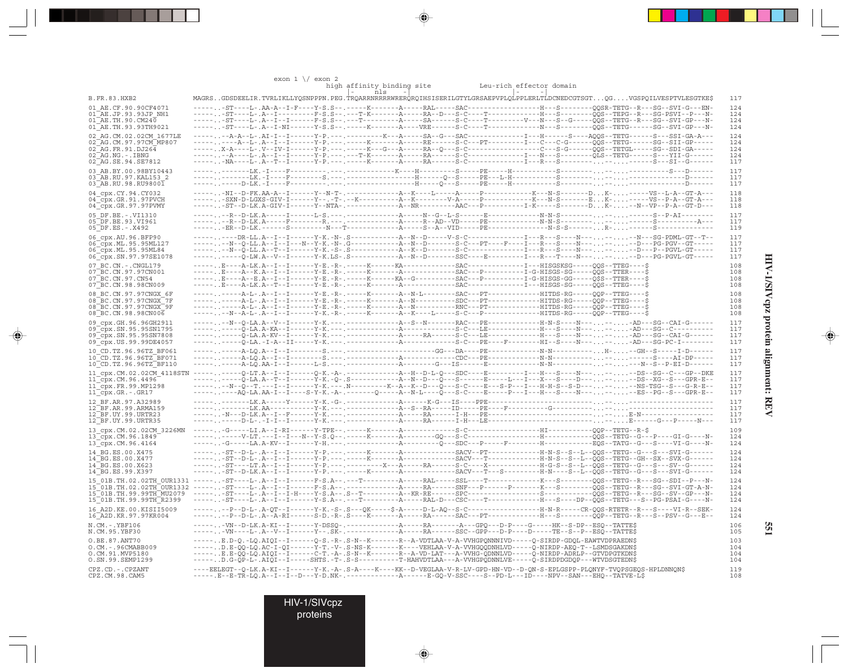|                                                      | exon $1 \sqrt{}$ exon 2                                                                                                                                                                                                                          |                                            |                                                                                                                             |            |
|------------------------------------------------------|--------------------------------------------------------------------------------------------------------------------------------------------------------------------------------------------------------------------------------------------------|--------------------------------------------|-----------------------------------------------------------------------------------------------------------------------------|------------|
|                                                      | high affinity binding site<br>$\mathbf{I}$<br>nls -                                                                                                                                                                                              | Leu-rich effector domain<br>$\overline{a}$ |                                                                                                                             |            |
| <b>B.FR.83.HXB2</b>                                  | MAGRSGDSDEELIR.TVRLIKLLYQSNPPPN.PEG.TRQARRNRRRRWRERQRQIHSISERILGTYLGRSAEPVPLQLPPLERLTLDCNEDCGTSGTQGVGSPQILVESPTVLESGTKE\$                                                                                                                        |                                            |                                                                                                                             | 117        |
| 01 AE.CF.90.90CF4071<br>01 AE.JP.93.93JP NH1         | ST----L-.A--I---------F-S.S--.---T-K-------A-----RA--D---S-C----T-------------H---S--------QQS--TEPG--R---SG-PSVI--P---N-                                                                                                                        |                                            |                                                                                                                             | 124<br>124 |
| $01^{\text{-}}$ AE.TH.90.CM240                       |                                                                                                                                                                                                                                                  |                                            |                                                                                                                             | 124        |
| 01 AE.TH.93.93TH9021                                 |                                                                                                                                                                                                                                                  |                                            |                                                                                                                             | 124        |
| 02 AG.CM.02.02CM 1677LE                              | ---------A--L-.A--I--I-------Y-P.---.------K------A-----RE------S-C---PT----------I---C---C-G------QQS--TETG------SG--SII-GP-----                                                                                                                |                                            | -A-A--L- .AI-I--I-------Y-P. --- .--------K---A-----SA--G---SAC-------------I---H------S----AQQS--TETG------S---SSI-GA-A--- | 124<br>124 |
| 02 AG. CM. 97. 97 CM MP807<br>$02$ AG. FR. 91. DJ264 | -----X-A----L-.V--IV-I------Y-P.---.-----K---G---A-----RA--Q---S-C---------------C---S-G------QQS--TETGL-----SG--SDI-GA-----                                                                                                                     |                                            |                                                                                                                             | 124        |
| 02 AG.NG. -. IBNG                                    |                                                                                                                                                                                                                                                  |                                            |                                                                                                                             | 124        |
| 02 AG.SE.94.SE7812                                   |                                                                                                                                                                                                                                                  |                                            |                                                                                                                             | 117        |
| 03 AB.BY.00.98BY10443                                |                                                                                                                                                                                                                                                  |                                            |                                                                                                                             | 117        |
| 03 AB.RU.97.KAL153 2<br>03_AB.RU.98.RU98001          |                                                                                                                                                                                                                                                  |                                            |                                                                                                                             | 117<br>117 |
| 04 cpx.CY.94.CY032                                   |                                                                                                                                                                                                                                                  |                                            |                                                                                                                             | 118        |
| 04 cpx.GR.91.97PVCH                                  |                                                                                                                                                                                                                                                  |                                            |                                                                                                                             | 118        |
| 04 cpx.GR.97.97PVMY                                  | ------ST--D-LK.A-GIV-I------Y--NTA-.--------------A--NR-----------AAC---P-----------I-K-------DK---N--VP--P-A--GT-D---                                                                                                                           |                                            |                                                                                                                             | 118        |
| 05 DF.BE. -. VI1310                                  | .--R--D-LK.A-----I------L-S.---.-----------------A-----N--G--L-S-------E---------------N-N-S----------------S--P-AI--------                                                                                                                      |                                            |                                                                                                                             | 117        |
| 05 DF.BE.93.VI961<br>$05$ DF.ES. - . X492            |                                                                                                                                                                                                                                                  |                                            |                                                                                                                             | 117<br>119 |
| 06 cpx.AU.96.BFP90                                   |                                                                                                                                                                                                                                                  |                                            | -DR-LL.A--I--I------Y-K.-N-.S-----------A--N--D-----V-S-C--------------I---R---S----N------N---SG-PDML-GT--T--              | 117        |
| 06 cpx.ML.95.95ML127                                 | --N--Q-LL.A--I--I---N--Y-K.-N-.G------------A--N--D-------S-C---PT----F---I---R---S----N-----D---PG-PGV--GT----                                                                                                                                  |                                            |                                                                                                                             | 117        |
| 06 cpx.ML.95.95ML84                                  | -N--Q-LL.A--T--I------Y-K.-S-.S------------A--K--D-------S-C-------------I---R---S-----N------D---P--PGVL-GT----<br>- - - - - Q-LW.A--V--I-------Y-K.LS-.S------------A--N--D-------SSC----B----------I---R---T----N--- - - -D---PG-PGVL-GT----- |                                            |                                                                                                                             | 117        |
| 06 cpx.SN.97.97SE1078                                |                                                                                                                                                                                                                                                  |                                            |                                                                                                                             | 117        |
| 07 BC.CN. - . CNGL179<br>07 BC.CN.97.97CN001         | . E----A--K.A--I--I------Y-E. -R-. -----K-------A-------------SAC---P-----------I-G-HISGS-SG-----QQS--TTER----\$                                                                                                                                 |                                            |                                                                                                                             | 108<br>108 |
| 07 BC.CN.97.CN54                                     | . E----A--E .A--I--I------Y-E . -R- . -----K------KA--G-----------SAC---P-----------I-G-HISGS-GG-----Q\$S--TTER----\$                                                                                                                            |                                            |                                                                                                                             | 108        |
| 07 BC.CN.98.98CN009                                  |                                                                                                                                                                                                                                                  |                                            |                                                                                                                             | 108        |
| 08 BC.CN.97.97CNGX 6F                                | ---A-L-.A--I--I------Y-E.-R-.-----K-------A--N-L--------SAC---PT------------HITDS-RG-----OOP--TTEG----\$                                                                                                                                         |                                            |                                                                                                                             | 108        |
| 08 BC.CN.97.97CNGX 7F<br>08 BC.CN.97.97CNGX 9F       | ---A-L-.A--I--I------Y-E.-R-.-----K------A--N----------SDC---PT-----------HITDS-RG-----OOP--TTEG----\$<br>----A-L-.A--I--------Y-E.-R-.-----K-------A--N---------RNC---PT-----------HITDS-RG-----QQP--TTEG----\$                                 |                                            |                                                                                                                             | 108<br>108 |
| 08 BC.CN.98.98CN006                                  | -------N--A-L-.A--I--I------Y-K.-R-.-----K------A--K----L-----S-C---P-------------HITDS-RG-----QQP--TTEG----\$                                                                                                                                   |                                            |                                                                                                                             | 108        |
| 09 cpx.GH.96.96GH2911                                | --N--Q-LA.A--V--I------Y-K.---.--------------A--S--N--------RAC---PE------------H-N-S----N-------AD---SG--CAI-G-----                                                                                                                             |                                            |                                                                                                                             | 117        |
| 09 cpx.SN.95.95SN1795                                |                                                                                                                                                                                                                                                  |                                            |                                                                                                                             | 117        |
| 09 cpx.SN.95.95SN7808<br>09 cpx.US.99.99DE4057       | ----------Q-LA.A-KV--I------Y-K.---.--------------------R------S-C---LE--------------H---S----N--------AD---SG--CAI-G------                                                                                                                      |                                            |                                                                                                                             | 117<br>117 |
| 10 CD.TZ.96.96TZ BF061                               |                                                                                                                                                                                                                                                  |                                            |                                                                                                                             | 117        |
| 10 CD. TZ. 96. 96TZ BF071                            |                                                                                                                                                                                                                                                  |                                            |                                                                                                                             | 117        |
| 10 CD.TZ.96.96TZ BF110                               |                                                                                                                                                                                                                                                  |                                            |                                                                                                                             | 117        |
| 11 cpx.CM.02.02CM 4118STN ---                        |                                                                                                                                                                                                                                                  |                                            | Q-LT.A--I--I------Q-K.-A-.-------------A--H--D-L-Q---SDC----E---------I---H---S----N----------------------GP--DKE           | 117        |
| 11 cpx.CM.96.4496<br>11 cpx.FR.99.MP1298             |                                                                                                                                                                                                                                                  |                                            |                                                                                                                             | 117<br>117 |
| $11$ $Cpx.GR.-.GR17$                                 | ---------AQ-LA.AA-I--I----S-Y-K.-A-.-------Q-----A--N-L----Q---S-C---E----P---I---H---S----N--------ES--PG--S---GPR-E--                                                                                                                          |                                            |                                                                                                                             | 117        |
| 12 BF.AR.97.A32989                                   |                                                                                                                                                                                                                                                  |                                            |                                                                                                                             | 117        |
| 12 BF.AR.99.ARMA159                                  |                                                                                                                                                                                                                                                  |                                            |                                                                                                                             | 117        |
| 12 BF.UY.99.URTR23<br>12 BF.UY.99.URTR35             |                                                                                                                                                                                                                                                  |                                            |                                                                                                                             | 117<br>117 |
| 13 cpx.CM.02.02CM 3226MN                             |                                                                                                                                                                                                                                                  |                                            |                                                                                                                             | 109        |
| 13 cpx.CM.96.1849                                    | ----------V-LT.---I--I---N--Y-S.Q--.-----K------A-------GQ---S-C------------------H------------QQS--TETG--G---P---GI-G----N-                                                                                                                     |                                            |                                                                                                                             | 124        |
| 13 cpx.CM.96.4164                                    | ------G-----LA.A-KV--I------Y-H.---.---------------------Q---SDC---P------F--------H-------------EQS--TATG--G---S----VI-G----N-                                                                                                                  |                                            |                                                                                                                             | 124        |
| 14 BG.ES.00.X475                                     | ------ST--D-L-.A--I--I------Y-P.---.--K------A----------SACV--PT------------H-N-S--S-L--00S--TETG--G---S---SVI-G-----                                                                                                                            |                                            |                                                                                                                             | 124        |
| 14 BG.ES.00.X477<br>14 BG.ES.00.X623                 |                                                                                                                                                                                                                                                  |                                            |                                                                                                                             | 124<br>124 |
| 14 BG.ES.99.X397                                     |                                                                                                                                                                                                                                                  |                                            |                                                                                                                             | 124        |
|                                                      |                                                                                                                                                                                                                                                  |                                            |                                                                                                                             | 124        |
| 15 01B. TH. 99. 99 TH MU2079                         |                                                                                                                                                                                                                                                  |                                            |                                                                                                                             | 124<br>124 |
| 15 01B.TH.99.99TH R2399                              | ----- . -ST----L- .A--I--I------Y-S.A-- .---T----------A-----RAL-D---CSC----T--------------H---S----DP--00S--TETG---S--PG-PSAI-G----N-                                                                                                           |                                            |                                                                                                                             | 124        |
| 16 A2D.KE.00.KISII5009                               | --P--D-L-.A-QT--I------Y-K.-S-.S---QK-----\$-A-----D-L-AQ--S-C-------------------                                                                                                                                                                |                                            | -H-N-R-----CR-OOS-RTETR--R---S----VI-R--SEK-                                                                                | 124        |
| 16 A2D. KR. 97. 97KR004                              | ---P--D-L-.A--A-RI------S-D.-R-.S----K--------A-----RA------SAC---PT-------------H---S-------QQP--TETG--R---S--PSV--G---E--                                                                                                                      |                                            |                                                                                                                             | 124        |
| N.CM.-.YBF106                                        | -VN--D-LK.A-KI--I------Y-DSSQ-.----------------RA-------A---GPQ---D-P----G----HK--S-DP--ESQ--TATTE\$                                                                                                                                             |                                            |                                                                                                                             | 106        |
| N.CM.95.YBF30                                        | ------VN----L-.A--V--I-------Y--.SK-.------------------RA------SSC--GPP---D-P----D-----TE--S--P--ESO--TATTE\$                                                                                                                                    |                                            |                                                                                                                             | 105        |
| O.BE.87.ANT70                                        | -----E.D-Q.-LQ.AIQI--I------Q-S.-R-.S-N--K-------R--A-VDTLAA-V-A-VVHGPQNNNIVD-----Q-SIRDP-GDQL-EAWTVDPRAEDN\$                                                                                                                                    |                                            |                                                                                                                             | 103        |
| $O.CM. - .96CMABB009$<br>O.CM.91.MVP5180             | -----D.E-QQ-LQ.AC-I-QI------Y-T.-V-.S-NS-K-------K----VEHLAA-V-A-VVHGQQDNHLVD-----Q-NIRDP-AEQ-T--LSMDSGAKDN\$<br>-E.E-QQ-LQ.AIQI--I------C-T.-A-.S-N--K-------R--A-VD-LAT---A-VVHG-QDNNLVD-----Q-NIRDP-ADRLP--GTVDPGTKDN\$                       |                                            |                                                                                                                             | 104<br>104 |
| 0.SN.99.SEMP1299                                     | -----D.G-QP-L-.AIQI--I----SHTS.-T-.S-S---------T-HAHVDTLAA---A-VVHGPQDNNLVE----Q-SIRDPDGDQP---WTVDSGTEDN\$                                                                                                                                       |                                            |                                                                                                                             | 104        |
| CPZ.CD. - . CPZANT                                   | ----EELEGT--Q-LK.A-KI--I------Y-K.-A-.S-A----K----KK--D-VEGLAA-V-R-LV-GPD-HN-VD--D-QN-S-EPLGSPP-PLQNYF-TVQPSGEQS-HPLDNNQN\$                                                                                                                      |                                            |                                                                                                                             | 119        |
| CPZ.CM.98.CAM5                                       | -----.E--TR-LQ.A--I--I--D---Y-D.NK-.------------------E-GQ-V-SSC----S--PD-L---ID----NPV--SAN---EHQ--TATVE-L\$                                                                                                                                    |                                            |                                                                                                                             | 108        |

 $\Rightarrow$ 

 $\Rightarrow$ 

. . .

 $\Rightarrow$ 

HIV-1/SIVcpz protein alignment: REV **HIV-1/SIVcpz protein alignment: REV**

 $\Rightarrow$ 

**551**

HIV-1/SIVcpz

proteins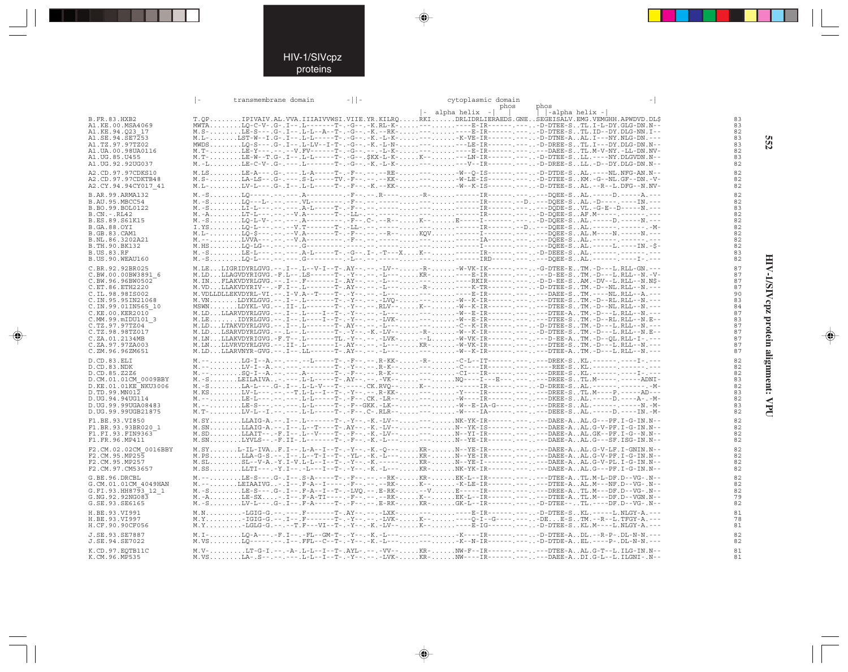## HIV-1/SIVcpz proteins

 $\Rightarrow$ 

|                                                                                                                                                                                                                                                                                 | $\vert$ - | transmembrane domain | $-11-$ |                                                                                                                                                                                                                                                                                                                                                                                                                                                                                                                                                                                                                                                                                                                                                                                                                                                                                                                                                                                                                                                       | cytoplasmic domain<br>phos | phos           |                                                                                  |
|---------------------------------------------------------------------------------------------------------------------------------------------------------------------------------------------------------------------------------------------------------------------------------|-----------|----------------------|--------|-------------------------------------------------------------------------------------------------------------------------------------------------------------------------------------------------------------------------------------------------------------------------------------------------------------------------------------------------------------------------------------------------------------------------------------------------------------------------------------------------------------------------------------------------------------------------------------------------------------------------------------------------------------------------------------------------------------------------------------------------------------------------------------------------------------------------------------------------------------------------------------------------------------------------------------------------------------------------------------------------------------------------------------------------------|----------------------------|----------------|----------------------------------------------------------------------------------|
| B.FR.83.HXB2<br>A1.KE.00.MSA4069<br>A1.KE.94.O23 17<br>A1.SE.94.SE7253<br>A1.TZ.97.97TZ02<br>A1.UA.00.98UA0116<br>A1.UG.85.U455<br>A1.UG.92.92UG037                                                                                                                             |           |                      |        | $\vert - \vert$ alpha helix $\vert - \vert$<br>T.OPIPIVAIV.AL.VVA.IIIAIVVWSI.VIIE.YR.KILRORKIDRLIDRLIERAEDS.GNESEGEISALV.EMG.VEMGHH.APWDVD.DL\$<br>MWTALO-C-V-.G-.I--.L-------T-.-G--.-K.RL-K--------E-IR-------D-DTEE-STL.I-L-DY.GLG-DN.N--<br>M.S-LE-S---.G-.I--.L-L--A--T-.-G--.-K.--RK---------E-IR--------D-DTEE-STL.ID--DY.DLG-NN.I--                                                                                                                                                                                                                                                                                                                                                                                                                                                                                                                                                                                                                                                                                                           |                            | -alpha helix - | 83<br>83<br>82<br>83<br>83<br>82<br>83<br>82                                     |
| A2.CD.97.97CDKS10<br>A2.CD.97.97CDKTB48<br>A2.CY.94.94CY017 41                                                                                                                                                                                                                  |           |                      |        | M.LS. LE-A--- . G- . --- . L-A-----T- . - F-- . -- . - - RE- --- W--Q-IS------ -D-DTDE-S. . AL. ----NL. NFG-AN. N--<br>M.S-LA-LS--.G-.---.S-L-----TV.-F--.----KK----W-LE-IS------.---D-DTEE-SKM.-G--NL.GF--DN.-V-<br>M.L-LV-L---.G-.I--.L-L-----T-.-F--.-K.--KK----W--K-IS------.----D-DTEE-SAL.--R--L.DFG--N.NV-                                                                                                                                                                                                                                                                                                                                                                                                                                                                                                                                                                                                                                                                                                                                     |                            |                | 82<br>82<br>82                                                                   |
| B.AR.99.ARMA132<br>B.AU.95.MBCC54<br>B.BO.99.BOL0122<br>B.CN.-.RL42<br>B.ES.89.S61K15<br>B.GA.88.OYI<br>B.GB.83.CAM1<br>B.NL.86.3202A21<br>B.TH.90.BK132<br><b>B.US.83.RF</b><br>B.US.90.WEAU160                                                                                |           |                      |        |                                                                                                                                                                                                                                                                                                                                                                                                                                                                                                                                                                                                                                                                                                                                                                                                                                                                                                                                                                                                                                                       |                            |                | 82<br>82<br>83<br>82<br>82<br>82<br>82<br>82<br>82<br>83<br>82                   |
| C.BR.92.92BR025<br>C.BW.00.00BW3891 6<br>C.BW.96.96BW0502<br>C.ET.86.ETH2220<br>C.IL.98.98IS002<br>C.IN.95.95IN21068<br>C.IN.99.01IN565 10<br>C.KE.00.KER2010<br>C.MM.99.mIDU101 3<br>C.TZ.97.97TZ04<br>C.TZ.98.98TZ017<br>C.ZA.01.2134MB<br>C.ZA.97.97ZA003<br>C.ZM.96.96ZM651 |           |                      |        | M.LELIGRIDYRLGVG.--.I--.L--V-I--T-.AY--.--.-LV---R-V-VK-IK------.---G-DTEE-ETM.-D---L.RLL-GN.---<br>$\verb M.LD\ldots\rule{0.15cm}{0.15cm}\hspace{-0.15cm}\verb M.LD\ldots\rule{0.15cm}{0.15cm}\hspace{-0.15cm}\verb M.LD\ldots\rule{0.15cm}{0.15cm}\hspace{-0.15cm}\verb M.LD\ldots\rule{0.15cm}{0.15cm}\hspace{-0.15cm}\verb M.LD\ldots\rule{0.15cm}{0.15cm}\hspace{-0.15cm}\verb M.LD\ldots\rule{0.15cm}{0.15cm}\hspace{-0.15cm}\verb M.LD\ldots\rule{0.15cm}{0.15cm}\hspace{-0$<br>M. IN. FLAKVDYRLGVG.--.I--.F-------I-.AY--.--.-L---------RKIR-------D-D-EE-SAM.-DV--L.RLL--N.N\$-<br>M.VDLLDLLEKVDYRL-VI.--.I-V.A--T----T-.-Y--.--.-L----------E-IR--------PAEE-STM.----NL.RLL--A.---                                                                                                                                                                                                                                                                                                                                                          |                            |                | 87<br>87<br>87<br>87<br>90<br>83<br>84<br>87<br>83<br>87<br>87<br>87<br>87<br>87 |
| D.CD.83.ELI<br>D.CD.83.NDK<br>D.CD.85.Z2Z6<br>D.CM.01.01CM 0009BBY<br>D.KE.01.01KE NKU3006<br>$D.TD.99.MN01\overline{2}$<br>D.UG.94.94UG114<br>D.UG.99.99UGA08483<br>D.UG.99.99UGB21875<br>F1.BE.93.VI850<br>F1.BR.93.93BR020 1<br>F1.FI.93.FIN9363<br>F1.FR.96.MP411           |           |                      |        | M. --LG-I--A. --. ---. --L-----T-. -F--. --. R-KK- -R- -C-L--IT------. ----. ---DREK-SKL. ------. -----I-. ---<br>M. --LV-I--A. --. ---. --------T-.-Y--. --. R-K-----C----IR------. -----REE-SKL.------. ------------<br>M. --SO-I--A. --. ---. A-------T-. -F--. --. R-K-----CI---IR------. -----DREE-SKL.------. -----I-.---<br>M. -SLA-L----.G-.I--L-L-V---T-----.CK.RVO--K-------------R-------D-DREE-SAL.-------.----------------------<br>M.KSLV-L---.--.-T.L-L--I--T-.-Y--.--.R-KK----Y-----IR---------DREE-STL.M----P.-----AD---<br>M.T-LV-L--I.--.---.L-L-----T-.-F--C-.RLR-----W----IA--------DEEE-SAL.-----D.----IN.-M-<br>M.SYLLAIG-A.--.I--.L-------T-.-Y--.-K.-LV-----NK-YK-IR------.-----DAEE-AAL.G---PF.I-G-IN.N--<br>M.SNLLAIG-A.--.I--.L--T---T-.AY--.-K.-LV-----N--YK-IS------.----DAEE-AAL.G-V-PF.I-G-IN.N--<br>M.SD. LLAIT-- . -F. I-- .L--V----T- . -F-- . -K. -LV-- --- N--YI-IR------ --- . DAEE-A. . AL. GK--PF. I-G--N. N--<br>M.SNLYVLS--.-F.II-.L-------T-.-F--.-K.-L------N--YE-IR------.----DAEE-AAL.G---SF.ISG-IN.N-- |                            |                | 82<br>82<br>82<br>83<br>82<br>83<br>82<br>83<br>82<br>82<br>82<br>82<br>82       |
| F2.CM.02.02CM 0016BBY<br>F2.CM.95.MP255<br>F2.CM.95.MP257<br>F2.CM.97.CM53657                                                                                                                                                                                                   |           |                      |        | M.SYL-IL-IVAF.I--.L-A--I--T-.-Y--.-K.-O---KR-N--YE-IR------.----DAEE-AAL.G-V-LF.I-GNIN.N--<br>M.PSLLA-G-S.--.I--.L--T-I--T-.-YL-.-K.-L---KR-N--YE-IR---------DAEE-AAL.G-V-PF.I-G-IN.N--                                                                                                                                                                                                                                                                                                                                                                                                                                                                                                                                                                                                                                                                                                                                                                                                                                                               |                            |                | 82<br>82<br>82<br>82                                                             |
| G.BE.96.DRCBL<br>G.CM.01.01CM 4049HAN<br>G.FI.93.HH8793 12 1<br>G.NG.92.92NG083<br>G.SE.93.SE6165                                                                                                                                                                               |           |                      |        | M.--LE-S---.G-.I--.S-A-----T-.-F--.----RK-KR-EK-L--IR------.---DTEE-ATL.M-L-DF.D--VG-.N--<br>M. -SLV-L---.G-.I--. F-A-----T-.-F--.--.E-RK-KR-GK-L--IR------.----.-D-DTEE--TL.----DF.D--VG-.N--                                                                                                                                                                                                                                                                                                                                                                                                                                                                                                                                                                                                                                                                                                                                                                                                                                                        |                            |                | 82<br>82<br>82<br>79<br>82                                                       |
| H.BE.93.VI991<br>H.BE.93.VI997<br>H.CF.90.90CF056<br>J.SE.93.SE7887                                                                                                                                                                                                             |           |                      |        | M.N-LGIG-G.--.---.F-------T-.AY--.--.-LXK--------E-IR-------D-DTEE-SKL.-----L.NLGY-A.---<br>M.I-LO-A---.-F.I--.-FL--GM-T-.-Y--.-K.-L------K----IR-------D-DTEE-ADL.--R-P-.DL-N-N.---                                                                                                                                                                                                                                                                                                                                                                                                                                                                                                                                                                                                                                                                                                                                                                                                                                                                  |                            |                | 81<br>78<br>81<br>82                                                             |
| J.SE.94.SE7022<br>K.CD.97.EQTB11C<br>K.CM.96.MP535                                                                                                                                                                                                                              |           |                      |        | M.VSLO-----.--.I--.FFL--C--T-.-X.-L--------K--N-IR-------D-DTDE-AEL.----P-.DL-N-N.---<br>M.V-LT-G-I.--.-A-.L-L--I--T-.AYL-.--.-VV--KR-NW-F--IR------.----DTEE-AAL.G-T--L.ILG-IN.N--<br>$\verb M.VS , \verb   \verb LA-S-- -- --L-L-L-L-L-L-T-- ---Y-- --LVK- , \verb   \verb XX-- , \verb NN-- --R-- --- --- --DABE-A , \verb DI.G-L--L.L.GNI-N-- ++ , \verb   \verb 0 , \verb 0 , \verb 1 , \verb 1 , \verb 1 , \verb 1 , \verb 1 , \verb 1 , \verb 1 , \verb 1 , \verb 1 , \verb 1 , \verb 1 , \verb 1 , \verb 1 , \verb 1 , \verb 1 , \verb 1 , \verb 1 , \verb 1 , \verb $                                                                                                                                                                                                                                                                                                                                                                                                                                                                        |                            |                | 82<br>81<br>81                                                                   |

 $\Rightarrow$ 

 $\Rightarrow$ 

HIV-1/SIVcpz protein alignment: VPU

 $\Rightarrow$ 

**552 HIV-1/SIVcpz protein alignment: VPU 552**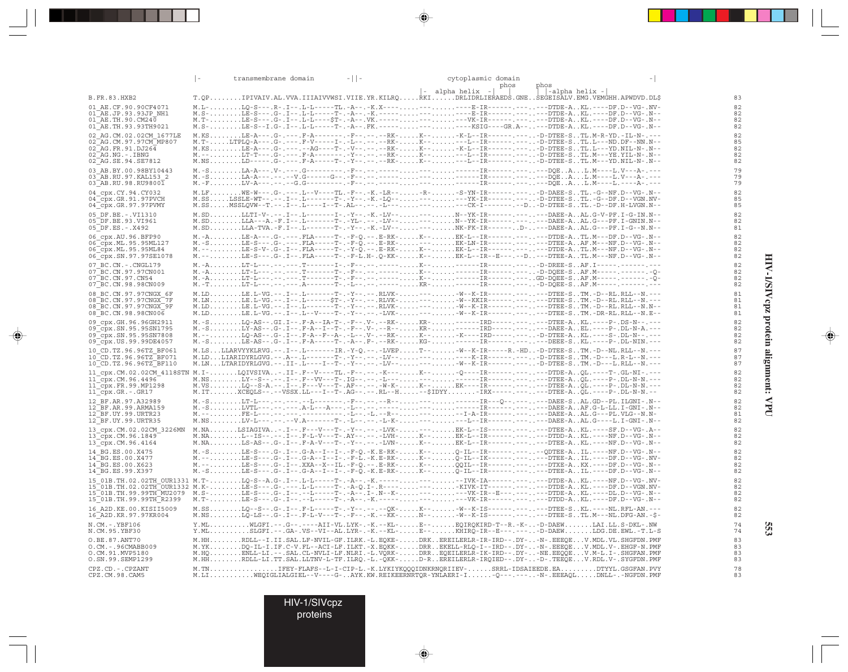|                                                      | transmembrane domain                                                                                                                                                                                                                                                                                                                                                                                              | $-11-$ | cytoplasmic domain<br>phos                  | phos           |          |
|------------------------------------------------------|-------------------------------------------------------------------------------------------------------------------------------------------------------------------------------------------------------------------------------------------------------------------------------------------------------------------------------------------------------------------------------------------------------------------|--------|---------------------------------------------|----------------|----------|
| <b>B.FR.83.HXB2</b>                                  | T.QPIPIVAIV.AL.VVA.IIIAIVVWSI.VIIE.YR.KILRQRKIDRLIDRLIERAEDS.GNESEGEISALV.EMG.VEMGHH.APWDVD.DL\$                                                                                                                                                                                                                                                                                                                  |        | $\vert - \vert$ alpha helix $\vert - \vert$ | -alpha helix - | 83       |
| 01 AE.CF.90.90CF4071                                 | M.L-LQ-S---.R-.I--.L-L-----TL.-A--.-K.X---------------E-IR----------DTDE-AKL.----DF.D--VG-.NV-                                                                                                                                                                                                                                                                                                                    |        |                                             |                | 82       |
| 01 AE.JP.93.93JP NH1<br>$01$ AE. TH. 90. CM240       |                                                                                                                                                                                                                                                                                                                                                                                                                   |        |                                             |                | 82<br>82 |
| 01 AE. TH. 93. 93 TH 9021                            |                                                                                                                                                                                                                                                                                                                                                                                                                   |        |                                             |                | 82       |
| 02 AG.CM.02.02CM 1677LE<br>02 AG. CM. 97. 97CM MP807 | M.KSLE-A---.G-.---.F-A--------F--.----RK-K---K-L--IR------.---D-DTEE-STL.M-R-YD.-IL-N-.---                                                                                                                                                                                                                                                                                                                        |        |                                             |                | 82<br>85 |
| $02^{\text{T}}$ AG.FR.91.DJ264                       |                                                                                                                                                                                                                                                                                                                                                                                                                   |        |                                             |                | 82       |
| $02^-AG$ . NG. -. IBNG<br>02 AG.SE.94.SE7812         |                                                                                                                                                                                                                                                                                                                                                                                                                   |        |                                             |                | 82<br>82 |
| 03 AB.BY.00.98BY10443                                |                                                                                                                                                                                                                                                                                                                                                                                                                   |        |                                             |                | 79       |
| 03 AB.RU.97.KAL153 2<br>03 AB.RU.98.RU98001          |                                                                                                                                                                                                                                                                                                                                                                                                                   |        |                                             |                | 79<br>79 |
| 04 cpx.CY.94.CY032                                   | M.LFNE-W---.G-.---.L--V----TL.-F--.-K.-LR---R--S-YN-IR--------D-DAEE-STL.-G--NF.D--VG-.N--                                                                                                                                                                                                                                                                                                                        |        |                                             |                | 82       |
| 04 cpx.GR.91.97PVCH<br>04 cpx.GR.97.97PVMY           |                                                                                                                                                                                                                                                                                                                                                                                                                   |        |                                             |                | 85<br>85 |
| 05 DF.BE. -. VI1310                                  |                                                                                                                                                                                                                                                                                                                                                                                                                   |        |                                             |                | 82       |
| 05 DF.BE.93.VI961<br>$05$ DF.ES. - . X492            | M.SD. LLA-TVA. -F. I-- . L-------T-. -Y--. -K. -LV-- --- NK-FK-IR------ D-. . ---DAEE-A. . AL. G---PF. I-G--N. N--                                                                                                                                                                                                                                                                                                |        |                                             |                | 82<br>81 |
| 06 cpx.AU.96.BFP90                                   | M. -A. LE-A--- . G- . --- . FLA-----T- . -F-Q. -- . E-RK- K-- EK-L--IR----- . --- --- DTDE-A. . TL.M---DF.D--VG-.N--                                                                                                                                                                                                                                                                                              |        |                                             |                | 82       |
| 06 cpx.ML.95.95ML127<br>06 cpx.ML.95.95ML84          |                                                                                                                                                                                                                                                                                                                                                                                                                   |        |                                             |                | 82<br>82 |
| 06_cpx.SN.97.97SE1078                                |                                                                                                                                                                                                                                                                                                                                                                                                                   |        |                                             |                | 82       |
| 07 BC.CN. - . CNGL179                                | M.-ALT-L---.--.T-------I-.-F--.--.--K--TR-----------D-DREE-SAR.I-----.---------                                                                                                                                                                                                                                                                                                                                   |        |                                             |                | 82       |
| 07 BC.CN.97.97CN001<br>$07^-$ BC.CN.97.CN54          |                                                                                                                                                                                                                                                                                                                                                                                                                   |        |                                             |                | 82<br>82 |
| 07 BC.CN.98.98CN009                                  |                                                                                                                                                                                                                                                                                                                                                                                                                   |        |                                             |                | 82       |
| 08 BC.CN.97.97CNGX 6F<br>08 BC. CN. 97. 97 CNGX 7F   |                                                                                                                                                                                                                                                                                                                                                                                                                   |        |                                             |                | 81<br>81 |
| 08 BC.CN.97.97CNGX 9F                                | $\begin{array}{l} \texttt{M.LD.\ldots, L.E.L-VG.--.1--.1--.1----?--.}-\texttt{?}-\texttt{?}-\texttt{?}-\texttt{?}-\texttt{?}-\texttt{?}-\texttt{?}-\texttt{?}-\texttt{?}-\texttt{?}-\texttt{?}-\texttt{?}-\texttt{?}-\texttt{?}-\texttt{?}-\texttt{?}-\texttt{?}-\texttt{?}-\texttt{?}-\texttt{?}-\texttt{?}-\texttt{?}-\texttt{?}-\texttt{?}-\texttt{?}-\texttt{?}-\texttt{?}-\texttt{?}-\texttt{?}-\texttt{?}-$ |        |                                             |                | 81<br>81 |
| 08 BC.CN.98.98CN006<br>09 cpx.GH.96.96GH2911         | M. -SLO-AS--.GI.I--.F-A--IA-T-.-F--.V-.--RK-KR-------IRD--------DTEE-AKL.----P-.DS-N--.---                                                                                                                                                                                                                                                                                                                        |        |                                             |                | 82       |
| 09 cpx. SN. 95. 95 SN1795                            | M. -SLY-AS--.G-.I--.F-A--I--T-.-F--.V-.--R--KR------IRD-----.------DAEE-AEL.----P-.DL-N-A.---                                                                                                                                                                                                                                                                                                                     |        |                                             |                | 82       |
| 09 cpx.SN.95.95SN7808<br>09 cpx. US. 99. 99DE4057    | M. --LQ-AS--.G-.I--.F-A--F--A-.-L---.V-.--RK-K---K----IRD-------D-DTEE-AKL.----S-.DL-N--.---                                                                                                                                                                                                                                                                                                                      |        |                                             |                | 82<br>82 |
| 10 CD.TZ.96.96TZ BF061                               | M.LSLLARVYYKLRVG.--.I--.L-------IR.-Y-Q.--.-LVEPT---W--K-IR-----R.-HD-D-DTEE-STM.-D--NL.RLL--N.---                                                                                                                                                                                                                                                                                                                |        |                                             |                | 87       |
| 10 CD.TZ.96.96TZ BF071<br>10 CD. TZ. 96. 96TZ BF110  |                                                                                                                                                                                                                                                                                                                                                                                                                   |        |                                             |                | 87<br>87 |
|                                                      | 11 cpx.CM.02.02CM 4118STN M.I-LQIVSIVA-.II-.F--V----TL.-F--.--.-K---K---Q----IR---------.DTDE-AQL.----T-.GL-NI-.--                                                                                                                                                                                                                                                                                                |        |                                             |                | 82       |
| 11 cpx.CM.96.4496<br>$11$ cpx. FR. 99. MP1298        |                                                                                                                                                                                                                                                                                                                                                                                                                   |        |                                             |                | 82<br>82 |
| 11_cpx.GR.-.GR17                                     |                                                                                                                                                                                                                                                                                                                                                                                                                   |        |                                             |                | 82       |
| 12 BF.AR.97.A32989<br>12 BF.AR.99.ARMA159            |                                                                                                                                                                                                                                                                                                                                                                                                                   |        |                                             |                | 82<br>82 |
| 12 BF.UY.99.URTR23                                   |                                                                                                                                                                                                                                                                                                                                                                                                                   |        |                                             |                | 81       |
| 12 BF.UY.99.URTR35                                   |                                                                                                                                                                                                                                                                                                                                                                                                                   |        |                                             |                | 82<br>82 |
| 13 cpx.CM.02.02CM 3226MN<br>13 cpx.CM.96.1849        | M.NALSIAGIVA-.I--.F---V---T-.-Y--.---LVK----EK-L--IS---------DTEE-AKL.----SF.D--VG-.A--<br>--M.NAL--IS--.--.I--.F-L-V---T-.AY--.----LVH-K--EK-L--IR----------DTDD-AKL.----NF.D--                                                                                                                                                                                                                                  |        |                                             |                | 82       |
| 13_cpx.CM.96.4164                                    |                                                                                                                                                                                                                                                                                                                                                                                                                   |        |                                             |                | 82       |
| 14 BG.ES.00.X475<br>14 BG.ES.00.X477                 | M.-SLE-S---.G-.I--.G-A--I--I-.-F-O.-K.E-RK-K--O-IL--IR------.----ODTEE-AIL.----NF.D--VG-.N--<br>M. --LE-S---.G-.I--.G-A--I--I-.-F-L.-K.E-RK-K--Q-IL--IK----------DTEE-AIL.----DF.D--VG-.NV-                                                                                                                                                                                                                       |        |                                             |                | 82<br>82 |
| 14 BG.ES.00.X623<br>14 BG.ES.99.X397                 |                                                                                                                                                                                                                                                                                                                                                                                                                   |        |                                             |                | 82<br>82 |
|                                                      |                                                                                                                                                                                                                                                                                                                                                                                                                   |        |                                             |                | 82       |
|                                                      |                                                                                                                                                                                                                                                                                                                                                                                                                   |        |                                             |                | 82       |
|                                                      |                                                                                                                                                                                                                                                                                                                                                                                                                   |        |                                             |                | 82<br>82 |
| 16 A2D. KE. 00. KISII5009<br>16 A2D. KR. 97. 97KR004 | M.SSLQ--S--.G-.I--.F-L-----T-.-Y--.---QK-K---W--K-IS------.----DTEE-SKL.----NL.RFL-AN.---<br>$\verb M.NS , \verb L@-LS---G-.F--F-L-V---T-.-F-.-K.--\tilde{K}K- \ldots, \verb N---W--K-IS----------------DTEE-STL.M---NL.DFG-AN.-$-$                                                                                                                                                                               |        |                                             |                | 82<br>82 |
| N.CM. -. YBF106<br>N.CM.95.YBF30                     | Y.MLWLGFI.--.G--.---AII-VL.LYK-.-K.--KL-E--EQIRQKIRD-T--R.-K--D-DAEWLAI.LL.S-DKL-.NW<br>Y.MLSLGFI.--.GA-.VS--VI--AL.LYR-.-K.--KL-E--KHIRO-IR--E---.----D-DAEWLDG.DE.EWL.-T.L-S                                                                                                                                                                                                                                    |        |                                             |                | 74<br>74 |
| O.BE.87.ANT70                                        | M.HHRDLL--I.II.SAL.LF-NVIL-GF.ILRK.-L.EQKE-DRKEREILERLR-IR-IRD--.DY--N-.EEEQEV.MDL.VL.SHGFDN.PMF                                                                                                                                                                                                                                                                                                                  |        |                                             |                | 83       |
| O.CM. - . 96CMABB009<br>O.CM.91.MVP5180              | M.YKDQ-IL-I.IF.C-V.FL--ACI-LF.ILKT.-X.EQKK-DRREKELL-RLQ-I--IRD--.DY--N-.EEEQEV.MDL.V-.EHGF-N.PMF<br>M.HQENLL-LI.--.SAL.CL-NVLI-LF.NLRI.-L.VQRK-DRREQEILERLR-IK-IRD--.DY--NE.EEQQEV.M-L.I-.SHGFAN.PMF                                                                                                                                                                                                              |        |                                             |                | 83<br>83 |
| O.SN.99.SEMP1299                                     | M.HHRDLL-LI.TT.SAL.LLTNV-L-TF.ILRQ.-L.-QKK-D-RBREILERLR-IRQIED--.DY--D-.TEËQEV.RDL.V-.SYGFDN.PMF                                                                                                                                                                                                                                                                                                                  |        |                                             |                | 83       |
| CPZ.CD. - . CPZANT<br>CPZ.CM.98.CAM5                 | M.TNIFEY-FLAFS--L-I-CIP-L.-K.LYKIYKQQQIDNKRNQRIIEV-SRRL-IDSAIEEDE.EADTYYL.GSGFAN.PVY<br>M.LINEOIGLIALGIEL--V----G-AYK.KW.REIKEERNRTOR-YNLAERI-I-O---.----N-.EEEAOLDNLL-.-NGFDN.PMF                                                                                                                                                                                                                                |        |                                             |                | 78<br>83 |

 $\Rightarrow$ 

\_\_

 $\overline{\blacklozenge}$ 

 $\overline{\overline{\phantom{m}}\phantom{m}}$ 

HIV-1/SIVcpz protein alignment: VPU **HIV-1/SIVcpz protein alignment: VPU**

 $\Rightarrow$ 

**553**

HIV-1/SIVcpz

proteins

 $\Rightarrow$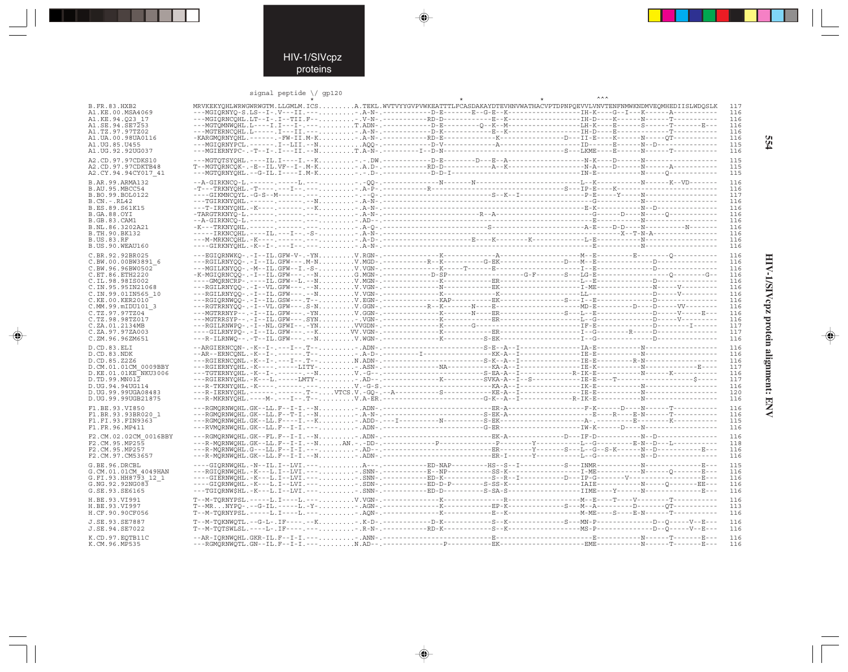### signal peptide  $\setminus$  gp120

 $\Rightarrow$ 

|                                           | signal peptide $\setminus$ gp120                                                                                                                                                                                                                                                                                                                         |  |  |            |
|-------------------------------------------|----------------------------------------------------------------------------------------------------------------------------------------------------------------------------------------------------------------------------------------------------------------------------------------------------------------------------------------------------------|--|--|------------|
| <b>B.FR.83.HXB2</b>                       | MRVKEKYOHLWRWGWRWGTM.LLGMLM.ICSA.TEKL.WVTVYYGVPVWKEATTTLFCASDAKAYDTEVHNVWATHACVPTDPNPOEVVLVNVTENFNMWKNDMVEOMHEDIISLWDOSLK                                                                                                                                                                                                                                |  |  | 117        |
| A1.KE.00.MSA4069                          |                                                                                                                                                                                                                                                                                                                                                          |  |  | 116        |
| A1.KE.94.023 17                           |                                                                                                                                                                                                                                                                                                                                                          |  |  | 116        |
| A1.SE.94.SE7253                           |                                                                                                                                                                                                                                                                                                                                                          |  |  | 116        |
| A1.TZ.97.97TZ02                           |                                                                                                                                                                                                                                                                                                                                                          |  |  | 116        |
| A1.UA.00.98UA0116<br>A1. UG. 85. U455     |                                                                                                                                                                                                                                                                                                                                                          |  |  | 116<br>115 |
| A1.UG.92.92UG037                          |                                                                                                                                                                                                                                                                                                                                                          |  |  | 116        |
|                                           |                                                                                                                                                                                                                                                                                                                                                          |  |  |            |
| A2.CD.97.97CDKS10                         |                                                                                                                                                                                                                                                                                                                                                          |  |  | 115<br>115 |
| A2.CD.97.97CDKTB48<br>A2.CY.94.94CY017 41 |                                                                                                                                                                                                                                                                                                                                                          |  |  | 115        |
|                                           |                                                                                                                                                                                                                                                                                                                                                          |  |  |            |
| B.AR.99.ARMA132                           |                                                                                                                                                                                                                                                                                                                                                          |  |  | 116        |
| B.AU.95.MBCC54<br>B.BO.99.BOL0122         |                                                                                                                                                                                                                                                                                                                                                          |  |  | 116<br>117 |
| $B.CN.-.RL42$                             |                                                                                                                                                                                                                                                                                                                                                          |  |  | 116        |
| B.ES.89.S61K15                            |                                                                                                                                                                                                                                                                                                                                                          |  |  | 116        |
| <b>B.GA.88.OYI</b>                        |                                                                                                                                                                                                                                                                                                                                                          |  |  | 116        |
| <b>B.GB.83.CAM1</b>                       |                                                                                                                                                                                                                                                                                                                                                          |  |  | 116        |
| B.NL.86.3202A21                           |                                                                                                                                                                                                                                                                                                                                                          |  |  | 116        |
| B.TH.90.BK132                             |                                                                                                                                                                                                                                                                                                                                                          |  |  | 116<br>116 |
| <b>B.US.83.RF</b><br>B.US.90.WEAU160      |                                                                                                                                                                                                                                                                                                                                                          |  |  | 116        |
|                                           |                                                                                                                                                                                                                                                                                                                                                          |  |  |            |
| C.BR.92.92BR025                           |                                                                                                                                                                                                                                                                                                                                                          |  |  | 116        |
| C.BW.00.00BW3891 6<br>C.BW.96.96BW0502    |                                                                                                                                                                                                                                                                                                                                                          |  |  | 116<br>116 |
| C.ET.86.ETH2220                           |                                                                                                                                                                                                                                                                                                                                                          |  |  | 116        |
| C.IL.98.98IS002                           |                                                                                                                                                                                                                                                                                                                                                          |  |  | 116        |
| C.IN.95.95IN21068                         |                                                                                                                                                                                                                                                                                                                                                          |  |  | 116        |
| C.IN.99.01IN565 10                        |                                                                                                                                                                                                                                                                                                                                                          |  |  | 116        |
| C.KE.00.KER2010                           |                                                                                                                                                                                                                                                                                                                                                          |  |  | 116        |
| C.MM.99.mIDU101 3                         |                                                                                                                                                                                                                                                                                                                                                          |  |  | 116<br>116 |
| C.TZ.97.97TZ04<br>C.TZ.98.98TZ017         |                                                                                                                                                                                                                                                                                                                                                          |  |  | 116        |
| C.ZA.01.2134MB                            |                                                                                                                                                                                                                                                                                                                                                          |  |  | 117        |
| C.ZA.97.97ZA003                           |                                                                                                                                                                                                                                                                                                                                                          |  |  | 117        |
| C.ZM.96.96ZM651                           |                                                                                                                                                                                                                                                                                                                                                          |  |  | 116        |
| D.CD.83.ELI                               |                                                                                                                                                                                                                                                                                                                                                          |  |  | 116        |
| D.CD.83.NDK                               |                                                                                                                                                                                                                                                                                                                                                          |  |  | 116        |
| D.CD.85.Z2Z6                              |                                                                                                                                                                                                                                                                                                                                                          |  |  | 116        |
| D.CM.01.01CM 0009BBY                      |                                                                                                                                                                                                                                                                                                                                                          |  |  | 117        |
| D.KE.01.01KE NKU3006                      |                                                                                                                                                                                                                                                                                                                                                          |  |  | 116        |
| D.TD.99.MNO12<br>D.UG.94.94UG114          |                                                                                                                                                                                                                                                                                                                                                          |  |  | 117<br>116 |
| D. UG. 99.99UGA08483                      |                                                                                                                                                                                                                                                                                                                                                          |  |  | 120        |
| D.UG.99.99UGB21875                        |                                                                                                                                                                                                                                                                                                                                                          |  |  | 116        |
| F1.BE.93.VI850                            |                                                                                                                                                                                                                                                                                                                                                          |  |  | 116        |
| F1.BR.93.93BR020 1                        |                                                                                                                                                                                                                                                                                                                                                          |  |  | 116        |
| F1.FI.93.FIN9363                          |                                                                                                                                                                                                                                                                                                                                                          |  |  | 115        |
| F1.FR.96.MP411                            |                                                                                                                                                                                                                                                                                                                                                          |  |  | 116        |
| F2.CM.02.02CM 0016BBY                     |                                                                                                                                                                                                                                                                                                                                                          |  |  | 116        |
| F2.CM.95.MP255                            |                                                                                                                                                                                                                                                                                                                                                          |  |  | 118        |
| F2.CM.95.MP257                            |                                                                                                                                                                                                                                                                                                                                                          |  |  | 116        |
| F2.CM.97.CM53657                          |                                                                                                                                                                                                                                                                                                                                                          |  |  | 116        |
| G.BE.96.DRCBL                             | ---GIQRNWQHL.-N--IL.I--LVI.---A---.----------BD-NAP---------HS--S--I-------------S---INMR----------N---------------E---                                                                                                                                                                                                                                  |  |  | 115        |
| G.CM.01.01CM 4049HAN                      |                                                                                                                                                                                                                                                                                                                                                          |  |  | 116        |
| G.FI.93.HH8793 12 1                       |                                                                                                                                                                                                                                                                                                                                                          |  |  | 116        |
| G.NG.92.92NG083                           |                                                                                                                                                                                                                                                                                                                                                          |  |  | 116        |
| G.SE.93.SE6165                            |                                                                                                                                                                                                                                                                                                                                                          |  |  | 116        |
| H.BE.93.VI991                             |                                                                                                                                                                                                                                                                                                                                                          |  |  | 116        |
| H.BE.93.VI997                             |                                                                                                                                                                                                                                                                                                                                                          |  |  | 113        |
| H.CF.90.90CF056                           |                                                                                                                                                                                                                                                                                                                                                          |  |  | 116        |
| J.SE.93.SE7887                            | $T-M-TOKNWOTL. -G-L-. IF---, --K. K-D-. --- --- --- --- -D-K------S-K-----S--K-----S---MN-P--------D--O----V-E---S---S-K--S---S-K--S---S-K--S---S-K--S---S-K--S---S-K--S---S-K--S---S-K--S---S-K--S---S-K--S---S-K--S---S-K--S---S-K--S---S-K--S---S-K--S---S-K--S---S-K--S---S-K--S---S-K--S---S-K--S---S-K--S---S-K--S---S-K--S---S-K--S---S-K--S---S$ |  |  | 116        |
| J.SE.94.SE7022                            |                                                                                                                                                                                                                                                                                                                                                          |  |  | 116        |
| K.CD.97.EOTB11C                           |                                                                                                                                                                                                                                                                                                                                                          |  |  | 116        |
| K.CM.96.MP535                             |                                                                                                                                                                                                                                                                                                                                                          |  |  | 116        |

 $\overline{\blacklozenge}$ 

 $\Rightarrow$ 

## 554

# HIV-1/SIVcpz protein alignment: ENV

 $\begin{picture}(20,5) \put(0,0){\line(1,0){10}} \put(15,0){\line(1,0){10}} \put(15,0){\line(1,0){10}} \put(15,0){\line(1,0){10}} \put(15,0){\line(1,0){10}} \put(15,0){\line(1,0){10}} \put(15,0){\line(1,0){10}} \put(15,0){\line(1,0){10}} \put(15,0){\line(1,0){10}} \put(15,0){\line(1,0){10}} \put(15,0){\line(1,0){10}} \put(15,0){\line(1,$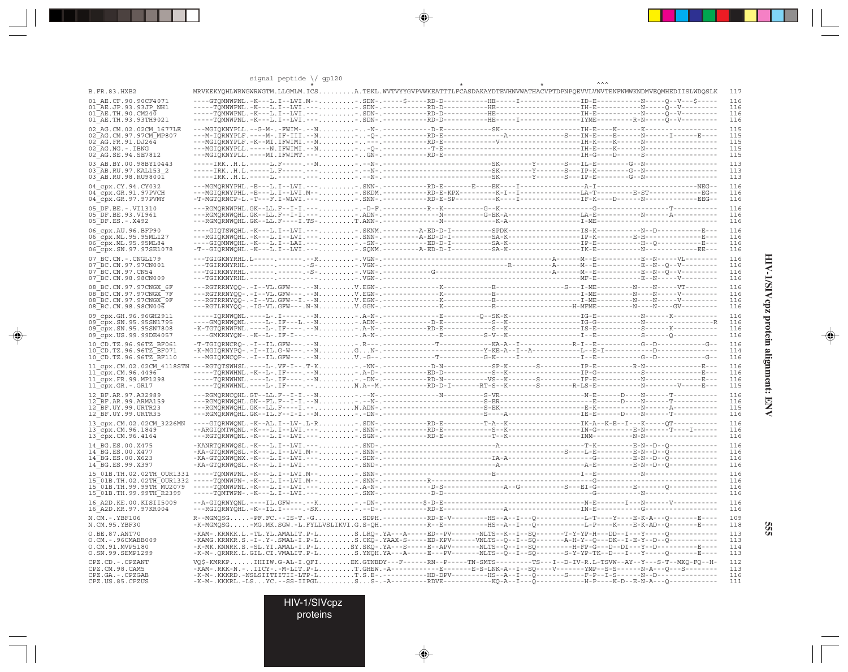|                                                           | signal peptide $\bigvee$ gp120                                                                                                                                                                                   |  |  |  |
|-----------------------------------------------------------|------------------------------------------------------------------------------------------------------------------------------------------------------------------------------------------------------------------|--|--|--|
| B.FR.83.HXB2                                              | MRVKEKYQHLWRWGWRWGTM.LLGMLM.ICSA.TEKL.WVTVYYGVPVWKEATTTLFCASDAKAYDTEVHNVWATHACVPTDPNPQEVVLVNVTENFNMWKNDMVEQMHEDIISLWDQSLK                                                                                        |  |  |  |
| 01 AE.CF.90.90CF4071                                      |                                                                                                                                                                                                                  |  |  |  |
| 01 AE.JP.93.93JP NH1<br>$01\overline{AE}$ . TH. 90. CM240 |                                                                                                                                                                                                                  |  |  |  |
| 01 AE.TH.93.93TH9021                                      |                                                                                                                                                                                                                  |  |  |  |
| 02 AG.CM.02.02CM 1677LE                                   |                                                                                                                                                                                                                  |  |  |  |
| 02 AG. CM. 97. 97 CM MP807                                |                                                                                                                                                                                                                  |  |  |  |
| 02 AG.FR.91.DJ264<br>$02$ $AG.NG. - . IBNG$               |                                                                                                                                                                                                                  |  |  |  |
| 02_AG.SE.94.SE7812                                        |                                                                                                                                                                                                                  |  |  |  |
| 03 AB.BY.00.98BY10443                                     |                                                                                                                                                                                                                  |  |  |  |
| 03 AB.RU.97.KAL153 2                                      |                                                                                                                                                                                                                  |  |  |  |
| 03 AB.RU.98.RU98001                                       |                                                                                                                                                                                                                  |  |  |  |
| 04 cpx.CY.94.CY032                                        |                                                                                                                                                                                                                  |  |  |  |
| 04_cpx.GR.91.97PVCH<br>04_cpx.GR.97.97PVMY                |                                                                                                                                                                                                                  |  |  |  |
| 05 DF.BE. -. VI1310                                       |                                                                                                                                                                                                                  |  |  |  |
| 05 DF.BE.93.VI961                                         |                                                                                                                                                                                                                  |  |  |  |
| 05 DF.ES. - . X492                                        |                                                                                                                                                                                                                  |  |  |  |
| 06 cpx.AU.96.BFP90                                        |                                                                                                                                                                                                                  |  |  |  |
| 06 cpx.ML.95.95ML127                                      |                                                                                                                                                                                                                  |  |  |  |
| 06 cpx.ML.95.95ML84<br>06 cpx.SN.97.97SE1078              |                                                                                                                                                                                                                  |  |  |  |
|                                                           |                                                                                                                                                                                                                  |  |  |  |
| 07 BC.CN. - . CNGL179<br>07 BC.CN.97.97CN001              |                                                                                                                                                                                                                  |  |  |  |
| 07 BC.CN.97.CN54                                          |                                                                                                                                                                                                                  |  |  |  |
| 07 BC.CN.98.98CN009                                       |                                                                                                                                                                                                                  |  |  |  |
| 08 BC.CN.97.97CNGX 6F                                     |                                                                                                                                                                                                                  |  |  |  |
| 08 BC.CN.97.97CNGX 7F                                     |                                                                                                                                                                                                                  |  |  |  |
| 08 BC.CN.97.97CNGX 9F<br>08 BC.CN.98.98CN006              |                                                                                                                                                                                                                  |  |  |  |
|                                                           |                                                                                                                                                                                                                  |  |  |  |
| 09 cpx.GH.96.96GH2911<br>09_cpx.SN.95.95SN1795            |                                                                                                                                                                                                                  |  |  |  |
| 09 cpx.SN.95.95SN7808                                     |                                                                                                                                                                                                                  |  |  |  |
| 09 cpx.US.99.99DE4057                                     |                                                                                                                                                                                                                  |  |  |  |
| 10 CD.TZ.96.96TZ BF061                                    |                                                                                                                                                                                                                  |  |  |  |
| 10 CD.TZ.96.96TZ BF071                                    |                                                                                                                                                                                                                  |  |  |  |
| 10 CD.TZ.96.96TZ BF110                                    |                                                                                                                                                                                                                  |  |  |  |
| 11 cpx.CM.02.02CM 4118STN<br>11 cpx.CM.96.4496            |                                                                                                                                                                                                                  |  |  |  |
| 11 cpx.FR.99.MP1298                                       |                                                                                                                                                                                                                  |  |  |  |
| $11$ $cpx.GR.-.GR17$                                      |                                                                                                                                                                                                                  |  |  |  |
| 12 BF.AR.97.A32989                                        |                                                                                                                                                                                                                  |  |  |  |
| 12 BF.AR.99.ARMA159                                       |                                                                                                                                                                                                                  |  |  |  |
| 12 BF. UY. 99. URTR23<br>12 BF.UY.99.URTR35               |                                                                                                                                                                                                                  |  |  |  |
|                                                           |                                                                                                                                                                                                                  |  |  |  |
| 13 cpx.CM.02.02CM 3226MN<br>13_cpx.CM.96.1849             |                                                                                                                                                                                                                  |  |  |  |
| 13_cpx.CM.96.4164                                         |                                                                                                                                                                                                                  |  |  |  |
| 14 BG.ES.00.X475                                          |                                                                                                                                                                                                                  |  |  |  |
| 14 BG.ES.00.X477                                          |                                                                                                                                                                                                                  |  |  |  |
| 14 BG.ES.00.X623                                          |                                                                                                                                                                                                                  |  |  |  |
| 14 BG.ES.99.X397                                          |                                                                                                                                                                                                                  |  |  |  |
| 15 01B.TH.02.02TH OUR1331<br>15 01B. TH. 02.02TH OUR1332  |                                                                                                                                                                                                                  |  |  |  |
| 15 01B.TH.99.99TH MU2079                                  |                                                                                                                                                                                                                  |  |  |  |
| 15 01B. TH. 99. 99TH R2399                                |                                                                                                                                                                                                                  |  |  |  |
| 16 A2D. KE. 00. KISII5009                                 |                                                                                                                                                                                                                  |  |  |  |
| 16 A2D.KR.97.97KR004                                      |                                                                                                                                                                                                                  |  |  |  |
| N.CM. -. YBF106<br>N.CM.95.YBF30                          | -K-MGMQSG-MG.MK.SGW.-L.FYLLVSLIKVI.G.S-QH.----------R--E----------HS--A--I---Q-------------L-P----K----B-K-AD--Q--------E----                                                                                    |  |  |  |
| O.BE.87.ANT70                                             |                                                                                                                                                                                                                  |  |  |  |
| O.CM. - . 96CMABB009                                      |                                                                                                                                                                                                                  |  |  |  |
| O.CM.91.MVP5180                                           | -KAM-.KRNKK.L.-TL.YL.AMALIT.P-LS.LRQ-.YA---A-----BD--PV------NLTS--K--I--SQ-------T-Y-YP-H---DD--I---Y-----Q-------------<br>-KAMG.KRNKR.S.-I-.Y-.SMAL-I.P-LS.CKQ-.YAAX-S------ED-KPV------WLTS--Q--I--SQ------- |  |  |  |
| 0.SN.99.SEMP1299                                          |                                                                                                                                                                                                                  |  |  |  |
| CPZ.CD. - . CPZANT                                        | VQ\$-KMRKPIHIIW.G-AL-I.QFIEK.GTNEDY---F------RN--P-----TN-SMTS--------TS---I--D-IV-R.L-TSVW--AY--Y---S-T--MXQ-FQ--H-                                                                                             |  |  |  |
| CPZ.CM.98.CAM5<br>CPZ.GA. - . CPZGAB                      | -KAM-.RKK-N.-IICY-.-M-LIT.P-LT.GHEW.-A-----------E-------E-S-LNK-A--I--SQ----V-------YMP--S-S-------N-A---Q---S-------                                                                                           |  |  |  |
| CPZ.US.85.CPZUS                                           |                                                                                                                                                                                                                  |  |  |  |
|                                                           |                                                                                                                                                                                                                  |  |  |  |

 $\begin{picture}(20,5) \put(0,0){\vector(0,1){10}} \put(15,0){\vector(0,1){10}} \put(15,0){\vector(0,1){10}} \put(15,0){\vector(0,1){10}} \put(15,0){\vector(0,1){10}} \put(15,0){\vector(0,1){10}} \put(15,0){\vector(0,1){10}} \put(15,0){\vector(0,1){10}} \put(15,0){\vector(0,1){10}} \put(15,0){\vector(0,1){10}} \put(15,0){\vector(0,1){10}} \put(15,0){\vector(0,$ 

 $\begin{picture}(20,5) \put(0,0){\vector(0,1){10}} \put(15,0){\vector(0,1){10}} \put(15,0){\vector(0,1){10}} \put(15,0){\vector(0,1){10}} \put(15,0){\vector(0,1){10}} \put(15,0){\vector(0,1){10}} \put(15,0){\vector(0,1){10}} \put(15,0){\vector(0,1){10}} \put(15,0){\vector(0,1){10}} \put(15,0){\vector(0,1){10}} \put(15,0){\vector(0,1){10}} \put(15,0){\vector(0,$ 

--

 $\overline{\blacklozenge}$ 

HIV-1/SIVcpz protein alignment: ENV **HIV-1/SIVcpz protein alignment: ENV**

 $\begin{picture}(20,5) \put(0,0){\line(1,0){10}} \put(15,0){\line(1,0){10}} \put(15,0){\line(1,0){10}} \put(15,0){\line(1,0){10}} \put(15,0){\line(1,0){10}} \put(15,0){\line(1,0){10}} \put(15,0){\line(1,0){10}} \put(15,0){\line(1,0){10}} \put(15,0){\line(1,0){10}} \put(15,0){\line(1,0){10}} \put(15,0){\line(1,0){10}} \put(15,0){\line(1,$ 

▋

**555**

HIV-1/SIVcpz

proteins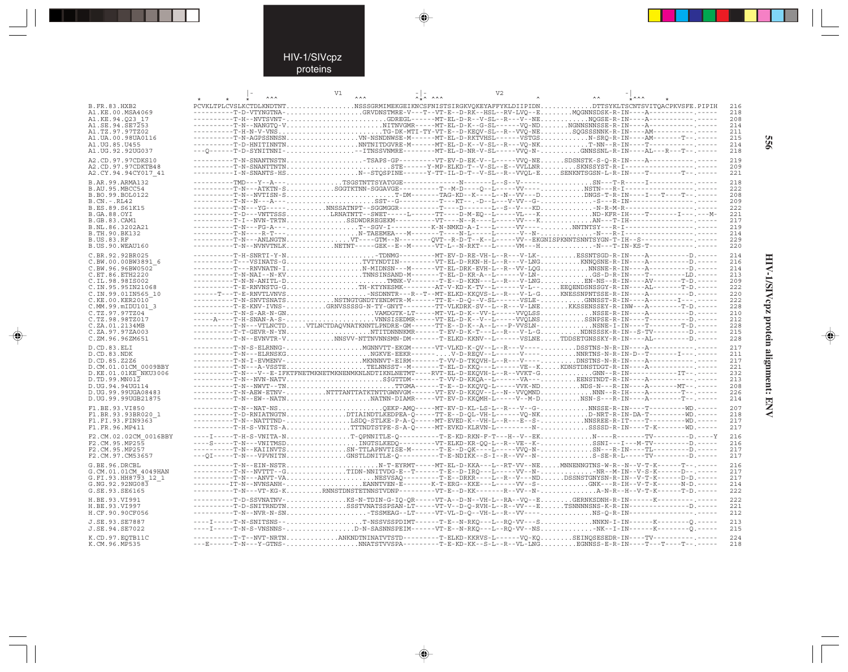### HIV-1/SIVcpz proteins

--

 $\begin{picture}(20,5) \put(0,0){\line(1,0){10}} \put(15,0){\line(1,0){10}} \put(15,0){\line(1,0){10}} \put(15,0){\line(1,0){10}} \put(15,0){\line(1,0){10}} \put(15,0){\line(1,0){10}} \put(15,0){\line(1,0){10}} \put(15,0){\line(1,0){10}} \put(15,0){\line(1,0){10}} \put(15,0){\line(1,0){10}} \put(15,0){\line(1,0){10}} \put(15,0){\line(1,$ 

|                                         |  | V1 | $\lambda$ |  | V <sub>2</sub> |                                                                                                                                                                                                                                                                                                                                                                                                                                                                                                                                  |  |            |
|-----------------------------------------|--|----|-----------|--|----------------|----------------------------------------------------------------------------------------------------------------------------------------------------------------------------------------------------------------------------------------------------------------------------------------------------------------------------------------------------------------------------------------------------------------------------------------------------------------------------------------------------------------------------------|--|------------|
| B.FR.83.HXB2                            |  |    |           |  |                | PCVKLTPLCVSLKCTDLKNDTNTNSSSGRMIMEKGEIKNCSFNISTSIRGKVQKEYAFFYKLDIIPIDNDTTSYKLTSCNTSVITQACPKVSFE.PIPIH                                                                                                                                                                                                                                                                                                                                                                                                                             |  | 216        |
| A1.KE.00.MSA4069                        |  |    |           |  |                | ----------T-D-VTYNGTNA-GRVDNSTMRE-V---T--VT-E--D-RK--HSL--RV-LVQ--EMQGNNSDSK-R-IN----A-----------------                                                                                                                                                                                                                                                                                                                                                                                                                          |  | 218        |
| A1.KE.94.023 17                         |  |    |           |  |                | ----------T-H--NVTSVNT-GDREGL-----MT-EL-D-R--V-SL--R---V--NENQGSE-R-IN----A-------------------                                                                                                                                                                                                                                                                                                                                                                                                                                   |  | 208        |
| A1.SE.94.SE7253                         |  |    |           |  |                | ----------T-N--NANGTQ-VNITNVGMR-----MT-EL-D-K--G-SL------VQ-NDNGNNSNNSSE-R-IN----A------------------                                                                                                                                                                                                                                                                                                                                                                                                                             |  | 214        |
| A1.TZ.97.97TZ02                         |  |    |           |  |                | $\verb -----T-H-N-VVNS , \verb ----- , \verb -----C-DK-MTI-TY-VT-E--D-KEQV-SL--R--VV\Q-NE, \verb  , \verb .sgGSSSNNK-R-IN---AM----- , \verb -----C-DK-SU-TY-TS-SU-2V\Q-NE, \verb  , \verb .sgGSSSNNK-R-IN---AM----- , \verb -----C-DK-MTI-TY-VT-E--D-KEQV-SL--R--VV\Q-NE, \verb  , \verb .sgGSSSNNK-R-IN---AM----- , \verb  , \verb  , \verb  , \verb  , \verb  , \verb  , \verb  , \verb$                                                                                                                                       |  | 211        |
| A1.UA.00.98UA0116                       |  |    |           |  |                | ----------T-N-AGPSSNNSNVN-NSNDNWSE-M------MT-EL-D-RKTVHSL-----VŠTGSN-SRQ-R-IN----AM-------T--.-----                                                                                                                                                                                                                                                                                                                                                                                                                              |  | 215        |
| A1.UG.85.U455                           |  |    |           |  |                | ----------T-D-HNITINNTNNNTNITDGVRE-M------MT-EL-D-K--V-SL--R---VQ-NKT-NN--R-IN----T-----------------                                                                                                                                                                                                                                                                                                                                                                                                                             |  | 214        |
| A1.UG.92.92UG037                        |  |    |           |  |                | ---0------T-D-SYNITNNI----ITNSSVNMRE--------MT-EL-D-NR-V-SL-----VVO-N-GNNSSNL-R-IN----AL---R---T--.----                                                                                                                                                                                                                                                                                                                                                                                                                          |  | 218        |
| A2.CD.97.97CDKS10                       |  |    |           |  |                |                                                                                                                                                                                                                                                                                                                                                                                                                                                                                                                                  |  | 219        |
| A2.CD.97.97CDKTB48                      |  |    |           |  |                |                                                                                                                                                                                                                                                                                                                                                                                                                                                                                                                                  |  | 209        |
| A2.CY.94.94CY017 41                     |  |    |           |  |                | ---------I-N-SNANTS-HSN--STOSPINE------Y-TT-IL-D-T--V-SL--R--VVOL-ESENKNTSGSN-L-R-IN----T---------T--.----                                                                                                                                                                                                                                                                                                                                                                                                                       |  | 221        |
| B.AR.99.ARMA132                         |  |    |           |  |                |                                                                                                                                                                                                                                                                                                                                                                                                                                                                                                                                  |  | 218        |
| B.AU.95.MBCC54                          |  |    |           |  |                |                                                                                                                                                                                                                                                                                                                                                                                                                                                                                                                                  |  | 222        |
| B.BO.99.BOL0122                         |  |    |           |  |                |                                                                                                                                                                                                                                                                                                                                                                                                                                                                                                                                  |  | 208        |
| $B.CN.-.RL42$                           |  |    |           |  |                |                                                                                                                                                                                                                                                                                                                                                                                                                                                                                                                                  |  | 209<br>222 |
| B.ES.89.S61K15<br>B.GA.88.OYI           |  |    |           |  |                | $\begin{minipage}{0.5\textwidth} \begin{tabular}{@{}l@{}} \multicolumn{2}{c}{\textbf{0.5}\textwidth} \end{tabular} \end{minipage} \begin{minipage}{0.5\textwidth} \begin{tabular}{@{}l@{}} \multicolumn{2}{c}{\textbf{0.5}\textwidth} \end{tabular} \end{minipage} \begin{minipage}{0.5\textwidth} \begin{tabular}{@{}l@{}} \multicolumn{2}{c}{\textbf{0.5}\textwidth} \end{tabular} \end{minipage} \begin{minipage}{0.5\textwidth} \begin{tabular}{@{}l@{}} \multicolumn{2}{c}{\textbf{0.5}\$                                   |  | 221        |
| <b>B.GB.83.CAM1</b>                     |  |    |           |  |                |                                                                                                                                                                                                                                                                                                                                                                                                                                                                                                                                  |  | 217        |
| B.NL.86.3202A21                         |  |    |           |  |                |                                                                                                                                                                                                                                                                                                                                                                                                                                                                                                                                  |  | 219        |
| B.TH.90.BK132                           |  |    |           |  |                |                                                                                                                                                                                                                                                                                                                                                                                                                                                                                                                                  |  | 214        |
| <b>B.US.83.RF</b>                       |  |    |           |  |                |                                                                                                                                                                                                                                                                                                                                                                                                                                                                                                                                  |  | 229        |
| B.US.90.WEAU160                         |  |    |           |  |                |                                                                                                                                                                                                                                                                                                                                                                                                                                                                                                                                  |  | 220        |
| C.BR.92.92BR025                         |  |    |           |  |                |                                                                                                                                                                                                                                                                                                                                                                                                                                                                                                                                  |  | 214        |
| C.BW.00.00BW3891 6                      |  |    |           |  |                |                                                                                                                                                                                                                                                                                                                                                                                                                                                                                                                                  |  | 216        |
| C.BW.96.96BW0502                        |  |    |           |  |                | ----------T---RNVNATN-IN-MIDNSN---M------VT-EL-DRK-EVH-L--R--VV-LQGNNSNE-R-IN----A---------D.-----                                                                                                                                                                                                                                                                                                                                                                                                                               |  | 214        |
| C.ET.86.ETH2220                         |  |    |           |  |                |                                                                                                                                                                                                                                                                                                                                                                                                                                                                                                                                  |  | 213        |
| C.IL.98.98IS002                         |  |    |           |  |                | ----------T-E-RNVNSTG-GTH-KTYNESMK-------AT-V-KD-K-TV--L------V-L--EEQENDSNSSGY-R-IN----AL-------T-D.-----                                                                                                                                                                                                                                                                                                                                                                                                                       |  | 209        |
| C.IN.95.95IN21068<br>C.IN.99.01IN565 10 |  |    |           |  |                | ------T---T-E-RNVTLVNVSNSDNNTR---R--T--MT-ELKD-KKQVS-L--R---V-L-GKNESSNPNTSSE-R-IN----A----------D.-----                                                                                                                                                                                                                                                                                                                                                                                                                         |  | 222<br>220 |
| C.KE.00.KER2010                         |  |    |           |  |                | $\begin{minipage}[c]{0.05\textwidth} \begin{itemize} {\color{blue} \textbf{1.05\textwidth} \begin{itemize} {\color{blue} \textbf{2.05\textwidth} \begin{itemize} {\color{blue} \textbf{2.05\textwidth} \begin{itemize} {\color{blue} \textbf{2.05\textwidth} \begin{itemize} {\color{blue} \textbf{2.05\textwidth} \begin{itemize} {\color{blue} \textbf{2.05\textwidth} \begin{itemize} {\color{blue} \textbf{2.05\textwidth} \begin{itemize} {\color{blue} \textbf{2.05\textwidth} \begin{itemize} {\color{blue} \textbf{2.05$ |  | 222        |
| C.MM.99.mIDU101 3                       |  |    |           |  |                | ----------T-E-KNV-IVNS-GRNVSSSSG-N-TY-GNYT-------TT-VLKDRK-SV--L--R---V-LNEKKSSENSSEY-R-INW---A--------T-D.-----                                                                                                                                                                                                                                                                                                                                                                                                                 |  | 228        |
| C.TZ.97.97TZ04                          |  |    |           |  |                |                                                                                                                                                                                                                                                                                                                                                                                                                                                                                                                                  |  | 210        |
| C.TZ.98.98TZ017                         |  |    |           |  |                | -----A----T-H-SNAN-A-S-VNNSISEDMR-----VT-EL-D-K--V--L-----VVQLNSSSNPSE-R-IN----T---------D.-----                                                                                                                                                                                                                                                                                                                                                                                                                                 |  | 212        |
| C.ZA.01.2134MB                          |  |    |           |  |                | ----------T-N---VTLNCTDVTLNCTDAQVNATKNNTLPNDRE-GM------TT-E--D-K--A--L---P-VVŠLN-NSNE-I-IN----T---------T-D.----                                                                                                                                                                                                                                                                                                                                                                                                                 |  | 228        |
| C.ZA.97.97ZA003                         |  |    |           |  |                | $\verb -----T-GEVR-N-YN , \verb -----T , \verb NTITDNNNNMR---T-EVD-K-T---L-R---V-L-G. \verb  , \verb NDNSSK-R-IN--S-TV-----D-----D. \verb ---C , \verb ---C , \verb ---C , \verb ---C , \verb ---C , \verb ---C , \verb ---C , \verb ---C , \verb ---C , \verb ---C , \verb ---C , \verb ---C , \verb ---C , \verb ---C , \verb ---C , \verb ---C , \verb ---C , \verb ---C , \verb ---C , \verb ---C , \verb ---C $                                                                                                             |  | 215        |
| C.ZM.96.96ZM651                         |  |    |           |  |                | ----------T-N--EVNVTR-VNNSVV-NTTNVNNSMN-DM-------T-ELKD-KKNV--L------VSLNETDDSETGNSSKY-R-IN----AL--------D.-----                                                                                                                                                                                                                                                                                                                                                                                                                 |  | 228        |
| D.CD.83.ELI                             |  |    |           |  |                | ----------T-N-S-ELRNNG-MGNNVTT-EKGM------VT-VLKD-K-OV--L--R---V----DSSTNS-N-R-IN----A-----------------                                                                                                                                                                                                                                                                                                                                                                                                                           |  | 217        |
| D.CD.83.NDK                             |  |    |           |  |                |                                                                                                                                                                                                                                                                                                                                                                                                                                                                                                                                  |  | 211        |
| D.CD.85.Z2Z6                            |  |    |           |  |                |                                                                                                                                                                                                                                                                                                                                                                                                                                                                                                                                  |  | 217        |
| D.CM.01.01CM 0009BBY                    |  |    |           |  |                | ----------T-N---V--E-IFKTFNETMKNETMKNEMMKNLNDTIKNLNETMT----RVT-EL-D-EKOVH-L--R--VVKT-GGNN--R-IN-----------IT--.-----                                                                                                                                                                                                                                                                                                                                                                                                             |  | 221        |
| D.KE.01.01KE NKU3006<br>D.TD.99.MN012   |  |    |           |  |                | ----------T-N--NVN-NATVS\$GTTDM-------T-VV-D-KKOA--L------VA---EENSTNDT-R-IN----A-------------------                                                                                                                                                                                                                                                                                                                                                                                                                             |  | 232<br>213 |
| D.UG.94.94UG114                         |  |    |           |  |                |                                                                                                                                                                                                                                                                                                                                                                                                                                                                                                                                  |  | 208        |
| D. UG. 99.99UGA08483                    |  |    |           |  |                | ----------T-N-AEW-ETNV-NTTTANTTATKTNTTGWNVGM------VT-EV-D-KKQV--L--N--VVQMNDNNN--R-IH----A--------T--.----                                                                                                                                                                                                                                                                                                                                                                                                                       |  | 226        |
| D.UG.99.99UGB21875                      |  |    |           |  |                | ----------T-N--EW--NATNNATNN-DIAMR-----VT-EV-D-KKÕMH-L-----V--M-DNSN-S---R-IN----A--------T--.-----                                                                                                                                                                                                                                                                                                                                                                                                                              |  | 214        |
| F1.BE.93.VI850                          |  |    |           |  |                | ----------T-N--NAT-NSQEKP-AMQ-----MT-EV-D-KL-LS-L--R---V--G-NNSSE-R-IN----T---------WD.----                                                                                                                                                                                                                                                                                                                                                                                                                                      |  | 207        |
| F1.BR.93.93BR020 1                      |  |    |           |  |                | ----------T-D-RNIATNGTNDTIAINDTLKEDPEA-O-----TT-E--D-OL-VH-L------VO-NKD-NRT-R-IN-DA-T--------WD.-----                                                                                                                                                                                                                                                                                                                                                                                                                           |  | 218        |
| F1.FI.93.FIN9363                        |  |    |           |  |                |                                                                                                                                                                                                                                                                                                                                                                                                                                                                                                                                  |  | 217        |
| F1.FR.96.MP411                          |  |    |           |  |                |                                                                                                                                                                                                                                                                                                                                                                                                                                                                                                                                  |  | 217        |
| F2.CM.02.02CM 0016BBY                   |  |    |           |  |                | ----I-----TH-S-VNITA-NT-OPNNITLE-0---------T-E-KD-RKN-F-T---H--V--EKN----R-------TV--------D.----Y                                                                                                                                                                                                                                                                                                                                                                                                                               |  | 216        |
| F2.CM.95.MP255                          |  |    |           |  |                |                                                                                                                                                                                                                                                                                                                                                                                                                                                                                                                                  |  | 216        |
| F2.CM.95.MP257                          |  |    |           |  |                |                                                                                                                                                                                                                                                                                                                                                                                                                                                                                                                                  |  | 217        |
| F2.CM.97.CM53657                        |  |    |           |  |                | ---0I-----T-N---VPVNITNGNSTLDNITLE-0---------T-E-NDIKK--S-I--R--VV--N-S-SE-R-L-----TV--------D.-----                                                                                                                                                                                                                                                                                                                                                                                                                             |  | 217        |
| G.BE.96.DRCBL                           |  |    |           |  |                | ----------T-N--EIN-NSTRN-T-EYRMT-----MT-EL-D-KKA---L--RT-VV--NEMNNENNGTNS-W-R--N--V-T-K------T--.-----                                                                                                                                                                                                                                                                                                                                                                                                                           |  | 216        |
| G.CM.01.01CM 4049HAN                    |  |    |           |  |                | ----------T-N--NVTTT--GTIDN-NNITVDG-E--T------T-E--D-IRO---L-----VV--N-NR--M-IN--V-S-K------D--.-----                                                                                                                                                                                                                                                                                                                                                                                                                            |  | 217        |
| G.FI.93.HH8793 12 1                     |  |    |           |  |                | ---------T-N---ANVT-VANESVSAO--------T-E--DRKR----L--R--V---NDDSSNSTGNYSN-R-IN--V-T-K------D-D.-----                                                                                                                                                                                                                                                                                                                                                                                                                             |  | 217        |
| G.NG.92.92NG083                         |  |    |           |  |                |                                                                                                                                                                                                                                                                                                                                                                                                                                                                                                                                  |  | 214        |
| G.SE.93.SE6165                          |  |    |           |  |                | ----------T-N---VT-KG-KRNNSTDNSTETNNSTVDNP---------VT-E--D-KK-------R--VV--N-A-N-R--H--V-T-K------T-D.-----                                                                                                                                                                                                                                                                                                                                                                                                                      |  | 222        |
| H.BE.93.VI991                           |  |    |           |  |                | ----------T-D-SSVNATNV-KS-N-TDIN-G-IQ-QR-----VT-A--D-N--VH-L--RA--VQ--EGERNKSDNH-R-IN------K-----------------                                                                                                                                                                                                                                                                                                                                                                                                                    |  | 222        |
| H.BE.93.VI997                           |  |    |           |  |                | ----------T-D-SNITRNDTNSSSTVNATSSPSAN-LT-----VT-V--D-O-RVH-L--R--VV--ETSNNNNSNS-K-R-IN--------------D.-----                                                                                                                                                                                                                                                                                                                                                                                                                      |  | 221        |
| H.CF.90.90CF056                         |  |    |           |  |                |                                                                                                                                                                                                                                                                                                                                                                                                                                                                                                                                  |  | 212        |
| J.SE.93.SE7887                          |  |    |           |  |                | ----I-----T-N-SNITSNS--T-NSSVSSPDIMT-----T-E--N-RKQ---L--RQ-VV---SNNKN-I-IN------K-------Q.-----<br>----I-----T-N-S-VNSNNS-D-N-SASNNSPEIM------VT-E--N-RKQ---L--RQ-VV--NS                                                                                                                                                                                                                                                                                                                                                        |  | 213        |
| J.SE.94.SE7022                          |  |    |           |  |                |                                                                                                                                                                                                                                                                                                                                                                                                                                                                                                                                  |  | 215        |
| K.CD.97.EQTB11C                         |  |    |           |  |                | ----------T-T--NVT-NRTNANKNDTNINATVTSTD--------T-ELKD-KKRVS-L------VQ-KQSEINQSESEDR-IN----TV-----------------                                                                                                                                                                                                                                                                                                                                                                                                                    |  | 224        |
| K.CM.96.MP535                           |  |    |           |  |                | ---E------T-N---Y-GTNS-NNATSTVVSPA---------T-E-KD-KK--S-L--R--VL-LNGEGNNSS-E-R-IN----T---T---T-------                                                                                                                                                                                                                                                                                                                                                                                                                            |  | 218        |

 $\blacklozenge$ 

 $\begin{picture}(20,5) \put(0,0){\vector(0,1){10}} \put(15,0){\vector(0,1){10}} \put(15,0){\vector(0,1){10}} \put(15,0){\vector(0,1){10}} \put(15,0){\vector(0,1){10}} \put(15,0){\vector(0,1){10}} \put(15,0){\vector(0,1){10}} \put(15,0){\vector(0,1){10}} \put(15,0){\vector(0,1){10}} \put(15,0){\vector(0,1){10}} \put(15,0){\vector(0,1){10}} \put(15,0){\vector(0,$ 

**HIV-1/SIVcpz protein alignment: ENV 556** HIV-1/SIVcpz protein alignment: ENV

 $\begin{picture}(20,5) \put(0,0){\line(1,0){10}} \put(15,0){\line(1,0){10}} \put(15,0){\line(1,0){10}} \put(15,0){\line(1,0){10}} \put(15,0){\line(1,0){10}} \put(15,0){\line(1,0){10}} \put(15,0){\line(1,0){10}} \put(15,0){\line(1,0){10}} \put(15,0){\line(1,0){10}} \put(15,0){\line(1,0){10}} \put(15,0){\line(1,0){10}} \put(15,0){\line(1,$ 

 $\equiv$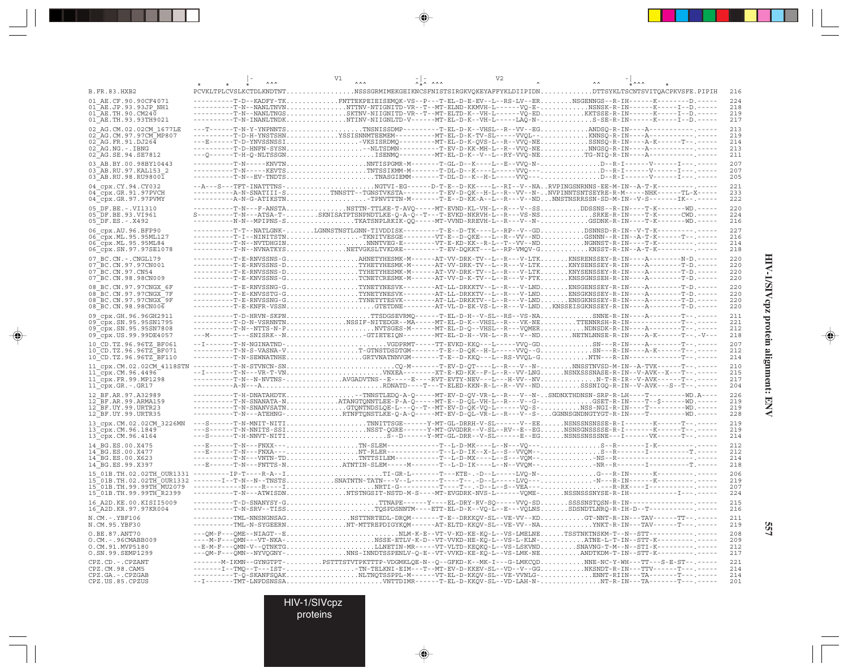|                                                                                                                                             | V1 | V <sub>2</sub> |                                                                                                                                                                                                                                                                                                                                                                                                                                                                                                                                    |                                 |
|---------------------------------------------------------------------------------------------------------------------------------------------|----|----------------|------------------------------------------------------------------------------------------------------------------------------------------------------------------------------------------------------------------------------------------------------------------------------------------------------------------------------------------------------------------------------------------------------------------------------------------------------------------------------------------------------------------------------------|---------------------------------|
| <b>B.FR.83.HXB2</b>                                                                                                                         |    |                | PCVKLTPLCVSLKCTDLKNDTNTNSSSGRMIMEKGEIKNCSFNISTSIRGKVOKEYAFFYKLDIIPIDNDTTSYKLTSCNTSVITOACPKVSFE.PIPIH                                                                                                                                                                                                                                                                                                                                                                                                                               | 216                             |
| 01 AE.CF.90.90CF4071<br>01 AE.JP.93.93JP NH1<br>01 AE.TH.90.CM240<br>01 AE.TH.93.93TH9021                                                   |    |                | T-D--KADFY-TKFNTTEKPEIEISEMQK-VS--P---T-EL-D-E-EV--L--RS-LV--ERNSGENNGS--R-IH------K-------D.-----                                                                                                                                                                                                                                                                                                                                                                                                                                 | 224<br>218<br>219<br>217        |
| 02 AG.CM.02.02CM 1677LE<br>02 AG. CM. 97. 97 CM MP807<br>$02 \overline{AG.FR}.91. DJ264$<br>$02$ $AG.NG. - . IBNG$<br>02 AG. SE. 94. SE7812 |    |                | ----T-D-H-YNSTSHNYSSISNNMTEEMEM---------MT-EL-D-K-TV-SL-----VVQL--KNNSQ-R-IN----A------------                                                                                                                                                                                                                                                                                                                                                                                                                                      | 213<br>219<br>214<br>213<br>211 |
| 03 AB.BY.00.98BY10443<br>03 AB.RU.97. KAL153 2<br>03 AB.RU.98.RU98001                                                                       |    |                |                                                                                                                                                                                                                                                                                                                                                                                                                                                                                                                                    | 207<br>207<br>205               |
| 04 cpx.CY.94.CY032<br>$04$ <sup><math>-cpx.GR.91.97</math> PVCH</sup><br>04_cpx.GR.97.97PVMY                                                |    |                | ----------A-N-G-ATIKSTNTPNVTTTN-M-------T-E--D-KK-A--L--R---V--NDNNSTNSRRSSN-SD-M-IN--V-S-------IK--.----                                                                                                                                                                                                                                                                                                                                                                                                                          | 221<br>233<br>222               |
| 05 DF.BE. - . VI1310<br>05 DF.BE.93.VI961<br>05 DF.ES. - . X492                                                                             |    |                | $\verb -----T-N---F-ANSTA , \ldots, \ldots, \ldots, \text{NSTTN-TTLKE-T-AVQ---MT-EWND-KL-VH-L--R--V--SS}, \ldots, \text{DDSSNS--R-IN---T-K---D-EVN}$<br>$\verb -------N-N--MPIPNS-S. , \verb  , \verb  , \verb TXATSNPDERXIK-QQ---MT-VVND-PREVH-L--R--V--N-. , \verb  , \verb GSDNK-R-IN---T-K---WD-----WD , \verb -----T-S. , \verb  , \verb  , \verb  , \verb  , \verb  , \verb  , \verb  , \verb  , \verb  , \verb  , \verb  , \verb  , \verb  , \verb  , \verb  , \verb  , \verb  , \verb  , \verb  , \verb  , \verb  , \verb$ | 220<br>224<br>216               |
| 06 cpx.AU.96.BFP90<br>06 cpx.ML.95.95ML127<br>06 cpx.ML.95.95ML84                                                                           |    |                | $\verb -----T-T--NATLGNK- \ldots LGNNSTNSTNSTLGNN-TIVDDISK-----T-E--D-TK---L--RP--V-GD DSNNSD-R-IN--V-T-K------ \ldots . - \ldots .$<br>---------T-N--NVNATKYSNETVGKSLTVKDRE--------T-EV-DOKKT---L--RP-VMOV-GKNSST-R-IN--A-T-K---------.----                                                                                                                                                                                                                                                                                       | 227<br>216<br>214               |
| 06_cpx.SN.97.97SE1078<br>07 BC.CN. - . CNGL179<br>07 BC. CN. 97. 97 CN001<br>07 BC.CN.97.CN54                                               |    |                | ----------T-E-RNVSSNS-DTYHETYHESMK-M------AT-VV-DRK-TV--L--R---V-LTKKNYSENSSEY-R-IN----A---------T-D.-----                                                                                                                                                                                                                                                                                                                                                                                                                         | 218<br>220<br>220<br>220        |
| 07 BC.CN.98.98CN009<br>08 BC.CN.97.97CNGX 6F<br>08 BC.CN.97.97CNGX 7F                                                                       |    |                | ----------T-E-RNVSSNG-GTYNETYNESVK-------AT-LL-DRKKTV--L--R---V-LNDENSGENSSEY-R-IN----A--------T-D.-----<br>$\verb -----T-E-KNVSSTG-G. \ldots, \ldots, \ldots, \ldots, \texttt{TNNETYNESVK}--\verb ---AT-LL-DRKKTV--L--R--V-LND \ldots, \ldots, \texttt{ENSGKNSSEY-R-IN---A-------T-D.----}$                                                                                                                                                                                                                                       | 220<br>220<br>220               |
| 08 BC.CN.97.97CNGX 9F<br>08 BC.CN.98.98CN006                                                                                                |    |                | $\verb -----T-E-KNFR-VSSN  (1,2,2,3,4) \label{thm:main}$ $\verb ------T-E-KNFR-VSSN  (1,2,2,3,4) \label{thm:main}$                                                                                                                                                                                                                                                                                                                                                                                                                 | 220<br>220                      |
| 09 cpx.GH.96.96GH2911<br>09 cpx.SN.95.95SN1795<br>09 cpx. SN. 95. 95 SN 7808<br>09 cpx.US.99.99DE4057                                       |    |                | ----------T-D-HRVN-SKPNTTSDGSEVRM0-----T-EL-D-H--V-SL--RS--VS-NASNNE-R-IN----A--------T--.-----<br>---M------T---SNISRK--NGTIETEIQN--------MT-EL-D-H--VH-L--R---V--NDNETNLNNSE-R-IN----A-K------T--.-V---                                                                                                                                                                                                                                                                                                                          | 211<br>221<br>212<br>218        |
| 10 CD.TZ.96.96TZ BF061<br>10 CD. TZ. 96. 96TZ BF071<br>10 CD.TZ.96.96TZ BF110                                                               |    |                |                                                                                                                                                                                                                                                                                                                                                                                                                                                                                                                                    | 207<br>212<br>214               |
| 11 cpx.CM.02.02CM 4118STN<br>11_cpx.CM.96.4496<br>11_cpx.FR.99.MP1298<br>11 cpx.GR.-.GR17                                                   |    |                | $\texttt{--}{\texttt{---A-N--A}}\texttt{}{\texttt{---A}}\texttt{}{\texttt{---}}\texttt{}{\texttt{---}}\texttt{}{\texttt{---}}\texttt{}{\texttt{---}}\texttt{}{\texttt{---}}\texttt{}{\texttt{---}}\texttt{}{\texttt{---}}\texttt{}{\texttt{---}}\texttt{}{\texttt{---}}\texttt{}{\texttt{---}}\texttt{}{\texttt{---}}\texttt{}{\texttt{---}}\texttt{}{\texttt{---}}\texttt{}{\texttt{---}}\texttt{}{\texttt{---}}\texttt{}{\texttt{---$                                                                                            | 210<br>215<br>217<br>204        |
| 12 BF.AR.97.A32989<br>12 BF.AR.99.ARMA159<br>12 BF.UY.99.URTR23<br>12 BF.UY.99.URTR35                                                       |    |                |                                                                                                                                                                                                                                                                                                                                                                                                                                                                                                                                    | 226<br>219<br>219<br>228        |
| 13 cpx.CM.02.02CM 3226MN<br>13 cpx.CM.96.1849<br>13 Cpx.CM.96.4164                                                                          |    |                | $\cdots\\ \textrm{-s}\xrightarrow{\hspace*{0.5cm}}\xrightarrow{\hspace*{0.5cm}}\xrightarrow{\hspace*{0.5cm}}\xrightarrow{\hspace*{0.5cm}}\xrightarrow{\hspace*{0.5cm}}\xrightarrow{\hspace*{0.5cm}}\xrightarrow{\hspace*{0.5cm}}\xrightarrow{\hspace*{0.5cm}}\xrightarrow{\hspace*{0.5cm}}\xrightarrow{\hspace*{0.5cm}}\xrightarrow{\hspace*{0.5cm}}\xrightarrow{\hspace*{0.5cm}}\xrightarrow{\hspace*{0.5cm}}\xrightarrow{\hspace*{0.5cm}}\xrightarrow{\hspace*{0.5cm}}\xrightarrow{\hspace*{0.5cm}}x\$                           | 219<br>219<br>214               |
| 14 BG.ES.00.X475<br>14 BG.ES.00.X477<br>14 BG.ES.00.X623<br>14 BG.ES.99.X397                                                                |    |                | ---E-------T-N---FNXX---TN-SLEM--------------T--L-D-MK----L--N---VQ---S--R--------I-K-----------------                                                                                                                                                                                                                                                                                                                                                                                                                             | 212<br>212<br>214<br>218        |
|                                                                                                                                             |    |                |                                                                                                                                                                                                                                                                                                                                                                                                                                                                                                                                    | 206<br>219<br>207<br>224        |
| 16 A2D. KE. 00. KISII5009<br>16 A2D.KR.97.97KR004                                                                                           |    |                | ---------T-D-SNANYSY-GTTNAPE------Y----EL-DRY-RV-SQ-----VVQ-SDSSSSNSTQSN-R-IN------------<br>----------T-N-SRV--TISSTQSPDSNNTM----ETT-EL-D-K--VQ-L--E---VQLNSSDSNDTLNRQ-R-IH-D--T--------------                                                                                                                                                                                                                                                                                                                                    | 215<br>216                      |
| N.CM. -. YBF106<br>N.CM.95.YBF30                                                                                                            |    |                | ----------TML-NNSNGNSAGNSTTNRTEDL-DRQM-------T-E--DRKKQV-SL--VE-VV--KDGT-NNT-R-IN---TAV------TT--.-----<br>----------TML-N-SYGEERNNT-MTTREPDIGYKQM------AT-ELTD-KKQV-SL--VE-VV--NA                                                                                                                                                                                                                                                                                                                                                 | 211<br>219                      |
| O.BE.87.ANT70<br>$0.CM. - .96CMABB009$<br>O.CM.91.MVP5180<br>0.SN.99.SEMP1299                                                               |    |                | ----M-F---QMN---VT-NKA-NSSE-ETLV-K-D--VT-VVKD-HE-KQ-L--VS-L-KLN-ATNE-L-T-IN--STT-K------------------<br>--E-M-F---QMN-V--QTNKTGLLNETIN-MR-----VT-VLTD-KEQKQ-L--VS-LSKVND<br>---QM-F---QMN--NYVQGNY-NNS-INNDTSSPENLV-Q-E--VT-VVKD-KE-KQ-L--VS-LMK-NEANDTKDM-T-IN--STT-K---------------                                                                                                                                                                                                                                              | 208<br>209<br>212<br>217        |
| CPZ.CD. - . CPZANT<br>CPZ.CM.98.CAM5<br>CPZ.GA. - . CPZGAB<br>CPZ.US.85.CPZUS                                                               |    |                | -------M-IKMN--GYNGTPT-PSTTTSTVTPKTTTP-VDGMKLQE-N--Q--GFKD-K--MK-I---G-LMKCQDNNE-NC-Y-WH---TT---S-E-ST--.----<br>--I-------TMT-LNPDSNSSAVNTTDIMR------T-EL-D-KKQV-SL--VD-LAH-N-NT-R-IN---TA------T---.-----                                                                                                                                                                                                                                                                                                                        | 221<br>214<br>214<br>201        |

 $\begin{picture}(20,5) \put(0,0){\vector(0,1){10}} \put(15,0){\vector(0,1){10}} \put(15,0){\vector(0,1){10}} \put(15,0){\vector(0,1){10}} \put(15,0){\vector(0,1){10}} \put(15,0){\vector(0,1){10}} \put(15,0){\vector(0,1){10}} \put(15,0){\vector(0,1){10}} \put(15,0){\vector(0,1){10}} \put(15,0){\vector(0,1){10}} \put(15,0){\vector(0,1){10}} \put(15,0){\vector(0,$ 

 $\begin{picture}(20,5) \put(0,0){\vector(0,1){10}} \put(15,0){\vector(0,1){10}} \put(15,0){\vector(0,1){10}} \put(15,0){\vector(0,1){10}} \put(15,0){\vector(0,1){10}} \put(15,0){\vector(0,1){10}} \put(15,0){\vector(0,1){10}} \put(15,0){\vector(0,1){10}} \put(15,0){\vector(0,1){10}} \put(15,0){\vector(0,1){10}} \put(15,0){\vector(0,1){10}} \put(15,0){\vector(0,$ 

---

 $\overline{\blacklozenge}$ 

HIV-1/SIVcpz protein alignment: ENV **HIV-1/SIVcpz protein alignment: ENV**

 $\begin{picture}(20,5) \put(0,0){\line(1,0){10}} \put(15,0){\line(1,0){10}} \put(15,0){\line(1,0){10}} \put(15,0){\line(1,0){10}} \put(15,0){\line(1,0){10}} \put(15,0){\line(1,0){10}} \put(15,0){\line(1,0){10}} \put(15,0){\line(1,0){10}} \put(15,0){\line(1,0){10}} \put(15,0){\line(1,0){10}} \put(15,0){\line(1,0){10}} \put(15,0){\line(1,$ 

 $\overline{\phantom{0}}$ 

١

.

**557**

HIV-1/SIVcpz

proteins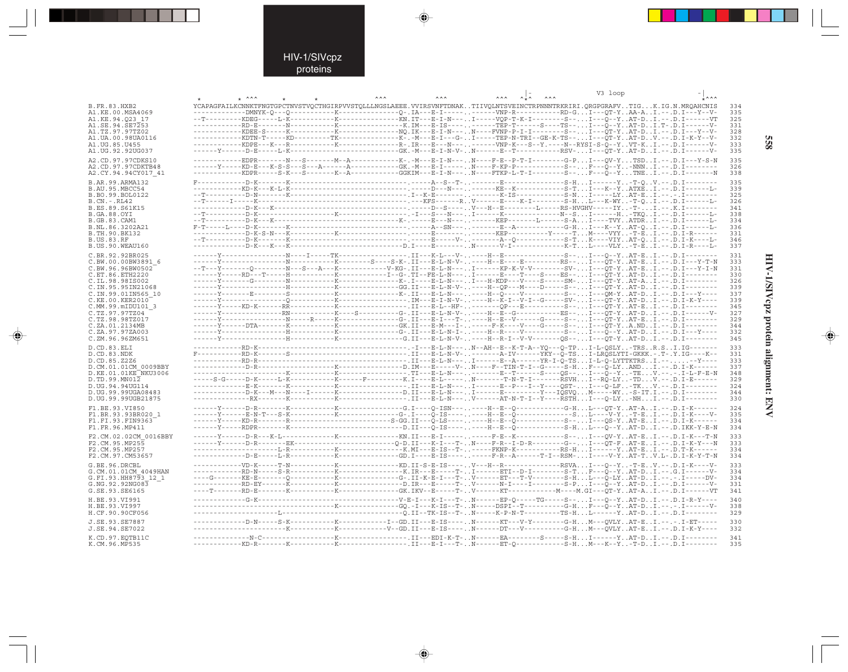### HIV-1/SIVcpz proteins

. . .

 $\Rightarrow$ 

|                                          | $*$ ^^^ |                                                                                                                                  |  | V3 loop |            |
|------------------------------------------|---------|----------------------------------------------------------------------------------------------------------------------------------|--|---------|------------|
| <b>B.FR.83.HXB2</b>                      |         | YCAPAGFAILKCNNKTFNGTGPCTNVSTVOCTHGIRPVVSTOLLLNGSLAEEE.VVIRSVNFTDNAKTIIVOLNTSVEINCTRPNNNTRKRIRI.ORGPGRAFVTIGK.IG.N.MROAHCNIS      |  |         | 334        |
| A1.KE.00.MSA4069                         |         | ---------DMNYK-0---0----------K----------------0-.IA---E-I-----------VNP-R-----------RD-GI---OT-YAA-AI.--.D.I---Y--V             |  |         | 335        |
| A1.KE.94.023 17                          |         |                                                                                                                                  |  |         | 325        |
| A1.SE.94.SE7253                          |         | -------------RD-E-------N-----------K----------------K.IM---E-IS----------TEP-T-----S----TS--I---Q--YAT-DI.T-.D.I------V         |  |         | 331        |
| A1.TZ.97.97TZ02                          |         |                                                                                                                                  |  |         | 328<br>332 |
| A1.UA.00.98UA0116<br>A1.UG.85.U455       |         | -----------KDPE---K---R----------K----------------R-.IR---E---N----------VNP-K---S--Y.----N--RYSI-S-Q--YVT-KI.--.D.I------V      |  |         | 333        |
| A1.UG.92.92UG037                         |         |                                                                                                                                  |  |         | 335        |
| A2.CD.97.97CDKS10                        |         | -----------EDPR-------N---S--------M--A-----------K-.-M---B-I-N---N----F-E--P-T-I-------G-PI---OV-YTSDI.--.D.I---Y-S-N           |  |         | 335        |
| A2.CD.97.97CDKTB48                       |         | ------Y-----KD-E---K-S-S---S---A------A----------GK.-M---E-I----- .N----F-KP-P-----------S--. F---Q--Y-NNNI.--.D.I--------       |  |         | 326        |
| A2.CY.94.94CY017 41                      |         | -----------KDPR-----S-K---S--------K--A----------GGKIM---E-I-N---N----FTKP-L-T-I--------S--F---Q--Y. TNE I . -- . D . I--------N |  |         | 338        |
| B.AR.99.ARMA132                          |         |                                                                                                                                  |  |         | 335        |
| B.AU.95.MBCC54                           |         |                                                                                                                                  |  |         | 339        |
| B.BO.99.BOL0122                          |         |                                                                                                                                  |  |         | 325        |
| $B.CN.-.RL42$<br>B.ES.89.S61K15          |         |                                                                                                                                  |  |         | 326<br>341 |
| <b>B.GA.88.OYI</b>                       |         |                                                                                                                                  |  |         | 338        |
| B.GB.83.CAM1                             |         |                                                                                                                                  |  |         | 334        |
| B.NL.86.3202A21                          |         |                                                                                                                                  |  |         | 336        |
| B.TH.90.BK132<br><b>B.US.83.RF</b>       |         |                                                                                                                                  |  |         | 331<br>346 |
| B.US.90.WEAU160                          |         |                                                                                                                                  |  |         | 337        |
| C.BR.92.92BR025                          |         | ----I-----TK----------------. II---K-L---V-----H--E-------------S--I---0--YAT-EI.--.D.I--------                                  |  |         | 331        |
| C.BW.00.00BW3891 6                       |         |                                                                                                                                  |  |         | 333        |
| C.BW.96.96BW0502                         |         | --T---Y--------0--------N---S---A---K-----------V-KG-.II---E-L-N--- I------KP-K-V-V---------SV-I---OT-YAT-EI.--.D.I---Y-I-N      |  |         | 331        |
| C.ET.86.ETH2220                          |         |                                                                                                                                  |  |         | 330        |
| C.IL.98.98IS002<br>C.IN.95.95IN21068     |         |                                                                                                                                  |  |         | 326<br>339 |
| C.IN.99.01IN565 10                       |         |                                                                                                                                  |  |         | 337        |
| C.KE.00.KER2010                          |         |                                                                                                                                  |  |         | 339        |
| C.MM.99.mIDU101 3                        |         | ------Y---------------RN-----------K----S---------G-.II---E-L-N-V-----H--Ë--G------------ES--I---ÔT-YAT-DI.--.D.I------V-        |  |         | 345        |
| C.TZ.97.97TZ04<br>C.TZ.98.98TZ017        |         |                                                                                                                                  |  |         | 327<br>329 |
| C.ZA.01.2134MB                           |         |                                                                                                                                  |  |         | 344        |
| C.ZA.97.97ZA003                          |         |                                                                                                                                  |  |         | 332        |
| C.ZM.96.96ZM651                          |         |                                                                                                                                  |  |         | 345        |
| D.CD.83.ELI                              |         |                                                                                                                                  |  |         | 333        |
| D.CD.83.NDK                              |         |                                                                                                                                  |  |         | 331        |
| D.CD.85.Z2Z6<br>D.CM.01.01CM 0009BBY     |         |                                                                                                                                  |  |         | 333<br>337 |
| D.KE.01.01KE NKU3006                     |         |                                                                                                                                  |  |         | 348        |
| D.TD.99.MNO12                            |         |                                                                                                                                  |  |         | 329        |
| D.UG.94.94UG114                          |         | ------------D-K---M---N----I------K--------------D.II---E-L-N---I------E---------Y---IOSVOM-----WY-S-IT.I.--.D.I-------          |  |         | 324<br>344 |
| D.UG.99.99UGA08483<br>D.UG.99.99UGB21875 |         |                                                                                                                                  |  |         | 330        |
| F1.BE.93.VI850                           |         |                                                                                                                                  |  |         | 324        |
| F1.BR.93.93BR020 1                       |         | ------Y------E-N-T---S-K-----------K---------------G-.I----O-IS--------H--B--O--------------S.L-----V-Y-T-EI .-- .D . I-K----V-  |  |         | 335        |
| F1.FI.93.FIN9363                         |         |                                                                                                                                  |  |         | 334        |
| F1.FR.96.MP411                           |         |                                                                                                                                  |  |         | 334        |
| F2.CM.02.02CM 0016BBY                    |         |                                                                                                                                  |  |         | 333        |
| F2.CM.95.MP255                           |         |                                                                                                                                  |  |         | 333        |
| F2.CM.95.MP257<br>F2.CM.97.CM53657       |         | -----D-E-----L-R----------K--------------GD.I----B-IS---------F-R--A------T-I--RSM-I----V-YAT-TV.L-.D.I-K-Y-T-N                  |  |         | 334<br>334 |
| G.BE.96.DRCBL                            |         | ------------VD-K-----T-N-----------K--------------KD.II-S-E-IS----V---H--R--------------RSVAI---O--Y-T-EV.--.D.I-K----V-         |  |         | 333        |
| G.CM.01.01CM 4049HAN                     |         | ------------RD-N-----S-R------------K----------------K.IR---E-----T-I------ETI--D-I--------S-TF---Q--YAT-DI.--.G.I------V        |  |         | 334        |
| G.FI.93.HH8793 12 1                      |         |                                                                                                                                  |  |         | 334        |
| G.NG.92.92NG083                          |         | ------------RD-EY------K----------K--------------D.IR---E-----T-V------N-I----I-------S-PI---Q--YAT-DI.--.D.I------V             |  |         | 331        |
| G.SE.93.SE6165                           |         |                                                                                                                                  |  |         | 341        |
| H.BE.93.VI991                            |         |                                                                                                                                  |  |         | 340        |
| H.BE.93.VI997<br>H.CF.90.90CF056         |         |                                                                                                                                  |  |         | 338<br>329 |
|                                          |         |                                                                                                                                  |  |         |            |
| J.SE.93.SE7887<br>J.SE.94.SE7022         |         |                                                                                                                                  |  |         | 330<br>332 |
|                                          |         |                                                                                                                                  |  |         |            |
| K.CD.97.EOTB11C<br>K.CM.96.MP535         |         |                                                                                                                                  |  |         | 341<br>335 |
|                                          |         |                                                                                                                                  |  |         |            |

 $\begin{picture}(20,5) \put(0,0){\vector(0,1){10}} \put(15,0){\vector(0,1){10}} \put(15,0){\vector(0,1){10}} \put(15,0){\vector(0,1){10}} \put(15,0){\vector(0,1){10}} \put(15,0){\vector(0,1){10}} \put(15,0){\vector(0,1){10}} \put(15,0){\vector(0,1){10}} \put(15,0){\vector(0,1){10}} \put(15,0){\vector(0,1){10}} \put(15,0){\vector(0,1){10}} \put(15,0){\vector(0,$ 

 $\begin{picture}(20,5) \put(0,0){\vector(0,1){10}} \put(15,0){\vector(0,1){10}} \put(15,0){\vector(0,1){10}} \put(15,0){\vector(0,1){10}} \put(15,0){\vector(0,1){10}} \put(15,0){\vector(0,1){10}} \put(15,0){\vector(0,1){10}} \put(15,0){\vector(0,1){10}} \put(15,0){\vector(0,1){10}} \put(15,0){\vector(0,1){10}} \put(15,0){\vector(0,1){10}} \put(15,0){\vector(0,$ 

**SSS** 

**HIV-1/SIVcpz protein alignment: ENV 558** HIV-1/SIVcpz protein alignment: ENV

 $\spadesuit$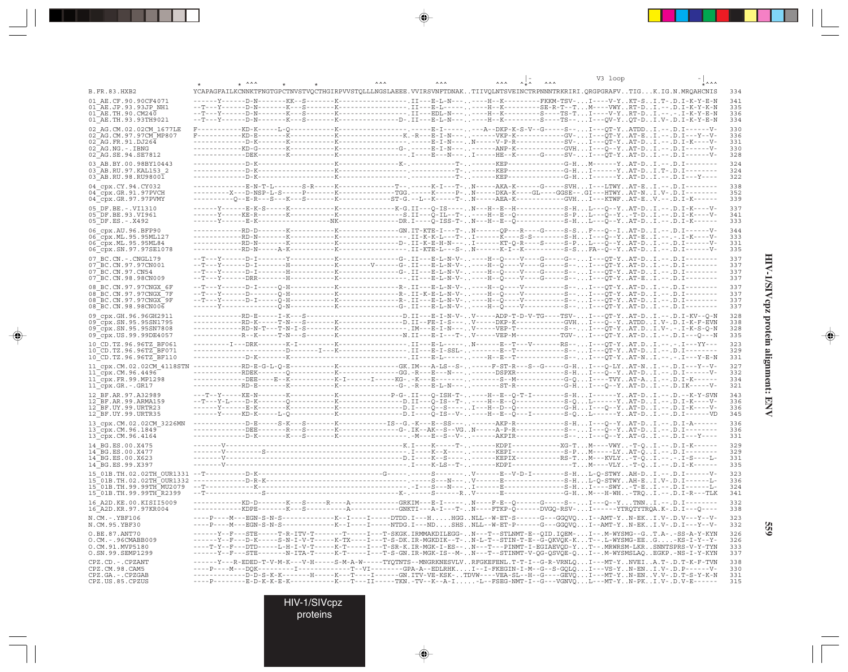|                                                                                                                                                   |                                                                                                                                                                                                                                                                                                                                                                                                                                                                                                                     |  |  |                                                                                                  |  | V3 loop |                                                                                                                                                                                                                                                    |                                 |
|---------------------------------------------------------------------------------------------------------------------------------------------------|---------------------------------------------------------------------------------------------------------------------------------------------------------------------------------------------------------------------------------------------------------------------------------------------------------------------------------------------------------------------------------------------------------------------------------------------------------------------------------------------------------------------|--|--|--------------------------------------------------------------------------------------------------|--|---------|----------------------------------------------------------------------------------------------------------------------------------------------------------------------------------------------------------------------------------------------------|---------------------------------|
| <b>B.FR.83.HXB2</b>                                                                                                                               | YCAPAGFAILKCNNKTFNGTGPCTNVSTVQCTHGIRPVVSTQLLLNGSLAEEE.VVIRSVNFTDNAKTIIVQLNTSVEINCTRPNNNTRKRIRI.QRGPGRAFVTIGK.IG.N.MRQAHCNIS                                                                                                                                                                                                                                                                                                                                                                                         |  |  |                                                                                                  |  |         |                                                                                                                                                                                                                                                    | 334                             |
| 01 AE.CF.90.90CF4071<br>01 AE.JP.93.93JP NH1<br>01 AE.TH.90.CM240<br>01 AE.TH.93.93TH9021                                                         |                                                                                                                                                                                                                                                                                                                                                                                                                                                                                                                     |  |  |                                                                                                  |  |         | --.II---E-L-N-------H--K---------FKKM-TSV-I----V-YKT-SI.T-.D.I-K-Y-E-N                                                                                                                                                                             | 341<br>335<br>336<br>334        |
| 02 AG.CM.02.02CM 1677LE<br>02_AG.CM.97.97CM_MP807<br>02 AG.FR.91.DJ264<br>02 AG.NG.-.IBNG<br>02 AG.SE.94.SE7812                                   |                                                                                                                                                                                                                                                                                                                                                                                                                                                                                                                     |  |  |                                                                                                  |  |         |                                                                                                                                                                                                                                                    | 330<br>336<br>331<br>330<br>328 |
| 03 AB.BY.00.98BY10443<br>03 AB.RU.97.KAL153 2<br>03 AB.RU.98.RU98001                                                                              | $--- - - - - - - - K -$                                                                                                                                                                                                                                                                                                                                                                                                                                                                                             |  |  |                                                                                                  |  |         |                                                                                                                                                                                                                                                    | 324<br>324<br>322               |
| 04 cpx.CY.94.CY032<br>$04$ <sup><math>-</math></sup> cpx.GR.91.97PVCH<br>04 cpx.GR.97.97PVMY                                                      | --------X--D-NSP-L-S-----P-------K-----------TGG.-----K-----P-N-----DKA-K----GL----GGSE--.GI---HTWYAT-NI.V-.D.I--------                                                                                                                                                                                                                                                                                                                                                                                             |  |  | -----K---------------T--.-----K-I---T-N-----AKA-K------G-----SVHI---LTWYAT-EI.--.D.I---          |  |         |                                                                                                                                                                                                                                                    | 338<br>352<br>339               |
| 05 DF.BE. -. VI1310<br>05 DF.BE.93.VI961<br>$05$ DF.ES. - . X492                                                                                  |                                                                                                                                                                                                                                                                                                                                                                                                                                                                                                                     |  |  |                                                                                                  |  |         |                                                                                                                                                                                                                                                    | 337<br>341<br>333               |
| 06 cpx.AU.96.BFP90<br>06 cpx.ML.95.95ML127<br>06_cpx.ML.95.95ML84<br>06 cpx.SN.97.97SE1078                                                        |                                                                                                                                                                                                                                                                                                                                                                                                                                                                                                                     |  |  |                                                                                                  |  |         |                                                                                                                                                                                                                                                    | 344<br>333<br>331<br>335        |
| 07 BC.CN. - . CNGL179<br>07 BC.CN.97.97CN001<br>07 BC.CN.97.CN54                                                                                  | --T---Y------D-I--------H-----------K--------V-----G-.II---E-L-N-V-----H--Q----V----G----S--I---QT-YAT-DI.--.D.I-------                                                                                                                                                                                                                                                                                                                                                                                             |  |  |                                                                                                  |  |         |                                                                                                                                                                                                                                                    | 337<br>337<br>337               |
| 07 BC.CN.98.98CN009<br>08 BC.CN.97.97CNGX 6F<br>08 BC.CN.97.97CNGX 7F<br>08 BC.CN.97.97CNGX 9F<br>08 BC.CN.98.98CN006                             | --T---Y------D-I-----Q-H------------K----------------R-.II---E-L-N-V-----H--Q----V-----------S--I---QT-YAT-DI.--.D.I--------                                                                                                                                                                                                                                                                                                                                                                                        |  |  |                                                                                                  |  |         |                                                                                                                                                                                                                                                    | 337<br>337<br>337<br>337<br>337 |
| 09 cpx.GH.96.96GH2911<br>09 cpx. SN. 95. 95 SN1795<br>09 cpx.SN.95.95SN7808<br>09_cpx.US.99.99DE4057                                              | -----------RD-E-----I-K---S---------------------D.II---E-I-N-V-V-----ADP-T-D-V-TG----TSV-I---QT-YAT-DI.--.D.I-KV--Q-N<br>-----------RD-K-----T-N---S-------K--------------D.II--FE-I-S---V-----DKP-K------------GVH.I---Q--Y. .ATDD. . I.V-.D.I-K-F-EVN                                                                                                                                                                                                                                                             |  |  |                                                                                                  |  |         |                                                                                                                                                                                                                                                    | 328<br>338<br>328<br>335        |
| 10 CD.TZ.96.96TZ BF061<br>10 CD. TZ. 96. 96TZ BF071<br>10 CD.TZ.96.96TZ BF110                                                                     |                                                                                                                                                                                                                                                                                                                                                                                                                                                                                                                     |  |  |                                                                                                  |  |         | ----------------. II---E-L---------H--E--T------------S--I---OT-YAT-N I . -- I---Y-E-N                                                                                                                                                             | 323<br>329<br>331               |
| 11 cpx.CM.02.02CM 4118STN<br>$11$ <sup><math>^-</math></sup> cpx.CM.96.4496 <sup><math>^-</math></sup><br>11_cpx.FR.99.MP1298<br>11 cpx.GR.-.GR17 | $\texttt{------RD-E-G-L-Q-E----------K----GK.}\texttt{IM---A-LS-S-1} \texttt{.---F-ST-R--S--G----G-H.}\texttt{.} \texttt{.}-\texttt{.}-\texttt{.} \texttt{.}-\texttt{.} \texttt{.}-\texttt{.} \texttt{.}-\texttt{.}$                                                                                                                                                                                                                                                                                                |  |  |                                                                                                  |  |         | ------RDEK-------Q----------K-------------GG.-R--E--N---------DSPXR-----------S-HI---Q--YAT-DI.--.D.I------V-<br>-------DEE----E--K-----------K-I------I-----KG-.-K---E--------------S--M----------G-QI----TVYAT-AI.--.D.I-K------                 | 327<br>332<br>334<br>321        |
| 12 BF.AR.97.A32989<br>12 BF.AR.99.ARMA159<br>12 BF.UY.99.URTR23<br>12 BF.UY.99.URTR35                                                             |                                                                                                                                                                                                                                                                                                                                                                                                                                                                                                                     |  |  |                                                                                                  |  |         |                                                                                                                                                                                                                                                    | 343<br>336<br>336<br>345        |
| 13 cpx.CM.02.02CM 3226MN<br>$13$ cpx. CM. 96. 1849<br>13 Cpx.CM.96.4164                                                                           | ------------DEE-------R---S-------K--------------G-.IK--AK--S--VGN-----A-P-R-----------S--I---Q--YAT-DI.--.D.I--------                                                                                                                                                                                                                                                                                                                                                                                              |  |  |                                                                                                  |  |         |                                                                                                                                                                                                                                                    | 336<br>336<br>331               |
| 14 BG.ES.00.X475<br>14 BG.ES.00.X477<br>14 BG.ES.00.X623<br>14 BG.ES.99.X397                                                                      |                                                                                                                                                                                                                                                                                                                                                                                                                                                                                                                     |  |  |                                                                                                  |  |         |                                                                                                                                                                                                                                                    | 329<br>329<br>331<br>335        |
| 15 01B.TH.02.02TH OUR1331 --T---<br>15 01B.TH.99.99TH MU2079<br>15_01B.TH.99.99TH_R2399                                                           | $-\texttt{-T--}\dots-\texttt{-S--}\dots-\texttt{-S--}\dots-\texttt{-S--}\dots-\texttt{-S--}\dots-\texttt{-S--}\dots-\texttt{-S--}\dots-\texttt{-S--}\dots-\texttt{-S--}\dots-\texttt{-S--}\dots-\texttt{-G-H}\dots\texttt{M}\dots-\texttt{-TRQ}\dots\texttt{I}\dots-\texttt{-D}\dots\texttt{I}-\texttt{R--}\dots\texttt{D}$                                                                                                                                                                                         |  |  | -D-K---------------------------G-----.S-------.V------E--V-D-I--------S-HL-O-STWYAH-DI.--.D.I--- |  |         |                                                                                                                                                                                                                                                    | 323<br>336<br>324<br>341        |
| 16 A2D.KE.00.KISII5009<br>16 A2D.KR.97.97KR004                                                                                                    |                                                                                                                                                                                                                                                                                                                                                                                                                                                                                                                     |  |  |                                                                                                  |  |         | ---KD-D-------K---S-----R----A-----------GRKIM---E-I-----N----F-E--Q------G-----S--I---Q--YTNN I . -- .D . I -------<br>------ KDPE-------K---S-----------A----------GNKTI---A-I---T-. .N----FTKP-Q------DVGQ-RSV-I------YTRQTYTRQA.K-.D.I---Q---- | 332<br>338                      |
| N.CM. -. YBF106<br>N.CM.95.YBF30                                                                                                                  | $---P---M---EGN-S-N-S---$<br>----P----M---EGN-S-N-S------------K--I----IT----NTDG.I---NDSHSNLL--W-ET-P------G---GGQVQI--AMT-YN-EKI.V-.D.I---Y--V-                                                                                                                                                                                                                                                                                                                                                                   |  |  |                                                                                                  |  |         | -----K--I-----DTDD.I---HHGGNLL--W-ET-S------G---GGQVQI--AMT-YN-EKI.V-.D.V---Y--V-                                                                                                                                                                  | 323<br>332                      |
| O.BE.87.ANT70<br>O.CM. - . 96CMABB009<br>O.CM.91.MVP5180<br>O.SN.99.SEMP1299                                                                      | ------Y--F---STE-----T-R-ITV-T-------T----I---T-SKGK.IRMMAKDILEGG-N---T--STLNMT-E--QID.IQEM-I--.M-WYSMG--GT.A-.-SS-A-Y-KYN<br>------Y--F---D-K-----S-N-I-V-T-----K-TX----I---T-S-DK.IR-MGKDIK--T-N-L-T--STIN-T-E--G-QKVQK-KT--.L-WYSMG-EEG-KS-I-Y--Y-<br>----T-Y--F---DTD-----L-H-I-V-T-----K-T-----I---T-SR-K.IR-MGK-I-ES--N---T---PINMT-I-EGIAEVQD-YT--.MRWRSM-LKRSNNTSPRS-V-Y-TYN<br>------Y--F---STE-------N-ITA-T-----K-T-----I---T-S-GN.IR-MGK-IS--M-N---T--STINMT-V-QG-QSVQE-QI--.M-WYSMSLAQEGKP.-NS-I-Y-KYN |  |  |                                                                                                  |  |         |                                                                                                                                                                                                                                                    | 326<br>326<br>333<br>337        |
| CPZ.CD. - . CPZANT<br>CPZ.CM.98.CAM5<br>CPZ.GA. - . CPZGAB<br>CPZ.US.85.CPZUS                                                                     | ------Y---R-EDED-T-V-M-K---V-H-----S-M-A-W-----TYOTNTS--MNGRKNESVLVRFGKEFENL.T-T-I--G-R-VRNLOI---MT-YNVEIA.T-.D.T-K-F-TVN<br>----P----M---DQK---------I-------------T--VI--------GPA-A--EDLRHKI--I-FKEGIN-I-M--G--S-GQLQI---VS-YN-ENI.V-.D.P------V-<br>------------D-D-S-K-K-------H-----K---T----I-----GN.ITV-VE-KSK-TDVW----VEA-SL--H--G----GEVQI---MT-YN-ENV.V-.D.T-S-Y-K-N<br>----P--------E-D-K-K-E-K-----------K---T---II-----TKN.-TV--K--A-I-L--FSEG-NMT-I--G---VGNVQL---MT-YN-PKI.V-.D.V-E-----            |  |  |                                                                                                  |  |         |                                                                                                                                                                                                                                                    | 338<br>330<br>331<br>315        |

 $\Rightarrow$ 

 $\Rightarrow$ 

. .

 $\Rightarrow$ 

HIV-1/SIVepz protein alignment: ENV **HIV-1/SIVcpz protein alignment: ENV**

 $\Rightarrow$ 

**559**

HIV-1/SIVcpz

proteins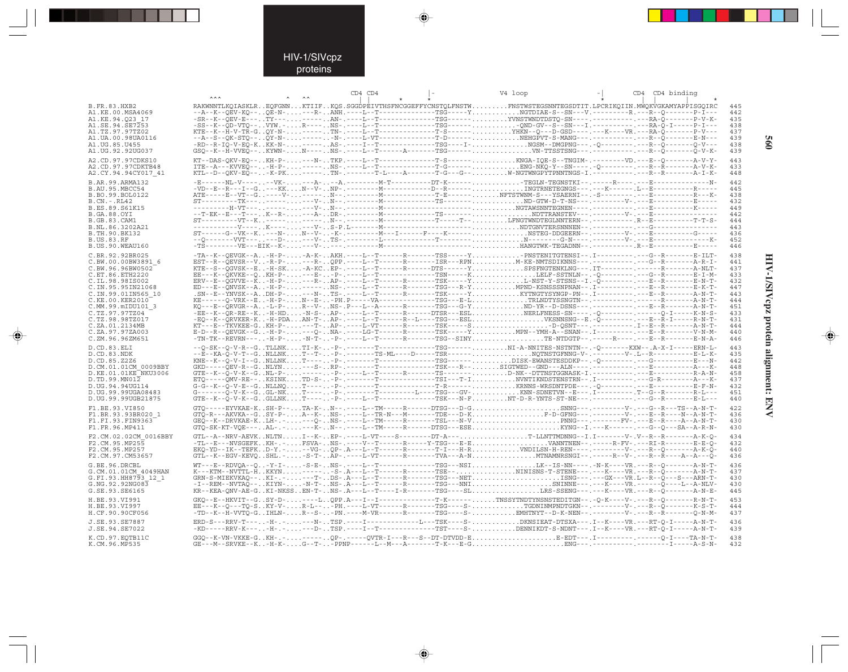### HIV-1/SIVcpz proteins

--

 $\begin{picture}(20,5) \put(0,0){\line(1,0){10}} \put(15,0){\line(1,0){10}} \put(15,0){\line(1,0){10}} \put(15,0){\line(1,0){10}} \put(15,0){\line(1,0){10}} \put(15,0){\line(1,0){10}} \put(15,0){\line(1,0){10}} \put(15,0){\line(1,0){10}} \put(15,0){\line(1,0){10}} \put(15,0){\line(1,0){10}} \put(15,0){\line(1,0){10}} \put(15,0){\line(1,$ 

|                                         | <b>AAA</b> |  | CD4 CD4 |  | V4 loop                                                                                                                                                                                                                                |  | CD4 CD4 binding |            |
|-----------------------------------------|------------|--|---------|--|----------------------------------------------------------------------------------------------------------------------------------------------------------------------------------------------------------------------------------------|--|-----------------|------------|
| <b>B.FR.83.HXB2</b><br>A1.KE.00.MSA4069 |            |  |         |  | RAKWNNTLKQIASKLREQFGNNKTIIFKQS.SGGDPEIVTHSFNCGGEFFYCNSTQLFNSTWFNSTWSTEGSNNTEGSDTIT.LPCRIKQIIN.MWQKVGKAMYAPPISGQIRC<br>--A--K--OEV-KO--OE-N----R-ANH.----L--T-------------TSG-----YNGTDIAE-S--SN---V.-----------R.---R--O--------P-I--- |  |                 | 445<br>442 |
| A1.KE.94.023 17                         |            |  |         |  |                                                                                                                                                                                                                                        |  |                 | 435        |
| A1.SE.94.SE7253                         |            |  |         |  | -SS--K--QD-VTQ--VYW.-R----NS-.----L--T-------------TSG-------QND-GV--S--SN---I.------------------------P-I----                                                                                                                         |  |                 | 438        |
| A1.TZ.97.97TZ02<br>A1.UA.00.98UA0116    |            |  |         |  |                                                                                                                                                                                                                                        |  |                 | 437<br>439 |
| A1.UG.85.U455                           |            |  |         |  |                                                                                                                                                                                                                                        |  |                 | 438        |
| A1.UG.92.92UG037                        |            |  |         |  |                                                                                                                                                                                                                                        |  |                 | 439        |
| A2.CD.97.97CDKS10                       |            |  |         |  |                                                                                                                                                                                                                                        |  |                 | 443        |
| A2.CD.97.97CDKTB48                      |            |  |         |  |                                                                                                                                                                                                                                        |  |                 | 433        |
| A2.CY.94.94CY017 41                     |            |  |         |  |                                                                                                                                                                                                                                        |  |                 | 448        |
| B.AR.99.ARMA132                         |            |  |         |  | -E------NL-V------VK----A---A.---------M-T---------DT-K------TEGLN-TEGNSTKI--.-----R---- <sub>-</sub> ---B---------------N-                                                                                                            |  |                 | 442        |
| B.AU.95.MBCC54<br>B.BO.99.BOL0122       |            |  |         |  |                                                                                                                                                                                                                                        |  |                 | 445<br>438 |
| $B.CN.-.RL42$                           |            |  |         |  |                                                                                                                                                                                                                                        |  |                 | 432        |
| B.ES.89.S61K15                          |            |  |         |  |                                                                                                                                                                                                                                        |  |                 | 449        |
| B.GA.88.OYI                             |            |  |         |  |                                                                                                                                                                                                                                        |  |                 | 442        |
| <b>B.GB.83.CAM1</b><br>B.NL.86.3202A21  |            |  |         |  |                                                                                                                                                                                                                                        |  |                 | 444<br>443 |
| B.TH.90.BK132                           |            |  |         |  |                                                                                                                                                                                                                                        |  |                 | 436        |
| <b>B.US.83.RF</b>                       |            |  |         |  |                                                                                                                                                                                                                                        |  |                 | 452        |
| B.US.90.WEAU160                         |            |  |         |  |                                                                                                                                                                                                                                        |  |                 | 446        |
| C.BR.92.92BR025                         |            |  |         |  | -TA--K--OEVGK--A-H-P--A-K-AKH.----L--T------R-------TSS-----YPNSTENITGTENSI--.I---------C--R---------E-ILT-                                                                                                                            |  |                 | 438        |
| C.BW.00.00BW3891 6                      |            |  |         |  |                                                                                                                                                                                                                                        |  |                 | 441        |
| C.BW.96.96BW0502<br>C.ET.86.ETH2220     |            |  |         |  | EE---K--OKVKE--OKH-P----E--P-.----L--T-----------TSN-----KLELF-SSTNLN--.-O----------C--R-------E-I-M-                                                                                                                                  |  |                 | 437<br>433 |
| C.IL.98.98IS002                         |            |  |         |  |                                                                                                                                                                                                                                        |  |                 | 432        |
| C. IN. 95. 95 IN 21068                  |            |  |         |  |                                                                                                                                                                                                                                        |  |                 | 447        |
| C.IN.99.01IN565 10                      |            |  |         |  |                                                                                                                                                                                                                                        |  |                 | 443        |
| C.KE.00.KER2010                         |            |  |         |  |                                                                                                                                                                                                                                        |  |                 | 444        |
| C.MM.99.mIDU101 3<br>C.TZ.97.97TZ04     |            |  |         |  | -EE--K--QR-RE--K-H-HD-N-S-AP-.----L--T-----R-----DTSR---ESLNERLFNESS-SN----.-0---------------0-I-----K-N-S-                                                                                                                            |  |                 | 451<br>433 |
| C.TZ.98.98TZ017                         |            |  |         |  | -EO--K--ÕRVKER-K-H-PDAAN-T-AP-.----L--T-----R--L----TSG---ESLVKSNNSNG--E.-Õ----------E--Ř-I-----R-N-T-                                                                                                                                 |  |                 | 431        |
| C.ZA.01.2134MB                          |            |  |         |  | KT---E--TKVKEE-GKH-P----T-AP-.----L-VT------R-------TSK-----SD-OSNT---.------------I--R---------A-N-T-                                                                                                                                 |  |                 | 444        |
| C.ZA.97.97ZA003                         |            |  |         |  | E-D--R--OEVGK--G-H-P----O-NA-.----LG-T------R-------TSK-----YMPN--YMH-A--SNAN--.I--------------------V-N-M-<br>-TN-TK--REVRN----H-P--N-T--P-.----L--T-----R------TSG--SINYTE-NTDGTP--.----R----.---B--R-------E-N-A-                   |  |                 | 440        |
| C.ZM.96.96ZM651                         |            |  |         |  |                                                                                                                                                                                                                                        |  |                 | 446        |
| D.CD.83.ELI<br>D.CD.83.NDK              |            |  |         |  | --0-SK--0-V-R--GTLLNKTI-K--P-.-------T------------TSG------NI-A-NNITES-NSTNTN--.-Q----------KXW--.A-X-I-----ERN-L-<br>--E--KA-Q-V-T--GNLLNKT--T--P-.-------TS-ML----D-----TSR------NQTNSTGFNNG-V-.--------V-.L--R------------E-L-K-    |  |                 | 443<br>435 |
| D.CD.85.Z2Z6                            |            |  |         |  | KNE--K--Q-V-I--GNLLNKT-----P-.------T------------TSG------DISK-EŴANSTESDDKP--.-Q--------.--G---------E---N-                                                                                                                            |  |                 | 442        |
| D.CM.01.01CM 0009BBY                    |            |  |         |  |                                                                                                                                                                                                                                        |  |                 | 448        |
| D.KE.01.01KE NKU3006                    |            |  |         |  |                                                                                                                                                                                                                                        |  |                 | 458        |
| D.TD.99.MN012<br>D.UG.94.94UG114        |            |  |         |  |                                                                                                                                                                                                                                        |  |                 | 437<br>432 |
| D.UG.99.99UGA08483                      |            |  |         |  |                                                                                                                                                                                                                                        |  |                 | 451        |
| D.UG.99.99UGB21875                      |            |  |         |  |                                                                                                                                                                                                                                        |  |                 | 440        |
| F1.BE.93.VI850                          |            |  |         |  |                                                                                                                                                                                                                                        |  |                 | 422        |
| F1.BR.93.93BR020 1                      |            |  |         |  |                                                                                                                                                                                                                                        |  |                 | 436        |
| F1.FI.93.FIN9363                        |            |  |         |  |                                                                                                                                                                                                                                        |  |                 | 430        |
| F1.FR.96.MP411                          |            |  |         |  |                                                                                                                                                                                                                                        |  |                 | 430        |
| F2.CM.02.02CM 0016BBY                   |            |  |         |  | GTL--A--NRV-AEVKNLTNI--K-EP-.----L-VT----S--------DT-A---T-LLNTTMDNNG--I.I-------V-.V--R--R-------A-K-O-<br>-TL--E---NVSGEFKKH-.-FSVA-NS-.----V--T-----R-----Y-TSG---E-EVANNTNEN--.-----R-FV-.---RI-R--------E-E-Q-                    |  |                 | 434        |
| F2.CM.95.MP255<br>F2.CM.95.MP257        |            |  |         |  | EKO-YD--IK--TEFKD-Y.---VG-OP-.A---L--T------R-------T-I---H-RVNDILSN-H-REN----.------V-.---R--O-------A-K-Õ-                                                                                                                           |  |                 | 432<br>440 |
| F2.CM.97.CM53657                        |            |  |         |  |                                                                                                                                                                                                                                        |  |                 | 436        |
| G.BE.96.DRCBL                           |            |  |         |  | WT---E--RDVQA--Q-Y-I--S-E-NS-.----L--T------------TSG---NSILK--IS-NN----.N-K----VR.---R--Q--------A-N-T-                                                                                                                               |  |                 | 436        |
| G.CM.01.01CM 4049HAN                    |            |  |         |  |                                                                                                                                                                                                                                        |  |                 | 437        |
| G.FI.93.HH8793 12 1                     |            |  |         |  |                                                                                                                                                                                                                                        |  |                 | 430        |
| G.NG.92.92NG083<br>G.SE.93.SE6165       |            |  |         |  |                                                                                                                                                                                                                                        |  |                 | 430<br>445 |
|                                         |            |  |         |  | GKO--E--HKVIT--GSY-D-----LOPP.A---I--I-------------T-K------TNSSYTNDTYNSNSTEDITGN--.-O-K---V-.---R--O-------R-N-T-                                                                                                                     |  |                 |            |
| H.BE.93.VI991<br>H.BE.93.VI997          |            |  |         |  |                                                                                                                                                                                                                                        |  |                 | 453<br>444 |
| H.CF.90.90CF056                         |            |  |         |  | оку — последний состоитель — последний состоитель — последний состоительной последний состоительной и последний с<br>ЕВ---К--Q---TQ-SKY-V-R-L---PH.----L-VT------R-------TSG----S-TGDNINMPNDTGKN--.--------V                           |  |                 | 437        |
| J.SE.93.SE7887                          |            |  |         |  | ERD-S---RRV-T----H-.----N-TSP.----I-------------------S-DKNSIEAT-DTSXA---.I--K----VR.---RT-Q-I-----A-N-T-                                                                                                                              |  |                 | 436        |
| J.SE.94.SE7022                          |            |  |         |  |                                                                                                                                                                                                                                        |  |                 | 439        |
| K.CD.97.EOTB11C                         |            |  |         |  | GGQ--K-VN-VKKE-GKH-.------QP-.-----QVTR-I---R---S--DT-DTVDD-EE-EDT---.I-----------Q-I----TA-N-T-                                                                                                                                       |  |                 | 438        |
| K.CM.96.MP535                           |            |  |         |  |                                                                                                                                                                                                                                        |  |                 | 432        |

 $\blacklozenge$ 

 $\Rightarrow$ 

560

**HIV-1/SIVcpz protein alignment: ENV 560** HIV-1/SIVcpz protein alignment: ENV

 $\begin{picture}(20,5) \put(0,0){\line(1,0){10}} \put(15,0){\line(1,0){10}} \put(15,0){\line(1,0){10}} \put(15,0){\line(1,0){10}} \put(15,0){\line(1,0){10}} \put(15,0){\line(1,0){10}} \put(15,0){\line(1,0){10}} \put(15,0){\line(1,0){10}} \put(15,0){\line(1,0){10}} \put(15,0){\line(1,0){10}} \put(15,0){\line(1,0){10}} \put(15,0){\line(1,$ 

 $\equiv$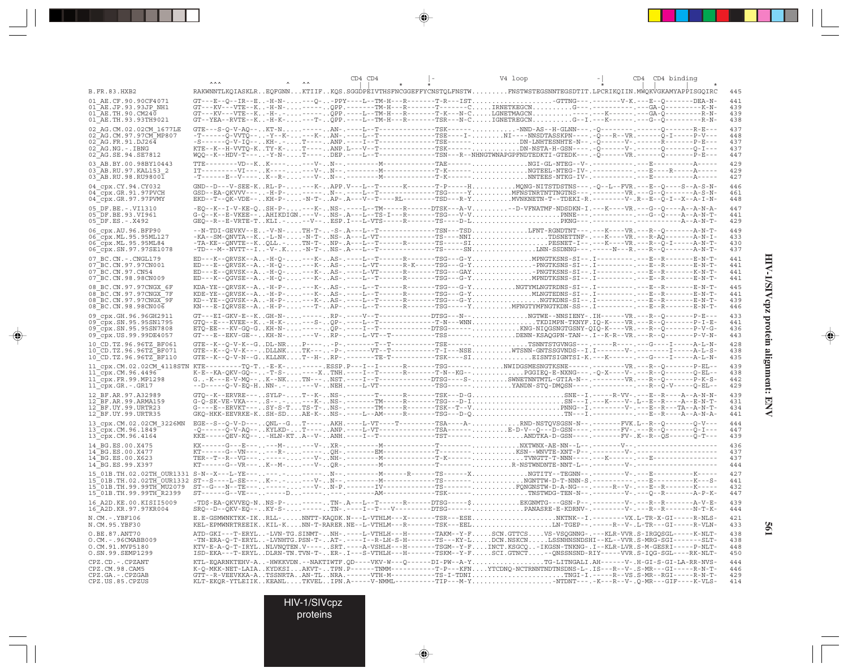|                                                                                                                                                                                                                                                               |  | CD4 CD4 | V4 loop                                                                                                                                                                                                                                                                                                                                                                                                                                                                                                                                                                         | CD4 CD4 binding                 |
|---------------------------------------------------------------------------------------------------------------------------------------------------------------------------------------------------------------------------------------------------------------|--|---------|---------------------------------------------------------------------------------------------------------------------------------------------------------------------------------------------------------------------------------------------------------------------------------------------------------------------------------------------------------------------------------------------------------------------------------------------------------------------------------------------------------------------------------------------------------------------------------|---------------------------------|
| <b>B.FR.83.HXB2</b>                                                                                                                                                                                                                                           |  |         | RAKWNNTLKQIASKLREQFGNNKTIIFKQS.SGGDPEIVTHSFNCGGEFFYCNSTQLFNSTWFNSTWSTEGSNNTEGSDTIT.LPCRIKQIIN.MWQKVGKAMYAPPISGQIRC                                                                                                                                                                                                                                                                                                                                                                                                                                                              | 445                             |
| 01 AE.CF.90.90CF4071<br>01 AE.JP.93.93JP_NH1<br>$01$ AE. TH. 90. CM240<br>01 AE.TH.93.93TH9021                                                                                                                                                                |  |         | GT---E--Q--IR--E-H-N----Q--PPY----L--TM-H---R-------T-R---ISTGTTNG---.------V-K.---E--Q-------DEA-N-<br>$\underbrace{\texttt{GT--KV--VTE--K-H-N-}\dots\texttt{--P-}\dots\texttt{--QPP}}_{\texttt{GT--KV--K.}-\texttt{PP}}\underbrace{\texttt{--P-}\dots\texttt{--P-}\dots\texttt{--P-}\dots\texttt{--C}\dots\texttt{.}}_{\texttt{T-N--KV--N}}\\ \texttt{RNETMEGCN}\dots\dots\dots\dots\texttt{G--}\dots\texttt{--G--}\dots\texttt{--G-A-}\texttt{--}\dots\texttt{-G-A-}\texttt{--}\dots\texttt{-K-N-}\dots\\ \texttt{GTP--}\dots\texttt{--G-A-}\texttt{--}\dots\texttt{-G-A-}\$ | 441<br>439<br>439<br>438        |
| 02 AG.CM.02.02CM 1677LE<br>02 AG. CM. 97. 97 CM MP807<br>02 AG.FR.91.DJ264<br>$02^-AG$ . NG. $-$ . IBNG<br>02 AG. SE. 94. SE7812                                                                                                                              |  |         |                                                                                                                                                                                                                                                                                                                                                                                                                                                                                                                                                                                 | 437<br>448<br>437<br>437<br>447 |
| 03 AB.BY.00.98BY10443<br>03 AB.RU.97.KAL153 2<br>03 AB.RU.98.RU98001                                                                                                                                                                                          |  |         |                                                                                                                                                                                                                                                                                                                                                                                                                                                                                                                                                                                 | 429<br>429<br>427               |
| 04 cpx.CY.94.CY032<br>04_cpx.GR.91.97PVCH<br>04_cpx.GR.97.97PVMY                                                                                                                                                                                              |  |         | GND--D---V-SEE-KRL-P----K-APP.V---L--T------K------T-P-----HMQNG-NITSTDSTNS---.-Q--L--FVR.---E--Q----S--A-S-N-<br>GSD--EA-QKVVV----H-P------N--.----L--T--------------TSG-----YMFNSTNRTNTTNGT                                                                                                                                                                                                                                                                                                                                                                                   | 446<br>461<br>448               |
| 05 DF.BE. - . VI1310<br>05 DF.BE.93.VI961<br>05 DF.ES. - . X492                                                                                                                                                                                               |  |         | -EQ--K--I-V-KE-QSH-P----K-NS-.----L--TM-----R-----DTSK---A-V-D-VFNATMF-NDSDKN-I.---K----VR.---G--Q----A--A-N-A-                                                                                                                                                                                                                                                                                                                                                                                                                                                                 | 447<br>441<br>429               |
| 06 cpx.AU.96.BFP90<br>06 cpx.ML.95.95ML127<br>06 cpx.ML.95.95ML84<br>06 cpx.SN.97.97SE1078                                                                                                                                                                    |  |         | --N-TDI-GEVKV--E-V-N-TH-T--S-.A---L--T------------TSN---TSDLFNT-RGNDTNT---.---K----VR.---R--Q-------A-N-T-                                                                                                                                                                                                                                                                                                                                                                                                                                                                      | 449<br>433<br>430<br>437        |
| 07 BC.CN. - . CNGL179<br>07 BC. CN. 97. 97 CN001<br>07 BC.CN.97.CN54<br>07 BC.CN.98.98CN009                                                                                                                                                                   |  |         | ED---K--QRVSK--A-H-Q----K-AS-.---L--T------R------TSG---G-YMPNGTKSNS-SI--.I-----------E--R-------E-N-T-                                                                                                                                                                                                                                                                                                                                                                                                                                                                         | 441<br>441<br>441<br>441        |
| 08 BC.CN.97.97CNGX 6F<br>08 BC.CN.97.97CNGX 7F<br>08 BC.CN.97.97CNGX 9F<br>08 BC.CN.98.98CN006                                                                                                                                                                |  |         | KDA-YE--ORVSK--A-H-P----K-AS-.---L--T------R------TSG---G-YNGTYMLNGTRDNS-SI--.I-----------E--R-------E-N-T-                                                                                                                                                                                                                                                                                                                                                                                                                                                                     | 445<br>441<br>43S<br>446        |
| 09 cpx.GH.96.96GH2911<br>09 cpx.SN.95.95SN1795<br>09 cpx.SN.95.95SN7808<br>09 cpx.US.99.99DE4057                                                                                                                                                              |  |         | GT---EI-GKV-E--KGH-N-------RP-.----V--T-----------DTSG---N--NGTWE--NNSIENY-.IH------VR.---R--Q-------P-E---                                                                                                                                                                                                                                                                                                                                                                                                                                                                     | 433<br>441<br>436<br>443        |
| 10 CD.TZ.96.96TZ BF061<br>10 CD. TZ. 96. 96TZ BF071<br>10 CD.TZ.96.96TZ BF110                                                                                                                                                                                 |  |         |                                                                                                                                                                                                                                                                                                                                                                                                                                                                                                                                                                                 | 428<br>438<br>435               |
| 11_cpx.CM.02.02CM_4118STN KTE---------TQ-T-E-K------.ESSP.P---I--I------R------TSG------NWIDGSMESNGTKSNE-----,-------------------P-EL--<br>$11$ <sup><math>-</math></sup> cpx.CM.96.4496 <sup><math>-</math></sup><br>11_cpx.FR.99.MP1298<br>11 cpx.GR.-.GR17 |  |         |                                                                                                                                                                                                                                                                                                                                                                                                                                                                                                                                                                                 | 439<br>438<br>442<br>429        |
| 12 BF.AR.97.A32989<br>12 BF.AR.99.ARMA159<br>12 BF.UY.99.URTR23<br>12 BF.UY.99.URTR35                                                                                                                                                                         |  |         | GTQ--K--ERVRE---SYLP-T--K-NS-.-------T-----R------TSK---D-GSNE--I.-----R-VV-.---E--R-----A-N-N-                                                                                                                                                                                                                                                                                                                                                                                                                                                                                 | 439<br>431<br>434<br>441        |
| 13 cpx.CM.02.02CM 3226MN<br>13 cpx.CM.96.1849<br>13 Cpx.CM.96.4164                                                                                                                                                                                            |  |         | EGE--S--Q-V-D---QNL--GT----AKH.----L-VT----T--------TSA----A-RND-NSTQVSGSN-N--.-------FVK.L--R--Q-------Q-V---<br>-Q------Q-V-AQ--KYLKD-T----ANP.----L-VT--------------TSA------E-D-V--Q---                                                                                                                                                                                                                                                                                                                                                                                     | 444<br>447<br>439               |
| 14 BG.ES.00.X475<br>14 BG.ES.00.X477<br>14 BG.ES.00.X623<br>14 BG.ES.99.X397                                                                                                                                                                                  |  |         |                                                                                                                                                                                                                                                                                                                                                                                                                                                                                                                                                                                 | 436<br>437<br>437<br>444        |
|                                                                                                                                                                                                                                                               |  |         |                                                                                                                                                                                                                                                                                                                                                                                                                                                                                                                                                                                 | 427<br>441<br>432<br>447        |
| 16 A2D. KE. 00. KISII5009<br>16 A2D.KR.97.97KR004                                                                                                                                                                                                             |  |         | -TD\$-EA-QKVVEQ-NNS-P------TN-.A---L--T------R-----DTSG----\$EKGNMTG---GSN-P--.----------V-.---R--R--------A-V-E-<br>SRQ--D--QKV-EQ--KY-S------TN-.----I--T---V--------DTSG------PANASRE-E-KDRNV-.--------V-.---R--R-------N-T-K-                                                                                                                                                                                                                                                                                                                                               | 439<br>444                      |
| N.CM. - . YBF106<br>N.CM.95.YBF30                                                                                                                                                                                                                             |  |         | E.E-GSMWNKTKK-IKRLL-NNTT-KAQDK.N---L-VTHLM---X------TSR---ESENKTNK--I.--------VX.L-TR-X-GI-----R-NLS-<br>KEL-EPMWNRTREEIKKIL-KNN-T-RARER.NE--L-VTHLM---R-------TSK---EELLM-TGEP--.-----R-V-.L-TR---GI-----R-VLN-                                                                                                                                                                                                                                                                                                                                                                | 421<br>433                      |
| O.BE.87.ANT70<br>O.CM. - . 96CMABB009<br>O.CM.91.MVP5180<br>O.SN.99.SEMP1299                                                                                                                                                                                  |  |         | ATD-GKI---T-ERYL-LVN-TG.SINMT-NH-.----L-VTHLH---H-------TAKM--Y-FSCN.GTTCSVS-VSQGNNG-.---KLR-VVR.S-IRGQSGL-----K-NLT-<br>-TN-ERA-Q-T-ERYL-LVNHTG.PSN-T-AT-.----I--R-LH-S-H-------TS---KY-LDCN.NSKCNLSS<br>ISD-EKA---T-ERYLDLRN-TN.TVN-T-ER-.I---S-VTHLH---H------TSKM--Y-FSCI.GTNCT--QNSSNSND-RIY-----VVR.S-IQG-SGL----RK-NLT-                                                                                                                                                                                                                                                  | 438<br>438<br>448<br>450        |
| CPZ.CD. - . CPZANT<br>CPZ.CM.98.CAM5<br>CPZ.GA. - . CPZGAB<br>CPZ.US.85.CPZUS                                                                                                                                                                                 |  |         | KTL-EQARNKTEHV-A-HWKKVDN.--NAKTIWTF.QD----VKV-W---Q------DI-PW--A-YTG-LITNGALI.AH------V-.H-GI-S-GI-LA-RR-NVS-<br>KLT-BKQR-YTLEIIKKEANLTKVELIPN.A-----V-NMML---------TIP---M-YNTDNT---.-K---R--V-.Q-MR---GIF----K-VLS-                                                                                                                                                                                                                                                                                                                                                          | 444<br>446<br>429<br>414        |

 $\begin{picture}(20,5) \put(0,0){\vector(0,1){10}} \put(15,0){\vector(0,1){10}} \put(15,0){\vector(0,1){10}} \put(15,0){\vector(0,1){10}} \put(15,0){\vector(0,1){10}} \put(15,0){\vector(0,1){10}} \put(15,0){\vector(0,1){10}} \put(15,0){\vector(0,1){10}} \put(15,0){\vector(0,1){10}} \put(15,0){\vector(0,1){10}} \put(15,0){\vector(0,1){10}} \put(15,0){\vector(0,$ 

 $\begin{picture}(20,5) \put(0,0){\vector(0,1){10}} \put(15,0){\vector(0,1){10}} \put(15,0){\vector(0,1){10}} \put(15,0){\vector(0,1){10}} \put(15,0){\vector(0,1){10}} \put(15,0){\vector(0,1){10}} \put(15,0){\vector(0,1){10}} \put(15,0){\vector(0,1){10}} \put(15,0){\vector(0,1){10}} \put(15,0){\vector(0,1){10}} \put(15,0){\vector(0,1){10}} \put(15,0){\vector(0,$ 

. . . .

 $\overrightarrow{\phantom{a}}$ 

HIV-1/SIVcpz protein alignment: ENV **HIV-1/SIVcpz protein alignment: ENV**

 $\begin{picture}(20,5) \put(0,0){\line(1,0){10}} \put(15,0){\line(1,0){10}} \put(15,0){\line(1,0){10}} \put(15,0){\line(1,0){10}} \put(15,0){\line(1,0){10}} \put(15,0){\line(1,0){10}} \put(15,0){\line(1,0){10}} \put(15,0){\line(1,0){10}} \put(15,0){\line(1,0){10}} \put(15,0){\line(1,0){10}} \put(15,0){\line(1,0){10}} \put(15,0){\line(1,$ 

 $\overline{\phantom{0}}$ 

H

**561**

HIV-1/SIVcpz

proteins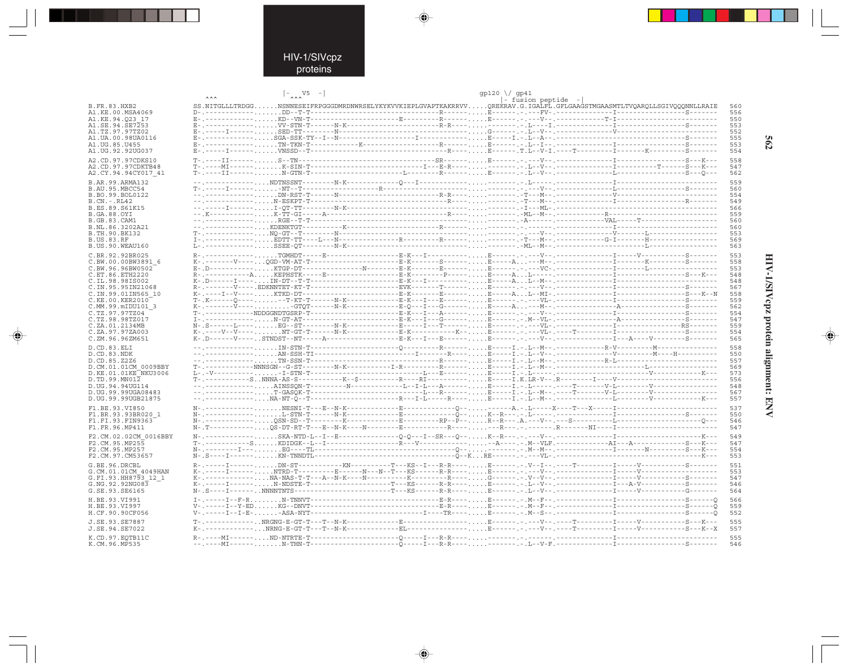. . .

 $\begin{picture}(20,5) \put(0,0){\line(1,0){10}} \put(15,0){\line(1,0){10}} \put(15,0){\line(1,0){10}} \put(15,0){\line(1,0){10}} \put(15,0){\line(1,0){10}} \put(15,0){\line(1,0){10}} \put(15,0){\line(1,0){10}} \put(15,0){\line(1,0){10}} \put(15,0){\line(1,0){10}} \put(15,0){\line(1,0){10}} \put(15,0){\line(1,0){10}} \put(15,0){\line(1,$ 

|                                         | $\vert - \rangle$                                                                                                       |  | $gp120 \ \lor gp41$ | - fusion peptide - |  |            |
|-----------------------------------------|-------------------------------------------------------------------------------------------------------------------------|--|---------------------|--------------------|--|------------|
| <b>B.FR.83.HXB2</b>                     | SS.NITGLLLTRDGGNSNNESEIFRPGGGDMRDNWRSELYKYKVVKIEPLGVAPTKAKRRVVOREKRAV.G.IGALFL.GFLGAAGSTMGAASMTLTVOAROLLSGIVOOONNLLRAIE |  |                     |                    |  | 560        |
| A1.KE.00.MSA4069                        |                                                                                                                         |  |                     |                    |  | 556        |
| A1.KE.94.023 17<br>A1.SE.94.SE7253      |                                                                                                                         |  |                     |                    |  | 550<br>553 |
| A1.TZ.97.97TZ02                         |                                                                                                                         |  |                     |                    |  | 552        |
| A1.UA.00.98UA0116                       |                                                                                                                         |  |                     |                    |  | 555        |
| A1.UG.85.U455<br>A1. UG. 92. 92 UG037   |                                                                                                                         |  |                     |                    |  | 553<br>554 |
|                                         |                                                                                                                         |  |                     |                    |  | 558        |
| A2.CD.97.97CDKS10<br>A2.CD.97.97CDKTB48 |                                                                                                                         |  |                     |                    |  | 547        |
| A2.CY.94.94CY017 41                     |                                                                                                                         |  |                     |                    |  | 562        |
| B.AR.99.ARMA132                         |                                                                                                                         |  |                     |                    |  | 559        |
| B.AU.95.MBCC54                          |                                                                                                                         |  |                     |                    |  | 560        |
| B.BO.99.BOL0122<br>$B.CN.-.RL42$        |                                                                                                                         |  |                     |                    |  | 554<br>549 |
| B.ES.89.S61K15                          |                                                                                                                         |  |                     |                    |  | 566        |
| B.GA.88.OYI                             |                                                                                                                         |  |                     |                    |  | 559        |
| B.GB.83.CAM1                            |                                                                                                                         |  |                     |                    |  | 560<br>560 |
| B.NL.86.3202A21<br>B.TH.90.BK132        |                                                                                                                         |  |                     |                    |  | 553        |
| <b>B.US.83.RF</b>                       |                                                                                                                         |  |                     |                    |  | 569        |
| B.US.90.WEAU160                         |                                                                                                                         |  |                     |                    |  | 563        |
| C.BR.92.92BR025                         |                                                                                                                         |  |                     |                    |  | 553        |
| C.BW.00.00BW3891 6                      |                                                                                                                         |  |                     |                    |  | 558<br>553 |
| C.BW.96.96BW0502<br>C.ET.86.ETH2220     |                                                                                                                         |  |                     |                    |  | 548        |
| C.IL.98.98IS002                         |                                                                                                                         |  |                     |                    |  | 548        |
| C. IN. 95. 95 IN 21068                  |                                                                                                                         |  |                     |                    |  | 567        |
| C.IN.99.01IN565 10<br>C.KE.00.KER2010   |                                                                                                                         |  |                     |                    |  | 558<br>559 |
| C.MM.99.mIDU101 3                       |                                                                                                                         |  |                     |                    |  | 562        |
| C.TZ.97.97TZ04                          |                                                                                                                         |  |                     |                    |  | 554        |
| C.TZ.98.98TZ017<br>C.ZA.01.2134MB       |                                                                                                                         |  |                     |                    |  | 547<br>559 |
| C.ZA.97.97ZA003                         |                                                                                                                         |  |                     |                    |  | 554        |
| C.ZM.96.96ZM651                         |                                                                                                                         |  |                     |                    |  | 565        |
| D.CD.83.ELI                             |                                                                                                                         |  |                     |                    |  | 558        |
| D.CD.83.NDK                             |                                                                                                                         |  |                     |                    |  | 550<br>557 |
| D.CD.85.Z2Z6<br>D.CM.01.01CM 0009BBY    |                                                                                                                         |  |                     |                    |  | 569        |
| D.KE.01.01KE NKU3006                    |                                                                                                                         |  |                     |                    |  | 573        |
| D.TD.99.MN012                           |                                                                                                                         |  |                     |                    |  | 556        |
| D.UG.94.94UG114<br>D.UG.99.99UGA08483   |                                                                                                                         |  |                     |                    |  | 548<br>567 |
| D.UG.99.99UGB21875                      |                                                                                                                         |  |                     |                    |  | 557        |
| F1.BE.93.VI850                          |                                                                                                                         |  |                     |                    |  | 537        |
| F1.BR.93.93BR020 1                      |                                                                                                                         |  |                     |                    |  | 550        |
| F1.FI.93.FIN9363<br>F1.FR.96.MP411      |                                                                                                                         |  |                     |                    |  | 546<br>547 |
|                                         |                                                                                                                         |  |                     |                    |  |            |
| F2.CM.02.02CM 0016BBY<br>F2.CM.95.MP255 |                                                                                                                         |  |                     |                    |  | 549<br>547 |
| F2.CM.95.MP257                          |                                                                                                                         |  |                     |                    |  | 554        |
| F2.CM.97.CM53657                        |                                                                                                                         |  |                     |                    |  | 553        |
| G.BE.96.DRCBL                           |                                                                                                                         |  |                     |                    |  | 551        |
| G.CM.01.01CM 4049HAN                    |                                                                                                                         |  |                     |                    |  | 553<br>547 |
| G.FI.93.HH8793 12 1<br>G.NG.92.92NG083  |                                                                                                                         |  |                     |                    |  | 546        |
| G.SE.93.SE6165                          |                                                                                                                         |  |                     |                    |  | 564        |
| H.BE.93.VI991                           |                                                                                                                         |  |                     |                    |  | 566        |
| H.BE.93.VI997                           |                                                                                                                         |  |                     |                    |  | 559        |
| H.CF.90.90CF056                         |                                                                                                                         |  |                     |                    |  | 552        |
| J.SE.93.SE7887<br>J.SE.94.SE7022        |                                                                                                                         |  |                     |                    |  | 555<br>557 |
|                                         |                                                                                                                         |  |                     |                    |  |            |
| K.CD.97.EOTB11C<br>K.CM.96.MP535        |                                                                                                                         |  |                     |                    |  | 555<br>546 |
|                                         |                                                                                                                         |  |                     |                    |  |            |

 $\blacklozenge$ 

 $\begin{picture}(20,5) \put(0,0){\vector(0,1){10}} \put(15,0){\vector(0,1){10}} \put(15,0){\vector(0,1){10}} \put(15,0){\vector(0,1){10}} \put(15,0){\vector(0,1){10}} \put(15,0){\vector(0,1){10}} \put(15,0){\vector(0,1){10}} \put(15,0){\vector(0,1){10}} \put(15,0){\vector(0,1){10}} \put(15,0){\vector(0,1){10}} \put(15,0){\vector(0,1){10}} \put(15,0){\vector(0,$ 

562

HIV-1/SIVcpz protein alignment: ENV

 $\begin{picture}(20,5) \put(0,0){\line(1,0){10}} \put(15,0){\line(1,0){10}} \put(15,0){\line(1,0){10}} \put(15,0){\line(1,0){10}} \put(15,0){\line(1,0){10}} \put(15,0){\line(1,0){10}} \put(15,0){\line(1,0){10}} \put(15,0){\line(1,0){10}} \put(15,0){\line(1,0){10}} \put(15,0){\line(1,0){10}} \put(15,0){\line(1,0){10}} \put(15,0){\line(1,$ 

 $\overline{\phantom{0}}$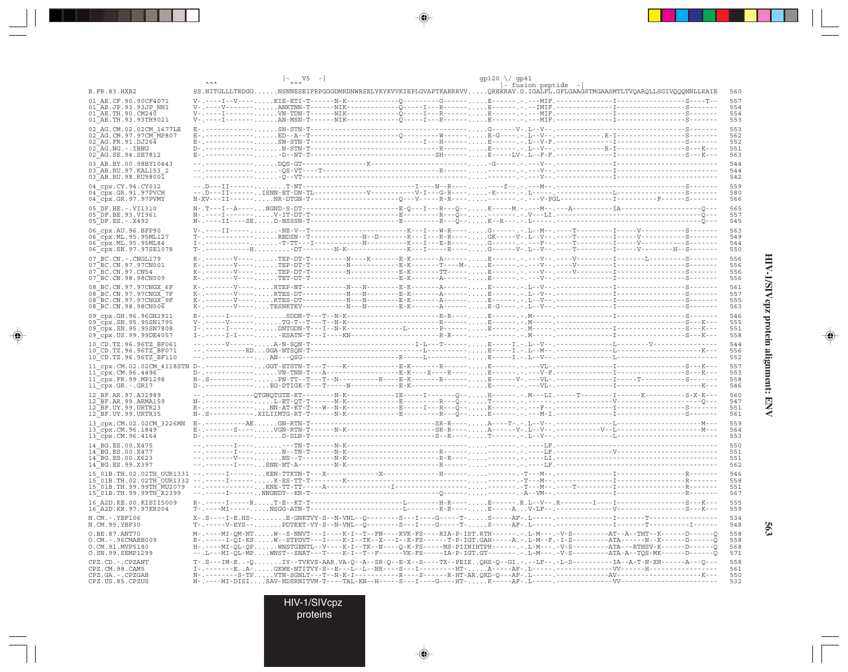|                                                                             |                                                                                                                                                                                                                                                                 | $\vert - \rangle$ |                                                                                                                          |  | gp120 \/ gp41 |                    |  |            |
|-----------------------------------------------------------------------------|-----------------------------------------------------------------------------------------------------------------------------------------------------------------------------------------------------------------------------------------------------------------|-------------------|--------------------------------------------------------------------------------------------------------------------------|--|---------------|--------------------|--|------------|
| B.FR.83.HXB2                                                                | SS.NITGLLLTRDGGNSNNESEIFRPGGGDMRDNWRSELYKYKVVKIEPLGVAPTKAKRRVVOREKRAV.G.IGALFL.GFLGAAGSTMGAASMTLTVOAROLLSGIVOOONNLLRAIE                                                                                                                                         |                   |                                                                                                                          |  |               | - fusion peptide - |  | 560        |
| 01 AE.CF.90.90CF4071<br>$01$ <sup><math>-</math></sup> AE.JP.93.93JP NH1    |                                                                                                                                                                                                                                                                 |                   |                                                                                                                          |  |               |                    |  | 557<br>554 |
| $01\overline{AE}$ . TH. 90. CM240                                           |                                                                                                                                                                                                                                                                 |                   |                                                                                                                          |  |               |                    |  | 554        |
| 01 AE.TH.93.93TH9021                                                        |                                                                                                                                                                                                                                                                 |                   |                                                                                                                          |  |               |                    |  | 553<br>553 |
| 02 AG.CM.02.02CM 1677LE<br>02_AG.CM.97.97CM_MP807                           |                                                                                                                                                                                                                                                                 |                   |                                                                                                                          |  |               |                    |  | 562        |
| $02$ AG. FR. 91. DJ264<br>$02$ <sup><math>-</math></sup> AG. NG. $-$ . IBNG |                                                                                                                                                                                                                                                                 |                   |                                                                                                                          |  |               |                    |  | 552<br>551 |
| 02 AG.SE.94.SE7812                                                          |                                                                                                                                                                                                                                                                 |                   |                                                                                                                          |  |               |                    |  | 563        |
| 03 AB.BY.00.98BY10443                                                       |                                                                                                                                                                                                                                                                 |                   |                                                                                                                          |  |               |                    |  | 544        |
| 03 AB.RU.97.KAL153 2<br>03 AB.RU.98.RU98001                                 |                                                                                                                                                                                                                                                                 |                   |                                                                                                                          |  |               |                    |  | 544<br>542 |
| 04 cpx.CY.94.CY032                                                          |                                                                                                                                                                                                                                                                 |                   |                                                                                                                          |  |               |                    |  | 559        |
| $04$ <sup><math>-cpx.GR.91.97</math></sup> PVCH<br>04 cpx.GR.97.97PVMY      |                                                                                                                                                                                                                                                                 |                   |                                                                                                                          |  |               |                    |  | 580<br>566 |
| 05 DF.BE. -. VI1310                                                         |                                                                                                                                                                                                                                                                 |                   |                                                                                                                          |  |               |                    |  | 565        |
| 05 DF.BE.93.VI961                                                           |                                                                                                                                                                                                                                                                 |                   |                                                                                                                          |  |               |                    |  | 557        |
| 05 DF.ES. - . X492                                                          |                                                                                                                                                                                                                                                                 |                   |                                                                                                                          |  |               |                    |  | 545        |
| 06 cpx.AU.96.BFP90<br>06 cpx.ML.95.95ML127                                  |                                                                                                                                                                                                                                                                 |                   |                                                                                                                          |  |               |                    |  | 563<br>549 |
| 06 cpx. ML. 95.95ML84                                                       | T-.-----------HDT--------N-K----------------K---I-----R----G------V-.L--V-.----T----------------H--S--------                                                                                                                                                    |                   |                                                                                                                          |  |               |                    |  | 544<br>550 |
| 06 cpx.SN.97.97SE1078<br>07 BC.CN. - . CNGL179                              |                                                                                                                                                                                                                                                                 |                   |                                                                                                                          |  |               |                    |  | 556        |
| 07 BC.CN.97.97CN001                                                         |                                                                                                                                                                                                                                                                 |                   |                                                                                                                          |  |               |                    |  | 556        |
| 07 BC.CN.97.CN54<br>07 BC.CN.98.98CN009                                     |                                                                                                                                                                                                                                                                 |                   |                                                                                                                          |  |               |                    |  | 556<br>556 |
| 08 BC.CN.97.97CNGX 6F                                                       |                                                                                                                                                                                                                                                                 |                   |                                                                                                                          |  |               |                    |  | 561        |
| 08 BC.CN.97.97CNGX 7F                                                       |                                                                                                                                                                                                                                                                 |                   |                                                                                                                          |  |               |                    |  | 557        |
| 08 BC.CN.97.97CNGX 9F<br>08 BC.CN.98.98CN006                                |                                                                                                                                                                                                                                                                 |                   |                                                                                                                          |  |               |                    |  | 555<br>563 |
| 09 cpx.GH.96.96GH2911                                                       |                                                                                                                                                                                                                                                                 |                   |                                                                                                                          |  |               |                    |  | 546        |
| 09 cpx.SN.95.95SN1795<br>09 cpx.SN.95.95SN7808                              |                                                                                                                                                                                                                                                                 |                   |                                                                                                                          |  |               |                    |  | 555<br>551 |
| 09 cpx.US.99.99DE4057                                                       |                                                                                                                                                                                                                                                                 |                   |                                                                                                                          |  |               |                    |  | 558        |
| 10 CD.TZ.96.96TZ BF061<br>10 CD. TZ. 96. 96TZ BF071                         |                                                                                                                                                                                                                                                                 |                   |                                                                                                                          |  |               |                    |  | 544<br>556 |
| 10 CD.TZ.96.96TZ BF110                                                      |                                                                                                                                                                                                                                                                 |                   |                                                                                                                          |  |               |                    |  | 552        |
|                                                                             |                                                                                                                                                                                                                                                                 |                   |                                                                                                                          |  |               |                    |  | 557        |
| $11$ cpx. CM. 96.4496<br>11 cpx.FR.99.MP1298                                |                                                                                                                                                                                                                                                                 |                   |                                                                                                                          |  |               |                    |  | 553<br>558 |
| $11$ <sup><math>-</math></sup> cpx.GR. $-$ .GR17                            |                                                                                                                                                                                                                                                                 |                   |                                                                                                                          |  |               |                    |  | 546        |
| 12 BF.AR.97.A32989<br>12 BF.AR.99.ARMA159                                   |                                                                                                                                                                                                                                                                 |                   |                                                                                                                          |  |               |                    |  | 560<br>547 |
| 12 BF.UY.99.URTR23                                                          |                                                                                                                                                                                                                                                                 |                   |                                                                                                                          |  |               |                    |  | 551        |
| 12 BF.UY.99.URTR35                                                          |                                                                                                                                                                                                                                                                 |                   |                                                                                                                          |  |               |                    |  | 561        |
| 13 cpx.CM.02.02CM 3226MN<br>$13$ cpx. CM. 96. 1849                          |                                                                                                                                                                                                                                                                 |                   |                                                                                                                          |  |               |                    |  | 559<br>564 |
| 13 cpx.CM.96.4164                                                           |                                                                                                                                                                                                                                                                 |                   |                                                                                                                          |  |               |                    |  | 553        |
| 14 BG.ES.00.X475<br>14 BG.ES.00.X477                                        |                                                                                                                                                                                                                                                                 |                   |                                                                                                                          |  |               |                    |  | 550<br>551 |
| 14 BG.ES.00.X623                                                            |                                                                                                                                                                                                                                                                 |                   |                                                                                                                          |  |               |                    |  | 551        |
| 14 BG.ES.99.X397                                                            |                                                                                                                                                                                                                                                                 |                   |                                                                                                                          |  |               |                    |  | 562        |
|                                                                             |                                                                                                                                                                                                                                                                 |                   |                                                                                                                          |  |               |                    |  | 546<br>558 |
|                                                                             |                                                                                                                                                                                                                                                                 |                   |                                                                                                                          |  |               |                    |  | 551        |
| 16_A2D.KE.00.KISII5009                                                      |                                                                                                                                                                                                                                                                 |                   |                                                                                                                          |  |               |                    |  | 567<br>555 |
| 16 A2D. KR. 97. 97KR004                                                     |                                                                                                                                                                                                                                                                 |                   |                                                                                                                          |  |               |                    |  | 559        |
| N.CM.-.YBF106<br>N.CM.95.YBF30                                              |                                                                                                                                                                                                                                                                 |                   |                                                                                                                          |  |               |                    |  | 534<br>548 |
| O.BE.87.ANT70                                                               | M-.----MI-QM-NTW--S-NNVT---I----K-I--T--FN----RVK-FS----RIA-P-IST.RTH------.-L-M---.-V-S--------AT--A--THT--K------D------Q                                                                                                                                     |                   |                                                                                                                          |  |               |                    |  | 558        |
| O.CM. - . 96CMABB009<br>O.CM.91.MVP5180                                     | R-.-----I-QI-KSW--STPDVT---I----K-I--TK--X---I--K-FS------T-P-IGT.GAH-----A.-.L-M--F.-I-S------------ATA------N--K------D------Q<br>H-.----MI-QL-QPWNSTGENTL--V----K-I--TK--N---Q-K-FS-----MS-PIINIHTPH------.-.L-M---.-V-S--------ATA---RTHSV-K------D-------Q |                   |                                                                                                                          |  |               |                    |  | 558<br>568 |
| O.SN.99.SEMP1299                                                            |                                                                                                                                                                                                                                                                 |                   | --MI-QL-MPWNST--SNAT---T----K-I--T--F------VK-FS-----IA-P-IGT.GT-------.-.I-M---.-V-S--------ATA-A--TQS-MK------D------Q |  |               |                    |  | 571        |
| CPZ.CD. - . CPZANT<br>CPZ.CM.98.CAM5                                        |                                                                                                                                                                                                                                                                 |                   |                                                                                                                          |  |               |                    |  | 558<br>561 |
| CPZ.GA. - . CPZGAB                                                          |                                                                                                                                                                                                                                                                 |                   |                                                                                                                          |  |               |                    |  | 550        |
| CPZ.US.85.CPZUS                                                             |                                                                                                                                                                                                                                                                 |                   |                                                                                                                          |  |               |                    |  | 532        |

 $\begin{picture}(20,5) \put(0,0){\vector(0,1){10}} \put(15,0){\vector(0,1){10}} \put(15,0){\vector(0,1){10}} \put(15,0){\vector(0,1){10}} \put(15,0){\vector(0,1){10}} \put(15,0){\vector(0,1){10}} \put(15,0){\vector(0,1){10}} \put(15,0){\vector(0,1){10}} \put(15,0){\vector(0,1){10}} \put(15,0){\vector(0,1){10}} \put(15,0){\vector(0,1){10}} \put(15,0){\vector(0,$ 

 $\begin{picture}(20,5) \put(0,0){\vector(0,1){10}} \put(15,0){\vector(0,1){10}} \put(15,0){\vector(0,1){10}} \put(15,0){\vector(0,1){10}} \put(15,0){\vector(0,1){10}} \put(15,0){\vector(0,1){10}} \put(15,0){\vector(0,1){10}} \put(15,0){\vector(0,1){10}} \put(15,0){\vector(0,1){10}} \put(15,0){\vector(0,1){10}} \put(15,0){\vector(0,1){10}} \put(15,0){\vector(0,$ 

. . . .

 $\overrightarrow{\phantom{a}}$ 

HIV-1/SIVcpz protein alignment: ENV

 $\begin{picture}(20,5) \put(0,0){\line(1,0){10}} \put(15,0){\line(1,0){10}} \put(15,0){\line(1,0){10}} \put(15,0){\line(1,0){10}} \put(15,0){\line(1,0){10}} \put(15,0){\line(1,0){10}} \put(15,0){\line(1,0){10}} \put(15,0){\line(1,0){10}} \put(15,0){\line(1,0){10}} \put(15,0){\line(1,0){10}} \put(15,0){\line(1,0){10}} \put(15,0){\line(1,$ 

 $\overline{\phantom{0}}$ 

H

563

HIV-1/SIVcpz<br>proteins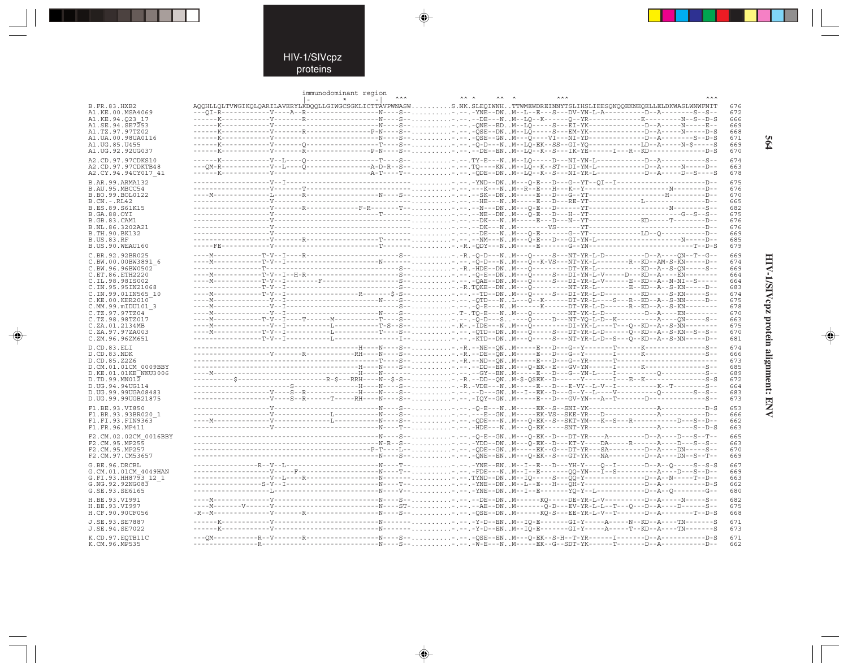--

 $\begin{picture}(20,5) \put(0,0){\line(1,0){10}} \put(15,0){\line(1,0){10}} \put(15,0){\line(1,0){10}} \put(15,0){\line(1,0){10}} \put(15,0){\line(1,0){10}} \put(15,0){\line(1,0){10}} \put(15,0){\line(1,0){10}} \put(15,0){\line(1,0){10}} \put(15,0){\line(1,0){10}} \put(15,0){\line(1,0){10}} \put(15,0){\line(1,0){10}} \put(15,0){\line(1,$ 

|                                         |  | immunodominant region<br>$\star$ | <b>AAA</b> | $AA$ $A$<br>$\begin{array}{ccc}\n\lambda & \lambda & \lambda\n\end{array}$ |                                                                                                                                             | <b>AAA</b> |            |
|-----------------------------------------|--|----------------------------------|------------|----------------------------------------------------------------------------|---------------------------------------------------------------------------------------------------------------------------------------------|------------|------------|
| <b>B.FR.83.HXB2</b>                     |  |                                  |            |                                                                            | AQQHLLQLTVWGIKQLQARILAVERYLKDQQLLGIWGCSGKLICTTAVPWNASWS.NK.SLEQIWNHTTWMEWDREINNYTSLIHSLIEESQNQQEKNEQELLELDKWASLWNWFNIT                      |            | 676        |
| A1.KE.00.MSA4069                        |  |                                  |            |                                                                            |                                                                                                                                             |            | 672        |
| A1.KE.94.023 17                         |  |                                  |            |                                                                            |                                                                                                                                             |            | 666        |
| A1.SE.94.SE7253                         |  |                                  |            |                                                                            |                                                                                                                                             |            | 669        |
| A1. TZ. 97. 97TZ02                      |  |                                  |            |                                                                            | -----K-----------V------R-------------P-N---S-- , , , , , , , , , -, -- , -OSE--DN . M--LO-----S---EM-YK-----------------D--A-----N-----D-S |            | 668        |
| A1. UA. 00. 98 UA0116                   |  |                                  |            |                                                                            |                                                                                                                                             |            | 671<br>669 |
| A1.UG.85.U455<br>A1.UG.92.92UG037       |  |                                  |            |                                                                            | ---------V-------R------------------P-N----S-- - . --DB--ENM--LQ--K--S---IK-YE------I---R--KD------------D-S                                |            | 670        |
|                                         |  |                                  |            |                                                                            |                                                                                                                                             |            |            |
| A2.CD.97.97CDKS10<br>A2.CD.97.97CDKTB48 |  |                                  |            |                                                                            |                                                                                                                                             |            | 674<br>663 |
| A2.CY.94.94CY017 41                     |  |                                  |            |                                                                            |                                                                                                                                             |            | 678        |
|                                         |  |                                  |            |                                                                            |                                                                                                                                             |            | 675        |
| B.AR. 99. ARMA132<br>B.AU.95.MBCC54     |  |                                  |            |                                                                            |                                                                                                                                             |            | 676        |
| B.BO.99.BOL0122                         |  |                                  |            |                                                                            |                                                                                                                                             |            | 670        |
| $B.CN.-.RL42$                           |  |                                  |            |                                                                            |                                                                                                                                             |            | 665        |
| B.ES.89.S61K15                          |  |                                  |            |                                                                            |                                                                                                                                             |            | 682        |
| <b>B.GA.88.OYI</b>                      |  |                                  |            |                                                                            |                                                                                                                                             |            | 675        |
| B.GB.83.CAM1                            |  |                                  |            |                                                                            |                                                                                                                                             |            | 676        |
| B.NL.86.3202A21<br>B.TH.90.BK132        |  |                                  |            |                                                                            |                                                                                                                                             |            | 676<br>669 |
| <b>B.US.83.RF</b>                       |  |                                  |            |                                                                            |                                                                                                                                             |            | 685        |
| B.US.90.WEAU160                         |  |                                  |            |                                                                            |                                                                                                                                             |            | 679        |
| C.BR.92.92BR025                         |  |                                  |            |                                                                            |                                                                                                                                             |            | 669        |
| C.BW.00.00BW3891 6                      |  |                                  |            |                                                                            |                                                                                                                                             |            | 674        |
| C.BW.96.96BW0502                        |  |                                  |            |                                                                            |                                                                                                                                             |            | 669        |
| C.ET.86.ETH2220                         |  |                                  |            |                                                                            |                                                                                                                                             |            | 664        |
| C.IL.98.98IS002                         |  |                                  |            |                                                                            |                                                                                                                                             |            | 664        |
| C. IN. 95. 95 IN 21068                  |  |                                  |            |                                                                            |                                                                                                                                             |            | 683        |
| C.IN.99.01IN565 10<br>C.KE.00.KER2010   |  |                                  |            |                                                                            |                                                                                                                                             |            | 674<br>675 |
| C.MM.99.mIDU101 3                       |  |                                  |            |                                                                            |                                                                                                                                             |            | 678        |
| C.TZ.97.97TZ04                          |  |                                  |            |                                                                            |                                                                                                                                             |            | 670        |
| C.TZ.98.98TZ017                         |  |                                  |            |                                                                            |                                                                                                                                             |            | 663        |
| C.ZA.01.2134MB                          |  |                                  |            |                                                                            |                                                                                                                                             |            | 675        |
| C.ZA.97.97ZA003                         |  |                                  |            |                                                                            | ---I-- - . -- . - KTD--DN M---O-----S---NT-YR-L-D--S---O--KD--A--S-NN-----D--                                                               |            | 670        |
| C.ZM.96.96ZM651                         |  |                                  |            |                                                                            |                                                                                                                                             |            | 681        |
| D.CD.83.ELI                             |  |                                  |            |                                                                            |                                                                                                                                             |            | 674        |
| D.CD.83.NDK<br>D.CD.85.Z2Z6             |  |                                  |            |                                                                            |                                                                                                                                             |            | 666<br>673 |
| D.CM.01.01CM 0009BBY                    |  |                                  |            |                                                                            |                                                                                                                                             |            | 685        |
| D.KE.01.01KE NKU3006                    |  |                                  |            |                                                                            |                                                                                                                                             |            | 689        |
| D.TD.99.MN012                           |  |                                  |            |                                                                            |                                                                                                                                             |            | 672        |
| D.UG.94.94UG114                         |  |                                  |            |                                                                            |                                                                                                                                             |            | 664        |
| D.UG.99.99UGA08483                      |  |                                  |            |                                                                            |                                                                                                                                             |            | 683        |
| D.UG.99.99UGB21875                      |  |                                  |            |                                                                            |                                                                                                                                             |            | 673        |
| F1.BE.93.VI850                          |  |                                  |            |                                                                            |                                                                                                                                             |            | 653        |
| F1.BR.93.93BR020 1<br>F1.FI.93.FIN9363  |  |                                  |            |                                                                            |                                                                                                                                             |            | 666<br>662 |
| F1.FR.96.MP411                          |  |                                  |            |                                                                            |                                                                                                                                             |            | 663        |
|                                         |  |                                  |            |                                                                            |                                                                                                                                             |            |            |
| F2.CM.02.02CM 0016BBY<br>F2.CM.95.MP255 |  |                                  |            |                                                                            |                                                                                                                                             |            | 665<br>663 |
| F2.CM.95.MP257                          |  |                                  |            |                                                                            |                                                                                                                                             |            | 670        |
| F2.CM.97.CM53657                        |  |                                  |            |                                                                            |                                                                                                                                             |            | 669        |
| G.BE.96.DRCBL                           |  |                                  |            |                                                                            |                                                                                                                                             |            | 667        |
| G.CM.01.01CM 4049HAN                    |  |                                  |            |                                                                            |                                                                                                                                             |            | 669        |
| G.FI.93.HH8793 12 1                     |  |                                  |            |                                                                            |                                                                                                                                             |            | 663        |
| G.NG.92.92NG083                         |  |                                  |            |                                                                            |                                                                                                                                             |            | 662        |
| G.SE.93.SE6165                          |  |                                  |            |                                                                            |                                                                                                                                             |            | 680        |
| H.BE.93.VI991                           |  |                                  |            |                                                                            |                                                                                                                                             |            | 682        |
| H.BE.93.VI997                           |  |                                  |            |                                                                            |                                                                                                                                             |            | 675        |
| H.CF.90.90CF056                         |  |                                  |            |                                                                            |                                                                                                                                             |            | 668        |
| J.SE.93.SE7887                          |  |                                  |            |                                                                            |                                                                                                                                             |            | 671        |
| J.SE.94.SE7022                          |  |                                  |            |                                                                            |                                                                                                                                             |            | 673        |
| K.CD.97.EOTB11C                         |  |                                  |            |                                                                            |                                                                                                                                             |            | 671        |
| K.CM.96.MP535                           |  |                                  |            |                                                                            |                                                                                                                                             |            | 662        |

 $\blacklozenge$ 

 $\Rightarrow$ 

564

HIV-1/SIVcpz protein alignment: ENV

 $\begin{picture}(20,5) \put(0,0){\line(1,0){10}} \put(15,0){\line(1,0){10}} \put(15,0){\line(1,0){10}} \put(15,0){\line(1,0){10}} \put(15,0){\line(1,0){10}} \put(15,0){\line(1,0){10}} \put(15,0){\line(1,0){10}} \put(15,0){\line(1,0){10}} \put(15,0){\line(1,0){10}} \put(15,0){\line(1,0){10}} \put(15,0){\line(1,0){10}} \put(15,0){\line(1,$ 

 $\equiv$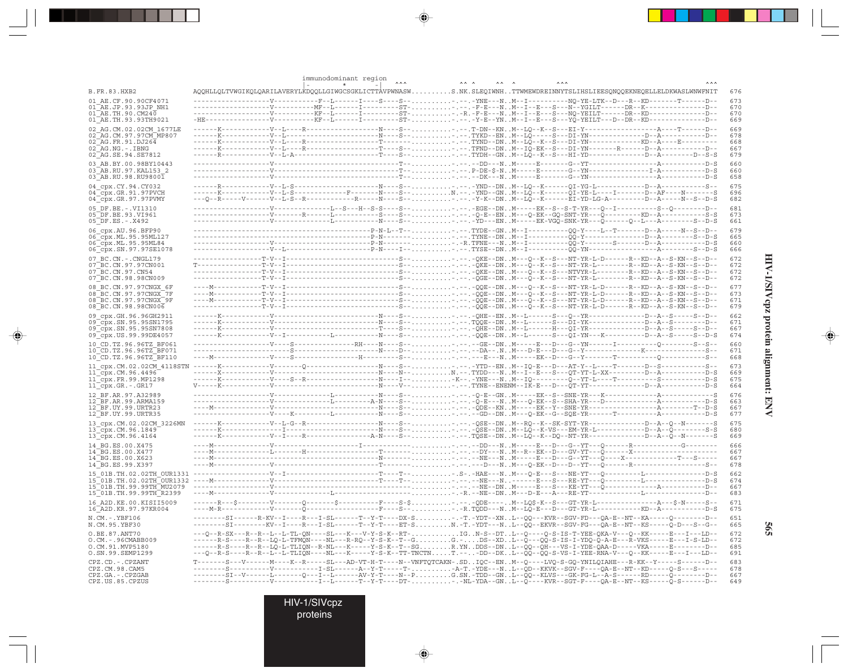|                                                                   | immunodominant region                                                                                                                                                                                                                                                                                                                                                             |            |
|-------------------------------------------------------------------|-----------------------------------------------------------------------------------------------------------------------------------------------------------------------------------------------------------------------------------------------------------------------------------------------------------------------------------------------------------------------------------|------------|
| <b>B.FR.83.HXB2</b>                                               | AQQHLLQLTVWGIKQLQARILAVERYLKDQQLLGIWGCSGKLICTTAVPWNASWS.NK.SLEQIWNHTTWMEWDREINNYTSLIHSLIEESQNQQEKNEQELLELDKWASLWNWFNIT                                                                                                                                                                                                                                                            | 676        |
| 01 AE.CF.90.90CF4071<br>01 AE.JP.93.93JP NH1                      | --V------------F--L------I----S----S-- - . - YNE---NM--I----------NQ-YE-LTK--D---R--KD--------T-----D--<br>-----------V---------MF--L------I--------ST--.---F-E---NM--I--E---S---N--YGILT------DR--K-------------D-                                                                                                                                                               | 673<br>670 |
| $01^{\text{-}}$ AE.TH.90.CM240                                    |                                                                                                                                                                                                                                                                                                                                                                                   | 670        |
| 01 AE.TH.93.93TH9021<br>02 AG.CM.02.02CM 1677LE                   | -HE--------------V--------KF--L------I--------ST--.----Y-E--YNM--I--E--S---YO-YEILT---D--DR--KD------------D--                                                                                                                                                                                                                                                                    | 669<br>669 |
| 02 AG. CM. 97. 97 CM MP807                                        |                                                                                                                                                                                                                                                                                                                                                                                   | 678        |
| 02 AG.FR.91.DJ264<br>02 AG.NG.-.IBNG                              |                                                                                                                                                                                                                                                                                                                                                                                   | 668<br>667 |
| 02 AG. SE. 94. SE7812                                             |                                                                                                                                                                                                                                                                                                                                                                                   | 679        |
| 03 AB.BY.00.98BY10443<br>03 AB.RU.97.KAL153 2                     |                                                                                                                                                                                                                                                                                                                                                                                   | 660<br>660 |
| 03 AB.RU.98.RU98001                                               |                                                                                                                                                                                                                                                                                                                                                                                   | 658<br>675 |
| 04 cpx.CY.94.CY032<br>04 cpx.GR.91.97PVCH                         | -K------------V--L-S-------------F-------N----S--N.--.-YND--GNM--LQ--K------QI-YE-L----I-------D--AF----N------S                                                                                                                                                                                                                                                                  | 696        |
| 04 cpx.GR.97.97PVMY                                               | ---Q--R-----V------V--L-S--R------------R----S---.---Y-K--DNM--LQ--K------BI-YD-LG-A--------D--A-----N--S--D-S<br>------L--S---H--S-S----S-- EGE--DNM-----EK--S--S-T-YR---Q--I---------S--Q--------D--                                                                                                                                                                            | 682        |
| 05 DF.BE. -. VI1310<br>05 DF.BE.93.VI961                          |                                                                                                                                                                                                                                                                                                                                                                                   | 681<br>673 |
| 05 DF.ES. - . X492<br>06 cpx.AU.96.BFP90                          |                                                                                                                                                                                                                                                                                                                                                                                   | 661<br>679 |
| 06 cpx. ML. 95.95ML127                                            |                                                                                                                                                                                                                                                                                                                                                                                   | 665        |
| 06_cpx.ML.95.95ML84<br>06 cpx.SN.97.97SE1078                      | $\hskip-10.3cm \ldots\hskip-10.3cm \ldots\hskip-10.3cm \ldots\hskip-10.3cm \ldots\hskip-10.3cm \ldots\hskip-10.3cm \ldots\hskip-10.3cm \ldots\hskip-10.3cm \ldots\hskip-10.3cm \ldots\hskip-10.3cm \ldots\hskip-10.3cm \ldots\hskip-10.3cm \ldots\hskip-10.3cm \ldots\hskip-10.3cm \ldots\hskip-10.3cm \ldots\hskip-10.3cm \ldots\hskip-10.3cm \ldots\hskip-10.3cm \ldots\hskip-$ | 660<br>666 |
| 07 BC.CN. - . CNGL179                                             |                                                                                                                                                                                                                                                                                                                                                                                   | 672        |
| 07 BC.CN.97.97CN001<br>07 BC.CN.97.CN54                           |                                                                                                                                                                                                                                                                                                                                                                                   | 672<br>672 |
| 07 BC.CN.98.98CN009                                               |                                                                                                                                                                                                                                                                                                                                                                                   | 672        |
| 08 BC.CN.97.97CNGX 6F<br>08 BC.CN.97.97CNGX 7F                    |                                                                                                                                                                                                                                                                                                                                                                                   | 677<br>673 |
| 08 BC.CN.97.97CNGX 9F<br>08 BC.CN.98.98CN006                      |                                                                                                                                                                                                                                                                                                                                                                                   | 671<br>679 |
| 09 cpx.GH.96.96GH2911                                             |                                                                                                                                                                                                                                                                                                                                                                                   | 662        |
| 09 cpx.SN.95.95SN1795<br>09 cpx.SN.95.95SN7808                    |                                                                                                                                                                                                                                                                                                                                                                                   | 671<br>667 |
| 09 cpx.US.99.99DE4057                                             |                                                                                                                                                                                                                                                                                                                                                                                   | 674        |
| 10 CD.TZ.96.96TZ BF061<br>10 CD. TZ. 96. 96TZ BF071               | ------------------V----S-------------RH----N----S---.---GE--DNM-----E---D---G--YN------I----------------S--S--                                                                                                                                                                                                                                                                    | 660<br>671 |
| 10 CD.TZ.96.96TZ BF110                                            |                                                                                                                                                                                                                                                                                                                                                                                   | 668        |
| 11 cpx.CM.02.02CM 4118STN<br>11 cpx.CM.96.4496                    |                                                                                                                                                                                                                                                                                                                                                                                   | 673<br>669 |
| 11_cpx.FR.99.MP1298<br>$11$ <sup><math>Cpx.GR.-.GR17</math></sup> |                                                                                                                                                                                                                                                                                                                                                                                   | 675<br>664 |
| 12 BF.AR.97.A32989                                                |                                                                                                                                                                                                                                                                                                                                                                                   | 676        |
| 12 BF.AR.99.ARMA159<br>12 BF.UY.99.URTR23                         |                                                                                                                                                                                                                                                                                                                                                                                   | 663<br>667 |
| 12 BF.UY.99.URTR35                                                |                                                                                                                                                                                                                                                                                                                                                                                   | 677        |
| 13 cpx.CM.02.02CM 3226MN<br>$13$ cpx. CM. 96. 1849                |                                                                                                                                                                                                                                                                                                                                                                                   | 675<br>680 |
| 13_cpx.CM.96.4164                                                 |                                                                                                                                                                                                                                                                                                                                                                                   | 669        |
| 14 BG.ES.00.X475<br>14 BG.ES.00.X477                              |                                                                                                                                                                                                                                                                                                                                                                                   | 666<br>667 |
| 14 BG.ES.00.X623                                                  |                                                                                                                                                                                                                                                                                                                                                                                   | 667        |
| 14 BG.ES.99.X397<br>15 01B.TH.02.02TH OUR1331                     |                                                                                                                                                                                                                                                                                                                                                                                   | 678<br>662 |
|                                                                   |                                                                                                                                                                                                                                                                                                                                                                                   | 674        |
| 15 01B.TH.99.99TH MU2079<br>15 01B. TH. 99. 99TH R2399            |                                                                                                                                                                                                                                                                                                                                                                                   | 667<br>683 |
| 16 A2D. KE. 00. KISII5009                                         | -F----S-\$-----QDE----M--LQ\$-K--S---GT-YR-L---------<br>$---A---S-N---S---$                                                                                                                                                                                                                                                                                                      | 671        |
| 16 A2D.KR.97.97KR004<br>N.CM. -. YBF106                           | ---SI------R-KV--I----R---I-SL------T--Y-T----DX-S-.T.-YDT--XNL--QQ---KVR--SGV-FD---QA-E--NT--KA-----Q--------D--                                                                                                                                                                                                                                                                 | 675<br>651 |
| N.CM.95.YBF30                                                     | --------SI--------KV--I----R---I-SL------T--Y-T----ET-SN.-T.-YDT---NL--QQ--EKVR--SGV-FG---QA-E--NT--KS-----Q-D---S--G--                                                                                                                                                                                                                                                           | 665        |
| O.BE.87.ANT70<br>$0.CM. - .96CMABB009$                            | ---Q--R-SX---R--R--L--L-TL-QN----SL---K---V-Y-S-K--RT-IGN-S--DTL--Q----Q-S-IS-T-YEE-QKA-V---Q--KK-----E---ID--<br>-R-S----R--R--LQ-L-TFMQN----NL---R-RQ--Y-S-K--T--GG.-DS--XDL--Q---QQ-S-IS-I-YDQ-Q-A-E---R-VKS-----E---I-S-LD--                                                                                                                                                  | 672<br>672 |
| O.CM.91.MVP5180<br>0.SN.99.SEMP1299                               | ------R-S----R--R--LQ-L-TLIQN--R-NL---K-----Y-S-K--T--SGR.YNDDS--DNL--QQ--QH---VS-I-YDE-QAA-D-----VKA-----E-------D--<br>---R--R--L--L-TLIQN----NL---K-----Y-S-K--TT-TNCTNT.---DD--DKL--QQ--QQ-S-VS-I-YEE-RNA-V---Q--KK-----E---ID--                                                                                                                                              | 685<br>691 |
| CPZ.CD. - . CPZANT                                                | --V-------M----K--R-----SL---AD-VT-H-T----N--VNFTQTCAKN-.SDIQC--ENM--Q----LVQ-S-GQ-YNILQIAHE---R-KK--Y-----S------D--                                                                                                                                                                                                                                                             | 683        |
| CPZ.CM.98.CAM5<br>CPZ.GA. - . CPZGAB                              | --------S----------V-----------I-SL------A--Y-T-----T--A-T.-YDE---NL--QD--KKVK--SGV-F----QA-E--NT--KD-----Q-S---S-----                                                                                                                                                                                                                                                            | 678<br>667 |
| CPZ.US.85.CPZUS                                                   |                                                                                                                                                                                                                                                                                                                                                                                   | 649        |

 $\begin{picture}(20,5) \put(0,0){\vector(0,1){10}} \put(15,0){\vector(0,1){10}} \put(15,0){\vector(0,1){10}} \put(15,0){\vector(0,1){10}} \put(15,0){\vector(0,1){10}} \put(15,0){\vector(0,1){10}} \put(15,0){\vector(0,1){10}} \put(15,0){\vector(0,1){10}} \put(15,0){\vector(0,1){10}} \put(15,0){\vector(0,1){10}} \put(15,0){\vector(0,1){10}} \put(15,0){\vector(0,$ 

 $\begin{picture}(20,5) \put(0,0){\vector(0,1){10}} \put(15,0){\vector(0,1){10}} \put(15,0){\vector(0,1){10}} \put(15,0){\vector(0,1){10}} \put(15,0){\vector(0,1){10}} \put(15,0){\vector(0,1){10}} \put(15,0){\vector(0,1){10}} \put(15,0){\vector(0,1){10}} \put(15,0){\vector(0,1){10}} \put(15,0){\vector(0,1){10}} \put(15,0){\vector(0,1){10}} \put(15,0){\vector(0,$ 

. . . .

 $\overrightarrow{\phantom{a}}$ 

HIV-1/SIVcpz protein alignment: ENV

 $\begin{picture}(20,5) \put(0,0){\line(1,0){10}} \put(15,0){\line(1,0){10}} \put(15,0){\line(1,0){10}} \put(15,0){\line(1,0){10}} \put(15,0){\line(1,0){10}} \put(15,0){\line(1,0){10}} \put(15,0){\line(1,0){10}} \put(15,0){\line(1,0){10}} \put(15,0){\line(1,0){10}} \put(15,0){\line(1,0){10}} \put(15,0){\line(1,0){10}} \put(15,0){\line(1,$ 

 $\equiv$ 

H

 $505$ 

HIV-1/SIVcpz<br>proteins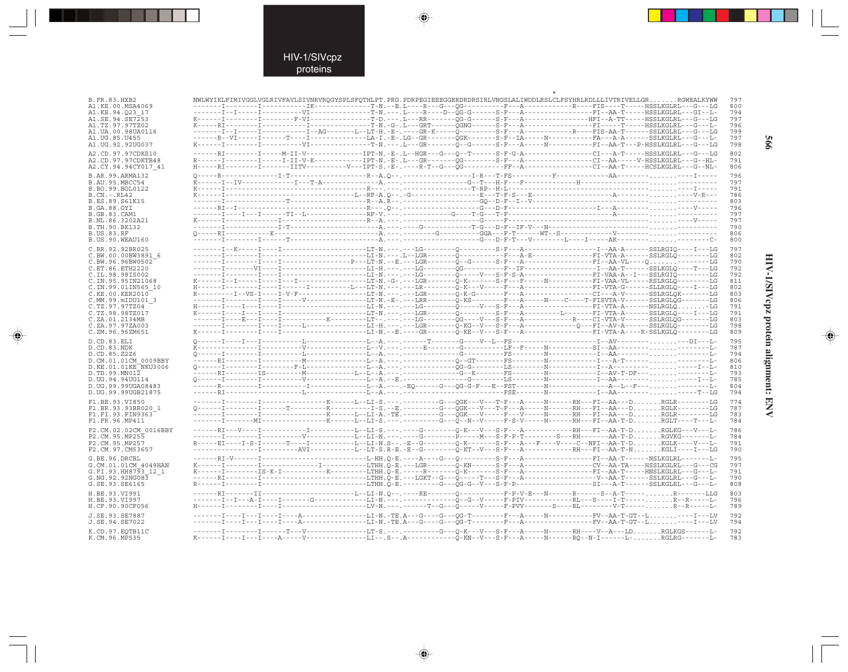. . .

 $\Rightarrow$ 

| <b>B.FR.83.HXB2</b>                         |  |  |  |  | NWLWYIKLFIMIVGGLVGLRIVFAVLSIVNRVRQGYSPLSFQTHLPT.PRG.PDRPEGIEEEGGERDRDRSIRLVNGSLALIWDDLRSLCLFSYHRLRDLLLIVTRIVELLGRRGWEALKYWW                                                                                                                                                                                                                                                                                                                                                  | 797        |
|---------------------------------------------|--|--|--|--|------------------------------------------------------------------------------------------------------------------------------------------------------------------------------------------------------------------------------------------------------------------------------------------------------------------------------------------------------------------------------------------------------------------------------------------------------------------------------|------------|
| A1.KE.00.MSA4069                            |  |  |  |  |                                                                                                                                                                                                                                                                                                                                                                                                                                                                              | 800        |
| A1.KE.94.023 17                             |  |  |  |  |                                                                                                                                                                                                                                                                                                                                                                                                                                                                              | 794        |
| A1.SE.94.SE7253                             |  |  |  |  |                                                                                                                                                                                                                                                                                                                                                                                                                                                                              | 797        |
| A1.TZ.97.97TZ02<br>A1.UA.00.98UA0116        |  |  |  |  | -------I--I-----I----------I--AG-------L--LT-H.-E-.----GR-K-----Q---------S-F---A---------------FIS-AA-T------SSLKGLRL---G---LG                                                                                                                                                                                                                                                                                                                                              | 796<br>799 |
| A1.UG.85.U455                               |  |  |  |  |                                                                                                                                                                                                                                                                                                                                                                                                                                                                              | 797        |
| A1.UG.92.92UG037                            |  |  |  |  |                                                                                                                                                                                                                                                                                                                                                                                                                                                                              | 798        |
| A2.CD.97.97CDKS10                           |  |  |  |  |                                                                                                                                                                                                                                                                                                                                                                                                                                                                              | 802        |
| A2.CD.97.97CDKTB48                          |  |  |  |  |                                                                                                                                                                                                                                                                                                                                                                                                                                                                              | 791        |
| A2.CY.94.94CY017 41                         |  |  |  |  | H-----RI--------I-------IITV----------V---IPT-S.-E-.----R-T--G---QG---------FF--A--------------CI--AA-T-----HCSLKGLRL---G--NL-                                                                                                                                                                                                                                                                                                                                               | 806        |
| B.AR.99.ARMA132                             |  |  |  |  |                                                                                                                                                                                                                                                                                                                                                                                                                                                                              | 796        |
| B.AU.95.MBCC54                              |  |  |  |  |                                                                                                                                                                                                                                                                                                                                                                                                                                                                              | 797        |
| B.BO.99.BOL0122                             |  |  |  |  |                                                                                                                                                                                                                                                                                                                                                                                                                                                                              | 791        |
| $B.CN.-.RL42$<br>B.ES.89.S61K15             |  |  |  |  |                                                                                                                                                                                                                                                                                                                                                                                                                                                                              | 786<br>803 |
| B.GA.88.OYI                                 |  |  |  |  |                                                                                                                                                                                                                                                                                                                                                                                                                                                                              | 796        |
| <b>B.GB.83.CAM1</b>                         |  |  |  |  |                                                                                                                                                                                                                                                                                                                                                                                                                                                                              | 797        |
| B.NL.86.3202A21                             |  |  |  |  |                                                                                                                                                                                                                                                                                                                                                                                                                                                                              | 797        |
| B.TH.90.BK132                               |  |  |  |  |                                                                                                                                                                                                                                                                                                                                                                                                                                                                              | 790        |
| <b>B.US.83.RF</b><br>B.US.90.WEAU160        |  |  |  |  |                                                                                                                                                                                                                                                                                                                                                                                                                                                                              | 806<br>800 |
|                                             |  |  |  |  |                                                                                                                                                                                                                                                                                                                                                                                                                                                                              | 797        |
| C.BR.92.92BR025<br>C.BW.00.00BW3891 6       |  |  |  |  |                                                                                                                                                                                                                                                                                                                                                                                                                                                                              | 802        |
| C.BW.96.96BW0502                            |  |  |  |  |                                                                                                                                                                                                                                                                                                                                                                                                                                                                              | 790        |
| C.ET.86.ETH2220                             |  |  |  |  |                                                                                                                                                                                                                                                                                                                                                                                                                                                                              | 792        |
| C.IL.98.98IS002                             |  |  |  |  |                                                                                                                                                                                                                                                                                                                                                                                                                                                                              | 792        |
| C.IN.95.95IN21068                           |  |  |  |  |                                                                                                                                                                                                                                                                                                                                                                                                                                                                              | 811        |
| C.IN.99.01IN565 10<br>C.KE.00.KER2010       |  |  |  |  |                                                                                                                                                                                                                                                                                                                                                                                                                                                                              | 802<br>803 |
| C.MM.99.mIDU101 3                           |  |  |  |  |                                                                                                                                                                                                                                                                                                                                                                                                                                                                              | 806        |
| C.TZ.97.97TZ04                              |  |  |  |  |                                                                                                                                                                                                                                                                                                                                                                                                                                                                              | 791        |
| C.TZ.98.98TZ017                             |  |  |  |  |                                                                                                                                                                                                                                                                                                                                                                                                                                                                              | 791        |
| C.ZA.01.2134MB                              |  |  |  |  |                                                                                                                                                                                                                                                                                                                                                                                                                                                                              | 803        |
| C.ZA.97.97ZA003<br>C.ZM.96.96ZM651          |  |  |  |  |                                                                                                                                                                                                                                                                                                                                                                                                                                                                              | 798<br>809 |
|                                             |  |  |  |  |                                                                                                                                                                                                                                                                                                                                                                                                                                                                              |            |
| D.CD.83.ELI<br>D.CD.83.NDK                  |  |  |  |  |                                                                                                                                                                                                                                                                                                                                                                                                                                                                              | 795<br>787 |
| D.CD.85.Z2Z6                                |  |  |  |  |                                                                                                                                                                                                                                                                                                                                                                                                                                                                              | 794        |
| D.CM.01.01CM 0009BBY                        |  |  |  |  | $\begin{minipage}{0.03\textwidth} \begin{tabular}{@{}l@{}} \multicolumn{3}{c}{\textbf{0.03\textwidth} \begin{tabular}{@{}l@{}} \multicolumn{3}{c}{\textbf{0.03\textwidth} \begin{tabular}{@{}l@{}} \multicolumn{3}{c}{\textbf{0.03\textwidth} \begin{tabular}{@{}l@{}} \multicolumn{3}{c}{\textbf{0.03\textwidth} \begin{tabular}{@{}l@{}} \multicolumn{3}{c}{\textbf{0.03\textwidth} \begin{tabular}{@{}l@{}} \multicolumn{3}{c}{\textbf{0.03\textwidth} \begin{tabular}{@$ | 806        |
| D.KE.01.01KE NKU3006                        |  |  |  |  |                                                                                                                                                                                                                                                                                                                                                                                                                                                                              | 810        |
| D.TD.99.MN012                               |  |  |  |  | $\texttt{Q}\texttt{-----} \texttt{I} \texttt{-----} \texttt{-----} \texttt{1} \texttt{---} \texttt{A} \texttt{---} \texttt{B} \texttt{---} \texttt{---} \texttt{---} \texttt{--} \texttt{G} \texttt{---} \texttt{---} \texttt{N} \texttt{---} \texttt{---} \texttt{--} \texttt{I} \texttt{---} \texttt{--} \texttt{--} \texttt{--} \texttt{--} \texttt{--} \texttt{--} \texttt{--} \texttt{--} \texttt{--} \texttt{--} \texttt{--} \texttt{--} \texttt{--} \texttt{--$       | 793        |
| D.UG.94.94UG114<br>D.UG.99.99UGA08483       |  |  |  |  |                                                                                                                                                                                                                                                                                                                                                                                                                                                                              | 785<br>804 |
| D.UG.99.99UGB21875                          |  |  |  |  |                                                                                                                                                                                                                                                                                                                                                                                                                                                                              | 794        |
| F1.BE.93.VI850                              |  |  |  |  | -------I---------I----------------K-----L--LI-S.---.--------G---QGK---V---T-F---A-------RH---FI--AA---DRGLR--------LG                                                                                                                                                                                                                                                                                                                                                        | 774        |
| F1.BR.93.93BR020 1                          |  |  |  |  |                                                                                                                                                                                                                                                                                                                                                                                                                                                                              | 787        |
| F1.FI.93.FIN9363                            |  |  |  |  | -------I--------I----------------K-----Li-Li-A.-TE.--------G---QGK---V-----F---V-------RH---FI--AA---DRGLR--------LG                                                                                                                                                                                                                                                                                                                                                         | 783        |
| F1.FR.96.MP411                              |  |  |  |  | -------I--------MI---------------K------L--LI-S.---.--------G---O--N--V-----F-S-V-----N-------RH---FI--AA-T-DRGLT----T---L-                                                                                                                                                                                                                                                                                                                                                  | 784        |
| F2.CM.02.02CM 0016BBY                       |  |  |  |  |                                                                                                                                                                                                                                                                                                                                                                                                                                                                              | 786        |
| F2.CM.95.MP255                              |  |  |  |  |                                                                                                                                                                                                                                                                                                                                                                                                                                                                              | 784        |
| F2.CM.95.MP257<br>F2.CM.97.CM53657          |  |  |  |  | R-----EI----I-S-I------T----I----------LI-N.S--.-E--G--------Q-K-------S-F---A---F----V----C--NFI--AA-T-DKGLK----V---L-<br>------I---------AVI-----------L--LT-S.R-E.-B--G--------Q-KT--V---S-F---A------------RH---FI--AA-T-NKGLI----I---LG                                                                                                                                                                                                                                 | 791<br>790 |
|                                             |  |  |  |  |                                                                                                                                                                                                                                                                                                                                                                                                                                                                              |            |
| G.BE.96.DRCBL                               |  |  |  |  |                                                                                                                                                                                                                                                                                                                                                                                                                                                                              | 795<br>797 |
| G.CM.01.01CM 4049HAN<br>G.FI.93.HH8793 12 1 |  |  |  |  |                                                                                                                                                                                                                                                                                                                                                                                                                                                                              | 791        |
| G.NG.92.92NG083                             |  |  |  |  |                                                                                                                                                                                                                                                                                                                                                                                                                                                                              | 790        |
| G.SE.93.SE6165                              |  |  |  |  |                                                                                                                                                                                                                                                                                                                                                                                                                                                                              | 808        |
| H.BE.93.VI991                               |  |  |  |  |                                                                                                                                                                                                                                                                                                                                                                                                                                                                              | 803        |
| H.BE.93.VI997                               |  |  |  |  |                                                                                                                                                                                                                                                                                                                                                                                                                                                                              | 796        |
| H.CF.90.90CF056                             |  |  |  |  |                                                                                                                                                                                                                                                                                                                                                                                                                                                                              | 789        |
| J.SE.93.SE7887                              |  |  |  |  |                                                                                                                                                                                                                                                                                                                                                                                                                                                                              | 792        |
| J.SE.94.SE7022                              |  |  |  |  |                                                                                                                                                                                                                                                                                                                                                                                                                                                                              | 794        |
| K.CD.97.EOTB11C                             |  |  |  |  | -----I------T---V--------------LT-S.---.-------G---Q-K---V---S-F---A-----N------RH----V--A---LDRGLKGS------L-                                                                                                                                                                                                                                                                                                                                                                | 792        |
| K.CM.96.MP535                               |  |  |  |  |                                                                                                                                                                                                                                                                                                                                                                                                                                                                              | 783        |

 $\begin{picture}(20,5) \put(0,0){\vector(0,1){10}} \put(15,0){\vector(0,1){10}} \put(15,0){\vector(0,1){10}} \put(15,0){\vector(0,1){10}} \put(15,0){\vector(0,1){10}} \put(15,0){\vector(0,1){10}} \put(15,0){\vector(0,1){10}} \put(15,0){\vector(0,1){10}} \put(15,0){\vector(0,1){10}} \put(15,0){\vector(0,1){10}} \put(15,0){\vector(0,1){10}} \put(15,0){\vector(0,$ 

 $\begin{picture}(20,5) \put(0,0){\vector(0,1){10}} \put(15,0){\vector(0,1){10}} \put(15,0){\vector(0,1){10}} \put(15,0){\vector(0,1){10}} \put(15,0){\vector(0,1){10}} \put(15,0){\vector(0,1){10}} \put(15,0){\vector(0,1){10}} \put(15,0){\vector(0,1){10}} \put(15,0){\vector(0,1){10}} \put(15,0){\vector(0,1){10}} \put(15,0){\vector(0,1){10}} \put(15,0){\vector(0,$ 

995

# HIV-1/SIVcpz protein alignment: ENV

 $\Rightarrow$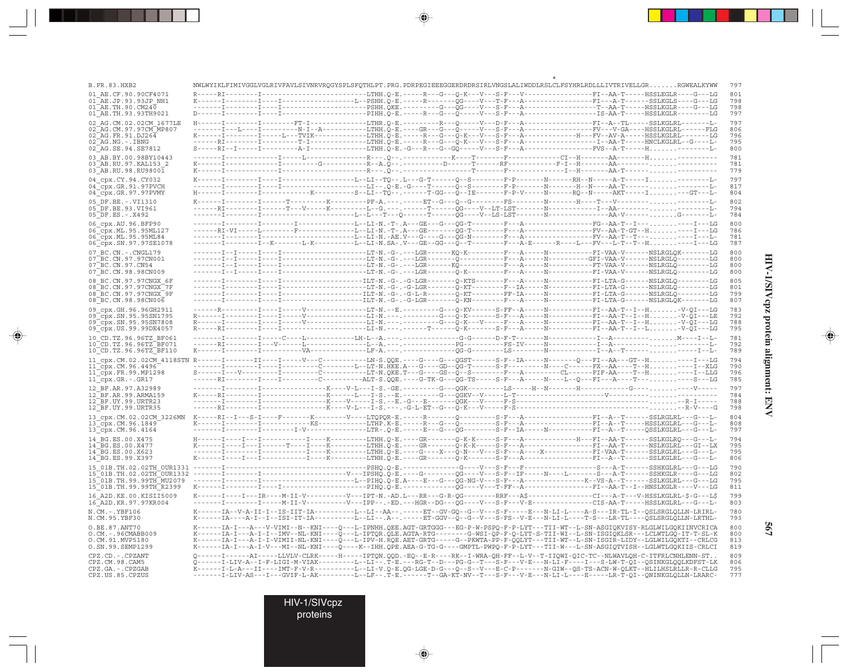| י<br>ג                         |
|--------------------------------|
| I                              |
| ĕ<br>ı                         |
| $\ddot{\phantom{0}}$<br>C<br>j |
|                                |

 $\overline{\blacklozenge}$ 

**567**

|                                                                                       |  |                                                                                                                                     |  | NWLWYIKLFIMIVGGLVGLRIVFAVLSIVNRVRQGYSPLSFQTHLPT.PRG.PDRPEGIEEEGGERDRDRSIRLVNGSLALIWDDLRSLCLFSYHRLRDLLLIVTRIVELLGRRGWEALKYWW                                                                                                                                                                                                                                                                                                                                           |
|---------------------------------------------------------------------------------------|--|-------------------------------------------------------------------------------------------------------------------------------------|--|-----------------------------------------------------------------------------------------------------------------------------------------------------------------------------------------------------------------------------------------------------------------------------------------------------------------------------------------------------------------------------------------------------------------------------------------------------------------------|
| 01 AE.CF.90.90CF4071<br>01 AE.JP.93.93JP NH1                                          |  |                                                                                                                                     |  |                                                                                                                                                                                                                                                                                                                                                                                                                                                                       |
| 01 AE.TH.90.CM240                                                                     |  |                                                                                                                                     |  |                                                                                                                                                                                                                                                                                                                                                                                                                                                                       |
| 01 AE.TH.93.93TH9021                                                                  |  |                                                                                                                                     |  |                                                                                                                                                                                                                                                                                                                                                                                                                                                                       |
| 02 AG.CM.02.02CM 1677LE                                                               |  |                                                                                                                                     |  |                                                                                                                                                                                                                                                                                                                                                                                                                                                                       |
| 02 AG.CM.97.97CM MP807<br>$02$ <sup><math>-</math></sup> AG.FR.91.DJ26 $\overline{4}$ |  |                                                                                                                                     |  | K------I-------I-----L---TVIK-----------LTHH.Q-E.-----R---G---Q-K---V---S-F---A-------------H---FV--AV-A-----HSSLKGLRL-------LG                                                                                                                                                                                                                                                                                                                                       |
| 02 AG.NG.-.IBNG                                                                       |  |                                                                                                                                     |  |                                                                                                                                                                                                                                                                                                                                                                                                                                                                       |
| 02 AG. SE. 94. SE7812                                                                 |  |                                                                                                                                     |  |                                                                                                                                                                                                                                                                                                                                                                                                                                                                       |
| 03 AB.BY.00.98BY10443                                                                 |  |                                                                                                                                     |  |                                                                                                                                                                                                                                                                                                                                                                                                                                                                       |
| 03 AB.RU.97.KAL153 2                                                                  |  |                                                                                                                                     |  |                                                                                                                                                                                                                                                                                                                                                                                                                                                                       |
| $03$ AB.RU.98.RU9800 $\overline{1}$                                                   |  |                                                                                                                                     |  |                                                                                                                                                                                                                                                                                                                                                                                                                                                                       |
| 04 cpx.CY.94.CY032                                                                    |  |                                                                                                                                     |  | $K{\hbox{-}\cdots{\hbox{-}}1{\hbox{-}\cdots{\hbox{-}}1{\hbox{-}\cdots{\hbox{-}}1{\hbox{-}\cdots{\hbox{-}}1{\hbox{-}\cdots{\hbox{-}}1{\hbox{-}\cdots{\hbox{-}}1{\hbox{-}\cdots{\hbox{-}}1}}}}\cdot{\hbox{-}\cdots{\hbox{-}\cdots{\hbox{-}}1{\hbox{-}\cdots{\hbox{-}\cdots{\hbox{-}}1}}{\hbox{-}\cdots{\hbox{-}\cdots{\hbox{-}\cdots{\hbox{-}}1}}{\hbox{-}\cdots{\hbox{-}\cdots{\hbox{-}\cdots{\hbox{-}\cdots{\hbox{-}\cdots{\hbox{-}\cdots{\hbox{-}\cdots{\hbox{-}\cd$ |
| 04 cpx.GR.91.97PVCH<br>04 cpx.GR.97.97PVMY                                            |  |                                                                                                                                     |  | H------I--------I-----------K--------S--LI--TO--.------T-GG---O--IE-------F-P-V-----N------RO--N-----AKT-----I---GT---L-                                                                                                                                                                                                                                                                                                                                              |
| 05 DF.BE. -. VI1310                                                                   |  |                                                                                                                                     |  |                                                                                                                                                                                                                                                                                                                                                                                                                                                                       |
| 05 DF.BE.93.VI961                                                                     |  |                                                                                                                                     |  |                                                                                                                                                                                                                                                                                                                                                                                                                                                                       |
| 05 DF.ES.-.X492                                                                       |  |                                                                                                                                     |  |                                                                                                                                                                                                                                                                                                                                                                                                                                                                       |
| 06 cpx.AU.96.BFP90                                                                    |  |                                                                                                                                     |  |                                                                                                                                                                                                                                                                                                                                                                                                                                                                       |
| 06 Cpx.ML.95.95ML127                                                                  |  |                                                                                                                                     |  | ------RI-VI-----L--------F------------LI--LI-N.-T-.A---GE--------QG-T--------F--A------------------FV--AA-T-GT--H----I---LG                                                                                                                                                                                                                                                                                                                                           |
| 06 cpx.ML.95.95ML84                                                                   |  |                                                                                                                                     |  |                                                                                                                                                                                                                                                                                                                                                                                                                                                                       |
| 06 cpx.SN.97.97SE1078                                                                 |  |                                                                                                                                     |  |                                                                                                                                                                                                                                                                                                                                                                                                                                                                       |
| 07 BC.CN. - . CNGL179                                                                 |  |                                                                                                                                     |  |                                                                                                                                                                                                                                                                                                                                                                                                                                                                       |
| 07 BC.CN.97.97CN001<br>$07^-$ BC.CN.97.CN54                                           |  |                                                                                                                                     |  |                                                                                                                                                                                                                                                                                                                                                                                                                                                                       |
| 07 BC.CN.98.98CN009                                                                   |  |                                                                                                                                     |  |                                                                                                                                                                                                                                                                                                                                                                                                                                                                       |
| 08 BC.CN.97.97CNGX 6F                                                                 |  |                                                                                                                                     |  |                                                                                                                                                                                                                                                                                                                                                                                                                                                                       |
| $08^-$ BC.CN.97.97CNGX $77$ F                                                         |  |                                                                                                                                     |  |                                                                                                                                                                                                                                                                                                                                                                                                                                                                       |
| 08 BC.CN.97.97CNGX 9F                                                                 |  |                                                                                                                                     |  |                                                                                                                                                                                                                                                                                                                                                                                                                                                                       |
| 08 BC.CN.98.98CN006                                                                   |  |                                                                                                                                     |  |                                                                                                                                                                                                                                                                                                                                                                                                                                                                       |
| 09 cpx.GH.96.96GH2911                                                                 |  |                                                                                                                                     |  | ------R----------I----V---------------LT-N.--E.--------G---O-KV------S-FF--A------N----------FI--AA-T--I---H-V-OI---LG                                                                                                                                                                                                                                                                                                                                                |
| 09 cpx.SN.95.95SN1795                                                                 |  |                                                                                                                                     |  | R------I--------I-----V-------------LI-N.---.------G---Q-K---V-----F---A-----N-----------FI--AA-T--I-H-V-QI---LG                                                                                                                                                                                                                                                                                                                                                      |
| 09 cpx.SN.95.95SN7808<br>09 cpx.US.99.99DE4057                                        |  |                                                                                                                                     |  |                                                                                                                                                                                                                                                                                                                                                                                                                                                                       |
| 10 CD.TZ.96.96TZ BF061                                                                |  |                                                                                                                                     |  |                                                                                                                                                                                                                                                                                                                                                                                                                                                                       |
| 10 CD.TZ.96.96TZ BF071                                                                |  |                                                                                                                                     |  |                                                                                                                                                                                                                                                                                                                                                                                                                                                                       |
| $10$ $CD.TZ.96.96TZ$ $BF110$                                                          |  |                                                                                                                                     |  |                                                                                                                                                                                                                                                                                                                                                                                                                                                                       |
|                                                                                       |  |                                                                                                                                     |  |                                                                                                                                                                                                                                                                                                                                                                                                                                                                       |
| 11 cpx.CM.96.4496                                                                     |  |                                                                                                                                     |  |                                                                                                                                                                                                                                                                                                                                                                                                                                                                       |
| 11 cpx.FR.99.MP1298                                                                   |  |                                                                                                                                     |  |                                                                                                                                                                                                                                                                                                                                                                                                                                                                       |
| 11_cpx.GR.-.GR17                                                                      |  |                                                                                                                                     |  | ------RI--------I----I--------C--------ALT-S.QQE.----G-TK-G---QG-TS-----S-F--A-----N----L--Q---FI---A----T-------S---LG                                                                                                                                                                                                                                                                                                                                               |
| 12 BF.AR.97.A32989                                                                    |  |                                                                                                                                     |  | -------I--------I----------------K----V-L---I-S.-GE.--------G---QGK---------LS-----H--N-------H---------G----. -----V----                                                                                                                                                                                                                                                                                                                                             |
| 12 BF.AR.99.ARMA159<br>12 BF.UY.99.URTR23                                             |  |                                                                                                                                     |  |                                                                                                                                                                                                                                                                                                                                                                                                                                                                       |
| 12 BF.UY.99.URTR35                                                                    |  |                                                                                                                                     |  |                                                                                                                                                                                                                                                                                                                                                                                                                                                                       |
| 13 cpx.CM.02.02CM 3226MN                                                              |  |                                                                                                                                     |  |                                                                                                                                                                                                                                                                                                                                                                                                                                                                       |
| 13 cpx.CM.96.1849                                                                     |  |                                                                                                                                     |  |                                                                                                                                                                                                                                                                                                                                                                                                                                                                       |
| 13 cpx.CM.96.4164                                                                     |  |                                                                                                                                     |  |                                                                                                                                                                                                                                                                                                                                                                                                                                                                       |
| 14 BG.ES.00.X475                                                                      |  |                                                                                                                                     |  |                                                                                                                                                                                                                                                                                                                                                                                                                                                                       |
| 14 BG.ES.00.X477                                                                      |  |                                                                                                                                     |  |                                                                                                                                                                                                                                                                                                                                                                                                                                                                       |
| 14 BG.ES.00.X623<br>14 BG.ES.99.X397                                                  |  |                                                                                                                                     |  |                                                                                                                                                                                                                                                                                                                                                                                                                                                                       |
|                                                                                       |  |                                                                                                                                     |  |                                                                                                                                                                                                                                                                                                                                                                                                                                                                       |
|                                                                                       |  |                                                                                                                                     |  |                                                                                                                                                                                                                                                                                                                                                                                                                                                                       |
|                                                                                       |  |                                                                                                                                     |  |                                                                                                                                                                                                                                                                                                                                                                                                                                                                       |
| 15 01B.TH.99.99TH R2399                                                               |  |                                                                                                                                     |  |                                                                                                                                                                                                                                                                                                                                                                                                                                                                       |
| 16 A2D.KE.00.KISII5009                                                                |  |                                                                                                                                     |  | K------I----IR----M-II-V----------V---IPT-N.-AD.L---RR---G-R-OG--------RRF---A\$--------------CI---A-T---V-HSSLKGLRL-\$-G---L\$                                                                                                                                                                                                                                                                                                                                       |
| 16 A2D.KR.97.97KR004<br>N.CM.-.YBF106                                                 |  |                                                                                                                                     |  | K------IA--V-A-II-I--IS-IIT-IA----------LI--LI--AA--.-----ET--GV-GO--G--V---S-F-----E---N-LI-L-----A-S---IR-TL-I--OSLSRGLOLLN-LRIRL-                                                                                                                                                                                                                                                                                                                                  |
| N.CM.95.YBF30                                                                         |  |                                                                                                                                     |  | K------IA----A-I--I--ISI-IT-IA----------L--LI--.A--.-----ET-GGV--Q--G--V---S-FS--V-E---N-LI-L----T-S---LR-TL----QSLSRGLQLLN-LRTHL-                                                                                                                                                                                                                                                                                                                                    |
| O.BE.87.ANT70                                                                         |  |                                                                                                                                     |  | K------IA-I---A---V-VIMI--N--KNI----Q---L-IPNHH.QEE.AGT-GRTGGG---EG-P-W-PSPQ-F-P-LYT---TII-WT--L-SN-ASGIQKVISY-RLGLWILGQKIINVCRICA                                                                                                                                                                                                                                                                                                                                    |
| O.CM.-.96CMABB009                                                                     |  |                                                                                                                                     |  | K------IA-I---A-I-I--IMV--NL-KNI----O---L-IPTOR.OLE.AGTA-RTG--------G-WSI-OP-F-O-LYT-S-TII-WI--L-SN-ISGIOKLSR---LCLWTLGO-IT-T-SL-K                                                                                                                                                                                                                                                                                                                                    |
| O.CM.91.MVP5180                                                                       |  |                                                                                                                                     |  | K------IA-I---A-I-I-VIMII-NL-KNI----Q---L-IPV-H.RQE.AET-GRTG----G--PKWTA-PP-F-QQLYT---TII-WT--L-SN-ISGIR-LIDY--LGLWILGQKTI--CRLCG                                                                                                                                                                                                                                                                                                                                     |
| O.SN.99.SEMP1299                                                                      |  |                                                                                                                                     |  | K------IA-I---A-I-V---MI--NL-KNI----Q----K--IHH.QPE.AEA-G-TG-G----GMPTL-PWPQ-F-P-LYT---TII-W---L-SN-ASGIQTVISH--LGLWTLGQKIIS-CRLCI                                                                                                                                                                                                                                                                                                                                    |
| CPZ.CD.-.CPZANT                                                                       |  |                                                                                                                                     |  | Q------I------AI-----LLVLV-CLRK-----H-----IPTQN.QQD.-EQ--E-R----RK--I-WRA-QH-FF--L-V--T-IIQWI-QIC-TC--NLWAVLQH-C-ITFRLCNHLENN-ST.                                                                                                                                                                                                                                                                                                                                     |
|                                                                                       |  |                                                                                                                                     |  |                                                                                                                                                                                                                                                                                                                                                                                                                                                                       |
| CPZ.CM.98.CAM5<br>CPZ.GA.-.CPZGAB                                                     |  | Q------I-LIV-A--I-F-LIGI-M-VIAK---------LI--LI--.T-E.---RG-T--D---PG-G--T---S-F---V-E---N-LI-F----I---S-LW-T-QI--QSINKGLQQLKDFST-LK |  | K------I-L-A---II----IMT-F-V-R----------LI-V.Q-E.QG-LGE-D-G---Q--S--V---E-C-P--------N-GIW--QS-TS-ACN-W-QLKT--HLILHSLRLLR-R-CLLG                                                                                                                                                                                                                                                                                                                                      |

 $\color{red}\bigoplus$ 

 $\color{red} \bigoplus$ 

HIV-1/SIVcpz

 $\Rightarrow$ 

proteins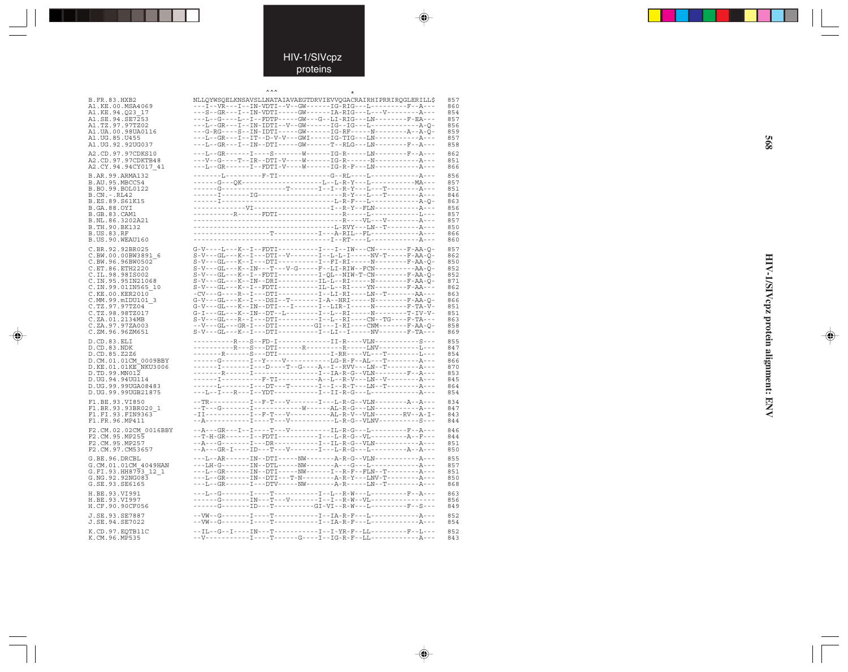### HIV-1/SIVcpz proteins

 $\bigoplus$ 

 $\Rightarrow$ 

 $\color{red}\bigoplus$ 

| B.FR.83.HXB2                                            | NLLOYWSOELKNSAVSLLNATAIAVAEGTDRVIEVVOGACRAIRHIPRRIROGLERILL\$                                                                                                                                                                                                                                                                                                                                                                           |
|---------------------------------------------------------|-----------------------------------------------------------------------------------------------------------------------------------------------------------------------------------------------------------------------------------------------------------------------------------------------------------------------------------------------------------------------------------------------------------------------------------------|
| A1.KE.00.MSA4069                                        | ---I--VR---I--IN-VDTI--V--GW------IG-RIG---L-------F--A---                                                                                                                                                                                                                                                                                                                                                                              |
| A1.KE.94.O23 17                                         | ---S--GR---I--IN-VDTI-----GW------IA-RIG---L---V--------A---                                                                                                                                                                                                                                                                                                                                                                            |
| $\texttt{AI}.\texttt{SE}.94.\texttt{SE}7\overline{2}53$ | ---L--G----L--I--FDTP-----GW---G--LI-RIG---LN--------F-EA---                                                                                                                                                                                                                                                                                                                                                                            |
| A1.TZ.97.97TZ02                                         |                                                                                                                                                                                                                                                                                                                                                                                                                                         |
| A1.UA.00.98UA0116                                       | ---G-RG----S--IN-IDTI-----GW------IG-RF-----N-------A--A-Q-                                                                                                                                                                                                                                                                                                                                                                             |
| A1.UG.85.U455                                           |                                                                                                                                                                                                                                                                                                                                                                                                                                         |
| A1.UG.92.92UG037                                        | ---L--GR---I--IN--DTI-----GW------T--RLG---LN-------F--A---                                                                                                                                                                                                                                                                                                                                                                             |
|                                                         |                                                                                                                                                                                                                                                                                                                                                                                                                                         |
| A2.CD.97.97CDKS10                                       | ---L--GR------I----S--------W------IG-R-----LN--------F--A---                                                                                                                                                                                                                                                                                                                                                                           |
| A2.CD.97.97CDKTB48                                      |                                                                                                                                                                                                                                                                                                                                                                                                                                         |
| A2.CY.94.94CY017 41                                     | ---L--GR-------I--FDTI-V----W------IG-R-F---LN------------A---                                                                                                                                                                                                                                                                                                                                                                          |
| B.AR.99.ARMA132                                         | -------L---------F-TI------------G--RL----L---------------A---                                                                                                                                                                                                                                                                                                                                                                          |
| B.AU.95.MBCC54                                          |                                                                                                                                                                                                                                                                                                                                                                                                                                         |
| B.BO.99.BOL0122                                         | ------G-----------------T------I--I--R-Y---L---T----------A---                                                                                                                                                                                                                                                                                                                                                                          |
| B.CN.-.RL42                                             |                                                                                                                                                                                                                                                                                                                                                                                                                                         |
| B.ES.89.S61K15                                          |                                                                                                                                                                                                                                                                                                                                                                                                                                         |
| B.GA.88.OYI                                             |                                                                                                                                                                                                                                                                                                                                                                                                                                         |
| B.GB.83.CAM1                                            |                                                                                                                                                                                                                                                                                                                                                                                                                                         |
| B.NL.86.3202A21                                         |                                                                                                                                                                                                                                                                                                                                                                                                                                         |
| B.TH.90.BK132                                           |                                                                                                                                                                                                                                                                                                                                                                                                                                         |
| B.US.83.RF                                              |                                                                                                                                                                                                                                                                                                                                                                                                                                         |
| B.US.90.WEAU160                                         |                                                                                                                                                                                                                                                                                                                                                                                                                                         |
|                                                         |                                                                                                                                                                                                                                                                                                                                                                                                                                         |
| C.BR.92.92BR025                                         | G-V----L---K--I--FDTI----------I---IW---CN-------F-AA-O-                                                                                                                                                                                                                                                                                                                                                                                |
| C.BW.00.00BW3891 6                                      | $S-V--GL---K--I---DTI--V---I--L-L-L-----NV-T---F-AA-O-$                                                                                                                                                                                                                                                                                                                                                                                 |
| C.BW.96.96BW0502                                        | S-V---GL---K--I---DTI-----------FI-RI-----N-------F-AA-O-                                                                                                                                                                                                                                                                                                                                                                               |
| C.ET.86.ETH2220                                         | $S-V--GL---K--IN---T---V-G---F--LI-RIW--FCN------AA-Q-$                                                                                                                                                                                                                                                                                                                                                                                 |
| C.IL.98.98IS002                                         | $S-V--GL--K--I--FDTI------I-QL--NIW-T-CN-----F-AA-Q-$                                                                                                                                                                                                                                                                                                                                                                                   |
| C.IN.95.95IN21068                                       | S-V---GL---K--IN--DRI----------IL-L--RI-----N--------F-AA-O-                                                                                                                                                                                                                                                                                                                                                                            |
| C.IN.99.01IN565 10                                      | $S-V---GL---K---FDTI------I-L--RI---RI---YN----P-AA---$                                                                                                                                                                                                                                                                                                                                                                                 |
| C.KE.00.KER2010                                         |                                                                                                                                                                                                                                                                                                                                                                                                                                         |
| C.MM.99.mIDU101 3                                       | G-V---GL---K--I---DSI--T-------I-A--HRI-----N-------F-AA-Q-                                                                                                                                                                                                                                                                                                                                                                             |
| C.TZ.97.97TZ04                                          | G-V---GL---K--IN--DTI---I-------I--LIR-I-----N-------F-TA-V-                                                                                                                                                                                                                                                                                                                                                                            |
| C.TZ.98.98TZ017                                         |                                                                                                                                                                                                                                                                                                                                                                                                                                         |
| C.ZA.01.2134MB                                          |                                                                                                                                                                                                                                                                                                                                                                                                                                         |
| C.ZA.97.97ZA003                                         |                                                                                                                                                                                                                                                                                                                                                                                                                                         |
|                                                         | --V---GL---GR-I---DTI--------GI---I-RI----CNM-------F-AA-Q-                                                                                                                                                                                                                                                                                                                                                                             |
| C.ZM.96.96ZM651                                         | $S-V--GL--K--I---DTI-----I--LI--LI--I---NV-----F-Th---$                                                                                                                                                                                                                                                                                                                                                                                 |
| D.CD.83.ELI                                             | ----------R---S--FD-I-------------II-R----VLN------------S---                                                                                                                                                                                                                                                                                                                                                                           |
| D.CD.83.NDK                                             | -----------R---S---DTI-------R---------R------LNV-----------L---                                                                                                                                                                                                                                                                                                                                                                        |
| D.CD.85.Z2Z6                                            | -------R------S---DTI-------------I-RR----VL---T---------L---                                                                                                                                                                                                                                                                                                                                                                           |
| D.CM.01.01CM 0009BBY                                    |                                                                                                                                                                                                                                                                                                                                                                                                                                         |
| D.KE.01.01KE <sup>-</sup> NKU3006                       | ------I-------I---D----T--G----A--I--RVV---LN--T---------A---                                                                                                                                                                                                                                                                                                                                                                           |
| D.TD.99.MN012                                           | -------R------I----------------I--IA-R-G--VLN--------F--A---                                                                                                                                                                                                                                                                                                                                                                            |
| D.UG.94.94UG114                                         |                                                                                                                                                                                                                                                                                                                                                                                                                                         |
| D.UG.99.99UGA08483                                      | ------L-------I---DT---T--------I---R-T---LN--T--------A---                                                                                                                                                                                                                                                                                                                                                                             |
| D.UG.99.99UGB21875                                      | ---L--I---R---I--YDT-----------I--II-R-G---L-------------A---                                                                                                                                                                                                                                                                                                                                                                           |
|                                                         |                                                                                                                                                                                                                                                                                                                                                                                                                                         |
| F1.BE.93.VI850                                          | --TR----------I--F-T---V-------I---L-R-G--VLN--------A--A---                                                                                                                                                                                                                                                                                                                                                                            |
| F1.BR.93.93BR020 1                                      |                                                                                                                                                                                                                                                                                                                                                                                                                                         |
| F1.FI.93.FIN9363                                        | $-{\hbox{\tt II}}-{\hbox{\tt --}}-{\hbox{\tt --}}-{\hbox{\tt --}}-{\hbox{\tt --}}-{\hbox{\tt .}}-{\hbox{\tt .}}-{\hbox{\tt .}}-{\hbox{\tt .}}-{\hbox{\tt .}}-{\hbox{\tt --}}-{\hbox{\tt --}}-{\hbox{\tt --}}-{\hbox{\tt --}}-{\hbox{\tt .}}-{\hbox{\tt .}}-{\hbox{\tt .}}-{\hbox{\tt .}}-{\hbox{\tt .}}-{\hbox{\tt .}}-{\hbox{\tt .}}-{\hbox{\tt .}}-{\hbox{\tt .}}-{\hbox{\tt .}}-{\hbox{\tt .}}-{\hbox{\tt .}}-{\hbox{\tt .}}-{\hbox$ |
| F1.FR.96.MP411                                          |                                                                                                                                                                                                                                                                                                                                                                                                                                         |
| F2.CM.02.02CM 0016BBY                                   |                                                                                                                                                                                                                                                                                                                                                                                                                                         |
|                                                         |                                                                                                                                                                                                                                                                                                                                                                                                                                         |
| F2.CM.95.MP255                                          | --T-H-GR------I--FDTI---------I---L-R-G--VL-----------A--F---                                                                                                                                                                                                                                                                                                                                                                           |
| F2.CM.95.MP257                                          | --A---G-------I---DR-----------I--IL-R-G--VLN------------A---                                                                                                                                                                                                                                                                                                                                                                           |
| F2.CM.97.CM53657                                        | --A---GR-I----ID---T---V-------I---L-R-G---L-------------A--A---                                                                                                                                                                                                                                                                                                                                                                        |
| G.BE.96.DRCBL                                           | ---L--AR------IN--DTI-----NW-------A-R-G--VLN---------A---                                                                                                                                                                                                                                                                                                                                                                              |
| G.CM.01.01CM 4049HAN                                    |                                                                                                                                                                                                                                                                                                                                                                                                                                         |
| G.FI.93.HH8793 12 1                                     | ---L--GR------IN--DTI-----NW------I--R-F--FLN--T-------A---                                                                                                                                                                                                                                                                                                                                                                             |
| G.NG.92.92NG083                                         | ---L--GR------IN--DTI---T-N--------A-R-Y---LNV-T--------A---                                                                                                                                                                                                                                                                                                                                                                            |
| G.SE.93.SE6165                                          | ---L--GR--------DTV-----NW--------A-R------LN--T--------A---                                                                                                                                                                                                                                                                                                                                                                            |
|                                                         |                                                                                                                                                                                                                                                                                                                                                                                                                                         |
| H.BE.93.VI991                                           | ---L--G-------I----T-----------I--L--R-W---L----------F--A---                                                                                                                                                                                                                                                                                                                                                                           |
| H.BE.93.VI997                                           | ------G-------IN---T---V-------I--I--R-W--VL---------------                                                                                                                                                                                                                                                                                                                                                                             |
| H.CF.90.90CF056                                         | ------G-------ID---T----------GI-VI--R-W---L----------F--S---                                                                                                                                                                                                                                                                                                                                                                           |
|                                                         |                                                                                                                                                                                                                                                                                                                                                                                                                                         |
| J.SE.93.SE7887                                          |                                                                                                                                                                                                                                                                                                                                                                                                                                         |
| J.SE.94.SE7022                                          |                                                                                                                                                                                                                                                                                                                                                                                                                                         |
| K.CD.97.EOTB11C                                         | --IL--G--I----IN---T-----------I--YR-F--LL--------F--L---                                                                                                                                                                                                                                                                                                                                                                               |
| K.CM.96.MP535                                           |                                                                                                                                                                                                                                                                                                                                                                                                                                         |
|                                                         |                                                                                                                                                                                                                                                                                                                                                                                                                                         |

**HIV-1/SIVcpz protein alignment: ENV 568** HIV-1/SIVcpz protein alignment: ENV

 $\Rightarrow$ 

**S68**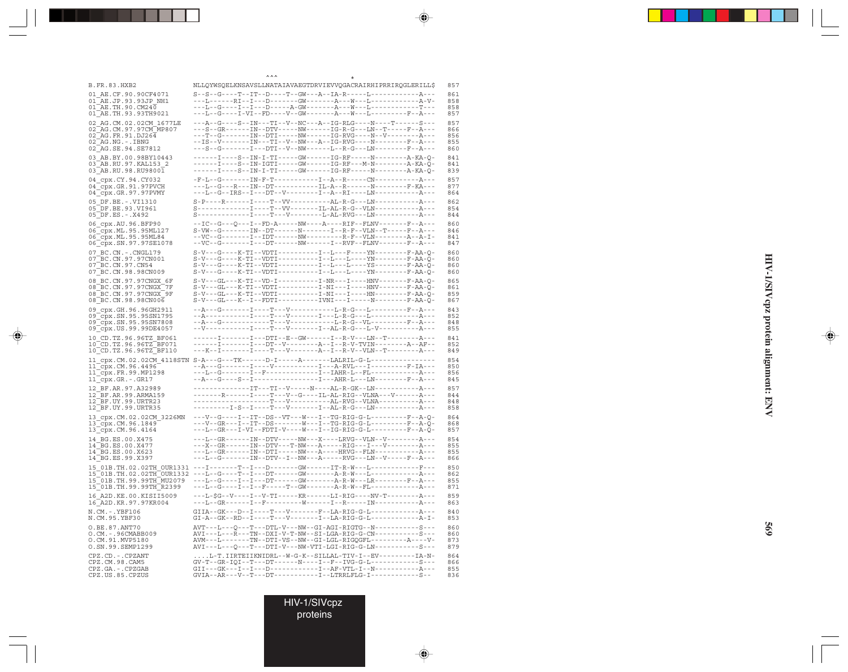\* ^^ \*\*\*<br>B.FR.83.HXB2 NLLQYWSQELKNSAVSLLNATAIAVAEGTDRVIEVVQGACRAIRHIPRRIRQGLERILL\$ 857 01\_AE.CF.90.90CF4071 S--S--G----T--IT--D----T--GW---A--IA-R-----L------------A--- 861 01\_AE.JP.93.93JP\_NH1 ---L------RI--I---D-------GW-------A---W---L------------A-V- 858  $01^-\text{AE}.TH.90. \text{CM}24\overline{0}\qquad \qquad---L--G---I--I--D----A-GW----A--W---N---I---------T----~~858$   $01^-\text{AE}.TH.93.93^+\text{TH}9021 \qquad \qquad---L--G---I-VI--FD---V--GW----A---W---N---W---I------------~~858$  $-\, -\, -\, L -\, -\, G -\, -\, -\, I - V\, I -\, -\, FD -\, -\, -\, V -\, -\, GW -\, -\, -\, -\, -\, A -\, -\, W -\, -\, L -\, -\, -\, -\, -\, -\, -\, F -\, -\, A -\, -\, -\, F$ 02\_AG.CM.02.02CM\_1677LE ---A--G----S--IN---TI--V--NC---A--IG-RLG----N----T-----S--- 857<br>02\_AG.CM.97.97CM\_MP807 ---S--GR------IN--DTV-----NM------IG-R-G---IN--T-----F--A-- 866 02\_AG.CM.97.97CM\_MP807 ---S--GR------IN--DTV-----NW------IG-R-G---LN--T-----F--A--- 866 02\_AG.FR.91.DJ264 ---T--G-------IN--DTI-----NW------IG-RVG----N--V--------A--- 856 02\_AG.NG.-.IBNG --IS--V-------IN---TI--V--NW---A--IG-RVG----N--------F--A--- 855<br>02\_AG.SE.94.SE7812 ---S--G------I---DTI--V--NW------L--R-G---LN--------F--A-- 860 ---S--G-------I---DTI--V--NW------L--R-G---LN--------F--A---03\_AB.BY.00.98BY10443 ------I----S--IN-I-TI-----GW------IG-RF-----N--------A-KA-Q- 841 03\_AB.RU.97.KAL153\_2 -----I----S--IN-IGTI-----GW------IG-RF---M-N--------A-KA-Q- 841<br>03\_AB.RU.98.RU9800I -----I----S--IN-I-TI-----GW------IG-RF-----N--------A-KA-Q- 839 04\_cpx.CY.94.CY032 -F-L--G-------IN-F-T-----------I--A--R-----CN------------A--- 857<br>04\_cpx.GR.91.97PVCH ---L--G---R---IN--DT-----------IL-A--R------N--------F-KA--- 877 04<sup>-</sup>cpx.GR.91.97PVCH ---L--G---R---IN--DT-----------IL-A--R------N---------F-KA--- 877<br>04<sup>-</sup>cpx.GR.97.97PVMY ---L--G--IRS--I---DT--V--------I--A--RI----LM------------A-- 864 ---L--G--IRS--I---DT--V--------I--A--RI----LN-------------A---05\_DF.BE.-.VI1310 S-P----R------I----T--VV----------AL-R-G---LN-----------A--- 862 05\_DF.BE.93.VI961 S-------------I----T--VV-------IL-AL-R-G--VLN-----------A--- 854 05\_DF.ES.-.X492 S-------------I----T---V--------L-AL-RVG---LN-----------A--- 844 06\_cpx.AU.96.BFP90 --IC--G---Q---I--FD-A-----NW----A----RIF--FLNV-------F--A--- 860<br>06\_cpx.ML.95.95ML127 S-VW--G-------IN--DT------N------I--R-F--VLN--T-----F--A--- 846 06\_cpx.ML.95.95ML127 S-VW--G-------IN--DT------N-------I--R-F--VLN--T-----F--A--- 846<br>06\_cpx.ML.95.95ML84 --VC--G------I--IDT------NW----------R-F--VLN---------A--A-I- 841 06\_cpx.ML.95.95ML84 --VC--G-------I--IDT------NW---------R-F--VLN---------A--A-I- 841<br>06\_cpx.SN.97.97SE1078 --VC--G-------I---DT------NW------I--RVF--FLNV-------F--A--- 847 06\_cpx.SN.97.97SE1078 --VC--G-------I---DT------NW------I--RVF--FLNV-------F--A--- 847 07\_BC.CN.-.CNGL179 S-V---G----K-TI--VDTI----------I--L---F----YN--------F-AA-Q- 860 07\_BC.CN.97.97CN001 S-V---G----K-TI--VDTI----------I--L---L----YN--------F-AA-Q- 860 07\_BC.CN.97.CN54 <br>07\_BC.CN.98.98CN009 <br>07\_BC.CN.98.98CN009 <br>8-V---G----K-TI--VDTI----------I--L----L--------F-AA-Q- 860 07\_BC.CN.98.98CN009 S-V---G----K-TI--VDTI----------I--L---L----YN--------F-AA-Q- 860 08\_BC.CN.97.97CNGX\_6F S-V---GL---K-TI--VD-I----------I-NR---I----HNV-------F-AA-Q- 865 08\_BC.CN.97.97CNGX\_7F S-V---GL---K-TI--VDTI----------I-NI---I----HNV-------F-AA-Q- 861 08\_BC.CN.97.97CNGX\_9F S-V---GL---K-TI--VDTI----------I-NI---I----HN--------F-AA-Q- 859  $S-V--GL--K--I-FDTL-----T-IVNI---I---N---N---N---F-AA-Õ-$ 09\_cpx.GH.96.96GH2911 --A---G-------I----T---V-----------L-R-G---L---------F--A--- 843 09\_cpx.SN.95.95SN1795 --A-----------I----T---V-------I---L-R-G---L------------A--- 852 09\_cpx.SN.95.95SN7808 --A---G------------T---V-----------L-R-G--VL---------F--A--- 848 09<sup>-</sup>cpx.US.99.99DE4057 --V---------I---T---V-------I--AL-R-G--L-V-------------A--- 855 10 CD.TZ.96.96TZ\_BF061 ------I-------I---DTI--E--GW------I--R-V---LN--T--------A--- 841<br>10<sup>-</sup>CD.TZ.96.96TZ<sup>-</sup>BF071 ------I------I---DT--V--------A--I--R-V-TVIN--------A--AF-- 852  $\begin{array}{cccc} 10^- \text{CD}. \text{TZ}. 96.96 \text{TZ}^- \text{BFO71} & ----\text{I}---\text{I}---\text{I}--\text{DT}-\text{V}---\text{I}-\text{A}-\text{I}-\text{R}-\text{V}-\text{T} \text{VIN}---\text{A}-\text{A}\text{F}-& 852 \\ 10^- \text{CD}. \text{TZ}. 96.96 \text{TZ}^- \text{BFI10} & ---\text{K}-\text{I}---\text{I}---\text{I}---\text{I}--\text{T}-\text{V}---\text{A}-\text{A}-\text{I}-$ 10\_CD.TZ.96.96TZ\_BF110 ---K--I-------I----T---V-------A--I--R-V--VLN--T--------A--- 849 11\_cpx.CM.02.02CM\_4118STN S-A---G---TK------D-I-----A-------LALRIL-G-L---------------- 854 11\_cpx.CM.96.4496 --A---G-------I----V-----------I---A-RVL---I---------F-IA--- 850 11\_cpx.FR.99.MP1298 ---L--G-------I--F-------------I--IAHR-L--FL------------A--- 856 11\_cpx.GR.-.GR17 --A---G----S--I-----------------I---AHR-L---LN---------F--A--- 845 12\_BF.AR.97.A32989 --------------IT---TI--V-----N----AL-R-GK--LN-----------A--- 857 12\_BF.AR.99.ARMA159 -------R------I----T---V--G----IL-AL-RIG--VLNA---V------A--- 844 12\_BF.UY.99.URTR23 -------------------T---V----------AL-RVG--VLNA----------A--- 848 12\_BF.UY.99.URTR35 ---------I-S--I----T---V-------I--AL-R-G---LN-----------A--- 858 13\_cpx.CM.02.02CM\_3226MN ---V--G----I--IT--DS--VT---W---I--TG-RIG-G-L---------F--A-Q- 864 13\_cpx.CM.96.1849 ---V--GR---I--IT--DS--------W---I--TG-RIG-G-L----------F--A-Q-<br>13\_cpx.CM.96.4164 ---L--GR---I-VI--FDTI-V----W---I--IG-RIG-G-L----------F--A-Q- 857 13\_cpx.CM.96.4164 ---L--GR---I-VI--FDTI-V----W---I--IG-RIG-G-L---------F--A-Q- 857 14\_BG.ES.00.X475 ----L--GR------IN--DTV-----NW---X-----LRVG--VLN--V---------A--- 854<br>14\_BG.ES.00.X477 ----X--GR------IN--DTV---T-NW---A-----RIG---I---V---------A--- 855 14\_BG.ES.00.X477 ---X--GR------IN--DTV---T-NW---A-----RIG---I---V--------A--- 855 14\_BG.ES.00.X623 ---L--GR------IN--DTI-----NW---A----HRVG--FLN-----------A--- 855 14\_BG.ES.99.X397 ---L--G-------IN--DTV--I--NW---A-----RVG---LN--V-----F--A--- 866 15\_01B.TH.02.02TH\_OUR1331 ---I-------T--I---D-------GW------IT-R-W---L------------F--- 850 15<sup>-</sup>01B.TH.02.02TH<sup>-</sup>OUR1332 ---L--G----T--I---DT------GW-------A-R-W---L--------------A--- 862<br>15<sup>-</sup>01B.TH.99.99TH<sup>-</sup>MU2079 ---L--G----I--I---DT------GW-------A-R-W---LR--------F--A--- 855 15<sup>\_</sup>01B.TH.99.99TH\_MU2079 ---L--G----I--I---DT------GW-------A-R-W---LR--------F--A--- 855<br>15\_01B.TH.99.99TH\_R2399 ---L--G----I--I--F-----T--GW-------A-R-W--FL-------------------- 871  $\hskip177pt\hskip177pt\bullet\hskip177pt\hskip177pt\bullet\hskip177pt\hskip177pt G\hskip177pt\to\hskip177pt\hskip177pt\bullet\hskip177pt I\hskip177pt\to\hskip177pt\hskip177pt F\hskip177pt\to\hskip177pt\hskip177pt\to\hskip177pt G\hskip177pt\to\hskip177pt\hskip177pt\to\hskip177pt G\hskip177pt\to\hskip177pt\hskip177pt\to\hskip177pt\hskip177pt\to\hskip177pt\h$ 16\_A2D.KE.00.KISII5009 ---L-\$G--V----I--V-TI-----KR------LI-RIG----NV-T--------A--- 859 16\_A2D.KR.97.97KR004 ---L--GR------I--F---------W------I--R-----IN-----------A--- 863 N.CM.-.YBF106 GIIA--GK---D--I----T---V-------F--LA-RIG-G-L------------A--- 840 N.CM.95.YBF30 GI-A--GK--RD--I----T---V-------I--LA-RIG-G-L------------A-I- 853 O.BE.87.ANT70 AVT---L---Q---T---DTL-V---NW--GI-AGI-RIGTG--N-----------S--- 860 O.CM.-.96CMABB009 AVI---L---R---TN--DXI-V-T-NW--SI-LGA-RIG-G-CN-----------S--- 860 O.CM.91.MVP5180 AVM---L-------TN--DTI-VS--NW--GI-LGL-RIGQGFL---------A----V- 873 O.SN.99.SEMP1299 AVI---L---Q---T---DTI-V---NW-VTI-LGI-RIG-G-LN-----------S--- 879  $CPZ.CD. - .CPZANT$   $... L-T. IIRTEIIKNIDRL--W-G-K--SILLAL-TIV-I--EV-----I-A-N- 864$ <br> $CPZ.CM.98.CAM5$   $GV-T--GR-IOL--T--DT----N---I-F--IVG-G-L------S--- 866$ CPZ.CM.98.CAM5 GV-T--GR-IQI--T---DT------N----I--F--IVG-G-L------------S--- 866 CPZ.GA.-.CPZGAB GII---GK---I--I---D------------I--AF-VTL-I--N-----------A--- 855  $GVIA--AR---V--T---DT----------I--LTRRLFLG-I--------------S--$ 

HIV-1/SIVcpz

proteins

HIV-1/SIVcpz protein alignment: **HIV-1/SIVcpz protein alignment: ENV ENV** 

◈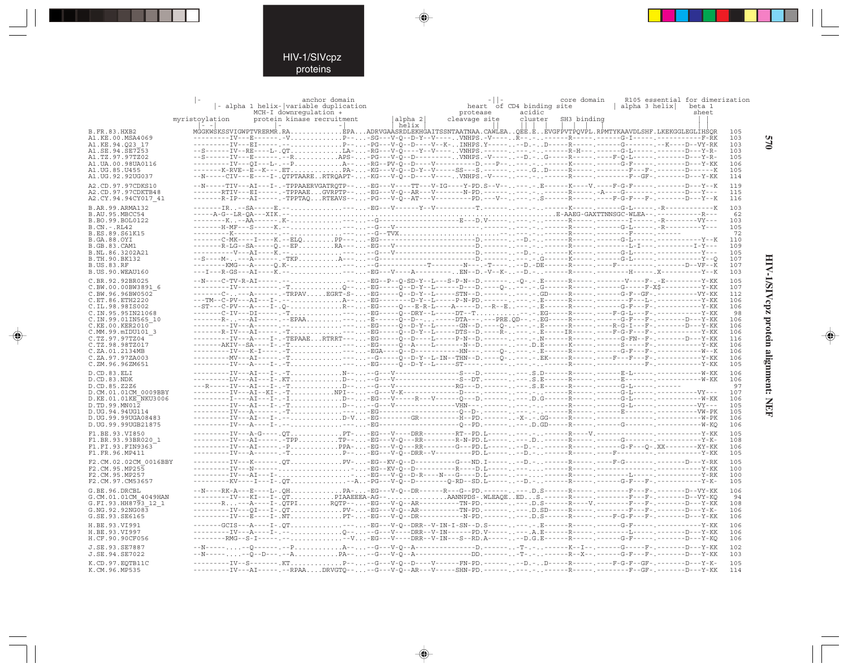$\begin{picture}(20,5) \put(0,0){\line(1,0){10}} \put(15,0){\line(1,0){10}} \put(15,0){\line(1,0){10}} \put(15,0){\line(1,0){10}} \put(15,0){\line(1,0){10}} \put(15,0){\line(1,0){10}} \put(15,0){\line(1,0){10}} \put(15,0){\line(1,0){10}} \put(15,0){\line(1,0){10}} \put(15,0){\line(1,0){10}} \put(15,0){\line(1,0){10}} \put(15,0){\line(1,$ 

|                                           |                                           | - alpha 1 helix- variable duplication<br>MCH-I downregulation +                     | anchor domain |                   | protease      | heart of CD4 binding site<br>acidic | core domain<br>alpha 3 helix                                                                                                                                                                                            | R105 essential for dimerization<br>beta 1<br>sheet |
|-------------------------------------------|-------------------------------------------|-------------------------------------------------------------------------------------|---------------|-------------------|---------------|-------------------------------------|-------------------------------------------------------------------------------------------------------------------------------------------------------------------------------------------------------------------------|----------------------------------------------------|
|                                           | myristoylation<br>$\vert - \vert - \vert$ | protein kinase recruitment                                                          |               | alpha 2 <br>helix | cleavage site | cluster                             | SH3 binding                                                                                                                                                                                                             |                                                    |
| <b>B.FR.83.HXB2</b><br>A1.KE.00.MSA4069   |                                           |                                                                                     |               |                   |               |                                     | MGGKWSKSSVIGWPTVRERMR.RAEPAADRVGAASRDLEKHGAITSSNTAATNAA.CAWLEAOEE.EEVGFPVTPOVPL.RPMTYKAAVDLSHF.LKEKGGLEGLIHSOR                                                                                                          | 105<br>103                                         |
| A1.KE.94.023 17                           |                                           |                                                                                     |               |                   |               |                                     | ---------IV---BI-----.--P---PG---V-O--D----V--K-INHPS.Y-------D.-D----R-----.C-----G-------.--K----D--VY-RK<br>--S------IV--RE----L-.QTLA--RG---V-Q----Y--V----VNHPS.---------------R-H---.------G-L------D---Y-R-      | 103                                                |
| A1.SE.94.SE7253<br>A1.TZ.97.97TZ02        |                                           |                                                                                     |               |                   |               |                                     | --S------IV---E------.--RAPS--PG---V-O--D---------VNHPS.-V------D.-G-----R-----.-----P-O-L------,-------D---Y-R-                                                                                                        | 103<br>105                                         |
| A1.UA.00.98UA0116<br>A1.UG.85.U455        |                                           |                                                                                     |               |                   |               |                                     |                                                                                                                                                                                                                         | 106<br>105                                         |
| A1.UG.92.92UG037                          |                                           |                                                                                     |               |                   |               |                                     | ---I-.QTPTAARERTRQAPT--KG---V-Q--D----V----VNHPS.-V-------.-------R-----.-------F--GF-.------D---Y-KK                                                                                                                   | 114                                                |
| A2.CD.97.97CDKS10                         |                                           |                                                                                     |               |                   |               |                                     | --N-----TIV---AI---I-.-TPPAAERVGATRQTP---EG---V----TT---V-IG----Y-PD.S--V------.E------K----V.----F-G-F---<br>--RTIV---EI-----.-TPPAAEGVRPTP---EG---V-Q--AR---V--------N-PD.---------.--.R-----R-----.-A----G-------.-- | 119<br>115                                         |
| A2.CD.97.97CDKTB48<br>A2.CY.94.94CY017 41 |                                           |                                                                                     |               |                   |               |                                     |                                                                                                                                                                                                                         | 116                                                |
| B.AR.99.ARMA132                           |                                           |                                                                                     |               |                   |               |                                     | IR--SA-----E.------EG---V------Y--V---------T.-------------K-----.G-L------R---------------K                                                                                                                            | 103                                                |
| B.AU.95.MBCC54<br>B.BO.99.BOL0122         |                                           |                                                                                     |               |                   |               |                                     |                                                                                                                                                                                                                         | 62<br>103                                          |
| $B.CN.-.RL42$                             |                                           |                                                                                     |               |                   |               |                                     |                                                                                                                                                                                                                         | 105                                                |
| B.ES.89.S61K15<br><b>B.GA.88.OYI</b>      |                                           |                                                                                     |               |                   |               |                                     |                                                                                                                                                                                                                         | 72<br>110                                          |
| <b>B.GB.83.CAM1</b><br>B.NL.86.3202A21    |                                           |                                                                                     |               |                   |               |                                     |                                                                                                                                                                                                                         | 109<br>105                                         |
| B. TH. 90. BK132                          |                                           |                                                                                     |               |                   |               |                                     |                                                                                                                                                                                                                         | 107                                                |
| <b>B.US.83.RF</b><br>B.US.90.WEAU160      |                                           |                                                                                     |               |                   |               |                                     |                                                                                                                                                                                                                         | 107<br>103                                         |
| C.BR.92.92BR025                           |                                           |                                                                                     |               |                   |               |                                     | . - - - - -BG--P--O-SD-Y--L---S-P-N--D. ------ -O-. - . E------R-------V-----F-. -E----------Y-KK                                                                                                                       | 105                                                |
| C.BW.00.00BW3891 6                        |                                           |                                                                                     |               |                   |               |                                     | ---------IV----------.-T0---EG-----Õ--D-Y--L------D---D.----0-----.G-----R------G-----F-X\$----------Y-KK                                                                                                               | 107                                                |
| C.BW.96.96BW0502<br>C.ET.86.ETH2220       |                                           |                                                                                     |               |                   |               |                                     | -------C----A------.-TRPAVBGRT-S--EG-----O--D-Y--L-----STN--D.------OD----R-----.---G-F--GF-.---------VY-KK                                                                                                             | 112<br>106                                         |
| C.IL.98.98IS002                           |                                           |                                                                                     |               |                   |               |                                     | --ST---C-PV---A----I-.Q-R---EG-----Q---E-R-L----A-----D.--R--E---B------R-----.C-P---F-.---------------Y-KK<br>-------C-IV---DI-------T-----EG-----Q--DRY--L-----DT--T--.-.EG-----R--------F-G-L---F-.------------Y-KK  | 106                                                |
| C.IN.95.95IN21068<br>C.IN.99.01IN565 10   |                                           |                                                                                     |               |                   |               |                                     | -------R----AI-----.--EPAA-----E------Q--D-------DTA---.---PRE.QD--.-.BG-----R-----.----G-F---F-.------D---Y-KK                                                                                                         | 98<br>106                                          |
| C.KE.00.KER2010<br>C.MM.99.mIDU101 3      |                                           |                                                                                     |               |                   |               |                                     | ------R-IV---AI-----.-T----EG-----O--D-Y--L-----DTS--D.----R----.IR-----.C---F-G-F---F-.----------Y-KK                                                                                                                  | 106<br>106                                         |
| C.TZ.97.97TZ04                            |                                           |                                                                                     |               |                   |               |                                     | --------IV---A----I-.-TEPAAERTRRT----EG-----Q--D----L-----P-N--D.---------.--R-----R--------G-FN--F-.------D---Y-KK                                                                                                     | 116                                                |
| C.TZ.98.98TZ017<br>C.ZA.01.2134MB         |                                           | -------AKIV--SA----I-.-TEG-----O--A----L-------N--D.---------.D.E------K---------S- |               |                   |               |                                     | ---------IV---K-I----.-T-----EGA----O--D------------HN---.----O----E-----R-----.C-F----G-F---F-.---------------W--K                                                                                                     | 106<br>106                                         |
| C.ZA.97.97ZA003                           |                                           |                                                                                     |               |                   |               |                                     |                                                                                                                                                                                                                         | 106                                                |
| C.ZM.96.96ZM651                           |                                           |                                                                                     |               |                   |               |                                     |                                                                                                                                                                                                                         | 105                                                |
| D.CD.83.ELI<br>D.CD.83.NDK                |                                           |                                                                                     |               |                   |               |                                     |                                                                                                                                                                                                                         | 106<br>106                                         |
| D.CD.85.Z2Z6<br>D.CM.01.01CM 0009BBY      |                                           |                                                                                     |               |                   |               |                                     |                                                                                                                                                                                                                         | 97<br>107                                          |
| D.KE.01.01KE NKU3006                      |                                           |                                                                                     |               |                   |               |                                     |                                                                                                                                                                                                                         | 106                                                |
| D.TD.99.MN012<br>D.UG.94.94UG114          |                                           |                                                                                     |               |                   |               |                                     |                                                                                                                                                                                                                         | 105<br>105                                         |
| D.UG.99.99UGA08483                        |                                           |                                                                                     |               |                   |               |                                     |                                                                                                                                                                                                                         | 106                                                |
| D.UG.99.99UGB21875                        |                                           |                                                                                     |               |                   |               |                                     |                                                                                                                                                                                                                         | 106                                                |
| F1.BE.93.VI850<br>F1.BR.93.93BR020 1      |                                           |                                                                                     |               |                   |               |                                     |                                                                                                                                                                                                                         | 105<br>108                                         |
| F1.FI.93.FIN9363<br>F1.FR.96.MP411        |                                           |                                                                                     |               |                   |               |                                     | ---------IV---AI-------PPPA-----EG---V-Q---RR--------G---PD.L--------D.--------R-------G--F---O-.XX---------XY-KK                                                                                                       | 106<br>105                                         |
| F2.CM.02.02CM 0016BBY                     |                                           |                                                                                     |               |                   |               |                                     | ---------IV---K------.QTPV--EG--KV-Q--D---------G---ND.I-------D.-------R-----.F-G--------D-----D----P-----D-----                                                                                                       | 105                                                |
| F2.CM.95.MP255                            |                                           |                                                                                     |               |                   |               |                                     |                                                                                                                                                                                                                         | 100                                                |
| F2.CM.95.MP257<br>F2.CM.97.CM53657        |                                           |                                                                                     |               |                   |               |                                     |                                                                                                                                                                                                                         | 100<br>105                                         |
| G.BE.96.DRCBL                             |                                           |                                                                                     |               |                   |               |                                     | --N----RK-A---E----L-.QHPA--EG---V-Q--DR------R---G--PD.---------.D.S------R-----,------------------------D--VY-KK                                                                                                      | 106                                                |
| G.CM.01.01CM 4049HAN                      |                                           |                                                                                     |               |                   |               |                                     | -------R---A----I-.QTPIRQTP---EG---V-Q--AR----------TN-PD.------D.S------R----V.-----------F--F-.------D---Y-KK                                                                                                         | 94<br>108                                          |
| G.FI.93.HH8793 12 1<br>G.NG.92.92NG083    |                                           |                                                                                     |               |                   |               |                                     |                                                                                                                                                                                                                         | 106                                                |
| G.SE.93.SE6165                            |                                           |                                                                                     |               |                   |               |                                     |                                                                                                                                                                                                                         | 106                                                |
| H.BE.93.VI991<br>H.BE.93.VI997            |                                           |                                                                                     |               |                   |               |                                     | ---------IV---A----I-.--Q----G---V----DRR--V-IN------PD.V--------.A.E------R-----.F-------L-------D----D---Y-KK                                                                                                         | 106<br>106                                         |
| H.CF.90.90CF056                           |                                           |                                                                                     |               |                   |               |                                     | --------RMG--S-I-----.-----V-EG---V----DRR--V-IN---S--RD.A-------D.G.E------R----- <sub>-</sub> ------G-F----- <sub>-</sub> -------D---Y-KO                                                                             | 106                                                |
| J.SE.93.SE7887<br>J.SE.94.SE7022          |                                           |                                                                                     |               |                   |               |                                     | -Q------.--PA----G---V-Q--A---------------D.--------T-.------K--I--.-------G-----F-<br>----Õ--D---.--APA---G---V-Õ--A------------DD.-------T-.------R--X--.-----G-F---F-.-------D---Y-KK                                | 102<br>103                                         |
| K.CD.97.EOTB11C                           |                                           |                                                                                     |               |                   |               |                                     | ---------IV--S-------.KTP----G---V-Q--D----V------FN-PD.--------D.-D-----R---------F-G-F--GF-.-------D---Y-K-                                                                                                           | 105                                                |
| K.CM.96.MP535                             |                                           |                                                                                     |               |                   |               |                                     | --------IV---AI-----.--RPAADRVGTQ----G---V-Q--AR---V-----SHN-PD.-------------R-----R-----F--GF-.------D---Y-KK                                                                                                          | 114                                                |

 $\blacklozenge$ 

 $\Rightarrow$ 

570

HIV-1/SIVcpz protein alignment: NEF

 $\begin{picture}(20,5) \put(0,0){\line(1,0){10}} \put(15,0){\line(1,0){10}} \put(15,0){\line(1,0){10}} \put(15,0){\line(1,0){10}} \put(15,0){\line(1,0){10}} \put(15,0){\line(1,0){10}} \put(15,0){\line(1,0){10}} \put(15,0){\line(1,0){10}} \put(15,0){\line(1,0){10}} \put(15,0){\line(1,0){10}} \put(15,0){\line(1,0){10}} \put(15,0){\line(1,$ 

 $\overline{\phantom{0}}$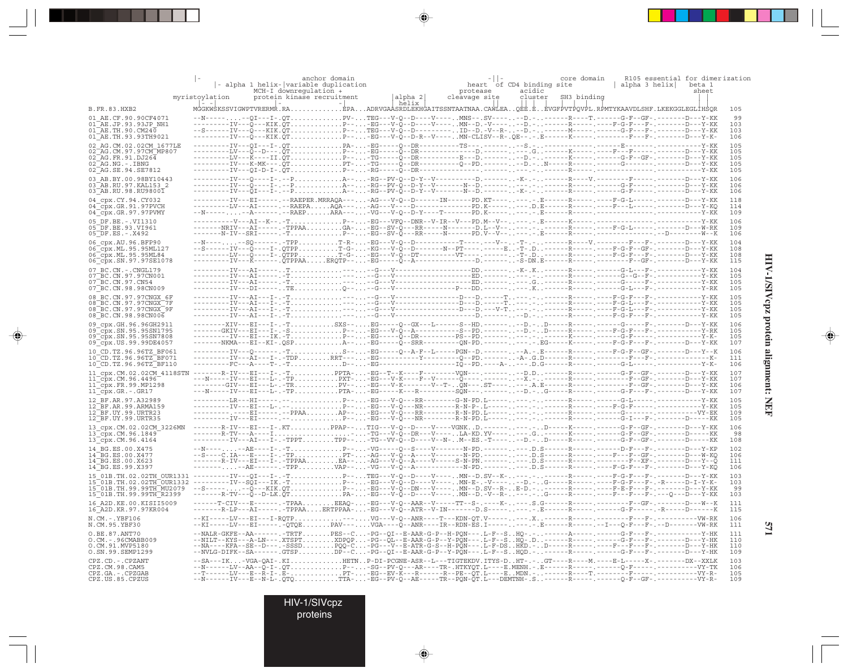|                                                                                                                                                                                                                                                                          |                | anchor domain<br>- alpha 1 helix- variable duplication<br>MCH-I downregulation +                                                                                                                                                                                                                                                                                                                                                                                         |                   | heart of CD4 binding site<br>protease | core domain<br>acidic  | alpha 3 helix    beta 1            | R105 essential for dimerization<br>sheet.        |
|--------------------------------------------------------------------------------------------------------------------------------------------------------------------------------------------------------------------------------------------------------------------------|----------------|--------------------------------------------------------------------------------------------------------------------------------------------------------------------------------------------------------------------------------------------------------------------------------------------------------------------------------------------------------------------------------------------------------------------------------------------------------------------------|-------------------|---------------------------------------|------------------------|------------------------------------|--------------------------------------------------|
|                                                                                                                                                                                                                                                                          | myristoylation | protein kinase recruitment                                                                                                                                                                                                                                                                                                                                                                                                                                               | alpha 2 <br>helix | cleavage site                         | cluster<br>SH3 binding |                                    |                                                  |
| <b>B.FR.83.HXB2</b>                                                                                                                                                                                                                                                      |                | MĠGKWŚKSSVIGWPTVRERMŔ.RAÈPAADRVGAÁSRDLEKHĠAITSSNTAATNAA.CAŴĹEAOĖĖ.ĖĖVGFPVTPOVPL.RPMTYKAAVDLSHF.LKEKGGLEGLÍHSOR                                                                                                                                                                                                                                                                                                                                                           |                   |                                       |                        |                                    | 105                                              |
| 01 AE.CF.90.90CF4071<br>01 AE.JP.93.93JP NH1<br>$01\overline{AE}$ . TH. 90. CM240<br>01 AE. TH. 93. 93 TH 9021                                                                                                                                                           |                | .--QI---I-.QTPV-TEG---V-Q--D----V----MNS--.SV------D.-------R----T.------G-F--GF-.------D---Y-KK<br>---------IV---Q---KIK.QTP---BG---V-Q--D----V----MN--D.-V------D.------R-----.---F-G-F---F-.------D---Y-KK                                                                                                                                                                                                                                                            |                   |                                       |                        |                                    | 99<br>103<br>103<br>106                          |
| 02 AG.CM.02.02CM 1677LE<br>02 AG. CM. 97. 97 CM MP807<br>$02^-AG.FR.91.DJ264$<br>$02-AG.NG. - .IBNG$                                                                                                                                                                     |                |                                                                                                                                                                                                                                                                                                                                                                                                                                                                          |                   |                                       |                        |                                    | 105<br>105<br>105<br>105                         |
| 02 AG. SE. 94. SE7812<br>03 AB.BY.00.98BY10443<br>03 AB.RU.97.KAL153 2                                                                                                                                                                                                   |                | ---I-.--P. A--. -RG--PV-0--D-Y--V----------D. ------ -K-.- -------R----V. -----                                                                                                                                                                                                                                                                                                                                                                                          |                   |                                       |                        |                                    | 105<br>106<br>106                                |
| 03 AB.RU.98.RU98001<br>04 cpx.CY.94.CY032<br>04_cpx.GR.91.97PVCH                                                                                                                                                                                                         |                | --------IV---EI-----.--RAEPER.MRRAQA----AG---V-Q--D------IN------PD.KT-------.E-----R-----F-G-L-----.----D---Y-KK<br>---------LV---AI-----.--RAEPAAÕA----AG---V----D--------------PD.K--------.D.E-----R-----.----F---L-----.-------D---Y-KO                                                                                                                                                                                                                             |                   |                                       |                        |                                    | 106<br>118<br>114                                |
| $04$ <sup><math>-cpx.GR.97.97</math> PVMY</sup><br>05 DF.BE. -. VI1310<br>05 DF.BE.93.VI961                                                                                                                                                                              |                | --N--------A------.--RAEPARA----VG---V-Q--D-Y----T-------PD.K--------- <del>.</del> .E------R-----. <sup>------------------</sup><br>-------NRIV---AI-----.-TPPAAGA--EG--SV-Q---RR-----N-------D.L--V------.-----R-----.----F-G-L-----.-----D---W-RK                                                                                                                                                                                                                     |                   |                                       |                        |                                    | 109<br>- - - - - - - Y - KK<br>106<br>109<br>106 |
| $05^{\circ}$ DF.ES. - .X492<br>06 cpx.AU.96.BFP90<br>06 cpx. ML. 95.95ML127<br>06 cpx.ML.95.95ML84<br>06 cpx. SN. 97. 97SE1078                                                                                                                                           |                | ---------LV---Q----I-.QTPPT-G--EG---V-Q--DT---------VT----------T-.D------R-----.----F-G-F---F-.-------D---Y-KK<br>---------IV---K------.QTPPAAERQTP---EG-----Q--A--------------D.-------S-DN.E------R-----.---------F--GF-.-------D---Y-KK                                                                                                                                                                                                                              |                   |                                       |                        |                                    | 104<br>108<br>108<br>115                         |
| 07 BC.CN. - . CNGL179<br>07 BC. CN. 97. 97 CN001<br>07 BC. CN. 97. CN54<br>07 BC. CN. 98. 98 CN009                                                                                                                                                                       |                |                                                                                                                                                                                                                                                                                                                                                                                                                                                                          |                   |                                       |                        |                                    | 104<br>105<br>105<br>105                         |
| 08 BC.CN.97.97CNGX 6F<br>08 BC.CN.97.97CNGX 7F<br>08 BC.CN.97.97CNGX 9F<br>08 BC.CN.98.98CN006                                                                                                                                                                           |                |                                                                                                                                                                                                                                                                                                                                                                                                                                                                          |                   |                                       |                        | ----.---F-G-L---F-.----------Y-KK  | 105<br>105<br>105<br>105                         |
| 09 cpx.GH.96.96GH2911<br>09 cpx. SN. 95. 95 SN1795<br>09 cpx.SN.95.95SN7808<br>09 cpx. US. 99. 99DE4057                                                                                                                                                                  |                | --------XIV---BI---I-.-TSXS--EG-----O--GX---L------S--HD.--------D.-D-----R------.G------F-.-------D---Y-KK<br>------GKIV---EI---I-.-SP---EG---V-Q--A----------S--PD.-------D.-D----R------F-G-F---F-.-------------Y-RK<br>-------NKMA---EI--KI-.QSPA---EG----Q--SRR---------QN-PD.---------.-EG-----K-----.----F-G-F---F-.------D---Y-KK                                                                                                                                |                   |                                       |                        |                                    | 106<br>105<br>105<br>107                         |
| 10 CD.TZ.96.96TZ BF061<br>10 CD.TZ.96.96TZ BF071<br>10 CD. TZ. 96. 96TZ BF110                                                                                                                                                                                            |                | IV---Q------.-TS---EG-----Q--A-F--L-----PGN--D.--------A.-.E------R---------F-G-F--GF-.------D---Y--K                                                                                                                                                                                                                                                                                                                                                                    |                   |                                       |                        |                                    | 106<br>111<br>106                                |
| 11_cpx.CM.02.02CM_4118STN -------R-IV---EI---I-.-TPPTA--EG--T--K----F---------VQN---.-------.-D.D------R-------R-------G-F--GF-.------D---Y-KK<br>$11$ <sup><math>-</math></sup> cpx.CM.96.4496 <sup><math>-</math></sup><br>11 cpx.FR.99.MP1298<br>$11$ $cpx.GR.-.GR17$ |                | ---N-----IV---EI---L-.-TPPTA--EG-----K---R--------SÕN---.--------D.-G-----R------.G------G-F---F-.-------D---Y-KK                                                                                                                                                                                                                                                                                                                                                        |                   |                                       |                        |                                    | 107<br>107<br>106<br>107                         |
| 12 BF.AR.97.A32989<br>12 BF.AR.99.ARMA159<br>12 BF.UY.99.URTR23<br>$12$ $\overline{\phantom{a}}$ BF.UY.99.URTR35                                                                                                                                                         |                | IV---BI-----.--P---EG---V-Q---NR--------R-A-PD.L--------------R-----G-I---F-.------D-----KK                                                                                                                                                                                                                                                                                                                                                                              |                   |                                       |                        |                                    | - – Y – KK<br>105<br>105<br>109<br>105           |
| 13_cpx.CM.02.02CM 3226MN<br>$13$ cpx. CM. 96. 1849<br>$13$ cpx. CM. 96.4164                                                                                                                                                                                              |                | -------R-IV---EI---I-.KTPPAP--TIG---V-O--D----V-V---VGNKD.---------D-----K-<br>---------IV---AI---I-.-TPPTTPP---TG--VV-Q--D----V--N-M--ES.-T------D.-D-----R-----.-----G-F--GF-.------D-----KK                                                                                                                                                                                                                                                                           |                   |                                       |                        |                                    | 106<br>98<br>108                                 |
| 14 BG.ES.00.X475<br>14 BG.ES.00.X477<br>14 BG.ES.00.X623<br>14 BG.ES.99.X397                                                                                                                                                                                             |                | --N------AE----I-.-TP---VG-----Q--S----V--------N-PD.---------D.S------R-------D-F---F-.-------D---Y-KP<br>--S----C.IA---E----I-.-TPPT--AG---V-Q--A----V--------N-PD.---------D.S------R-----.----F---GF-.-------D---W-KQ<br>--------AE------.-TPPVAP---VG---V-Q--A-------------N-PD.---------.D.S------R------F-G-F---F-(------D-----D---Y-KO                                                                                                                           |                   |                                       |                        |                                    | 102<br>106<br>111<br>106                         |
|                                                                                                                                                                                                                                                                          |                |                                                                                                                                                                                                                                                                                                                                                                                                                                                                          |                   |                                       |                        |                                    | 103<br>103<br>99<br>103                          |
| 16 A2D. KE. 00. KISII5009<br>16 A2D. KR. 97. 97 KR004                                                                                                                                                                                                                    |                | ------T-CIV---E--------TPAAEEAQ--EG---V-Q--AAR--V-----TT--S-.----K-----S.G------R----------------F--GF-.-------D---W--K<br>-------R-LP---AI-----.-TPPAAERTPPAA--EG---V-Q--ATR--V-IN-------D.S--------E------R-                                                                                                                                                                                                                                                           |                   |                                       |                        | ----.------G-F-----.-R-----D-----K | 111<br>115                                       |
| N.CM. - . YBF106<br>N.CM.95.YBF30                                                                                                                                                                                                                                        |                | $-+K\texttt{I---L} \\ V--E\texttt{I----}.\\ \texttt{-QPE---} \\ \texttt{-QPE---} \\ \texttt{CQR} \\ \texttt{.} \\ \texttt{} \\ \texttt{PAV---} \\ \texttt{PAV---} \\ \texttt{QA---} \\ \texttt{-Q-P---} \\ \texttt{PAV---} \\ \texttt{PAV---} \\ \texttt{PAV---} \\ \texttt{PAV---} \\ \texttt{PAV---} \\ \texttt{PAV---} \\ \texttt{PAV---} \\ \texttt{PAV---} \\ \texttt{PAV---} \\ \texttt{PAV---} \\ \texttt{PAV---} \\ \texttt{PAV---} \\ \texttt{PAV---} \\ \text$ |                   |                                       |                        |                                    | 106<br>111                                       |
| O.BE.87.ANT70<br>O.CM. - . 96CMABB009<br>O.CM.91.MVP5180<br>O.SN.99.SEMP1299                                                                                                                                                                                             |                | --NALR-GKFE--AA--------TRTFPES--C-PG--QI--E-AAR-G-P--H-PQN---.L-F--SHQ-.-------A-----.------G-F---F-.-<br>--NILT--KYS---A-LN---.XTSPTXDPQP-PG--QL--E-AAR-G-P--Y-PQN---.L-F--SHQ-.D------R----------G-F---F-.-------D---Y-HK<br>--NA----KFA--SE--D-----SSSDPQQ-C-PG---V--E-ATR-G-S--H-PQN---.L-F-DSHKD.-D-----R-----)----F---F-----------D---Y-HK<br>--NVLG-DIFK--SA------.GTSPDP--C-PG--QI--E-AAR-G-P--Y-PQN---.L-F--SHQD.-------R-----.G-F---F-.------D---Y-HK          |                   |                                       |                        |                                    | 111<br>110<br>110<br>109                         |
| CPZ.CD. - . CPZANT<br>CPZ.CM.98.CAM5<br>CPZ.GA. - . CPZGAB<br>CPZ.US.85.CPZUS                                                                                                                                                                                            |                | --SA---IK-VGA-QAI-.KIHETNP-DI-PCGNE-ASR--L---TIGTEKDV.ITYS-DHT-.-GT----R----M.----E-L-----X-.-------DX--XXLK<br>--N------LV--AA--Q-I-.QTP---SG--PV-Q---AR----TR-.HTKYQT.L----E.MENH.-.E-----R------Q--F---------------------VY-TK<br>--N------IV---E--N-L-.QTQTTA--EG--PV-Q--AE-----TR--PQN-QT.L---DEMTNH-.S------R-----.-----Q-F--GF-.-----------VY-R-                                                                                                                  |                   |                                       |                        |                                    | 103<br>106<br>105<br>109                         |

 $\begin{picture}(20,5) \put(0,0){\vector(0,1){10}} \put(15,0){\vector(0,1){10}} \put(15,0){\vector(0,1){10}} \put(15,0){\vector(0,1){10}} \put(15,0){\vector(0,1){10}} \put(15,0){\vector(0,1){10}} \put(15,0){\vector(0,1){10}} \put(15,0){\vector(0,1){10}} \put(15,0){\vector(0,1){10}} \put(15,0){\vector(0,1){10}} \put(15,0){\vector(0,1){10}} \put(15,0){\vector(0,$ 

 $\begin{picture}(20,5) \put(0,0){\vector(0,1){10}} \put(15,0){\vector(0,1){10}} \put(15,0){\vector(0,1){10}} \put(15,0){\vector(0,1){10}} \put(15,0){\vector(0,1){10}} \put(15,0){\vector(0,1){10}} \put(15,0){\vector(0,1){10}} \put(15,0){\vector(0,1){10}} \put(15,0){\vector(0,1){10}} \put(15,0){\vector(0,1){10}} \put(15,0){\vector(0,1){10}} \put(15,0){\vector(0,$ 

---

 $\overline{\blacklozenge}$ 

HIV-1/SIVcpz

proteins

HIV-1/SIVcpz protein alignment: NEF **HIV-1/SIVcpz protein alignment: NEF**

 $\begin{picture}(20,5) \put(0,0){\line(1,0){10}} \put(15,0){\line(1,0){10}} \put(15,0){\line(1,0){10}} \put(15,0){\line(1,0){10}} \put(15,0){\line(1,0){10}} \put(15,0){\line(1,0){10}} \put(15,0){\line(1,0){10}} \put(15,0){\line(1,0){10}} \put(15,0){\line(1,0){10}} \put(15,0){\line(1,0){10}} \put(15,0){\line(1,0){10}} \put(15,0){\line(1,$ 

 $\overline{\phantom{0}}$ 

▋

.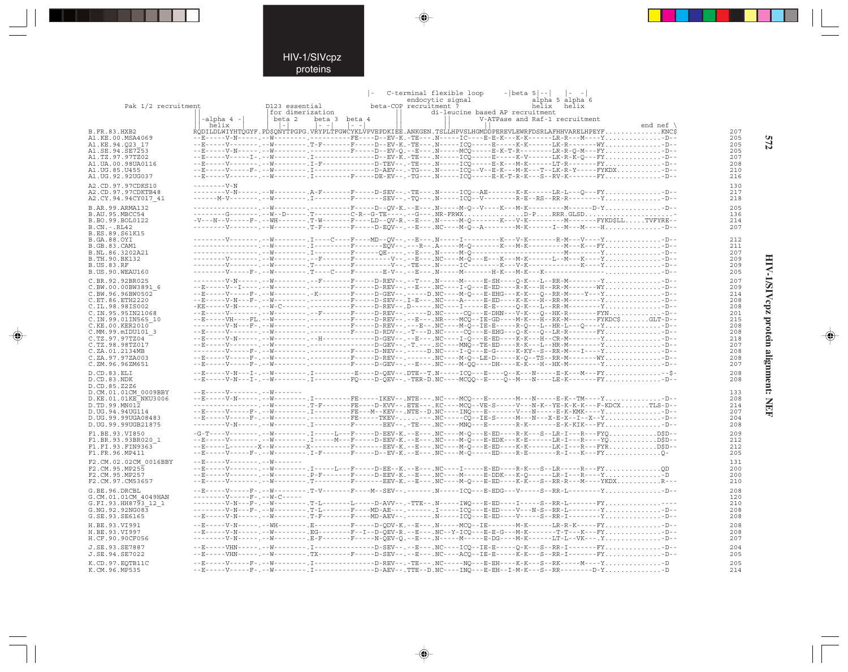### HIV-1/SIVcpz proteins

. . .

 $\Rightarrow$ 

|                                              |                       |                                                      |               | C-terminal flexible loop                                                                                                                                                                                                                                                                                                                                                                                                                                                                | $- beta 5 -- $ $ -$            |                    |            |
|----------------------------------------------|-----------------------|------------------------------------------------------|---------------|-----------------------------------------------------------------------------------------------------------------------------------------------------------------------------------------------------------------------------------------------------------------------------------------------------------------------------------------------------------------------------------------------------------------------------------------------------------------------------------------|--------------------------------|--------------------|------------|
| Pak 1/2 recruitment                          |                       | D123 essential                                       |               | endocytic signal<br>beta-COP recruitment ?                                                                                                                                                                                                                                                                                                                                                                                                                                              | alpha 5 alpha 6<br>helix helix |                    |            |
|                                              |                       | lfor dimerization                                    |               | di-leucine based AP recruitment                                                                                                                                                                                                                                                                                                                                                                                                                                                         |                                |                    |            |
|                                              | $-alpha 4 -$<br>helix | beta 2<br>$  - -   -   -   - -  $<br>$\vert - \vert$ | beta 3 beta 4 |                                                                                                                                                                                                                                                                                                                                                                                                                                                                                         | V-ATPase and Raf-1 recruitment | end nef $\sqrt{ }$ |            |
| B.FR.83.HXB2                                 |                       |                                                      |               | RODILDLWIYHTOGYF.PD\$ONYTPGPG.VRYPLTFGWCYKLVPVEPDKIEE.ANKGEN.TSLLHPVSLHGMDDPEREVLEWRFDSRLAFHHVARELHPEYFKNC\$                                                                                                                                                                                                                                                                                                                                                                            |                                |                    | 207        |
| A1.KE.00.MSA4069                             |                       |                                                      |               |                                                                                                                                                                                                                                                                                                                                                                                                                                                                                         |                                |                    | 205        |
| A1.KE.94.O23 17                              |                       |                                                      |               | --E-----V-------. --W-------- .T-F-------F----D--EV-K.-TE--- .N-----ICO----E-----K-K-------LK-R-------WY-D--                                                                                                                                                                                                                                                                                                                                                                            |                                |                    | 205        |
| A1.SE.94.SE7253<br>A1.TZ.97.97TZ02           |                       |                                                      |               | --E-----V-N-----.--W---------.-----------F----D--EV-O.--E---.N-----MCO-----E-K-T-R--------LR-R-O-M---FY-D--                                                                                                                                                                                                                                                                                                                                                                             |                                |                    | 205<br>207 |
| A1.UA.00.98UA0116                            |                       |                                                      |               |                                                                                                                                                                                                                                                                                                                                                                                                                                                                                         |                                |                    | 208        |
| A1.UG.85.U455                                |                       |                                                      |               | --E-----V-----F-.--W---------.I--------------D-AEV--.-TG---.N-----ICQ--V--E-K---M-K---T--LK-R-Y------FYKDX-D--                                                                                                                                                                                                                                                                                                                                                                          |                                |                    | 210        |
| A1.UG.92.92UG037                             |                       |                                                      |               | --E-----V----------FW----------F-------F----DE-EV--.-TG---.N-----ICQ-----E-K-T-R-K---S--RV-K-------FY-D--                                                                                                                                                                                                                                                                                                                                                                               |                                |                    | 216        |
| A2.CD.97.97CDKS10                            |                       |                                                      |               |                                                                                                                                                                                                                                                                                                                                                                                                                                                                                         |                                |                    | 130        |
| A2.CD.97.97CDKTB48<br>A2.CY.94.94CY017 41    |                       |                                                      |               | --------V-N-----.--W---------.A-F-------F----D-SEV--.-TE---.N-----ICO--AE------K-K-------LR-L---O---FY-D--                                                                                                                                                                                                                                                                                                                                                                              |                                |                    | 217<br>218 |
|                                              |                       |                                                      |               |                                                                                                                                                                                                                                                                                                                                                                                                                                                                                         |                                |                    | 205        |
| B.AR.99.ARMA132<br>B.AU.95.MBCC54            |                       |                                                      |               |                                                                                                                                                                                                                                                                                                                                                                                                                                                                                         |                                |                    | 136        |
| B.BO.99.BOL0122                              |                       |                                                      |               |                                                                                                                                                                                                                                                                                                                                                                                                                                                                                         |                                |                    | 214        |
| B.CN.-.RL42                                  |                       |                                                      |               | --------V-------. --W-------- .T-F--------F-----D-BŌV--.--E--- .NC----M-Ō-A---------M-K-----I--M----M----H. -D--                                                                                                                                                                                                                                                                                                                                                                        |                                |                    | 207        |
| B.ES.89.S61K15                               |                       |                                                      |               | --------V-------.--W---------.I----C----F---MD--OV--.--E---.N-----I--------K---V-K-------R-M---V----Y-D--                                                                                                                                                                                                                                                                                                                                                                               |                                |                    | 212        |
| B.GA.88.OYI<br>B.GB.83.CAM1                  |                       |                                                      |               |                                                                                                                                                                                                                                                                                                                                                                                                                                                                                         |                                |                    | 211        |
| B.NL.86.3202A21                              |                       |                                                      |               |                                                                                                                                                                                                                                                                                                                                                                                                                                                                                         |                                |                    | 207        |
| B.TH.90.BK132                                |                       |                                                      |               |                                                                                                                                                                                                                                                                                                                                                                                                                                                                                         |                                |                    | 209        |
| B.US.83.RF<br>B.US.90.WEAU160                |                       |                                                      |               |                                                                                                                                                                                                                                                                                                                                                                                                                                                                                         |                                |                    | 209<br>205 |
|                                              |                       |                                                      |               |                                                                                                                                                                                                                                                                                                                                                                                                                                                                                         |                                |                    |            |
| C.BR.92.92BR025<br>C.BW.00.00BW3891 6        |                       |                                                      |               | --------V-N------.--W---------.--F-------F----D-REV--.--T---.N-----B-----B--SH----Q-K---L--RR-M--------YD--                                                                                                                                                                                                                                                                                                                                                                             |                                |                    | 207<br>209 |
| C.BW.96.96BW0502                             |                       |                                                      |               | --E-----V-----F-.--W---------.-K--------F-----D-GEV--.-----D.NC----M-Q---E-EHG---K-K---Q--RR-M----Y---YD--                                                                                                                                                                                                                                                                                                                                                                              |                                |                    | 214        |
| C.ET.86.ETH2220                              |                       |                                                      |               | $-\texttt{-E}\texttt{---} \texttt{--V-N} \texttt{---} \texttt{-}-\texttt{-W}\texttt{---} \texttt{-1} \texttt{-1} \texttt{-1} \texttt{-1} \texttt{-1} \texttt{-1} \texttt{-1} \texttt{-1} \texttt{-1} \texttt{-1} \texttt{-1} \texttt{-1} \texttt{-1} \texttt{-1} \texttt{-1} \texttt{-1} \texttt{-1} \texttt{-1} \texttt{-1} \texttt{-1} \texttt{-1} \texttt{-1} \texttt{-1} \texttt{-1} \texttt{-1} \texttt{-1} \texttt{-1} \texttt{-1} \texttt{-1} \texttt{-1$                        |                                |                    | 208        |
| C.IL.98.98IS002                              |                       |                                                      |               |                                                                                                                                                                                                                                                                                                                                                                                                                                                                                         |                                |                    | 208        |
| C.IN.95.95IN21068<br>C.IN.99.01IN565 10      |                       |                                                      |               | --E-----VH----FL.--W--------.-----------F-----D-REV--.--E---.NR----MCQ--IE-GD----M-K---H--RK-M-------FYKDC\$GLT-D--                                                                                                                                                                                                                                                                                                                                                                     |                                |                    | 201<br>215 |
| C.KE.00.KER2010                              |                       |                                                      |               |                                                                                                                                                                                                                                                                                                                                                                                                                                                                                         |                                |                    | 208        |
| C.MM.99.mIDU101 3                            |                       |                                                      |               |                                                                                                                                                                                                                                                                                                                                                                                                                                                                                         |                                |                    | 208        |
| C.TZ.97.97TZ04                               |                       |                                                      |               |                                                                                                                                                                                                                                                                                                                                                                                                                                                                                         |                                |                    | 218        |
| C.TZ.98.98TZ017<br>C.ZA.01.2134MB            |                       |                                                      |               |                                                                                                                                                                                                                                                                                                                                                                                                                                                                                         |                                |                    | 207<br>208 |
| C.ZA.97.97ZA003                              |                       |                                                      |               | --E-----V-----F-.--W--------.----------F-----D-REV--.-------. NC----M-Õ--LE-D-----K-O--TS--RR-M--------WY-D--                                                                                                                                                                                                                                                                                                                                                                           |                                |                    | 208        |
| C.ZM.96.96ZM651                              |                       |                                                      |               | --E-----V-----F-.--W--------. ----------F----D-GEV--.--E---.NC----M-OO----DH----K-K---H--HK-M--------Y-D--                                                                                                                                                                                                                                                                                                                                                                              |                                |                    | 207        |
| D.CD.83.ELI                                  |                       |                                                      |               | --E-----V-N---I-.--W---------.I-----------E----D-QEV--.DTE--T.N-----ICQ---E----Q--K---N-----E-K---M---FY--\$-                                                                                                                                                                                                                                                                                                                                                                           |                                |                    | 208        |
| D.CD.83.NDK                                  |                       |                                                      |               | --E-----V-N---I-.--W---------.I------------PQ----D-QEV--.-TER-D.NC----MCQQ--E----Q--M----N----LE-K--------FY-D--                                                                                                                                                                                                                                                                                                                                                                        |                                |                    | 208        |
| D.CD.85.Z2Z6                                 |                       |                                                      |               |                                                                                                                                                                                                                                                                                                                                                                                                                                                                                         |                                |                    |            |
| D.CM.01.01CM 0009BBY<br>D.KE.01.01KE NKU3006 |                       |                                                      |               |                                                                                                                                                                                                                                                                                                                                                                                                                                                                                         |                                |                    | 133<br>208 |
| D.TD.99.MN01 $\overline{2}$                  |                       |                                                      |               |                                                                                                                                                                                                                                                                                                                                                                                                                                                                                         |                                |                    | 214        |
| D.UG.94.94UG114                              |                       |                                                      |               | --E------V-----F-.--W---------.I---------FE---M--KEV--.NTE--D.NC----INQ---E--------V---N-----E-K-KMK----Y-D--                                                                                                                                                                                                                                                                                                                                                                           |                                |                    | 207        |
| D.UG.99.99UGA08483                           |                       |                                                      |               | --E-----V-----F-1--W--------- <sup>1</sup> ----------FE-----TKEV----.NC-----CQ--IE-S-----M---N---X-E-X--I--X--YD--<br>--------V-N-----.--W---------.I---------F-------EEV--.-TE----.NC----MNO---E--------R-K-------E-K-KIK---FY-D--                                                                                                                                                                                                                                                     |                                |                    | 2.04       |
| D.UG.99.99UGB21875                           |                       |                                                      |               |                                                                                                                                                                                                                                                                                                                                                                                                                                                                                         |                                |                    | 208        |
| F1.BE.93.VI850<br>F1.BR.93.93BR020 1         |                       |                                                      |               | -G-T----V-------.--M--------.I-----L---F----D-EEV-K.--E---.NC----M-Q---E-ED----R-K---S--LR-I---R----FYQD\$D--<br>--E------V--------.--W---------. I------M---F-----D-EEV-K.--E---. NC----M-Q---E-EDK---K-E------LR-I---R-I---YQD\$D--                                                                                                                                                                                                                                                   |                                |                    | 209<br>212 |
| F1.FI.93.FIN9363                             |                       |                                                      |               | --E-----L--------X--W---------X---------F------EEV-K.--E---.NC----M-Q---E-ED----K-K-------LK-I---R---FYRD\$D--                                                                                                                                                                                                                                                                                                                                                                          |                                |                    | 212        |
| F1.FR.96.MP411                               |                       |                                                      |               | --E-----V-----F-.--W--------. I-F-------F-----D--EV-K.--E---. NC----M-O-----ED----R-E-------R-I---K---FY0-                                                                                                                                                                                                                                                                                                                                                                              |                                |                    | 205        |
| F2.CM.02.02CM 0016BBY                        |                       |                                                      |               |                                                                                                                                                                                                                                                                                                                                                                                                                                                                                         |                                |                    | 131        |
| F2.CM.95.MP255                               |                       |                                                      |               |                                                                                                                                                                                                                                                                                                                                                                                                                                                                                         |                                |                    | 200        |
| F2.CM.95.MP257                               |                       |                                                      |               | --E-----V-------.--W--------.P-F-------F----D-EEV-K.--E---.NC----M-----E-DDK---K-O------LR-I---R----YD                                                                                                                                                                                                                                                                                                                                                                                  |                                |                    | 200        |
| F2.CM.97.CM53657                             |                       |                                                      |               | --E-----V------- --W-------- T---------F-------EEV-K.--E---- NC----M-Q---E-ED----K-K---S--RR-R---M----YKDXR---                                                                                                                                                                                                                                                                                                                                                                          |                                |                    | 210        |
| G.BE.96.DRCBL                                |                       |                                                      |               | --E------V-----F-.--W---------.T-V-------F----M--SEV--.-------.N-----ICQ---E-EDG---V-----S--RR-L---------Y-D--                                                                                                                                                                                                                                                                                                                                                                          |                                |                    | 208        |
| G.CM.01.01CM 4049HAN<br>G.FI.93.HH8793 12 1  |                       |                                                      |               | --------V-N---F-.--W--------.T-L-------L-----D-AVV--.-TTE--.N-----IWQ---E-ED----I-----S--RR-L--------FY----                                                                                                                                                                                                                                                                                                                                                                             |                                |                    | 120<br>210 |
| G.NG.92.92NG083                              |                       |                                                      |               | --------V-N---F-.--W---------.T-L-------F----MD-AE---.-------.I-----ICQ---E-ED----V----N-S--RR-L--------Y-D--                                                                                                                                                                                                                                                                                                                                                                           |                                |                    | 208        |
| G.SE.93.SE6165                               |                       |                                                      |               |                                                                                                                                                                                                                                                                                                                                                                                                                                                                                         |                                |                    | 208        |
| H.BE.93.VI991                                |                       |                                                      |               | $-\texttt{-E}\texttt{-----} \texttt{V-N} \texttt{-----} \texttt{-WH} \texttt{-----} \texttt{.} \texttt{E}\texttt{-----} \texttt{---} \texttt{---} \texttt{D} \texttt{-QDV-K} \texttt{.} \texttt{--E} \texttt{---} \texttt{N} \texttt{---} \texttt{-MOQ} \texttt{-IE} \texttt{---} \texttt{-M-K} \texttt{----} \texttt{-LR-R-K} \texttt{----} \texttt{FY} \texttt{.} \texttt{.} \texttt{.} \texttt{.} \texttt{.} \texttt{.} \texttt{.} \texttt{.} \texttt{--} \$                         |                                |                    | 208        |
| H.BE.93.VI997                                |                       |                                                      |               | $-\texttt{-E}\texttt{---}\texttt{v}\texttt{-N}\texttt{---}\texttt{-N}--\texttt{-W}\texttt{-1---}\texttt{-E}\texttt{G}\texttt{---}\texttt{-F}\texttt{-1}-\texttt{D}\texttt{-}\bar{\texttt{Q}}\texttt{EV}\texttt{-R}\texttt{-E}\texttt{-E}\texttt{-1}-\texttt{NC}\texttt{-Y}\texttt{-I}\texttt{C}\bar{\texttt{Q}}\texttt{-1}-\texttt{E}\texttt{-E}\texttt{-G}\texttt{-1}-\texttt{M}\texttt{-K}\texttt{-1---}\texttt{-T}\texttt{-1}-\texttt{-K}\texttt{-F}\texttt{Y}\texttt{-1}\texttt{-1$ |                                |                    | 208        |
| H.CF.90.90CF056                              |                       |                                                      |               | --------V-N-----.--W--------.E-F-------F-----N-QEV-Q.--E---.N------B-DG----M-K-----LT-L--VK---.Y-D--                                                                                                                                                                                                                                                                                                                                                                                    |                                |                    | 207        |
| J.SE.93.SE7887                               |                       |                                                      |               | --E-----VHN-----.--W---------.I--------------D-SEV--.--E---.NC----ICO--IE-E-----O-K---S--RR-I-------FY-D--                                                                                                                                                                                                                                                                                                                                                                              |                                |                    | 204        |
| J.SE.94.SE7022                               |                       |                                                      |               | --E-----VHN-----.--W---------- TX--------F-----D-SEV--.--E---.NC----ACQ--IE-E-----K-K---S--RR-I--------FY-D--                                                                                                                                                                                                                                                                                                                                                                           |                                |                    | 205        |
| K.CD.97.EOTB11C                              |                       |                                                      |               | --E-----V-----F-.--W--------.I-------------D-REV--.-TE---.NC-----NQ---E-EH----K-K---S--RK-----M----YD<br>--E-----V-----F-.--W--------.I-------------D-AEV--.TTE--D.NC----INQ---E-EH--I-M-K---S--RR--------D-YD                                                                                                                                                                                                                                                                          |                                |                    | 205        |
| K.CM.96.MP535                                |                       |                                                      |               |                                                                                                                                                                                                                                                                                                                                                                                                                                                                                         |                                |                    | 214        |

 $\Rightarrow$ 

 $\Rightarrow$ 

**HIV-1/SIVcpz protein alignment: NEF 572** HIV-1/SIVcpz protein alignment: NEF

 $\begin{picture}(20,5) \put(0,0){\line(1,0){10}} \put(15,0){\line(1,0){10}} \put(15,0){\line(1,0){10}} \put(15,0){\line(1,0){10}} \put(15,0){\line(1,0){10}} \put(15,0){\line(1,0){10}} \put(15,0){\line(1,0){10}} \put(15,0){\line(1,0){10}} \put(15,0){\line(1,0){10}} \put(15,0){\line(1,0){10}} \put(15,0){\line(1,0){10}} \put(15,0){\line(1,$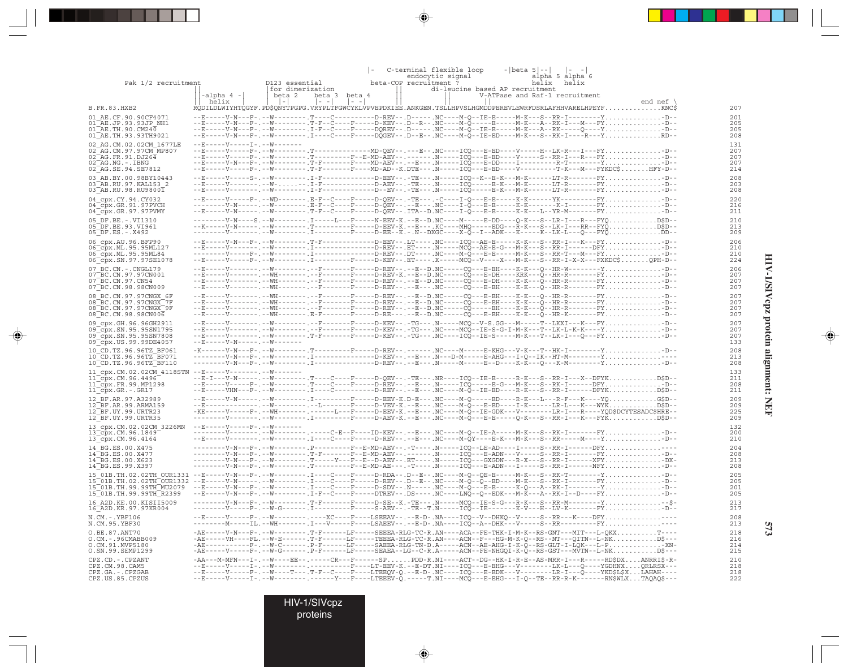| Pak 1/2 recruitment                                                                                                                                                                                                                                                                                                                                   |                                                                 | D123 essential<br> for dimerization                                                                                                                                                                                                                                                                                                                                                                                                                  |                           | beta-COP recruitment ? | C-terminal flexible loop<br>endocytic signal<br>di-leucine based AP recruitment | $- beta 5 -- $ | $\vert - \vert -$<br>alpha 5 alpha 6<br>helix helix                                                                                  |                   |                   |
|-------------------------------------------------------------------------------------------------------------------------------------------------------------------------------------------------------------------------------------------------------------------------------------------------------------------------------------------------------|-----------------------------------------------------------------|------------------------------------------------------------------------------------------------------------------------------------------------------------------------------------------------------------------------------------------------------------------------------------------------------------------------------------------------------------------------------------------------------------------------------------------------------|---------------------------|------------------------|---------------------------------------------------------------------------------|----------------|--------------------------------------------------------------------------------------------------------------------------------------|-------------------|-------------------|
|                                                                                                                                                                                                                                                                                                                                                       | -alpha 4 -<br>helix                                             | beta 2<br>beta 3<br>$\vert - \vert - \vert$<br>$\sim$<br>RODILDLWIYHTOGYF.PD\$ONYTPGPG.VRYPLTFGWCYKLVPVEPDKIEE.ANKGEN.TSLLHPVSLHGMDDPEREVLEWRFDSRLAFHHVARELHPEYFKNC\$                                                                                                                                                                                                                                                                                | beta 4<br>$\vert - \vert$ |                        |                                                                                 |                | V-ATPase and Raf-1 recruitment                                                                                                       | end nef $\langle$ | 207               |
| B.FR.83.HXB2<br>01 AE.CF.90.90CF4071                                                                                                                                                                                                                                                                                                                  |                                                                 | --E-----V-N---F-.--W---------.T----C---------D-REV--.D-----.NC----M-O--IE-E-----M-K---S--RR-I---------Y-D--                                                                                                                                                                                                                                                                                                                                          |                           |                        |                                                                                 |                |                                                                                                                                      |                   | 201               |
| $01$ <sup><math>-</math></sup> AE.JP.93.93JP NH1<br>$01\overline{AB}$ . TH. 90. CM240<br>01 AE. TH. 93. 93 TH 9021                                                                                                                                                                                                                                    |                                                                 | --E-----V-N---F-.--W---------.T-F--C----F----D-KEV--.D--R--.NC----M-Q-----E-----M-K---A--RK-I---M---FYD--<br>--E-----V-N---F-.--W---------. I-F--C----F-----DQREV--.D------ .NC----M-Q--IE-E-----M-K---A--RK-----Q----Y-D--<br>--E-----V-N---F-.--W---------.I----C----F-----DOGEV--.D--E--.NC----M-O--IE-ED----M-K---S--RK-I----R---YRD--                                                                                                           |                           |                        |                                                                                 |                |                                                                                                                                      |                   | 205<br>205<br>208 |
| 02 AG.CM.02.02CM 1677LE                                                                                                                                                                                                                                                                                                                               | $-$ - $E$ - - - - - $V$ - - - - - T - . - - $W$ - - - - - - -   |                                                                                                                                                                                                                                                                                                                                                                                                                                                      |                           |                        |                                                                                 |                |                                                                                                                                      |                   | 131               |
| 02 AG.CM.97.97CM MP807<br>$02$ AG. FR. 91. DJ264<br>$02^-AG$ . NG. $-$ . IBNG                                                                                                                                                                                                                                                                         |                                                                 | --E-----V-----F-.--W---------.T---------------MD-QEV--.---E--.NC----ICQ---E-ED----V------H--LK-R---I---FY-D--<br>--E-----V-----F-.--W--------.T---------F--E-MD-AEV--.-------.N-----ICQ---E-ED----V----S--RR-I---R---FY-D--<br>--E-----V-N---F-.--W--------.T-F-------F----MD-AEV--.--E---.N-----ICO---E-DD----I-----------R-T--------Y-D--<br>--F-.--W--------.T-F-------F----MD-AD--K.DTE---.N-----ICO---E-ED----V--------T-K---M---FYKDC\$HFY-D-- |                           |                        |                                                                                 |                |                                                                                                                                      |                   | 207<br>207<br>207 |
| 02 AG.SE.94.SE7812<br>03 AB.BY.00.98BY10443<br>03 AB.RU.97.KAL153 2                                                                                                                                                                                                                                                                                   |                                                                 | --E-----V-------. --W---. I-F-----------D-AEV--.-TE---.N-----ICQ----E-K---M-K------LT-R-------FY-D--                                                                                                                                                                                                                                                                                                                                                 |                           |                        |                                                                                 |                | . I - F - - - - - - - - - - - - D - EEV - - . - TE - - - . N - - - - - ICO - - K - - E - K - - - - - - LT - R - - - - - - FY - D - - |                   | 214<br>208<br>203 |
| 03 AB.RU.98.RU9800 I                                                                                                                                                                                                                                                                                                                                  |                                                                 | --E-----V-------,--W---------,I-F------------D--EV--,-TE---,N-----ICO-----E-K---M-K------LT-R-------FY,,,,,,,,,,,,,,-D--                                                                                                                                                                                                                                                                                                                             |                           |                        |                                                                                 |                |                                                                                                                                      |                   | 208               |
| 04 cpx.CY.94.CY032<br>$04$ cpx.GR.91.97PVCH<br>04 cpx.GR.97.97PVMY                                                                                                                                                                                                                                                                                    |                                                                 | --------V-N-----.--W---------.E-F--C----F----D-QEV--.--E---.NC----I-Q---E-E-----K-K--------K-I--------FY-D--                                                                                                                                                                                                                                                                                                                                         |                           |                        |                                                                                 |                |                                                                                                                                      |                   | 220<br>216<br>211 |
| 05 DF.BE. -. VI1310<br>05 DF.BE.93.VI961<br>$05$ DF.ES. - . $X492$                                                                                                                                                                                                                                                                                    |                                                                 | --------V-N----S.--W--------. I-----L---F------N-EEV-K.--E--D.NC----M-----E-DD----O-K---S--LR-I---R---FYOD\$D--<br>--K-----V-N-----.--W----------T--------F----D-EEV-K.--E---.KC----MHO-----EDG---R-K---S--LK-I---RR--FYOD\$D-<br>--------V-------.-A--------.I---------F----D-EE--K.-.N--DXGC---X-O--I--ADK---K----K--LK-L---O---FYODD--                                                                                                            |                           |                        |                                                                                 |                |                                                                                                                                      |                   | 210<br>213<br>209 |
| 06 cpx.AU.96.BFP90                                                                                                                                                                                                                                                                                                                                    |                                                                 | --E-----V-N---F-.--W--------- T-F------------D-EEV-- .LT---- .NC----ICO--AE-E------K-K---S--RR-I---K---FY-D--                                                                                                                                                                                                                                                                                                                                        |                           |                        |                                                                                 |                |                                                                                                                                      |                   | 206               |
| 06 cpx. ML. 95.95ML127<br>06 cpx.ML.95.95ML84<br>06 cpx.SN.97.97SE1078                                                                                                                                                                                                                                                                                |                                                                 | --------V----F-.--W--------.I-------------D-REV--.DT----.NC----M-Q---E-E-----M-K---S--RR-T---M---FY-D--<br>--E-----V-----F-.--W---------.I----------F-----D-KEV--.ET----.X----MCQ--V----X---M-K---S--RR-I-X-X---FXKDC\$QPH-D--                                                                                                                                                                                                                       |                           |                        |                                                                                 |                |                                                                                                                                      |                   | 210<br>210<br>224 |
| 07 BC.CN. - . CNGL179<br>07 BC.CN.97.97CN001                                                                                                                                                                                                                                                                                                          |                                                                 | --E-----V--------.--W---------.--F-------F----D-REV--.--E--D.NC-----CO---E-EH----K-K---O--HR-W--------Y-D--<br>--E-----V------- --WH------- --F-------F-----D-REV-K.--E--D.NC-----CQ---E-DH----KRK---Q--HR-R-------FYD--                                                                                                                                                                                                                             |                           |                        |                                                                                 |                |                                                                                                                                      |                   | 206<br>207        |
| 07 BC.CN.97.CN54                                                                                                                                                                                                                                                                                                                                      |                                                                 | --E-----V-------. --WH-------. --F-------F-----D-REV-- .--E--D.NC-----CQ---E-DH----K-K---Q--HR-R-------FY-D--                                                                                                                                                                                                                                                                                                                                        |                           |                        |                                                                                 |                |                                                                                                                                      |                   | 207               |
| 07 BC.CN.98.98CN009<br>08 BC.CN.97.97CNGX 6F                                                                                                                                                                                                                                                                                                          |                                                                 | --E-----V--------.--WH--------.--F-------F----D-REV--.--E---.NC-----CQ---E-EH----K-K---Q--HR-R--------FY-D--<br>--V-------.--WH-------.--F-------F-----D-REV--.--B--D.NC-----CQ---B-EH----K-K---Q--HR-R--------FY-D--                                                                                                                                                                                                                                |                           |                        |                                                                                 |                |                                                                                                                                      |                   | 207<br>207        |
| 08 BC.CN.97.97CNGX 7F                                                                                                                                                                                                                                                                                                                                 |                                                                 | --E-----V-------.--WH--------.--F------F----D-REV--.--E--D.NC-----CQ---E-EH----K-K---Q--HR-R--------FY-D--                                                                                                                                                                                                                                                                                                                                           |                           |                        |                                                                                 |                |                                                                                                                                      |                   | 207               |
| 08 BC.CN.97.97CNGX 9F<br>08 BC.CN.98.98CN006                                                                                                                                                                                                                                                                                                          |                                                                 | --E-----V--------.--MH--------.--F-------F----D-REV--.--E--D.NC-----CQ-----EH----K-K---Q--HR-R--------FY-D--                                                                                                                                                                                                                                                                                                                                         |                           |                        |                                                                                 |                |                                                                                                                                      |                   | 207<br>207        |
| 09 cpx.GH.96.96GH2911<br>09 cpx.SN.95.95SN1795<br>09 cpx. SN. 95. 95 SN 7808                                                                                                                                                                                                                                                                          |                                                                 | --E-----V-------.--W--------.--F-------F----D-KEV--.-TG----N-----MCQ--V-S.GG---M-----T--LKXI---K---FY-D--<br>--E-----V-------- --W--------- T-F-------F-----D-KEV-- .-TG--- .NC----ICQ--IE-S-----M-K---T--LK-I---Q---FY-D--                                                                                                                                                                                                                          |                           |                        |                                                                                 |                |                                                                                                                                      |                   | 207<br>207<br>207 |
| 09 cpx. US. 99. 99DE4057                                                                                                                                                                                                                                                                                                                              | $- -$ F - - - - - V - N - - - - - . - - W - - - - - - -         |                                                                                                                                                                                                                                                                                                                                                                                                                                                      |                           |                        |                                                                                 |                |                                                                                                                                      |                   | 133               |
| 10 CD.TZ.96.96TZ BF061<br>10 CD. TZ. 96. 96TZ BF071<br>10 CD.TZ.96.96TZ BF110                                                                                                                                                                                                                                                                         |                                                                 | -K------V-N---F-.--W--------- T---------F-----D-REV--.------ .NC----M-----E-KHG---V-K---T--HK-I---------Y-D--<br>--------V-N---F-.--W--------.I-------------D-KEV--.--E---.N---D-M-----E-AHG---I-O--IK--HT-M--------Y--<br>--------V-N---F-,--W--------, I-------------D-REV--,--E---, N-----M-----E-D----K-K---O---K-M--------Y,,,,,,,,,,,,,,,,D-                                                                                                   |                           |                        |                                                                                 |                |                                                                                                                                      |                   | 208<br>213<br>208 |
| 11 cpx.CM.02.02CM 4118STN --E-----V-------.--W-------                                                                                                                                                                                                                                                                                                 |                                                                 |                                                                                                                                                                                                                                                                                                                                                                                                                                                      |                           |                        |                                                                                 |                |                                                                                                                                      |                   | 133               |
| 11 cpx.CM.96.4496<br>$11$ <sup><math>-</math></sup> cpx.FR.99.MP1298                                                                                                                                                                                                                                                                                  |                                                                 | --E-I---V-N-----.--W--------- T----C----F----D-OEV--.-TE---.NR----ICO--IE-E------R-K---S--RR-I---X--DFYKD\$D--<br>--E-----V-----F-.--W--------.T---C----F----D-REV--.--E---.N-----ICO-----E-G---M-K---S--RK-I------DFY-D--                                                                                                                                                                                                                           |                           |                        |                                                                                 |                |                                                                                                                                      |                   | 211<br>208        |
| 11 cpx.GR.-.GR17                                                                                                                                                                                                                                                                                                                                      |                                                                 | --E-----VHN---F-.--W--------. I----C---------D-REV--.--E---.NC----M-O--IE-ED----R-K---S--RR-I------DFYKD\$D--<br>--E------V-N-----.--W---------.I----------F-----D-EEV-K.D-E---.NC----M-Q-----ED----R-K---L---R-F---K----YQG\$D--                                                                                                                                                                                                                    |                           |                        |                                                                                 |                |                                                                                                                                      |                   | 211               |
| 12 BF.AR.97.A32989<br>12 BF.AR.99.ARMA159                                                                                                                                                                                                                                                                                                             |                                                                 |                                                                                                                                                                                                                                                                                                                                                                                                                                                      |                           |                        |                                                                                 |                |                                                                                                                                      |                   | 209<br>209        |
| $12$ $BF.$ UY. 99. URTR23<br>12 BF.UY.99.URTR35                                                                                                                                                                                                                                                                                                       |                                                                 | -KE-----V-----F-.--WH-------.-----L---F----D-EEV-K.--E---.NC----M-O--IE-GDK---V--------LR-I---R----YOD\$DCYTESADC\$HRE                                                                                                                                                                                                                                                                                                                               |                           |                        |                                                                                 |                |                                                                                                                                      |                   | 225<br>209        |
| 13 cpx.CM.02.02CM 3226MN<br>13 cpx.CM.96.1849                                                                                                                                                                                                                                                                                                         | $-$ - $E$ - - - - - $V$ - - - - - $F$ - . - - $W$ - - - - - - - | --------V-------.--M--------.----C-E--F----ID-KEV--.--E---.NC----M-Q--IE-A-----M-K---S--RK-I--------FY-D--                                                                                                                                                                                                                                                                                                                                           |                           |                        |                                                                                 |                |                                                                                                                                      |                   | 132<br>200        |
| $13$ cpx. CM. 96.4164<br>14 BG.ES.00.X475                                                                                                                                                                                                                                                                                                             |                                                                 | --E-----V-------. --W--------- . I----C----F-----D-REV-- . --E--- .NC----M-QY----E-K---M-K---S--RR-----M----Y. D--<br>--------V-N---F-.--W--------. P---------F--E-MD-AEV--.-T----.N-----ICO--LE-AD----I-----S--RR-I------DFY----                                                                                                                                                                                                                    |                           |                        |                                                                                 |                |                                                                                                                                      |                   | 210<br>204        |
| 14 BG.ES.00.X477                                                                                                                                                                                                                                                                                                                                      |                                                                 | --------V-N---F-.--W--------.T-F-------F--E-MD-AEV--.------.N-----ICQ---E-ADN---V-----S--RR-I--------FY-D--                                                                                                                                                                                                                                                                                                                                          |                           |                        |                                                                                 |                |                                                                                                                                      |                   | 208               |
| 14 BG.ES.00.X623<br>14 BG.ES.99.X397                                                                                                                                                                                                                                                                                                                  |                                                                 | --------V-N---F-.--W--------.T-----Y---F--E--D-AEV--.ET----.N-----ICO---GXGDN---R-X---S--RR-I------XFY-DX-<br>--------V-N---F-.--W---------T--------F--E-MD-AE---.-T-----N-----ICO---E-ADN---I-----S--RR-I-------NFY-D--                                                                                                                                                                                                                             |                           |                        |                                                                                 |                |                                                                                                                                      |                   | 213<br>208        |
| 15 01B.TH.02.02TH OUR1331 --E-----V-N---F-.--W--------.I---C---F----D-RDA--.D--E--.NC----M-Q--QE-E-----M-K--S--RK-T--------Y-D--                                                                                                                                                                                                                      |                                                                 |                                                                                                                                                                                                                                                                                                                                                                                                                                                      |                           |                        |                                                                                 |                |                                                                                                                                      |                   | 205               |
| 15 <sup>-</sup> 01B.TH.02.02TH <sup>-</sup> OUR1332 --E-----V-N-----.--W---------I---C---F----D-REV--.D--E--.NC----M-O--O--ED----M-K---S--RK-I--------FY-D--<br>15 <sup>-01B</sup> .TH.99.99TH <sup>-</sup> MU2079 --E-----V-N---F-.--W--------.I---C---F----D-SDV--.N----- NC----M-Q---E-E-----K-Q---A--RK-I---------YD--<br>15 01B.TH.99.99TH R2399 |                                                                 | --E-----V-N---F-.--W--------. I-F--C----F-----DTREV--. DS----. NC----LNQ--Q--EDK---M-K---A--RK-I--D----FYD--                                                                                                                                                                                                                                                                                                                                         |                           |                        |                                                                                 |                |                                                                                                                                      |                   | 205<br>201<br>205 |
| 16 A2D.KE.00.KISII5009<br>16 A2D.KR.97.97KR004                                                                                                                                                                                                                                                                                                        |                                                                 | --------V-N---F-.--W----------T-F-------F----D-SE--K.-TE---.N-----MCQ--IE-S-G---R-K---S--RR-M--------Y<br>--------V-----F-.--W-G------.I----------F-----S-AEV--.-TE--T.N-----ICQ--IE--------K-V---H--LV-K---------FY-D--                                                                                                                                                                                                                             |                           |                        |                                                                                 |                |                                                                                                                                      |                   | 213<br>217        |
| N.CM.-.YBF106<br>N.CM.95.YBF30                                                                                                                                                                                                                                                                                                                        |                                                                 | --E-----V-----F-.--W--------.----XC----F----LSEEAV--.--E-D-.NA----ICQ--V--DHKQ--V-----S--RR---K----DFY----<br>---------M-----IL.--WH-------. I---V-----F----LSAEEV--.--E-D-.NA----ICQ--A--DHK---V----S--RR---------FY----                                                                                                                                                                                                                            |                           |                        |                                                                                 |                |                                                                                                                                      |                   | 208<br>213        |
| O.BE.87.ANT70<br>O.CM. - . 96CMABB009<br>O.CM.91.MVP5180                                                                                                                                                                                                                                                                                              |                                                                 | -AE-----V-N---F-.--W--------.T-F------LF-----SEEEA-RLG-TC-R.AN----ACA--FE-THK-I-M-K--RS-GNT---MIT---L-QKXT----<br>-AE-----VH----FL.--W-E------.T-F------LF-----TEEEA-RLG-TC-R.AN----ACN--F---HG-M-K-Q--RS--NT---QITN--L-NKD\$---                                                                                                                                                                                                                     |                           |                        |                                                                                 |                |                                                                                                                                      |                   | 218<br>216<br>214 |
| O.SN.99.SEMP1299                                                                                                                                                                                                                                                                                                                                      |                                                                 | -AE-----V----F-.--W-G------.P-F-----LF-----SEAEA--LG--C-R.A-----ACN--FE-NHGOI-K-O--RS-GST---MVTN--L-NKD\$---                                                                                                                                                                                                                                                                                                                                         |                           |                        |                                                                                 |                |                                                                                                                                      |                   | 215               |
| CPZ.CD. - . CPZANT<br>CPZ.CM.98.CAM5<br>CPZ.GA.-.CPZGAB                                                                                                                                                                                                                                                                                               |                                                                 | -AA---M-MFN---I-.--W----EE--.-----CR---F------SPPDD-R.NI----ACT--DG--HK-I-R-E--AS-MRR-I---R-----RD\$DXANRRI\$-R-<br>--E-----V-----I-.--W--------.---------F----LT-EEV-K.--E-DT.NI----ICQ---E-EHG---V--------LK-L---Q----YGDHNXQRLRSX---<br>--E-----V-----F-.--W----T---.T-F--C----F----LTEEQV-Q.--E-D-.NC----ICQ---E-EDK---V--------LR-I---Q----YKD\$L\$XLAHAH----                                                                                   |                           |                        |                                                                                 |                |                                                                                                                                      |                   | 210<br>218<br>218 |
| CPZ.US.85.CPZUS                                                                                                                                                                                                                                                                                                                                       |                                                                 | --E-----V-----I-.--W--------.-----Y---F----LTEEEV-Q.-----T.NI----MCQ---E-EHG---I-Q--TE--RR-R-K-------RN\$WLXTAQAQ\$---                                                                                                                                                                                                                                                                                                                               |                           |                        |                                                                                 |                |                                                                                                                                      |                   | 222               |

 $\Rightarrow$ 

 $\overline{\bullet}$ 

. . .

 $\Rightarrow$ 

 $\overline{\mathbb{F}}$ 

HIV-1/SIVcpz protein alignment: NEF **HIV-1/SIVcpz protein alignment: NEF**

 $\Rightarrow$ 

**573**

HIV-1/SIVcpz

proteins